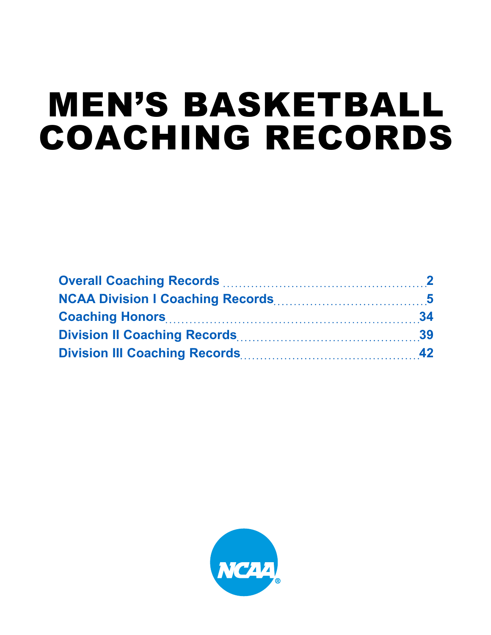# MEN'S BASKETBALL COACHING RECORDS

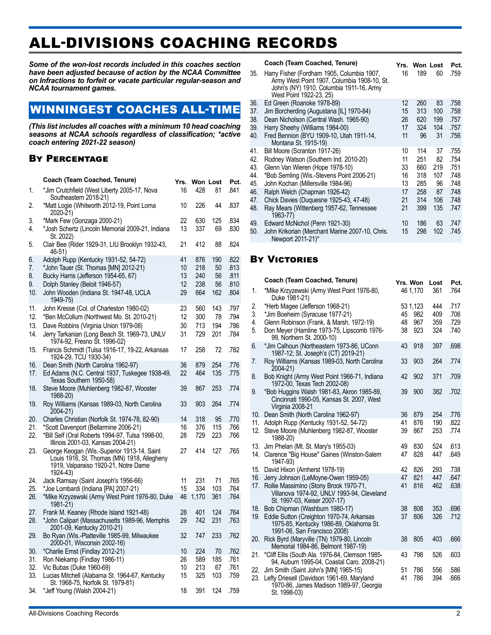# ALL-DIVISIONS COACHING RECORDS

*Some of the won-lost records included in this coaches section have been adjusted because of action by the NCAA Committee on Infractions to forfeit or vacate particular regular-season and NCAA tournament games.* 

# WINNINGEST COACHES ALL-TIME

*(This list includes all coaches with a minimum 10 head coaching seasons at NCAA schools regardless of classification; \*active coach entering 2021-22 season)*

### By Percentage

|     | Coach (Team Coached, Tenure)                                                                    | Yrs. | <b>Won Lost</b> |     | Pct. |  |
|-----|-------------------------------------------------------------------------------------------------|------|-----------------|-----|------|--|
| 1.  | *Jim Crutchfield (West Liberty 2005-17, Nova<br>Southeastern 2018-21)                           | 16   | 428             | 81  | .841 |  |
| 2.  | *Matt Logie (Whitworth 2012-19, Point Loma<br>2020-21)                                          | 10   | 226             | 44  | .837 |  |
| 3.  | *Mark Few (Gonzaga 2000-21)                                                                     | 22   | 630             | 125 | .834 |  |
| 4.  | *Josh Schertz (Lincoln Memorial 2009-21, Indiana<br>St. 2022)                                   | 13   | 337             | 69  | .830 |  |
| 5.  | Clair Bee (Rider 1929-31, LIU Brooklyn 1932-43,<br>46-51)                                       | 21   | 412             | 88  | .824 |  |
| 6.  | Adolph Rupp (Kentucky 1931-52, 54-72)                                                           | 41   | 876             | 190 | .822 |  |
| 7.  | *John Tauer (St. Thomas [MN] 2012-21)                                                           | 10   | 218             | 50  | .813 |  |
| 8.  | Bucky Harris (Jefferson 1954-65, 67)                                                            | 13   | 240             | 56  | .811 |  |
| 9.  | Dolph Stanley (Beloit 1946-57)                                                                  | 12   | 238             | 56  | .810 |  |
| 10. | John Wooden (Indiana St. 1947-48, UCLA<br>1949-75)                                              | 29   | 664             | 162 | .804 |  |
| 11. | John Kresse (Col. of Charleston 1980-02)                                                        | 23   | 560             | 143 | .797 |  |
| 12. | *Ben McCollum (Northwest Mo. St. 2010-21)                                                       | 12   | 300             | 78  | .794 |  |
| 13. | Dave Robbins (Virginia Union 1979-08)                                                           | 30   | 713             | 194 | .786 |  |
| 14. | Jerry Tarkanian (Long Beach St. 1969-73, UNLV<br>1974-92, Fresno St. 1996-02)                   | 31   | 729             | 201 | .784 |  |
| 15. | Francis Schmidt (Tulsa 1916-17, 19-22, Arkansas<br>1924-29, TCU 1930-34)                        | 17   | 258             | 72  | .782 |  |
| 16. | Dean Smith (North Carolina 1962-97)                                                             | 36   | 879             | 254 | .776 |  |
| 17. | Ed Adams (N.C. Central 1937, Tuskegee 1938-49,<br>Texas Southern 1950-58)                       | 22   | 464             | 135 | .775 |  |
| 18. | Steve Moore (Muhlenberg 1982-87, Wooster<br>1988-20)                                            | 39   | 867             | 253 | .774 |  |
| 19. | Roy Williams (Kansas 1989-03, North Carolina<br>2004-21)                                        | 33   | 903             | 264 | .774 |  |
| 20. | Charles Christian (Norfolk St. 1974-78, 82-90)                                                  | 14   | 318             | 95  | .770 |  |
| 21. | *Scott Davenport (Bellarmine 2006-21)                                                           | 16   | 376             | 115 | .766 |  |
| 22. | *Bill Self (Oral Roberts 1994-97, Tulsa 1998-00,<br>Illinois 2001-03, Kansas 2004-21)           | 28   | 729             | 223 | .766 |  |
| 23. | George Keogan (Wis.-Superior 1913-14, Saint                                                     | 27   | 414             | 127 | .765 |  |
|     | Louis 1916, St. Thomas (MN) 1918, Allegheny<br>1919, Valparaiso 1920-21, Notre Dame<br>1924-43) |      |                 |     |      |  |
| 24. | Jack Ramsay (Saint Joseph's 1956-66)                                                            | 11   | 231             | 71  | .765 |  |
| 25. | *Joe Lombardi (Indiana [PA] 2007-21)                                                            | 15   | 334             | 103 | .764 |  |
| 26. | *Mike Krzyzewski (Army West Point 1976-80, Duke<br>1981-21)                                     | 46   | 1,170           | 361 | .764 |  |
| 27. | Frank M. Keaney (Rhode Island 1921-48)                                                          | 28   | 401             | 124 | .764 |  |
| 28. | *John Calipari (Massachusetts 1989-96, Memphis<br>2001-09, Kentucky 2010-21)                    | 29   | 742             | 231 | .763 |  |
| 29. | Bo Ryan (Wis.-Platteville 1985-99, Milwaukee<br>2000-01, Wisconsin 2002-16)                     | 32   | 747             | 233 | .762 |  |
| 30. | *Charlie Ernst (Findlay 2012-21)                                                                | 10   | 224             | 70  | .762 |  |
| 31. | Ron Niekamp (Findlay 1986-11)                                                                   | 26   | 589             | 185 | .761 |  |
| 32. | Vic Bubas (Duke 1960-69)                                                                        | 10   | 213             | 67  | .761 |  |
| 33. | Lucias Mitchell (Alabama St. 1964-67, Kentucky<br>St. 1968-75, Norfolk St. 1979-81)             | 15   | 325             | 103 | .759 |  |
| 34. | *Jeff Young (Walsh 2004-21)                                                                     | 18   | 391             | 124 | .759 |  |

#### **Coach (Team Coached, Tenure) Yrs. Won Lost Pct.** 35. Harry Fisher (Fordham 1905, Columbia 1907, Army West Point 1907, Columbia 1908-10, St. John's (NY) 1910, Columbia 1911-16, Army West Point 1922-23, 25) 16 189 60 759 36. Ed Green (Roanoke 1978-89) 12 260 83 .758 Jim Borcherding (Augustana [IL] 1970-84) 15 313 100 .758<br>Dean Nicholson (Central Wash, 1965-90) 26 620 199 .757 38. Dean Nicholson (Central Wash. 1965-90) 26 620 199 .757 39. Harry Sheehy (Williams 1984-00) 17 324 104<br>40. Fred Bennion (BYU 1909-10. Utah 1911-14. 11 96 31 40. Fred Bennion (BYU 1909-10, Utah 1911-14, Montana St. 1915-19) .756 41. Bill Moore (Scranton 1917-26) 10 114 37 .755 Rodney Watson (Southern Ind. 2010-20) 43. Glenn Van Wieren (Hope 1978-10) 33 660 219 .751 \*Bob Semling (Wis.-Stevens Point 2006-21) 45. John Kochan (Millersville 1984-96) 13 285 96 .748 46. Ralph Welch (Chapman 1926-42) 17<br>47. Chick Davies (Duquesne 1925-43, 47-48) 21 47. Chick Davies (Duquesne 1925-43, 47-48) 21 314 106 .748 Ray Mears (Wittenberg 1957-62, Tennessee 1963-77) .747 49. Edward McNichol (Penn 1921-30) 10 186 63 747<br>50. John Krikorian (Merchant Marine 2007-10. Chris. 15 298 102 745 John Krikorian (Merchant Marine 2007-10, Chris. Newport 2011-21)\* 15 298 102 .745

### **BY VICTORIES**

|     | Coach (Team Coached, Tenure)                                                                                         | Yrs. Won |          | Lost | Pct. |
|-----|----------------------------------------------------------------------------------------------------------------------|----------|----------|------|------|
| 1.  | *Mike Krzyzewski (Army West Point 1976-80,<br>Duke 1981-21)                                                          |          | 46 1,170 | 361  | .764 |
| 2.  | *Herb Magee (Jefferson 1968-21)                                                                                      |          | 53 1,123 | 444  | .717 |
| 3.  | *Jim Boeheim (Syracuse 1977-21)                                                                                      | 45       | 982      | 409  | .706 |
| 4.  | Glenn Robinson (Frank. & Marsh. 1972-19)                                                                             | 48       | 967      | 359  | .729 |
| 5.  | Don Meyer (Hamline 1973-75, Lipscomb 1976-<br>99, Northern St. 2000-10)                                              | 38       | 923      | 324  | .740 |
| 6.  | *Jim Calhoun (Northeastern 1973-86, UConn<br>1987-12; St. Joseph's (CT) 2019-21)                                     | 43       | 918      | 397  | .698 |
| 7.  | Roy Williams (Kansas 1989-03, North Carolina<br>2004-21)                                                             | 33       | 903      | 264  | .774 |
| 8.  | Bob Knight (Army West Point 1966-71, Indiana<br>1972-00, Texas Tech 2002-08)                                         | 42       | 902      | 371  | .709 |
| 9.  | *Bob Huggins Walsh 1981-83, Akron 1985-89,<br>Cincinnati 1990-05, Kansas St. 2007, West<br>Virginia 2008-21          | 39       | 900      | 382  | .702 |
| 10. | Dean Smith (North Carolina 1962-97)                                                                                  | 36       | 879      | 254  | .776 |
| 11. | Adolph Rupp (Kentucky 1931-52, 54-72)                                                                                | 41       | 876      | 190  | .822 |
| 12. | Steve Moore (Muhlenberg 1982-87, Wooster<br>1988-20)                                                                 | 39       | 867      | 253  | .774 |
| 13. | Jim Phelan (Mt. St. Mary's 1955-03)                                                                                  | 49       | 830      | 524  | .613 |
| 14. | Clarence "Big House" Gaines (Winston-Salem<br>1947-93)                                                               | 47       | 828      | 447  | .649 |
| 15. | David Hixon (Amherst 1978-19)                                                                                        | 42       | 826      | 293  | .738 |
| 16. | Jerry Johnson (LeMoyne-Owen 1959-05)                                                                                 | 47       | 821      | 447  | .647 |
| 17. | Rollie Massimino (Stony Brook 1970-71,<br>Villanova 1974-92, UNLV 1993-94, Cleveland<br>St. 1997-03, Keiser 2007-17) | 41       | 816      | 462  | .638 |
| 18. | Bob Chipman (Washburn 1980-17)                                                                                       | 38       | 808      | 353  | .696 |
| 19. | Eddie Sutton (Creighton 1970-74, Arkansas<br>1975-85, Kentucky 1986-89, Oklahoma St.<br>1991-06, San Francisco 2008) | 37       | 806      | 326  | .712 |
| 20. | Rick Byrd (Maryville (TN) 1979-80, Lincoln<br>Memorial 1984-86, Belmont 1987-19)                                     | 38       | 805      | 403  | .666 |
| 21. | *Cliff Ellis (South Ala. 1976-84, Clemson 1985-<br>94, Auburn 1995-04, Coastal Caro. 2008-21)                        | 43       | 798      | 526  | .603 |
| 22. | Jim Smith (Saint John's [MN] 1965-15)                                                                                | 51       | 786      | 556  | .586 |
| 23. | Lefty Driesell (Davidson 1961-69, Maryland<br>1970-86, James Madison 1989-97, Georgia<br>St. 1998-03)                | 41       | 786      | 394  | .666 |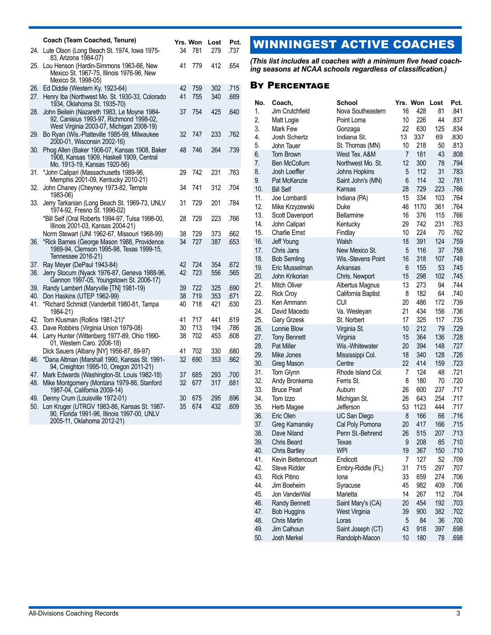|            | Coach (Team Coached, Tenure)                                                                                                       | Yrs. Won |            | Lost       | Pct.         |
|------------|------------------------------------------------------------------------------------------------------------------------------------|----------|------------|------------|--------------|
| 24.        | Lute Olson (Long Beach St. 1974, Iowa 1975-<br>83, Arizona 1984-07)                                                                | 34       | 781        | 279.       | .737         |
| 25.        | Lou Henson (Hardin-Simmons 1963-66, New<br>Mexico St. 1967-75, Illinois 1976-96, New<br>Mexico St. 1998-05)                        | 41       | 779        | 412        | .654         |
| 26.<br>27. | Ed Diddle (Western Ky. 1923-64)<br>Henry Iba (Northwest Mo. St. 1930-33, Colorado<br>1934, Oklahoma St. 1935-70)                   | 42<br>41 | 759<br>755 | 302<br>340 | .715<br>.689 |
| 28.        | John Beilein (Nazareth 1983, Le Moyne 1984-<br>92, Canisius 1993-97, Richmond 1998-02,<br>West Virginia 2003-07, Michigan 2008-19) | 37       | 754        | 425        | .640         |
| 29.        | Bo Ryan (Wis.-Platteville 1985-99, Milwaukee<br>2000-01, Wisconsin 2002-16)                                                        | 32       | 747        | 233        | .762         |
| 30.        | Phog Allen (Baker 1906-07, Kansas 1908, Baker<br>1908, Kansas 1909, Haskell 1909, Central<br>Mo. 1913-19, Kansas 1920-56)          | 48       | 746        | 264        | .739         |
| 31.        | *John Calipari (Massachusetts 1989-96,<br>Memphis 2001-09, Kentucky 2010-21)                                                       | 29       | 742        | 231        | .763         |
| 32.        | John Chaney (Cheyney 1973-82, Temple<br>1983-06)                                                                                   | 34       | 741        | 312        | .704         |
| 33.        | Jerry Tarkanian (Long Beach St. 1969-73, UNLV<br>1974-92, Fresno St. 1996-02)                                                      | 31       | 729        | 201        | .784         |
|            | *Bill Self (Oral Roberts 1994-97, Tulsa 1998-00,<br>Illinois 2001-03, Kansas 2004-21)                                              | 28       | 729        | 223        | .766         |
|            | Norm Stewart (UNI 1962-67, Missouri 1968-99)                                                                                       | 38       | 729        | 373        | .662         |
| 36.        | *Rick Barnes (George Mason 1988, Providence<br>1989-94, Clemson 1995-98, Texas 1999-15,<br>Tennessee 2016-21)                      | 34       | 727        | 387        | .653         |
| 37.        | Ray Meyer (DePaul 1943-84)                                                                                                         | 42       | 724        | 354        | .672         |
| 38.        | Jerry Slocum (Nyack 1976-87, Geneva 1988-96,<br>Gannon 1997-05, Youngstown St. 2006-17)                                            | 42       | 723        | 556        | .565         |
| 39.        | Randy Lambert (Maryville [TN] 1981-19)                                                                                             | 39       | 722        | 325        | .690         |
| 40.        | Don Haskins (UTEP 1962-99)                                                                                                         | 38       | 719        | 353        | .671         |
| 41.        | *Richard Schmidt (Vanderbilt 1980-81, Tampa<br>1984-21)                                                                            | 40       | 718        | 421        | .630         |
| 42.        | Tom Klusman (Rollins 1981-21)*                                                                                                     | 41       | 717        | 441        | .619         |
| 43.        | Dave Robbins (Virginia Union 1979-08)                                                                                              | 30       | 713        | 194        | .786         |
| 44.        | Larry Hunter (Wittenberg 1977-89, Ohio 1990-<br>01, Western Caro. 2006-18)                                                         | 38       | 702        | 453        | .608         |
|            | Dick Sauers (Albany [NY] 1956-87, 89-97)                                                                                           | 41       | 702        | 330        | .680         |
| 46.        | *Dana Altman (Marshall 1990, Kansas St. 1991-<br>94, Creighton 1995-10, Oregon 2011-21)                                            | 32       | 690        | 353        | .662         |
| 47.        | Mark Edwards (Washington-St. Louis 1982-18)                                                                                        | 37       | 685        | 293        | .700         |
| 48.        | Mike Montgomery (Montana 1979-86, Stanford<br>1987-04, California 2009-14)                                                         | 32       | 677        | 317        | .681         |
| 49.        | Denny Crum (Louisville 1972-01)                                                                                                    | 30       | 675        | 295        | .696         |
| 50.        | Lon Kruger (UTRGV 1983-86, Kansas St. 1987-<br>90, Florida 1991-96, Illinois 1997-00, UNLV<br>2005-11, Oklahoma 2012-21)           | 35       | 674        | 432        | .609         |

# WINNINGEST ACTIVE COACHES

*(This list includes all coaches with a minimum five head coaching seasons at NCAA schools regardless of classification.)*

### By Percentage

| No.        | Coach,                            | <b>School</b>               |          | Yrs. Won   | Lost      | Pct.         |
|------------|-----------------------------------|-----------------------------|----------|------------|-----------|--------------|
| 1.         | Jim Crutchfield                   | Nova Southeastern           | 16       | 428        | 81        | .841         |
| 2.         | Matt Logie                        | Point Loma                  | 10       | 226        | 44        | .837         |
| 3.         | Mark Few                          | Gonzaga                     | 22       | 630        | 125       | .834         |
| 4.         | Josh Schertz                      | Indiana St.                 | 13       | 337        | 69        | .830         |
| 5.         | John Tauer                        | St. Thomas (MN)             | 10       | 218        | 50        | .813         |
| 6.         | Tom Brown                         | West Tex. A&M               | 7        | 181        | 43        | .808         |
| 7.         | <b>Ben McCollum</b>               | Northwest Mo. St.           | 12       | 300        | 78        | .794         |
| 8.         | Josh Loeffler                     | Johns Hopkins               | 5        | 112        | 31        | .783         |
| 9.         | Pat McKenzie                      | Saint John's (MN)           | 6        | 114        | 32        | .781         |
| 10.        | <b>Bill Self</b>                  | Kansas                      | 28       | 729        | 223       | .766         |
| 11.        | Joe Lombardi                      | Indiana (PA)                | 15       | 334        | 103       | .764         |
| 12.        | Mike Krzyzewski                   | Duke                        | 46       | 1170       | 361       | .764         |
| 13.        | Scott Davenport                   | Bellarmine                  | 16       | 376        | 115       | .766         |
| 14.        | John Calipari                     | Kentucky                    | 29       | 742        | 231       | .763         |
| 15.        | <b>Charlie Ernst</b>              | Findlay                     | 10       | 224        | 70        | .762         |
| 16.        | Jeff Young                        | Walsh                       | 18       | 391        | 124       | .759         |
| 17.        | Chris Jans                        | New Mexico St.              | 5        | 116        | 37        | .758         |
| 18.        | <b>Bob Semling</b>                | Wis.-Stevens Point          | 16       | 318        | 107       | .748         |
| 19.        | Eric Musselman                    | Arkansas                    | 6        | 155        | 53        | .745         |
| 20.        | John Krikorian                    | Chris. Newport              | 15       | 298        | 102       | .745         |
| 21.        | Mitch Oliver                      | Albertus Magnus             | 13       | 273        | 94        | .744         |
| 22.        | <b>Rick Croy</b>                  | California Baptist          | 8        | 182        | 64        | .740         |
| 23.        | Ken Ammann                        | CUI                         | 20       | 486        | 172       | .739         |
| 24.        | David Macedo                      | Va. Wesleyan                | 21<br>17 | 434<br>325 | 156       | .736         |
| 25.<br>26. | Gary Grzesk<br>Lonnie Blow        | St. Norbert                 | 10       | 212        | 117<br>79 | .735<br>.729 |
| 27.        |                                   | Virginia St.                | 15       | 364        | 136       | .728         |
| 28.        | <b>Tony Bennett</b><br>Pat Miller | Virginia<br>Wis.-Whitewater | 20       | 394        | 148       | .727         |
| 29.        | Mike Jones                        |                             | 18       | 340        | 128       | .726         |
| 30.        | Greg Mason                        | Mississippi Col.<br>Centre  | 22       | 414        | 159       | .723         |
| 31.        | Tom Glynn                         | Rhode Island Col.           | 7        | 124        | 48        | .721         |
| 32.        | Andy Bronkema                     | Ferris St.                  | 8        | 180        | 70        | .720         |
| 33.        | <b>Bruce Pearl</b>                | Auburn                      | 26       | 600        | 237       | .717         |
| 34.        | Tom Izzo                          | Michigan St.                | 26       | 643        | 254       | .717         |
| 35.        | Herb Magee                        | Jefferson                   | 53       | 1123       | 444       | .717         |
| 36.        | Eric Olen                         | UC San Diego                | 8        | 166        | 66        | .716         |
| 37.        | Greg Kamansky                     | Cal Poly Pomona             | 20       | 417        | 166       | .715         |
| 38.        | Dave Niland                       | Penn St.-Behrend            | 26       | 515        | 207       | .713         |
| 39.        | <b>Chris Beard</b>                | Texas                       | 9        | 208        | 85        | .710         |
| 40.        | <b>Chris Bartley</b>              | <b>WPI</b>                  | 19       | 367        | 150       | .710         |
| 41.        | Kevin Bettencourt                 | Endicott                    | 7        | 127        | 52        | .709         |
| 42.        | Steve Ridder                      | Embry-Riddle (FL)           | 31       | 715        | 297       | .707         |
| 43.        | <b>Rick Pitino</b>                | lona                        | 33       | 659        | 274       | .706         |
| 44.        | Jim Boeheim                       | Syracuse                    | 45       | 982        | 409       | .706         |
| 45.        | Jon VanderWal                     | Marietta                    | 14       | 267        | 112       | .704         |
| 46.        | Randy Bennett                     | Saint Mary's (CA)           | 20       | 454        | 192       | .703         |
| 47.        | <b>Bob Huggins</b>                | West Virginia               | 39       | 900        | 382       | .702         |
| 48.        | Chris Martin                      | Loras                       | 5        | 84         | 36        | .700         |
| 49.        | Jim Calhoun                       | Saint Joseph (CT)           | 43       | 918        | 397       | .698         |
| 50.        | Josh Merkel                       | Randolph-Macon              | 10       | 180        | 78        | .698         |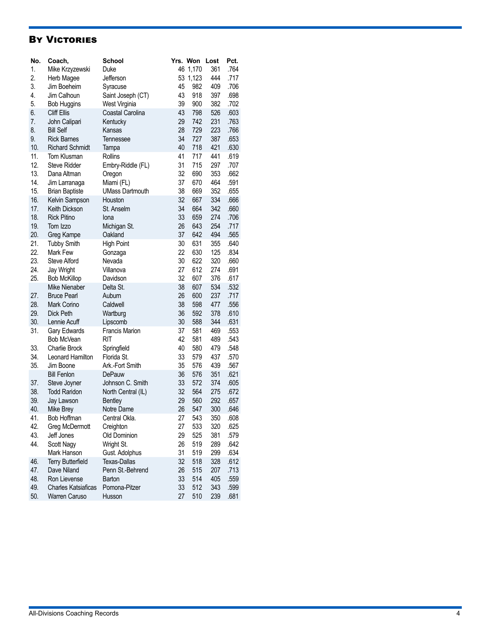### **BY VICTORIES**

| No. | Coach,                     | <b>School</b>          |    | Yrs. Won | Lost | Pct. |
|-----|----------------------------|------------------------|----|----------|------|------|
| 1.  | Mike Krzyzewski            | Duke                   |    | 46 1,170 | 361  | .764 |
| 2.  | Herb Magee                 | Jefferson              | 53 | 1,123    | 444  | .717 |
| 3.  | Jim Boeheim                | Syracuse               | 45 | 982      | 409  | .706 |
| 4.  | Jim Calhoun                | Saint Joseph (CT)      | 43 | 918      | 397  | .698 |
| 5.  | <b>Bob Huggins</b>         | West Virginia          | 39 | 900      | 382  | .702 |
| 6.  | Cliff Ellis                | Coastal Carolina       | 43 | 798      | 526  | .603 |
| 7.  | John Calipari              | Kentucky               | 29 | 742      | 231  | .763 |
| 8.  | <b>Bill Self</b>           | Kansas                 | 28 | 729      | 223  | .766 |
| 9.  | <b>Rick Barnes</b>         | Tennessee              | 34 | 727      | 387  | .653 |
| 10. | <b>Richard Schmidt</b>     | Tampa                  | 40 | 718      | 421  | .630 |
| 11. | Tom Klusman                | <b>Rollins</b>         | 41 | 717      | 441  | .619 |
| 12. | <b>Steve Ridder</b>        | Embry-Riddle (FL)      | 31 | 715      | 297  | .707 |
| 13. | Dana Altman                | Oregon                 | 32 | 690      | 353  | .662 |
| 14. | Jim Larranaga              | Miami (FL)             | 37 | 670      | 464  | .591 |
| 15. | <b>Brian Baptiste</b>      | <b>UMass Dartmouth</b> | 38 | 669      | 352  | .655 |
| 16. | Kelvin Sampson             | Houston                | 32 | 667      | 334  | .666 |
| 17. | Keith Dickson              | St. Anselm             | 34 | 664      | 342  | .660 |
| 18. | <b>Rick Pitino</b>         | lona                   | 33 | 659      | 274  | .706 |
| 19. | Tom Izzo                   | Michigan St.           | 26 | 643      | 254  | .717 |
| 20. | Greg Kampe                 | Oakland                | 37 | 642      | 494  | .565 |
| 21. | <b>Tubby Smith</b>         | <b>High Point</b>      | 30 | 631      | 355  | .640 |
| 22. | Mark Few                   | Gonzaga                | 22 | 630      | 125  | .834 |
| 23. | Steve Alford               | Nevada                 | 30 | 622      | 320  | .660 |
| 24. | Jay Wright                 | Villanova              | 27 | 612      | 274  | .691 |
| 25. | <b>Bob McKillop</b>        | Davidson               | 32 | 607      | 376  | .617 |
|     | Mike Nienaber              | Delta St.              | 38 | 607      | 534  | .532 |
| 27. | <b>Bruce Pearl</b>         | Auburn                 | 26 | 600      | 237  | .717 |
| 28. | Mark Corino                | Caldwell               | 38 | 598      | 477  | .556 |
| 29. | Dick Peth                  | Wartburg               | 36 | 592      | 378  | .610 |
| 30. | Lennie Acuff               | Lipscomb               | 30 | 588      | 344  | .631 |
| 31. | Gary Edwards               | <b>Francis Marion</b>  | 37 | 581      | 469  | .553 |
|     | Bob McVean                 | <b>RIT</b>             | 42 | 581      | 489  | .543 |
| 33. | <b>Charlie Brock</b>       | Springfield            | 40 | 580      | 479  | .548 |
| 34. | Leonard Hamilton           | Florida St.            | 33 | 579      | 437  | .570 |
| 35. | Jim Boone                  | Ark.-Fort Smith        | 35 | 576      | 439  | .567 |
|     | <b>Bill Fenlon</b>         | DePauw                 | 36 | 576      | 351  | .621 |
| 37. | Steve Joyner               | Johnson C. Smith       | 33 | 572      | 374  | .605 |
| 38. | <b>Todd Raridon</b>        | North Central (IL)     | 32 | 564      | 275  | .672 |
| 39. | Jay Lawson                 | <b>Bentley</b>         | 29 | 560      | 292  | .657 |
| 40. | Mike Brey                  | Notre Dame             | 26 | 547      | 300  | .646 |
| 41. | Bob Hoffman                | Central Okla.          | 27 | 543      | 350  | .608 |
| 42. | Greg McDermott             | Creighton              | 27 | 533      | 320  | .625 |
| 43. | Jeff Jones                 | Old Dominion           | 29 | 525      | 381  | .579 |
| 44. | Scott Nagy                 | Wright St.             | 26 | 519      | 289  | .642 |
|     | Mark Hanson                | Gust. Adolphus         | 31 | 519      | 299  | .634 |
| 46. | <b>Terry Butterfield</b>   | Texas-Dallas           | 32 | 518      | 328  | .612 |
| 47. | Dave Niland                | Penn St.-Behrend       | 26 | 515      | 207  | .713 |
| 48. | Ron Lievense               | Barton                 | 33 | 514      | 405  | .559 |
| 49. | <b>Charles Katsiaficas</b> | Pomona-Pitzer          | 33 | 512      | 343  | .599 |
| 50. | Warren Caruso              | Husson                 | 27 | 510      | 239  | .681 |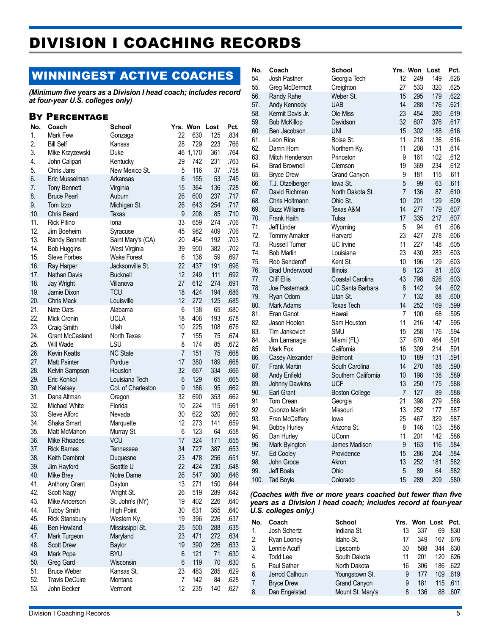# DIVISION I COACHING RECORDS

# WINNINGEST ACTIVE COACHES

*(Minimum five years as a Division I head coach; includes record at four-year U.S. colleges only)*

### By Percentage

| 1.<br>.834<br>22<br>630<br>125<br>Mark Few<br>Gonzaga<br>2.<br>28<br>729<br>223<br><b>Bill Self</b><br>.766<br>Kansas<br>3.<br>46 1,170<br>361<br>.764<br>Mike Krzyzewski<br>Duke<br>29<br>231<br>4.<br>742<br>.763<br>John Calipari<br>Kentucky<br>5.<br>New Mexico St.<br>5<br>116<br>37<br>.758<br>Chris Jans<br>6.<br>6<br>155<br>53<br>.745<br>Eric Musselman<br>Arkansas<br>364<br>7.<br>15<br>136<br>.728<br><b>Tony Bennett</b><br>Virginia<br>8.<br>26<br>600<br>237<br>.717<br><b>Bruce Pearl</b><br>Auburn<br>9.<br>.717<br>26<br>643<br>254<br>Tom Izzo<br>Michigan St.<br>10.<br>9<br>208<br>.710<br>85<br>Chris Beard<br>Texas<br>11.<br>33<br><b>Rick Pitino</b><br>659<br>.706<br>lona<br>274<br>12.<br>982<br>45<br>409<br>.706<br>Jim Boeheim<br>Syracuse<br>13.<br>20<br>454<br>192<br>.703<br>Randy Bennett<br>Saint Mary's (CA)<br>14.<br>39<br>900<br>382<br>.702<br><b>Bob Huggins</b><br>West Virginia<br>15.<br>136<br><b>Steve Forbes</b><br>6<br>59<br>.697<br><b>Wake Forest</b><br>16.<br>22<br>191<br>.696<br>437<br>Ray Harper<br>Jacksonville St.<br>12<br>.692<br>17.<br>249<br>111<br><b>Nathan Davis</b><br><b>Bucknell</b><br>18.<br>27<br>612<br>274<br>.691<br><b>Jay Wright</b><br>Villanova<br>19.<br>18<br>424<br>194<br><b>TCU</b><br>.686<br>Jamie Dixon<br>20.<br>12<br>Louisville<br>272<br>125<br>.685<br>Chris Mack<br>21.<br>6<br>138<br>65<br>.680<br>Nate Oats<br>Alabama<br>22.<br>18<br><b>UCLA</b><br>406<br>193<br>.678<br>Mick Cronin<br>23.<br>10<br>225<br>108<br>.676<br>Craig Smith<br>Utah<br>24.<br>North Texas<br>7<br>155<br>75<br>.674<br><b>Grant McCasland</b><br>25.<br>LSU<br>8<br>85<br>174<br>.672<br>Will Wade<br>26.<br><b>NC State</b><br>7<br>151<br>.668<br><b>Kevin Keatts</b><br>75<br>27.<br>17<br>380<br>189<br>.668<br><b>Matt Painter</b><br>Purdue<br>28.<br>32<br>667<br>334<br>.666<br>Kelvin Sampson<br>Houston<br>29.<br>129<br>6<br>65<br>.665<br>Eric Konkol<br>Louisiana Tech<br>30.<br>9<br>Col. of Charleston<br>186<br>95<br>.662<br>Pat Kelsey<br>31.<br>32<br>690<br>353<br>.662<br>Dana Altman<br>Oregon<br>32.<br>224<br>Michael White<br>10<br>115<br>.661<br>Florida<br>33.<br>30<br>622<br>320<br>.660<br>Steve Alford<br>Nevada<br>34.<br>12<br>Shaka Smart<br>273<br>141<br>.659<br>Marquette<br>35.<br>123<br>6<br>64<br>.658<br>Matt McMahon<br>Murray St.<br>36.<br>17<br>324<br><b>VCU</b><br>171<br>.655<br><b>Mike Rhoades</b><br>37.<br>34<br>727<br>387<br><b>Rick Barnes</b><br>.653<br>Tennessee<br>38.<br>23<br>478<br>256<br>.651<br>Keith Dambrot<br>Duquesne<br>424<br>230<br>39.<br>22<br>.648<br>Jim Hayford<br>Seattle U<br>40.<br>26<br>547<br>300<br>.646<br>Mike Brey<br>Notre Dame<br>13<br>41.<br>271<br>150<br>.644<br>Anthony Grant<br>Dayton<br>42.<br>289<br>Scott Nagy<br>Wright St.<br>26<br>519<br>.642<br>43.<br>19<br>402<br>226<br>.640<br>Mike Anderson<br>St. John's (NY)<br>44.<br>30<br>631<br>355<br>.640<br><b>Tubby Smith</b><br>High Point<br>396<br>45.<br>19<br>226<br>.637<br><b>Rick Stansbury</b><br>Western Ky.<br>46.<br>Ben Howland<br>25<br>500<br>288<br>.635<br>Mississippi St.<br>47.<br>23<br>471<br>272<br>.634<br>Maryland<br>Mark Turgeon<br>48.<br>390<br>226<br>.633<br><b>Scott Drew</b><br>Baylor<br>19<br>49.<br>121<br>71<br>.630<br>Mark Pope<br><b>BYU</b><br>6<br>119<br>50.<br>6<br>70<br>.630<br>Greg Gard<br>Wisconsin<br>51.<br><b>Bruce Weber</b><br>23<br>483<br>285<br>.629<br>Kansas St.<br>142<br>52.<br>84<br><b>Travis DeCuire</b><br>Montana<br>7<br>.628<br>12<br>53.<br>235<br>140<br>.627<br>John Becker<br>Vermont | No. | Coach | School | Yrs. Won | Lost | Pct. |
|----------------------------------------------------------------------------------------------------------------------------------------------------------------------------------------------------------------------------------------------------------------------------------------------------------------------------------------------------------------------------------------------------------------------------------------------------------------------------------------------------------------------------------------------------------------------------------------------------------------------------------------------------------------------------------------------------------------------------------------------------------------------------------------------------------------------------------------------------------------------------------------------------------------------------------------------------------------------------------------------------------------------------------------------------------------------------------------------------------------------------------------------------------------------------------------------------------------------------------------------------------------------------------------------------------------------------------------------------------------------------------------------------------------------------------------------------------------------------------------------------------------------------------------------------------------------------------------------------------------------------------------------------------------------------------------------------------------------------------------------------------------------------------------------------------------------------------------------------------------------------------------------------------------------------------------------------------------------------------------------------------------------------------------------------------------------------------------------------------------------------------------------------------------------------------------------------------------------------------------------------------------------------------------------------------------------------------------------------------------------------------------------------------------------------------------------------------------------------------------------------------------------------------------------------------------------------------------------------------------------------------------------------------------------------------------------------------------------------------------------------------------------------------------------------------------------------------------------------------------------------------------------------------------------------------------------------------------------------------------------------------------------------------------------------------------------------------------------------------------------------------------------------------------------------------------------------------------------------------------------------------------------------------------------------------------------------------------------------------------------------------------------------------------------------------------------------------------------------------------------------------------------------------------------------------------------------------------------------------|-----|-------|--------|----------|------|------|
|                                                                                                                                                                                                                                                                                                                                                                                                                                                                                                                                                                                                                                                                                                                                                                                                                                                                                                                                                                                                                                                                                                                                                                                                                                                                                                                                                                                                                                                                                                                                                                                                                                                                                                                                                                                                                                                                                                                                                                                                                                                                                                                                                                                                                                                                                                                                                                                                                                                                                                                                                                                                                                                                                                                                                                                                                                                                                                                                                                                                                                                                                                                                                                                                                                                                                                                                                                                                                                                                                                                                                                                                          |     |       |        |          |      |      |
|                                                                                                                                                                                                                                                                                                                                                                                                                                                                                                                                                                                                                                                                                                                                                                                                                                                                                                                                                                                                                                                                                                                                                                                                                                                                                                                                                                                                                                                                                                                                                                                                                                                                                                                                                                                                                                                                                                                                                                                                                                                                                                                                                                                                                                                                                                                                                                                                                                                                                                                                                                                                                                                                                                                                                                                                                                                                                                                                                                                                                                                                                                                                                                                                                                                                                                                                                                                                                                                                                                                                                                                                          |     |       |        |          |      |      |
|                                                                                                                                                                                                                                                                                                                                                                                                                                                                                                                                                                                                                                                                                                                                                                                                                                                                                                                                                                                                                                                                                                                                                                                                                                                                                                                                                                                                                                                                                                                                                                                                                                                                                                                                                                                                                                                                                                                                                                                                                                                                                                                                                                                                                                                                                                                                                                                                                                                                                                                                                                                                                                                                                                                                                                                                                                                                                                                                                                                                                                                                                                                                                                                                                                                                                                                                                                                                                                                                                                                                                                                                          |     |       |        |          |      |      |
|                                                                                                                                                                                                                                                                                                                                                                                                                                                                                                                                                                                                                                                                                                                                                                                                                                                                                                                                                                                                                                                                                                                                                                                                                                                                                                                                                                                                                                                                                                                                                                                                                                                                                                                                                                                                                                                                                                                                                                                                                                                                                                                                                                                                                                                                                                                                                                                                                                                                                                                                                                                                                                                                                                                                                                                                                                                                                                                                                                                                                                                                                                                                                                                                                                                                                                                                                                                                                                                                                                                                                                                                          |     |       |        |          |      |      |
|                                                                                                                                                                                                                                                                                                                                                                                                                                                                                                                                                                                                                                                                                                                                                                                                                                                                                                                                                                                                                                                                                                                                                                                                                                                                                                                                                                                                                                                                                                                                                                                                                                                                                                                                                                                                                                                                                                                                                                                                                                                                                                                                                                                                                                                                                                                                                                                                                                                                                                                                                                                                                                                                                                                                                                                                                                                                                                                                                                                                                                                                                                                                                                                                                                                                                                                                                                                                                                                                                                                                                                                                          |     |       |        |          |      |      |
|                                                                                                                                                                                                                                                                                                                                                                                                                                                                                                                                                                                                                                                                                                                                                                                                                                                                                                                                                                                                                                                                                                                                                                                                                                                                                                                                                                                                                                                                                                                                                                                                                                                                                                                                                                                                                                                                                                                                                                                                                                                                                                                                                                                                                                                                                                                                                                                                                                                                                                                                                                                                                                                                                                                                                                                                                                                                                                                                                                                                                                                                                                                                                                                                                                                                                                                                                                                                                                                                                                                                                                                                          |     |       |        |          |      |      |
|                                                                                                                                                                                                                                                                                                                                                                                                                                                                                                                                                                                                                                                                                                                                                                                                                                                                                                                                                                                                                                                                                                                                                                                                                                                                                                                                                                                                                                                                                                                                                                                                                                                                                                                                                                                                                                                                                                                                                                                                                                                                                                                                                                                                                                                                                                                                                                                                                                                                                                                                                                                                                                                                                                                                                                                                                                                                                                                                                                                                                                                                                                                                                                                                                                                                                                                                                                                                                                                                                                                                                                                                          |     |       |        |          |      |      |
|                                                                                                                                                                                                                                                                                                                                                                                                                                                                                                                                                                                                                                                                                                                                                                                                                                                                                                                                                                                                                                                                                                                                                                                                                                                                                                                                                                                                                                                                                                                                                                                                                                                                                                                                                                                                                                                                                                                                                                                                                                                                                                                                                                                                                                                                                                                                                                                                                                                                                                                                                                                                                                                                                                                                                                                                                                                                                                                                                                                                                                                                                                                                                                                                                                                                                                                                                                                                                                                                                                                                                                                                          |     |       |        |          |      |      |
|                                                                                                                                                                                                                                                                                                                                                                                                                                                                                                                                                                                                                                                                                                                                                                                                                                                                                                                                                                                                                                                                                                                                                                                                                                                                                                                                                                                                                                                                                                                                                                                                                                                                                                                                                                                                                                                                                                                                                                                                                                                                                                                                                                                                                                                                                                                                                                                                                                                                                                                                                                                                                                                                                                                                                                                                                                                                                                                                                                                                                                                                                                                                                                                                                                                                                                                                                                                                                                                                                                                                                                                                          |     |       |        |          |      |      |
|                                                                                                                                                                                                                                                                                                                                                                                                                                                                                                                                                                                                                                                                                                                                                                                                                                                                                                                                                                                                                                                                                                                                                                                                                                                                                                                                                                                                                                                                                                                                                                                                                                                                                                                                                                                                                                                                                                                                                                                                                                                                                                                                                                                                                                                                                                                                                                                                                                                                                                                                                                                                                                                                                                                                                                                                                                                                                                                                                                                                                                                                                                                                                                                                                                                                                                                                                                                                                                                                                                                                                                                                          |     |       |        |          |      |      |
|                                                                                                                                                                                                                                                                                                                                                                                                                                                                                                                                                                                                                                                                                                                                                                                                                                                                                                                                                                                                                                                                                                                                                                                                                                                                                                                                                                                                                                                                                                                                                                                                                                                                                                                                                                                                                                                                                                                                                                                                                                                                                                                                                                                                                                                                                                                                                                                                                                                                                                                                                                                                                                                                                                                                                                                                                                                                                                                                                                                                                                                                                                                                                                                                                                                                                                                                                                                                                                                                                                                                                                                                          |     |       |        |          |      |      |
|                                                                                                                                                                                                                                                                                                                                                                                                                                                                                                                                                                                                                                                                                                                                                                                                                                                                                                                                                                                                                                                                                                                                                                                                                                                                                                                                                                                                                                                                                                                                                                                                                                                                                                                                                                                                                                                                                                                                                                                                                                                                                                                                                                                                                                                                                                                                                                                                                                                                                                                                                                                                                                                                                                                                                                                                                                                                                                                                                                                                                                                                                                                                                                                                                                                                                                                                                                                                                                                                                                                                                                                                          |     |       |        |          |      |      |
|                                                                                                                                                                                                                                                                                                                                                                                                                                                                                                                                                                                                                                                                                                                                                                                                                                                                                                                                                                                                                                                                                                                                                                                                                                                                                                                                                                                                                                                                                                                                                                                                                                                                                                                                                                                                                                                                                                                                                                                                                                                                                                                                                                                                                                                                                                                                                                                                                                                                                                                                                                                                                                                                                                                                                                                                                                                                                                                                                                                                                                                                                                                                                                                                                                                                                                                                                                                                                                                                                                                                                                                                          |     |       |        |          |      |      |
|                                                                                                                                                                                                                                                                                                                                                                                                                                                                                                                                                                                                                                                                                                                                                                                                                                                                                                                                                                                                                                                                                                                                                                                                                                                                                                                                                                                                                                                                                                                                                                                                                                                                                                                                                                                                                                                                                                                                                                                                                                                                                                                                                                                                                                                                                                                                                                                                                                                                                                                                                                                                                                                                                                                                                                                                                                                                                                                                                                                                                                                                                                                                                                                                                                                                                                                                                                                                                                                                                                                                                                                                          |     |       |        |          |      |      |
|                                                                                                                                                                                                                                                                                                                                                                                                                                                                                                                                                                                                                                                                                                                                                                                                                                                                                                                                                                                                                                                                                                                                                                                                                                                                                                                                                                                                                                                                                                                                                                                                                                                                                                                                                                                                                                                                                                                                                                                                                                                                                                                                                                                                                                                                                                                                                                                                                                                                                                                                                                                                                                                                                                                                                                                                                                                                                                                                                                                                                                                                                                                                                                                                                                                                                                                                                                                                                                                                                                                                                                                                          |     |       |        |          |      |      |
|                                                                                                                                                                                                                                                                                                                                                                                                                                                                                                                                                                                                                                                                                                                                                                                                                                                                                                                                                                                                                                                                                                                                                                                                                                                                                                                                                                                                                                                                                                                                                                                                                                                                                                                                                                                                                                                                                                                                                                                                                                                                                                                                                                                                                                                                                                                                                                                                                                                                                                                                                                                                                                                                                                                                                                                                                                                                                                                                                                                                                                                                                                                                                                                                                                                                                                                                                                                                                                                                                                                                                                                                          |     |       |        |          |      |      |
|                                                                                                                                                                                                                                                                                                                                                                                                                                                                                                                                                                                                                                                                                                                                                                                                                                                                                                                                                                                                                                                                                                                                                                                                                                                                                                                                                                                                                                                                                                                                                                                                                                                                                                                                                                                                                                                                                                                                                                                                                                                                                                                                                                                                                                                                                                                                                                                                                                                                                                                                                                                                                                                                                                                                                                                                                                                                                                                                                                                                                                                                                                                                                                                                                                                                                                                                                                                                                                                                                                                                                                                                          |     |       |        |          |      |      |
|                                                                                                                                                                                                                                                                                                                                                                                                                                                                                                                                                                                                                                                                                                                                                                                                                                                                                                                                                                                                                                                                                                                                                                                                                                                                                                                                                                                                                                                                                                                                                                                                                                                                                                                                                                                                                                                                                                                                                                                                                                                                                                                                                                                                                                                                                                                                                                                                                                                                                                                                                                                                                                                                                                                                                                                                                                                                                                                                                                                                                                                                                                                                                                                                                                                                                                                                                                                                                                                                                                                                                                                                          |     |       |        |          |      |      |
|                                                                                                                                                                                                                                                                                                                                                                                                                                                                                                                                                                                                                                                                                                                                                                                                                                                                                                                                                                                                                                                                                                                                                                                                                                                                                                                                                                                                                                                                                                                                                                                                                                                                                                                                                                                                                                                                                                                                                                                                                                                                                                                                                                                                                                                                                                                                                                                                                                                                                                                                                                                                                                                                                                                                                                                                                                                                                                                                                                                                                                                                                                                                                                                                                                                                                                                                                                                                                                                                                                                                                                                                          |     |       |        |          |      |      |
|                                                                                                                                                                                                                                                                                                                                                                                                                                                                                                                                                                                                                                                                                                                                                                                                                                                                                                                                                                                                                                                                                                                                                                                                                                                                                                                                                                                                                                                                                                                                                                                                                                                                                                                                                                                                                                                                                                                                                                                                                                                                                                                                                                                                                                                                                                                                                                                                                                                                                                                                                                                                                                                                                                                                                                                                                                                                                                                                                                                                                                                                                                                                                                                                                                                                                                                                                                                                                                                                                                                                                                                                          |     |       |        |          |      |      |
|                                                                                                                                                                                                                                                                                                                                                                                                                                                                                                                                                                                                                                                                                                                                                                                                                                                                                                                                                                                                                                                                                                                                                                                                                                                                                                                                                                                                                                                                                                                                                                                                                                                                                                                                                                                                                                                                                                                                                                                                                                                                                                                                                                                                                                                                                                                                                                                                                                                                                                                                                                                                                                                                                                                                                                                                                                                                                                                                                                                                                                                                                                                                                                                                                                                                                                                                                                                                                                                                                                                                                                                                          |     |       |        |          |      |      |
|                                                                                                                                                                                                                                                                                                                                                                                                                                                                                                                                                                                                                                                                                                                                                                                                                                                                                                                                                                                                                                                                                                                                                                                                                                                                                                                                                                                                                                                                                                                                                                                                                                                                                                                                                                                                                                                                                                                                                                                                                                                                                                                                                                                                                                                                                                                                                                                                                                                                                                                                                                                                                                                                                                                                                                                                                                                                                                                                                                                                                                                                                                                                                                                                                                                                                                                                                                                                                                                                                                                                                                                                          |     |       |        |          |      |      |
|                                                                                                                                                                                                                                                                                                                                                                                                                                                                                                                                                                                                                                                                                                                                                                                                                                                                                                                                                                                                                                                                                                                                                                                                                                                                                                                                                                                                                                                                                                                                                                                                                                                                                                                                                                                                                                                                                                                                                                                                                                                                                                                                                                                                                                                                                                                                                                                                                                                                                                                                                                                                                                                                                                                                                                                                                                                                                                                                                                                                                                                                                                                                                                                                                                                                                                                                                                                                                                                                                                                                                                                                          |     |       |        |          |      |      |
|                                                                                                                                                                                                                                                                                                                                                                                                                                                                                                                                                                                                                                                                                                                                                                                                                                                                                                                                                                                                                                                                                                                                                                                                                                                                                                                                                                                                                                                                                                                                                                                                                                                                                                                                                                                                                                                                                                                                                                                                                                                                                                                                                                                                                                                                                                                                                                                                                                                                                                                                                                                                                                                                                                                                                                                                                                                                                                                                                                                                                                                                                                                                                                                                                                                                                                                                                                                                                                                                                                                                                                                                          |     |       |        |          |      |      |
|                                                                                                                                                                                                                                                                                                                                                                                                                                                                                                                                                                                                                                                                                                                                                                                                                                                                                                                                                                                                                                                                                                                                                                                                                                                                                                                                                                                                                                                                                                                                                                                                                                                                                                                                                                                                                                                                                                                                                                                                                                                                                                                                                                                                                                                                                                                                                                                                                                                                                                                                                                                                                                                                                                                                                                                                                                                                                                                                                                                                                                                                                                                                                                                                                                                                                                                                                                                                                                                                                                                                                                                                          |     |       |        |          |      |      |
|                                                                                                                                                                                                                                                                                                                                                                                                                                                                                                                                                                                                                                                                                                                                                                                                                                                                                                                                                                                                                                                                                                                                                                                                                                                                                                                                                                                                                                                                                                                                                                                                                                                                                                                                                                                                                                                                                                                                                                                                                                                                                                                                                                                                                                                                                                                                                                                                                                                                                                                                                                                                                                                                                                                                                                                                                                                                                                                                                                                                                                                                                                                                                                                                                                                                                                                                                                                                                                                                                                                                                                                                          |     |       |        |          |      |      |
|                                                                                                                                                                                                                                                                                                                                                                                                                                                                                                                                                                                                                                                                                                                                                                                                                                                                                                                                                                                                                                                                                                                                                                                                                                                                                                                                                                                                                                                                                                                                                                                                                                                                                                                                                                                                                                                                                                                                                                                                                                                                                                                                                                                                                                                                                                                                                                                                                                                                                                                                                                                                                                                                                                                                                                                                                                                                                                                                                                                                                                                                                                                                                                                                                                                                                                                                                                                                                                                                                                                                                                                                          |     |       |        |          |      |      |
|                                                                                                                                                                                                                                                                                                                                                                                                                                                                                                                                                                                                                                                                                                                                                                                                                                                                                                                                                                                                                                                                                                                                                                                                                                                                                                                                                                                                                                                                                                                                                                                                                                                                                                                                                                                                                                                                                                                                                                                                                                                                                                                                                                                                                                                                                                                                                                                                                                                                                                                                                                                                                                                                                                                                                                                                                                                                                                                                                                                                                                                                                                                                                                                                                                                                                                                                                                                                                                                                                                                                                                                                          |     |       |        |          |      |      |
|                                                                                                                                                                                                                                                                                                                                                                                                                                                                                                                                                                                                                                                                                                                                                                                                                                                                                                                                                                                                                                                                                                                                                                                                                                                                                                                                                                                                                                                                                                                                                                                                                                                                                                                                                                                                                                                                                                                                                                                                                                                                                                                                                                                                                                                                                                                                                                                                                                                                                                                                                                                                                                                                                                                                                                                                                                                                                                                                                                                                                                                                                                                                                                                                                                                                                                                                                                                                                                                                                                                                                                                                          |     |       |        |          |      |      |
|                                                                                                                                                                                                                                                                                                                                                                                                                                                                                                                                                                                                                                                                                                                                                                                                                                                                                                                                                                                                                                                                                                                                                                                                                                                                                                                                                                                                                                                                                                                                                                                                                                                                                                                                                                                                                                                                                                                                                                                                                                                                                                                                                                                                                                                                                                                                                                                                                                                                                                                                                                                                                                                                                                                                                                                                                                                                                                                                                                                                                                                                                                                                                                                                                                                                                                                                                                                                                                                                                                                                                                                                          |     |       |        |          |      |      |
|                                                                                                                                                                                                                                                                                                                                                                                                                                                                                                                                                                                                                                                                                                                                                                                                                                                                                                                                                                                                                                                                                                                                                                                                                                                                                                                                                                                                                                                                                                                                                                                                                                                                                                                                                                                                                                                                                                                                                                                                                                                                                                                                                                                                                                                                                                                                                                                                                                                                                                                                                                                                                                                                                                                                                                                                                                                                                                                                                                                                                                                                                                                                                                                                                                                                                                                                                                                                                                                                                                                                                                                                          |     |       |        |          |      |      |
|                                                                                                                                                                                                                                                                                                                                                                                                                                                                                                                                                                                                                                                                                                                                                                                                                                                                                                                                                                                                                                                                                                                                                                                                                                                                                                                                                                                                                                                                                                                                                                                                                                                                                                                                                                                                                                                                                                                                                                                                                                                                                                                                                                                                                                                                                                                                                                                                                                                                                                                                                                                                                                                                                                                                                                                                                                                                                                                                                                                                                                                                                                                                                                                                                                                                                                                                                                                                                                                                                                                                                                                                          |     |       |        |          |      |      |
|                                                                                                                                                                                                                                                                                                                                                                                                                                                                                                                                                                                                                                                                                                                                                                                                                                                                                                                                                                                                                                                                                                                                                                                                                                                                                                                                                                                                                                                                                                                                                                                                                                                                                                                                                                                                                                                                                                                                                                                                                                                                                                                                                                                                                                                                                                                                                                                                                                                                                                                                                                                                                                                                                                                                                                                                                                                                                                                                                                                                                                                                                                                                                                                                                                                                                                                                                                                                                                                                                                                                                                                                          |     |       |        |          |      |      |
|                                                                                                                                                                                                                                                                                                                                                                                                                                                                                                                                                                                                                                                                                                                                                                                                                                                                                                                                                                                                                                                                                                                                                                                                                                                                                                                                                                                                                                                                                                                                                                                                                                                                                                                                                                                                                                                                                                                                                                                                                                                                                                                                                                                                                                                                                                                                                                                                                                                                                                                                                                                                                                                                                                                                                                                                                                                                                                                                                                                                                                                                                                                                                                                                                                                                                                                                                                                                                                                                                                                                                                                                          |     |       |        |          |      |      |
|                                                                                                                                                                                                                                                                                                                                                                                                                                                                                                                                                                                                                                                                                                                                                                                                                                                                                                                                                                                                                                                                                                                                                                                                                                                                                                                                                                                                                                                                                                                                                                                                                                                                                                                                                                                                                                                                                                                                                                                                                                                                                                                                                                                                                                                                                                                                                                                                                                                                                                                                                                                                                                                                                                                                                                                                                                                                                                                                                                                                                                                                                                                                                                                                                                                                                                                                                                                                                                                                                                                                                                                                          |     |       |        |          |      |      |
|                                                                                                                                                                                                                                                                                                                                                                                                                                                                                                                                                                                                                                                                                                                                                                                                                                                                                                                                                                                                                                                                                                                                                                                                                                                                                                                                                                                                                                                                                                                                                                                                                                                                                                                                                                                                                                                                                                                                                                                                                                                                                                                                                                                                                                                                                                                                                                                                                                                                                                                                                                                                                                                                                                                                                                                                                                                                                                                                                                                                                                                                                                                                                                                                                                                                                                                                                                                                                                                                                                                                                                                                          |     |       |        |          |      |      |
|                                                                                                                                                                                                                                                                                                                                                                                                                                                                                                                                                                                                                                                                                                                                                                                                                                                                                                                                                                                                                                                                                                                                                                                                                                                                                                                                                                                                                                                                                                                                                                                                                                                                                                                                                                                                                                                                                                                                                                                                                                                                                                                                                                                                                                                                                                                                                                                                                                                                                                                                                                                                                                                                                                                                                                                                                                                                                                                                                                                                                                                                                                                                                                                                                                                                                                                                                                                                                                                                                                                                                                                                          |     |       |        |          |      |      |
|                                                                                                                                                                                                                                                                                                                                                                                                                                                                                                                                                                                                                                                                                                                                                                                                                                                                                                                                                                                                                                                                                                                                                                                                                                                                                                                                                                                                                                                                                                                                                                                                                                                                                                                                                                                                                                                                                                                                                                                                                                                                                                                                                                                                                                                                                                                                                                                                                                                                                                                                                                                                                                                                                                                                                                                                                                                                                                                                                                                                                                                                                                                                                                                                                                                                                                                                                                                                                                                                                                                                                                                                          |     |       |        |          |      |      |
|                                                                                                                                                                                                                                                                                                                                                                                                                                                                                                                                                                                                                                                                                                                                                                                                                                                                                                                                                                                                                                                                                                                                                                                                                                                                                                                                                                                                                                                                                                                                                                                                                                                                                                                                                                                                                                                                                                                                                                                                                                                                                                                                                                                                                                                                                                                                                                                                                                                                                                                                                                                                                                                                                                                                                                                                                                                                                                                                                                                                                                                                                                                                                                                                                                                                                                                                                                                                                                                                                                                                                                                                          |     |       |        |          |      |      |
|                                                                                                                                                                                                                                                                                                                                                                                                                                                                                                                                                                                                                                                                                                                                                                                                                                                                                                                                                                                                                                                                                                                                                                                                                                                                                                                                                                                                                                                                                                                                                                                                                                                                                                                                                                                                                                                                                                                                                                                                                                                                                                                                                                                                                                                                                                                                                                                                                                                                                                                                                                                                                                                                                                                                                                                                                                                                                                                                                                                                                                                                                                                                                                                                                                                                                                                                                                                                                                                                                                                                                                                                          |     |       |        |          |      |      |
|                                                                                                                                                                                                                                                                                                                                                                                                                                                                                                                                                                                                                                                                                                                                                                                                                                                                                                                                                                                                                                                                                                                                                                                                                                                                                                                                                                                                                                                                                                                                                                                                                                                                                                                                                                                                                                                                                                                                                                                                                                                                                                                                                                                                                                                                                                                                                                                                                                                                                                                                                                                                                                                                                                                                                                                                                                                                                                                                                                                                                                                                                                                                                                                                                                                                                                                                                                                                                                                                                                                                                                                                          |     |       |        |          |      |      |
|                                                                                                                                                                                                                                                                                                                                                                                                                                                                                                                                                                                                                                                                                                                                                                                                                                                                                                                                                                                                                                                                                                                                                                                                                                                                                                                                                                                                                                                                                                                                                                                                                                                                                                                                                                                                                                                                                                                                                                                                                                                                                                                                                                                                                                                                                                                                                                                                                                                                                                                                                                                                                                                                                                                                                                                                                                                                                                                                                                                                                                                                                                                                                                                                                                                                                                                                                                                                                                                                                                                                                                                                          |     |       |        |          |      |      |
|                                                                                                                                                                                                                                                                                                                                                                                                                                                                                                                                                                                                                                                                                                                                                                                                                                                                                                                                                                                                                                                                                                                                                                                                                                                                                                                                                                                                                                                                                                                                                                                                                                                                                                                                                                                                                                                                                                                                                                                                                                                                                                                                                                                                                                                                                                                                                                                                                                                                                                                                                                                                                                                                                                                                                                                                                                                                                                                                                                                                                                                                                                                                                                                                                                                                                                                                                                                                                                                                                                                                                                                                          |     |       |        |          |      |      |
|                                                                                                                                                                                                                                                                                                                                                                                                                                                                                                                                                                                                                                                                                                                                                                                                                                                                                                                                                                                                                                                                                                                                                                                                                                                                                                                                                                                                                                                                                                                                                                                                                                                                                                                                                                                                                                                                                                                                                                                                                                                                                                                                                                                                                                                                                                                                                                                                                                                                                                                                                                                                                                                                                                                                                                                                                                                                                                                                                                                                                                                                                                                                                                                                                                                                                                                                                                                                                                                                                                                                                                                                          |     |       |        |          |      |      |
|                                                                                                                                                                                                                                                                                                                                                                                                                                                                                                                                                                                                                                                                                                                                                                                                                                                                                                                                                                                                                                                                                                                                                                                                                                                                                                                                                                                                                                                                                                                                                                                                                                                                                                                                                                                                                                                                                                                                                                                                                                                                                                                                                                                                                                                                                                                                                                                                                                                                                                                                                                                                                                                                                                                                                                                                                                                                                                                                                                                                                                                                                                                                                                                                                                                                                                                                                                                                                                                                                                                                                                                                          |     |       |        |          |      |      |
|                                                                                                                                                                                                                                                                                                                                                                                                                                                                                                                                                                                                                                                                                                                                                                                                                                                                                                                                                                                                                                                                                                                                                                                                                                                                                                                                                                                                                                                                                                                                                                                                                                                                                                                                                                                                                                                                                                                                                                                                                                                                                                                                                                                                                                                                                                                                                                                                                                                                                                                                                                                                                                                                                                                                                                                                                                                                                                                                                                                                                                                                                                                                                                                                                                                                                                                                                                                                                                                                                                                                                                                                          |     |       |        |          |      |      |
|                                                                                                                                                                                                                                                                                                                                                                                                                                                                                                                                                                                                                                                                                                                                                                                                                                                                                                                                                                                                                                                                                                                                                                                                                                                                                                                                                                                                                                                                                                                                                                                                                                                                                                                                                                                                                                                                                                                                                                                                                                                                                                                                                                                                                                                                                                                                                                                                                                                                                                                                                                                                                                                                                                                                                                                                                                                                                                                                                                                                                                                                                                                                                                                                                                                                                                                                                                                                                                                                                                                                                                                                          |     |       |        |          |      |      |
|                                                                                                                                                                                                                                                                                                                                                                                                                                                                                                                                                                                                                                                                                                                                                                                                                                                                                                                                                                                                                                                                                                                                                                                                                                                                                                                                                                                                                                                                                                                                                                                                                                                                                                                                                                                                                                                                                                                                                                                                                                                                                                                                                                                                                                                                                                                                                                                                                                                                                                                                                                                                                                                                                                                                                                                                                                                                                                                                                                                                                                                                                                                                                                                                                                                                                                                                                                                                                                                                                                                                                                                                          |     |       |        |          |      |      |
|                                                                                                                                                                                                                                                                                                                                                                                                                                                                                                                                                                                                                                                                                                                                                                                                                                                                                                                                                                                                                                                                                                                                                                                                                                                                                                                                                                                                                                                                                                                                                                                                                                                                                                                                                                                                                                                                                                                                                                                                                                                                                                                                                                                                                                                                                                                                                                                                                                                                                                                                                                                                                                                                                                                                                                                                                                                                                                                                                                                                                                                                                                                                                                                                                                                                                                                                                                                                                                                                                                                                                                                                          |     |       |        |          |      |      |
|                                                                                                                                                                                                                                                                                                                                                                                                                                                                                                                                                                                                                                                                                                                                                                                                                                                                                                                                                                                                                                                                                                                                                                                                                                                                                                                                                                                                                                                                                                                                                                                                                                                                                                                                                                                                                                                                                                                                                                                                                                                                                                                                                                                                                                                                                                                                                                                                                                                                                                                                                                                                                                                                                                                                                                                                                                                                                                                                                                                                                                                                                                                                                                                                                                                                                                                                                                                                                                                                                                                                                                                                          |     |       |        |          |      |      |
|                                                                                                                                                                                                                                                                                                                                                                                                                                                                                                                                                                                                                                                                                                                                                                                                                                                                                                                                                                                                                                                                                                                                                                                                                                                                                                                                                                                                                                                                                                                                                                                                                                                                                                                                                                                                                                                                                                                                                                                                                                                                                                                                                                                                                                                                                                                                                                                                                                                                                                                                                                                                                                                                                                                                                                                                                                                                                                                                                                                                                                                                                                                                                                                                                                                                                                                                                                                                                                                                                                                                                                                                          |     |       |        |          |      |      |
|                                                                                                                                                                                                                                                                                                                                                                                                                                                                                                                                                                                                                                                                                                                                                                                                                                                                                                                                                                                                                                                                                                                                                                                                                                                                                                                                                                                                                                                                                                                                                                                                                                                                                                                                                                                                                                                                                                                                                                                                                                                                                                                                                                                                                                                                                                                                                                                                                                                                                                                                                                                                                                                                                                                                                                                                                                                                                                                                                                                                                                                                                                                                                                                                                                                                                                                                                                                                                                                                                                                                                                                                          |     |       |        |          |      |      |
|                                                                                                                                                                                                                                                                                                                                                                                                                                                                                                                                                                                                                                                                                                                                                                                                                                                                                                                                                                                                                                                                                                                                                                                                                                                                                                                                                                                                                                                                                                                                                                                                                                                                                                                                                                                                                                                                                                                                                                                                                                                                                                                                                                                                                                                                                                                                                                                                                                                                                                                                                                                                                                                                                                                                                                                                                                                                                                                                                                                                                                                                                                                                                                                                                                                                                                                                                                                                                                                                                                                                                                                                          |     |       |        |          |      |      |
|                                                                                                                                                                                                                                                                                                                                                                                                                                                                                                                                                                                                                                                                                                                                                                                                                                                                                                                                                                                                                                                                                                                                                                                                                                                                                                                                                                                                                                                                                                                                                                                                                                                                                                                                                                                                                                                                                                                                                                                                                                                                                                                                                                                                                                                                                                                                                                                                                                                                                                                                                                                                                                                                                                                                                                                                                                                                                                                                                                                                                                                                                                                                                                                                                                                                                                                                                                                                                                                                                                                                                                                                          |     |       |        |          |      |      |

| No.  | Coach                 | <b>School</b>         |                | Yrs. Won | Lost | Pct. |
|------|-----------------------|-----------------------|----------------|----------|------|------|
| 54.  | <b>Josh Pastner</b>   | Georgia Tech          | 12             | 249      | 149  | .626 |
| 55.  | Greg McDermott        | Creighton             | 27             | 533      | 320  | .625 |
| 56.  | Randy Rahe            | Weber St.             | 15             | 295      | 179  | .622 |
| 57.  | Andy Kennedy          | <b>UAB</b>            | 14             | 288      | 176  | .621 |
| 58.  | Kermit Davis Jr.      | Ole Miss              | 23             | 454      | 280  | .619 |
| 59.  | <b>Bob McKillop</b>   | Davidson              | 32             | 607      | 376  | .617 |
| 60.  | Ben Jacobson          | <b>UNI</b>            | 15             | 302      | 188  | .616 |
| 61.  | Leon Rice             | Boise St.             | 11             | 218      | 136  | .616 |
| 62.  | Darrin Horn           | Northern Ky.          | 11             | 208      | 131  | .614 |
| 63.  | Mitch Henderson       | Princeton             | 9              | 161      | 102  | .612 |
| 64.  | <b>Brad Brownell</b>  | Clemson               | 19             | 369      | 234  | .612 |
| 65.  | <b>Bryce Drew</b>     | <b>Grand Canyon</b>   | 9              | 181      | 115  | .611 |
| 66.  | T.J. Otzelberger      | lowa St.              | 5              | 99       | 63   | .611 |
| 67.  | David Richman         | North Dakota St.      | 7              | 136      | 87   | .610 |
| 68.  | Chris Holtmann        | Ohio St.              | 10             | 201      | 129  | .609 |
| 69.  | <b>Buzz Williams</b>  | Texas A&M             | 14             | 277      | 179  | .607 |
| 70.  | Frank Haith           | Tulsa                 | 17             | 335      | 217  | .607 |
| 71.  | Jeff Linder           | Wyoming               | 5              | 94       | 61   | .606 |
| 72.  | <b>Tommy Amaker</b>   | Harvard               | 23             | 427      | 278  | .606 |
| 73.  | <b>Russell Turner</b> | UC Irvine             | 11             | 227      | 148  | .605 |
| 74.  | <b>Bob Marlin</b>     | Louisiana             | 23             | 430      | 283  | .603 |
| 75.  | Rob Senderoff         | Kent St.              | 10             | 196      | 129  | .603 |
| 76.  | <b>Brad Underwood</b> | <b>Illinois</b>       | 8              | 123      | 81   | .603 |
| 77.  | <b>Cliff Ellis</b>    | Coastal Carolina      | 43             | 798      | 526  | .603 |
| 78.  | Joe Pasternack        | UC Santa Barbara      | 8              | 142      | 94   | .602 |
| 79.  | Ryan Odom             | Utah St.              | $\overline{7}$ | 132      | 88   | .600 |
| 80.  | <b>Mark Adams</b>     | <b>Texas Tech</b>     | 14             | 252      | 169  | .599 |
| 81.  | Eran Ganot            | Hawaii                | 7              | 100      | 68   | .595 |
| 82.  | Jason Hooten          | Sam Houston           | 11             | 216      | 147  | .595 |
| 83.  | Tim Jankovich         | <b>SMU</b>            | 15             | 258      | 176  | .594 |
| 84.  | Jim Larranaga         | Miami (FL)            | 37             | 670      | 464  | .591 |
| 85.  | Mark Fox              | California            | 16             | 309      | 214  | .591 |
| 86.  | Casey Alexander       | <b>Belmont</b>        | 10             | 189      | 131  | .591 |
| 87.  | Frank Martin          | South Carolina        | 14             | 270      | 188  | .590 |
| 88.  | Andy Enfield          | Southern California   | 10             | 198      | 138  | .589 |
| 89.  | <b>Johnny Dawkins</b> | <b>UCF</b>            | 13             | 250      | 175  | .588 |
| 90.  | Earl Grant            | <b>Boston College</b> | $\overline{7}$ | 127      | 89   | .588 |
| 91.  | Tom Crean             | Georgia               | 21             | 398      | 279  | .588 |
| 92.  | Cuonzo Martin         | Missouri              | 13             | 252      | 177  | .587 |
| 93.  | Fran McCaffery        | lowa                  | 25             | 467      | 329  | .587 |
| 94.  | <b>Bobby Hurley</b>   | Arizona St.           | 8              | 146      | 103  | .586 |
| 95.  | Dan Hurley            | <b>UConn</b>          | 11             | 201      | 142  | .586 |
| 96.  | Mark Byington         | James Madison         | 9              | 163      | 116  | .584 |
| 97.  | Ed Cooley             | Providence            | 15             | 286      | 204  | .584 |
| 98.  | John Groce            | Akron                 | 13             | 252      | 181  | .582 |
| 99.  | Jeff Boals            | Ohio                  | 5              | 89       | 64   | .582 |
| 100. | <b>Tad Boyle</b>      | Colorado              | 15             | 289      | 209  | .580 |
|      |                       |                       |                |          |      |      |

*(Coaches with five or more years coached but fewer than five years as a Division I head coach; includes record at four-year U.S. colleges only.)*

| No. | Coach             | <b>School</b>    |    | Yrs. Won Lost Pct. |     |      |
|-----|-------------------|------------------|----|--------------------|-----|------|
| 1.  | Josh Schertz      | Indiana St.      | 13 | 337                | 69  | .830 |
| 2.  | Ryan Looney       | Idaho St.        | 17 | 349                | 167 | .676 |
| 3.  | Lennie Acuff      | Lipscomb         | 30 | 588                | 344 | .630 |
| 4.  | <b>Todd Lee</b>   | South Dakota     | 11 | 201                | 120 | .626 |
| 5.  | Paul Sather       | North Dakota     | 16 | 306                | 186 | .622 |
| 6.  | Jerrod Calhoun    | Youngstown St.   | 9  | 177                | 109 | .619 |
| 7.  | <b>Bryce Drew</b> | Grand Canyon     | 9  | 181                | 115 | .611 |
| 8.  | Dan Engelstad     | Mount St. Mary's | 8  | 136                | 88  | .607 |
|     |                   |                  |    |                    |     |      |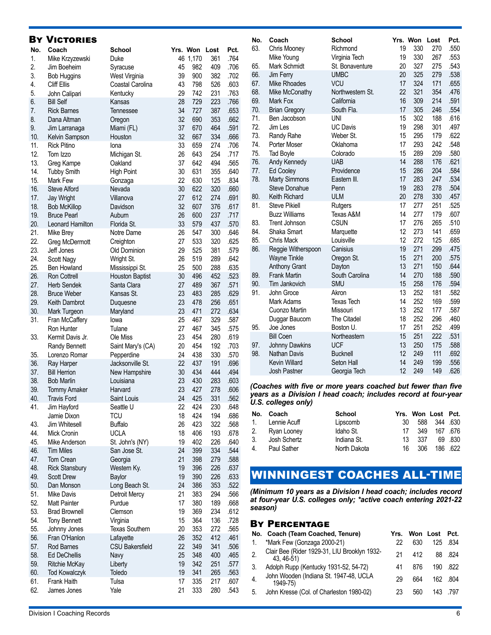### By Victories

| No. | Coach                             | <b>School</b>          |          | Yrs. Won | Lost       | Pct. |
|-----|-----------------------------------|------------------------|----------|----------|------------|------|
| 1.  | Mike Krzyzewski                   | Duke                   |          | 46 1,170 | 361        | .764 |
| 2.  | Jim Boeheim                       | Syracuse               | 45       | 982      | 409        | .706 |
| 3.  |                                   | West Virginia          | 39       | 900      | 382        | .702 |
| 4.  | <b>Bob Huggins</b><br>Cliff Ellis |                        | 43       | 798      | 526        | .603 |
| 5.  |                                   | Coastal Carolina       |          | 742      |            |      |
| 6.  | John Calipari<br><b>Bill Self</b> | Kentucky               | 29       | 729      | 231<br>223 | .763 |
| 7.  |                                   | Kansas                 | 28<br>34 | 727      |            | .766 |
|     | <b>Rick Barnes</b>                | Tennessee              |          |          | 387        | .653 |
| 8.  | Dana Altman                       | Oregon                 | 32       | 690      | 353        | .662 |
| 9.  | Jim Larranaga                     | Miami (FL)             | 37       | 670      | 464        | .591 |
| 10. | Kelvin Sampson                    | Houston                | 32       | 667      | 334        | .666 |
| 11. | <b>Rick Pitino</b>                | lona                   | 33       | 659      | 274        | .706 |
| 12. | Tom Izzo                          | Michigan St.           | 26       | 643      | 254        | .717 |
| 13. | Greg Kampe                        | Oakland                | 37       | 642      | 494        | .565 |
| 14. | <b>Tubby Smith</b>                | <b>High Point</b>      | 30       | 631      | 355        | .640 |
| 15. | Mark Few                          | Gonzaga                | 22       | 630      | 125        | .834 |
| 16. | <b>Steve Alford</b>               | Nevada                 | 30       | 622      | 320        | .660 |
| 17. | <b>Jay Wright</b>                 | Villanova              | 27       | 612      | 274        | .691 |
| 18. | <b>Bob McKillop</b>               | Davidson               | 32       | 607      | 376        | .617 |
| 19. | <b>Bruce Pearl</b>                | Auburn                 | 26       | 600      | 237        | .717 |
| 20. | <b>Leonard Hamilton</b>           | Florida St.            | 33       | 579      | 437        | .570 |
| 21. | Mike Brey                         | Notre Dame             | 26       | 547      | 300        | .646 |
| 22. | Greg McDermott                    | Creighton              | 27       | 533      | 320        | .625 |
| 23. | Jeff Jones                        | Old Dominion           | 29       | 525      | 381        | .579 |
| 24. | Scott Nagy                        | Wright St.             | 26       | 519      | 289        | .642 |
| 25. | <b>Ben Howland</b>                | Mississippi St.        | 25       | 500      | 288        | .635 |
| 26. | <b>Ron Cottrell</b>               | <b>Houston Baptist</b> | 30       | 496      | 452        | .523 |
| 27. | <b>Herb Sendek</b>                | Santa Clara            | 27       | 489      | 367        | .571 |
| 28. | <b>Bruce Weber</b>                | Kansas St.             | 23       | 483      | 285        | .629 |
| 29. | Keith Dambrot                     | Duquesne               | 23       | 478      | 256        | .651 |
| 30. | Mark Turgeon                      | Maryland               | 23       | 471      | 272        | .634 |
| 31. | Fran McCaffery                    | lowa                   | 25       | 467      | 329        | .587 |
|     | Ron Hunter                        | Tulane                 | 27       | 467      | 345        | .575 |
| 33. | Kermit Davis Jr.                  | Ole Miss               | 23       | 454      | 280        | .619 |
|     | Randy Bennett                     | Saint Mary's (CA)      | 20       | 454      | 192        | .703 |
| 35. | Lorenzo Romar                     | Pepperdine             | 24       | 438      | 330        | .570 |
| 36. | Ray Harper                        | Jacksonville St.       | 22       | 437      | 191        | .696 |
| 37. | <b>Bill Herrion</b>               | New Hampshire          | 30       | 434      | 444        | .494 |
| 38. | <b>Bob Marlin</b>                 | Louisiana              | 23       | 430      | 283        | .603 |
| 39. | <b>Tommy Amaker</b>               | Harvard                | 23       | 427      | 278        | .606 |
| 40. | Travis Ford                       | Saint Louis            | 24       | 425      | 331        | .562 |
| 41. | Jim Hayford                       | Seattle U              | 22       | 424      | 230        | .648 |
|     | Jamie Dixon                       | <b>TCU</b>             | 18       | 424      | 194        | .686 |
| 43. | Jim Whitesell                     | <b>Buffalo</b>         | 26       | 423      | 322        | .568 |
| 44. | Mick Cronin                       | <b>UCLA</b>            | 18       | 406      | 193        | .678 |
| 45. | Mike Anderson                     | St. John's (NY)        | 19       | 402      | 226        | .640 |
| 46. | <b>Tim Miles</b>                  | San Jose St.           | 24       | 399      | 334        | .544 |
| 47. | Tom Crean                         | Georgia                | 21       | 398      | 279        | .588 |
| 48. | <b>Rick Stansbury</b>             | Western Ky.            | 19       | 396      | 226        | .637 |
| 49. | <b>Scott Drew</b>                 | Baylor                 | 19       | 390      | 226        | .633 |
| 50. | Dan Monson                        | Long Beach St.         | 24       | 386      | 353        | .522 |
| 51. | Mike Davis                        | Detroit Mercy          | 21       | 383      | 294        | .566 |
| 52. | <b>Matt Painter</b>               | Purdue                 | 17       | 380      | 189        | .668 |
| 53. | <b>Brad Brownell</b>              | Clemson                | 19       | 369      | 234        | .612 |
| 54. | <b>Tony Bennett</b>               | Virginia               | 15       | 364      | 136        | .728 |
| 55. | Johnny Jones                      | <b>Texas Southern</b>  | 20       | 353      | 272        | .565 |
| 56. | Fran O'Hanlon                     | Lafayette              | 26       | 352      | 412        | .461 |
| 57. | Rod Barnes                        | <b>CSU Bakersfield</b> | 22       | 349      | 341        | .506 |
| 58. | <b>Ed DeChellis</b>               | Navy                   | 25       | 348      | 400        | .465 |
| 59. | Ritchie McKay                     | Liberty                | 19       | 342      | 251        | .577 |
| 60. | <b>Tod Kowalczyk</b>              | Toledo                 | 19       | 341      | 265        | .563 |
| 61. | Frank Haith                       | Tulsa                  | 17       | 335      | 217        | .607 |
| 62. | James Jones                       | Yale                   | 21       | 333      | 280        | .543 |

| No.        | Coach                       | School                           |          | Yrs. Won   | Lost       | Pct.         |
|------------|-----------------------------|----------------------------------|----------|------------|------------|--------------|
| 63.        | Chris Mooney                | Richmond                         | 19       | 330        | 270        | .550         |
| 65.        | Mike Young<br>Mark Schmidt  | Virginia Tech<br>St. Bonaventure | 19<br>20 | 330<br>327 | 267<br>275 | .553<br>.543 |
| 66.        | <b>Jim Ferry</b>            | <b>UMBC</b>                      | 20       | 325        | 279        | .538         |
| 67.        | <b>Mike Rhoades</b>         | <b>VCU</b>                       | 17       | 324        | 171        | .655         |
| 68.        | Mike McConathy              | Northwestern St.                 | 22       | 321        | 354        | .476         |
| 69.        | Mark Fox                    | California                       | 16       | 309        | 214        | .591         |
| 70.        | <b>Brian Gregory</b>        | South Fla.                       | 17       | 305        | 246        | .554         |
| 71.        | Ben Jacobson                | <b>UNI</b>                       | 15       | 302        | 188        | .616         |
| 72.        | Jim Les                     | <b>UC Davis</b>                  | 19       | 298        | 301        | .497         |
| 73.        | Randy Rahe                  | Weber St.                        | 15       | 295        | 179        | .622         |
| 74.        | Porter Moser                | Oklahoma                         | 17       | 293        | 242        | .548         |
| 75.        | <b>Tad Boyle</b>            | Colorado                         | 15       | 289        | 209        | .580         |
| 76.        | Andy Kennedy                | <b>UAB</b>                       | 14       | 288        | 176        | .621         |
| 77.        | Ed Cooley                   | Providence                       | 15       | 286        | 204        | .584         |
| 78.        | <b>Marty Simmons</b>        | Eastern III.                     | 17       | 283        | 247        | .534         |
|            | <b>Steve Donahue</b>        | Penn                             | 19       | 283        | 278        | .504         |
| 80.        | Keith Richard               | <b>ULM</b>                       | 20       | 278        | 330        | .457         |
| 81.        | <b>Steve Pikiell</b>        | Rutgers                          | 17       | 277        | 251        | .525         |
|            | <b>Buzz Williams</b>        | Texas A&M                        | 14       | 277        | 179        | .607         |
| 83.        | <b>Trent Johnson</b>        | <b>CSUN</b>                      | 17       | 276        | 265        | .510         |
| 84.        | Shaka Smart                 | Marquette                        | 12       | 273        | 141        | .659         |
| 85.        | <b>Chris Mack</b>           | Louisville                       | 12       | 272        | 125        | .685         |
| 86.        | Reggie Witherspoon          | Canisius                         | 19       | 271        | 299        | .475         |
|            | <b>Wayne Tinkle</b>         | Oregon St.                       | 15       | 271        | 200        | .575         |
|            | <b>Anthony Grant</b>        | Dayton                           | 13<br>14 | 271        | 150        | .644<br>.590 |
| 89.<br>90. | <b>Frank Martin</b>         | South Carolina<br><b>SMU</b>     | 15       | 270        | 188        | .594         |
| 91.        | Tim Jankovich<br>John Groce | Akron                            | 13       | 258<br>252 | 176<br>181 | .582         |
|            | Mark Adams                  | <b>Texas Tech</b>                | 14       | 252        | 169        | .599         |
|            | Cuonzo Martin               | Missouri                         | 13       | 252        | 177        | .587         |
|            | Duggar Baucom               | The Citadel                      | 18       | 252        | 296        | .460         |
| 95.        | Joe Jones                   | Boston U.                        | 17       | 251        | 252        | .499         |
|            | <b>Bill Coen</b>            | Northeastern                     | 15       | 251        | 222        | .531         |
| 97.        | <b>Johnny Dawkins</b>       | <b>UCF</b>                       | 13       | 250        | 175        | .588         |
| 98.        | <b>Nathan Davis</b>         | <b>Bucknell</b>                  | 12       | 249        | 111        | .692         |
|            | <b>Kevin Willard</b>        | Seton Hall                       | 14       | 249        | 199        | .556         |
|            | <b>Josh Pastner</b>         | Georgia Tech                     | 12       | 249        | 149        | .626         |
|            |                             |                                  |          |            |            |              |

#### *(Coaches with five or more years coached but fewer than five years as a Division I head coach; includes record at four-year U.S. colleges only)*

|                | No. Coach       | <b>School</b> |     |      | Yrs. Won Lost Pct. |         |
|----------------|-----------------|---------------|-----|------|--------------------|---------|
|                | 1. Lennie Acuff | Lipscomb      | 30  | 588  | 344 .630           |         |
|                | 2. Ryan Looney  | Idaho St.     | 17  | 349  |                    | 167 676 |
| 3 <sub>1</sub> | Josh Schertz    | Indiana St.   | 13. | -337 |                    | 69.830  |
| 4.             | Paul Sather     | North Dakota  | 16  | -306 |                    | 186 622 |

# WINNINGEST COACHES ALL-TIME

*(Minimum 10 years as a Division I head coach; includes record at four-year U.S. colleges only; \*active coach entering 2021-22 season)*

#### By Percentage

|                  | No. Coach (Team Coached, Tenure)                           | Yrs. |     | Won Lost | Pct.     |
|------------------|------------------------------------------------------------|------|-----|----------|----------|
| 1.               | *Mark Few (Gonzaga 2000-21)                                | 22   | 630 | 125      | .834     |
| $\overline{2}$ . | Clair Bee (Rider 1929-31, LIU Brooklyn 1932-<br>43, 46-51) | 21   | 412 |          | 88 824   |
| 3.               | Adolph Rupp (Kentucky 1931-52, 54-72)                      | 41   | 876 | 190      | .822     |
| $\overline{4}$ . | John Wooden (Indiana St. 1947-48, UCLA<br>1949-75)         | 29   | 664 |          | 162 .804 |
| 5.               | John Kresse (Col. of Charleston 1980-02)                   | 23   | 560 | 143      | .797     |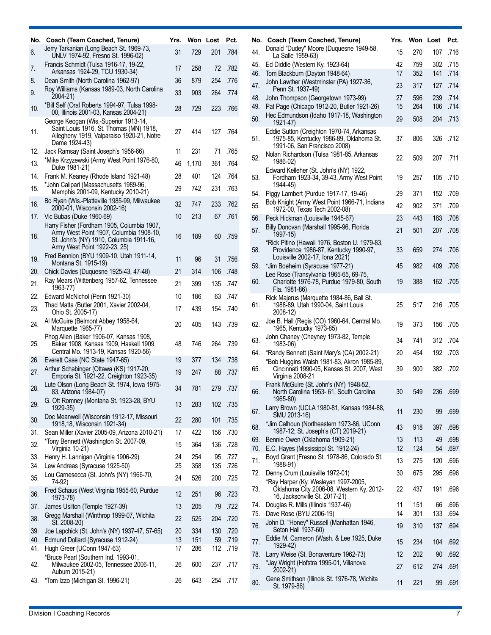| No.        | Coach (Team Coached, Tenure)                                                                                                                                     | Yrs.     |            | Won Lost   | Pct.         |
|------------|------------------------------------------------------------------------------------------------------------------------------------------------------------------|----------|------------|------------|--------------|
| 6.         | Jerry Tarkanian (Long Beach St. 1969-73,<br>UNLV 1974-92, Fresno St. 1996-02)                                                                                    | 31       | 729        | 201        | .784         |
| 7.         | Francis Schmidt (Tulsa 1916-17, 19-22,<br>Arkansas 1924-29, TCU 1930-34)                                                                                         | 17       | 258        | 72         | .782         |
| 8.         | Dean Smith (North Carolina 1962-97)                                                                                                                              | 36       | 879        | 254        | .776         |
| 9.         | Roy Williams (Kansas 1989-03, North Carolina<br>2004-21)                                                                                                         | 33       | 903        | 264        | .774         |
| 10.        | *Bill Self (Oral Roberts 1994-97, Tulsa 1998-<br>00, Illinois 2001-03, Kansas 2004-21)                                                                           | 28       | 729        | 223        | .766         |
| 11.        | George Keogan (Wis.-Superior 1913-14,<br>Saint Louis 1916, St. Thomas (MN) 1918,<br>Allegheny 1919, Valparaiso 1920-21, Notre<br>Dame 1924-43)                   | 27       | 414        | 127        | .764         |
| 12.        | Jack Ramsay (Saint Joseph's 1956-66)                                                                                                                             | 11       | 231        | 71         | .765         |
| 13.        | *Mike Krzyzewski (Army West Point 1976-80,<br>Duke 1981-21)                                                                                                      | 46       | 1,170      | 361        | .764         |
| 14.        | Frank M. Keaney (Rhode Island 1921-48)                                                                                                                           | 28       | 401        | 124        | .764         |
| 15.        | *John Calipari (Massachusetts 1989-96,<br>Memphis 2001-09, Kentucky 2010-21)                                                                                     | 29       | 742        | 231        | .763         |
| 16.        | Bo Ryan (Wis.-Platteville 1985-99, Milwaukee<br>2000-01, Wisconsin 2002-16)                                                                                      | 32       | 747        | 233        | .762         |
| 17.        | Vic Bubas (Duke 1960-69)                                                                                                                                         | 10       | 213        | 67         | .761         |
| 18.        | Harry Fisher (Fordham 1905, Columbia 1907,<br>Army West Point 1907, Columbia 1908-10,<br>St. John's (NY) 1910, Columbia 1911-16,<br>Army West Point 1922-23, 25) | 16       | 189        | 60         | .759         |
| 19.        | Fred Bennion (BYU 1909-10, Utah 1911-14,<br>Montana St. 1915-19)                                                                                                 | 11       | 96         | 31         | .756         |
| 20.        | Chick Davies (Duquesne 1925-43, 47-48)                                                                                                                           | 21       | 314        | 106        | .748         |
| 21.        | Ray Mears (Wittenberg 1957-62, Tennessee<br>1963-77)                                                                                                             | 21       | 399        | 135        | .747         |
| 22.        | Edward McNichol (Penn 1921-30)                                                                                                                                   | 10       | 186        | 63         | .747         |
| 23.        | Thad Matta (Butler 2001, Xavier 2002-04,<br>Ohio St. 2005-17)                                                                                                    | 17       | 439        | 154        | .740         |
| 24.        | Al McGuire (Belmont Abbey 1958-64,<br>Marquette 1965-77)                                                                                                         | 20       | 405        | 143        | .739         |
| 25.        | Phog Allen (Baker 1906-07, Kansas 1908,<br>Baker 1908, Kansas 1909, Haskell 1909,<br>Central Mo. 1913-19, Kansas 1920-56)                                        | 48       | 746        | 264        | .739         |
| 26.        | Everett Case (NC State 1947-65)                                                                                                                                  | 19       | 377        | 134        | .738         |
| 27.        | Arthur Schabinger (Ottawa (KS) 1917-20,<br>Emporia St. 1921-22, Creighton 1923-35)<br>Lute Olson (Long Beach St. 1974, Iowa 1975-                                | 19       | 247        | 88         | .737         |
| 28.        | 83, Arizona 1984-07)<br>G. Ott Romney (Montana St. 1923-28, BYU                                                                                                  | 34       | 781        | 279        | .737         |
| 29.        | 1929-35)<br>Doc Meanwell (Wisconsin 1912-17, Missouri                                                                                                            | 13       | 283        | 102        | .735         |
| 30.        | 1918,18, Wisconsin 1921-34)                                                                                                                                      | 22       | 280        | 101        | .735         |
| 31.        | Sean Miller (Xavier 2005-09, Arizona 2010-21)                                                                                                                    | 17       | 422        | 156        | .730         |
| 32.        | *Tony Bennett (Washington St. 2007-09,<br>Virginia 10-21)                                                                                                        | 15       | 364        | 136        | .728         |
| 33.<br>34. | Henry H. Lannigan (Virginia 1906-29)<br>Lew Andreas (Syracuse 1925-50)                                                                                           | 24<br>25 | 254<br>358 | 95<br>135  | .727<br>.726 |
| 35.        | Lou Carnesecca (St. John's (NY) 1966-70,<br>74-92)                                                                                                               | 24       | 526        | 200        | .725         |
| 36.        | Fred Schaus (West Virginia 1955-60, Purdue<br>1973-78)                                                                                                           | 12       | 251        | 96         | .723         |
| 37.        | James Usilton (Temple 1927-39)                                                                                                                                   | 13       | 205        | 79         | .722         |
| 38.        | Gregg Marshall (Winthrop 1999-07, Wichita<br>St. 2008-20)                                                                                                        | 22       | 525        | 204        | .720         |
| 39.        | Joe Lapchick (St. John's (NY) 1937-47, 57-65)                                                                                                                    | 20       | 334        | 130        | .720         |
| 40.        | Edmund Dollard (Syracuse 1912-24)                                                                                                                                | 13       | 151        | 59         | .719         |
| 41.<br>42. | Hugh Greer (UConn 1947-63)<br>*Bruce Pearl (Southern Ind. 1993-01,<br>Milwaukee 2002-05, Tennessee 2006-11,                                                      | 17<br>26 | 286<br>600 | 112<br>237 | .719<br>.717 |
|            | Auburn 2015-21)                                                                                                                                                  |          |            |            |              |
| 43.        | *Tom Izzo (Michigan St. 1996-21)                                                                                                                                 | 26       | 643        | 254        | .717         |

| No. | Coach (Team Coached, Tenure)                                                                                             | Yrs. | Won Lost |     | Pct. |  |
|-----|--------------------------------------------------------------------------------------------------------------------------|------|----------|-----|------|--|
| 44. | Donald "Dudey" Moore (Duquesne 1949-58,<br>La Salle 1959-63)                                                             | 15   | 270      | 107 | .716 |  |
| 45. | Ed Diddle (Western Ky. 1923-64)                                                                                          | 42   | 759      | 302 | .715 |  |
| 46. | Tom Blackburn (Dayton 1948-64)                                                                                           | 17   | 352      | 141 | .714 |  |
| 47. | John Lawther (Westminster (PA) 1927-36,<br>Penn St. 1937-49)                                                             | 23   | 317      | 127 | .714 |  |
| 48. | John Thompson (Georgetown 1973-99)                                                                                       | 27   | 596      | 239 | .714 |  |
| 49. | Pat Page (Chicago 1912-20, Butler 1921-26)<br>Hec Edmundson (Idaho 1917-18, Washington                                   | 15   | 264      | 106 | .714 |  |
| 50. | 1921-47)                                                                                                                 | 29   | 508      | 204 | .713 |  |
| 51. | Eddie Sutton (Creighton 1970-74, Arkansas<br>1975-85, Kentucky 1986-89, Oklahoma St.<br>1991-06, San Francisco 2008)     | 37   | 806      | 326 | .712 |  |
| 52. | Nolan Richardson (Tulsa 1981-85, Arkansas<br>1986-02)                                                                    | 22   | 509      | 207 | .711 |  |
| 53. | Edward Kelleher (St. John's (NY) 1922,<br>Fordham 1923-34, 39-43, Army West Point<br>1944-45)                            | 19   | 257      | 105 | .710 |  |
| 54. | Piggy Lambert (Purdue 1917-17, 19-46)                                                                                    | 29   | 371      | 152 | .709 |  |
| 55. | Bob Knight (Army West Point 1966-71, Indiana<br>1972-00, Texas Tech 2002-08)                                             | 42   | 902      | 371 | .709 |  |
| 56. | Peck Hickman (Louisville 1945-67)                                                                                        | 23   | 443      | 183 | .708 |  |
| 57. | Billy Donovan (Marshall 1995-96, Florida<br>1997-15)                                                                     | 21   | 501      | 207 | .708 |  |
| 58. | *Rick Pitino (Hawaii 1976, Boston U. 1979-83,<br>Providence 1986-87, Kentucky 1990-97,<br>Louisville 2002-17, Iona 2021) | 33   | 659      | 274 | .706 |  |
| 59. | *Jim Boeheim (Syracuse 1977-21)                                                                                          | 45   | 982      | 409 | .706 |  |
| 60. | Lee Rose (Transylvania 1965-65, 69-75,<br>Charlotte 1976-78, Purdue 1979-80, South<br>Fla. 1981-86)                      | 19   | 388      | 162 | .705 |  |
| 61. | Rick Majerus (Marquette 1984-86, Ball St.<br>1988-89, Utah 1990-04, Saint Louis<br>2008-12)                              | 25   | 517      | 216 | .705 |  |
| 62. | Joe B. Hall (Regis (CO) 1960-64, Central Mo.<br>1965, Kentucky 1973-85)                                                  | 19   | 373      | 156 | .705 |  |
| 63. | John Chaney (Cheyney 1973-82, Temple<br>1983-06)                                                                         | 34   | 741      | 312 | .704 |  |
| 64. | *Randy Bennett (Saint Mary's (CA) 2002-21)                                                                               | 20   | 454      | 192 | .703 |  |
| 65. | *Bob Huggins Walsh 1981-83, Akron 1985-89,<br>Cincinnati 1990-05, Kansas St. 2007, West<br>Virginia 2008-21              | 39   | 900      | 382 | .702 |  |
| 66. | Frank McGuire (St. John's (NY) 1948-52,<br>North Carolina 1953- 61, South Carolina<br>1965-80)                           | 30   | 549      | 236 | .699 |  |
| 67. | Larry Brown (UCLA 1980-81, Kansas 1984-88,<br>SMU 2013-16)                                                               | 11   | 230      | 99  | .699 |  |
| 68. | *Jim Calhoun (Northeastern 1973-86, UConn<br>1987-12; St. Joseph's (CT) 2019-21)                                         | 43   | 918      | 397 | .698 |  |
| 69. | Bennie Owen (Oklahoma 1909-21)                                                                                           | 13   | 113      | 49  | .698 |  |
| 70. | E.C. Hayes (Mississippi St. 1912-24)<br>Boyd Grant (Fresno St. 1978-86, Colorado St.                                     | 12   | 124      | 54  | .697 |  |
| 71. | 1988-91)                                                                                                                 | 13   | 275      | 120 | .696 |  |
| 72. | Denny Crum (Louisville 1972-01)                                                                                          | 30   | 675      | 295 | .696 |  |
| 73. | *Ray Harper (Ky. Wesleyan 1997-2005,<br>Oklahoma City 2006-08, Western Ky. 2012-<br>16, Jacksonville St. 2017-21)        | 22   | 437      | 191 | .696 |  |
| 74. | Douglas R. Mills (Illinois 1937-46)                                                                                      | 11   | 151      | 66  | .696 |  |
| 75. | Dave Rose (BYU 2006-19)<br>John D. "Honey" Russell (Manhattan 1946,                                                      | 14   | 301      | 133 | .694 |  |
| 76. | Seton Hall 1937-60)<br>Eddie M. Cameron (Wash. & Lee 1925, Duke                                                          | 19   | 310      | 137 | .694 |  |
| 77. | 1929-42)                                                                                                                 | 15   | 234      | 104 | .692 |  |
| 78. | Larry Weise (St. Bonaventure 1962-73)                                                                                    | 12   | 202      | 90  | .692 |  |
| 79. | *Jay Wright (Hofstra 1995-01, Villanova<br>2002-21)                                                                      | 27   | 612      | 274 | .691 |  |
| 80. | Gene Smithson (Illinois St. 1976-78, Wichita<br>St. 1979-86)                                                             | 11   | 221      | 99  | .691 |  |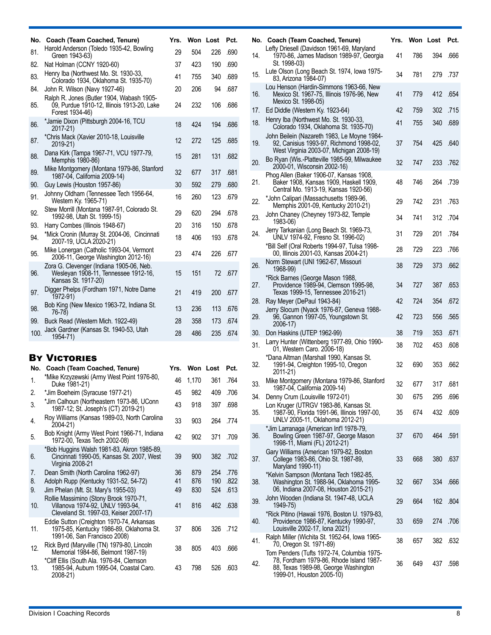| No.      | Coach (Team Coached, Tenure)                                                                                | Yrs.     |            | Won Lost   | Pct.         |
|----------|-------------------------------------------------------------------------------------------------------------|----------|------------|------------|--------------|
| 81.      | Harold Anderson (Toledo 1935-42, Bowling<br>Green 1943-63)                                                  | 29       | 504        | 226        | .690         |
| 82.      | Nat Holman (CCNY 1920-60)                                                                                   | 37       | 423        | 190        | .690         |
| 83.      | Henry Iba (Northwest Mo. St. 1930-33,<br>Colorado 1934, Oklahoma St. 1935-70)                               | 41       | 755        | 340        | .689         |
| 84.      | John R. Wilson (Navy 1927-46)                                                                               | 20       | 206        | 94         | .687         |
| 85.      | Ralph R. Jones (Butler 1904, Wabash 1905-<br>09, Purdue 1910-12, Illinois 1913-20, Lake<br>Forest 1934-46)  | 24       | 232        | 106        | .686         |
| 86.      | *Jamie Dixon (Pittsburgh 2004-16, TCU<br>2017-21)                                                           | 18       | 424        | 194        | .686         |
| 87.      | *Chris Mack (Xavier 2010-18, Louisville<br>2019-21)                                                         | 12       | 272        | 125        | .685         |
| 88.      | Dana Kirk (Tampa 1967-71, VCU 1977-79,<br>Memphis 1980-86)                                                  | 15       | 281        | 131        | .682         |
| 89.      | Mike Montgomery (Montana 1979-86, Stanford<br>1987-04, California 2009-14)                                  | 32       | 677        | 317        | .681         |
| 90.      | Guy Lewis (Houston 1957-86)                                                                                 | 30       | 592        | 279        | .680         |
| 91.      | Johnny Oldham (Tennessee Tech 1956-64,<br>Western Ky. 1965-71)                                              | 16       | 260        | 123        | .679         |
| 92.      | Stew Morrill (Montana 1987-91, Colorado St.<br>1992-98, Utah St. 1999-15)                                   | 29       | 620        | 294        | .678         |
| 93.      | Harry Combes (Illinois 1948-67)                                                                             | 20       | 316        | 150        | .678         |
| 94.      | *Mick Cronin (Murray St. 2004-06, Cincinnati<br>2007-19, UCLA 2020-21)                                      | 18       | 406        | 193        | .678         |
| 95.      | Mike Lonergan (Catholic 1993-04, Vermont<br>2006-11, George Washington 2012-16)                             | 23       | 474        | 226        | .677         |
| 96.      | Zora G. Clevenger (Indiana 1905-06, Neb.<br>Wesleyan 1908-11, Tennessee 1912-16,<br>Kansas St. 1917-20)     | 15       | 151        | 72         | .677         |
| 97.      | Digger Phelps (Fordham 1971, Notre Dame<br>1972-91)                                                         | 21       | 419        | 200        | .677         |
| 98.      | Bob King (New Mexico 1963-72, Indiana St.<br>76-78)                                                         | 13       | 236        | 113        | .676         |
| 99.      | Buck Read (Western Mich. 1922-49)                                                                           | 28       | 358        | 173        | .674         |
| 100.     | Jack Gardner (Kansas St. 1940-53, Utah<br>1954-71)                                                          | 28       | 486        | 235        | .674         |
|          |                                                                                                             |          |            |            |              |
|          | <b>BY VICTORIES</b>                                                                                         |          |            |            |              |
| No.      | Coach (Team Coached, Tenure)                                                                                | Yrs.     |            | Won Lost   | Pct.         |
| 1.       | *Mike Krzyzewski (Army West Point 1976-80,<br>Duke 1981-21)                                                 | 46       | 1,170      | 361        | .764         |
| 2.       | *Jim Boeheim (Syracuse 1977-21)                                                                             | 45       | 982        | 409        | .706         |
| 3.       | *Jim Calhoun (Northeastern 1973-86, UConn<br>1987-12; St. Joseph's (CT) 2019-21)                            | 43       | 918        | 397        | .698         |
| 4.       | Roy Williams (Kansas 1989-03, North Carolina<br>2004-21)                                                    | 33       | 903        | 264        | .774         |
| 5.       | Bob Knight (Army West Point 1966-71, Indiana<br>1972-00, Texas Tech 2002-08)                                | 42       | 902        | 371        | .709         |
| 6.       | *Bob Huggins Walsh 1981-83, Akron 1985-89,<br>Cincinnati 1990-05, Kansas St. 2007, West<br>Virginia 2008-21 | 39       | 900        | 382        | .702         |
| 7.<br>8. | Dean Smith (North Carolina 1962-97)<br>Adolph Rupp (Kentucky 1931-52, 54-72)                                | 36<br>41 | 879<br>876 | 254<br>190 | .776<br>.822 |

8. Adolph Rupp (Kentucky 1931-52, 54-72) 41 876 190 .822

ck Byra (Maryville (TN) 1979-80, Lincoln<br>Memorial 1984-86, Belmont 1987-19) 38 805 403 .666

41 816 462 .638

37 806 326 .712

43 798 526 .603

Jim Phelan (Mt. St. Mary's 1955-03)

1991-06, San Francisco 2008)

12. Rick Byrd (Maryville (TN) 1979-80, Lincoln

\*Cliff Ellis (South Ala. 1976-84, Clemson 1985-94, Auburn 1995-04, Coastal Caro.

Rollie Massimino (Stony Brook 1970-71, Villanova 1974-92, UNLV 1993-94, Cleveland St. 1997-03, Keiser 2007-17)

Eddie Sutton (Creighton 1970-74, Arkansas 1975-85, Kentucky 1986-89, Oklahoma St.

|     | No. Coach (Team Coached, Tenure)                                                                                                                           | Yrs. | Won Lost |     | Pct. |
|-----|------------------------------------------------------------------------------------------------------------------------------------------------------------|------|----------|-----|------|
| 14. | Lefty Driesell (Davidson 1961-69, Maryland<br>1970-86, James Madison 1989-97, Georgia<br>St. 1998-03)                                                      | 41   | 786      | 394 | .666 |
| 15. | Lute Olson (Long Beach St. 1974, Iowa 1975-<br>83, Arizona 1984-07)                                                                                        | 34   | 781      | 279 | .737 |
| 16. | Lou Henson (Hardin-Simmons 1963-66, New<br>Mexico St. 1967-75, Illinois 1976-96, New<br>Mexico St. 1998-05)                                                | 41   | 779      | 412 | .654 |
| 17. | Ed Diddle (Western Ky. 1923-64)                                                                                                                            | 42   | 759      | 302 | .715 |
| 18. | Henry Iba (Northwest Mo. St. 1930-33,<br>Colorado 1934, Oklahoma St. 1935-70)                                                                              | 41   | 755      | 340 | .689 |
| 19. | John Beilein (Nazareth 1983, Le Moyne 1984-<br>92, Canisius 1993-97, Richmond 1998-02,<br>West Virginia 2003-07, Michigan 2008-19)                         | 37   | 754      | 425 | .640 |
| 20. | Bo Ryan (Wis.-Platteville 1985-99, Milwaukee<br>2000-01, Wisconsin 2002-16)                                                                                | 32   | 747      | 233 | .762 |
| 21. | Phog Allen (Baker 1906-07, Kansas 1908,<br>Baker 1908, Kansas 1909, Haskell 1909,<br>Central Mo. 1913-19, Kansas 1920-56)                                  | 48   | 746      | 264 | .739 |
| 22. | *John Calipari (Massachusetts 1989-96,<br>Memphis 2001-09, Kentucky 2010-21)                                                                               | 29   | 742      | 231 | .763 |
| 23. | John Chaney (Cheyney 1973-82, Temple<br>1983-06)                                                                                                           | 34   | 741      | 312 | .704 |
| 24. | Jerry Tarkanian (Long Beach St. 1969-73,<br>UNLV 1974-92, Fresno St. 1996-02)                                                                              | 31   | 729      | 201 | .784 |
|     | *Bill Self (Oral Roberts 1994-97, Tulsa 1998-<br>00, Illinois 2001-03, Kansas 2004-21)                                                                     | 28   | 729      | 223 | .766 |
| 26. | Norm Stewart (UNI 1962-67, Missouri<br>1968-99)                                                                                                            | 38   | 729      | 373 | .662 |
| 27. | *Rick Barnes (George Mason 1988,<br>Providence 1989-94, Clemson 1995-98,<br>Texas 1999-15, Tennessee 2016-21)                                              | 34   | 727      | 387 | .653 |
| 28. | Ray Meyer (DePaul 1943-84)                                                                                                                                 | 42   | 724      | 354 | .672 |
| 29. | Jerry Slocum (Nyack 1976-87, Geneva 1988-<br>96, Gannon 1997-05, Youngstown St.<br>2006-17)                                                                | 42   | 723      | 556 | .565 |
| 30. | Don Haskins (UTEP 1962-99)                                                                                                                                 | 38   | 719      | 353 | .671 |
| 31. | Larry Hunter (Wittenberg 1977-89, Ohio 1990-<br>01, Western Caro. 2006-18)                                                                                 | 38   | 702      | 453 | .608 |
| 32. | *Dana Altman (Marshall 1990, Kansas St.<br>1991-94, Creighton 1995-10, Oregon<br>2011-21)                                                                  | 32   | 690      | 353 | .662 |
| 33. | Mike Montgomery (Montana 1979-86, Stanford<br>1987-04, California 2009-14)                                                                                 | 32   | 677      | 317 | .681 |
| 34. | Denny Crum (Louisville 1972-01)                                                                                                                            | 30   | 675      | 295 | .696 |
| 35. | Lon Kruger (UTRGV 1983-86, Kansas St.<br>1987-90, Florida 1991-96, Illinois 1997-00,<br>UNLV 2005-11, Oklahoma 2012-21)                                    | 35   | 674      | 432 | .609 |
| 36. | *Jim Larranaga (American Int'l 1978-79,<br>Bowling Green 1987-97, George Mason<br>1998-11, Miami (FL) 2012-21)                                             | 37   | 670      | 464 | .591 |
| 37. | Gary Williams (American 1979-82, Boston<br>College 1983-86, Ohio St. 1987-89,<br>Maryland 1990-11)                                                         | 33   | 668      | 380 | .637 |
| 38. | *Kelvin Sampson (Montana Tech 1982-85,<br>Washington St. 1988-94, Oklahoma 1995-<br>06, Indiana 2007-08, Houston 2015-21)                                  | 32   | 667      | 334 | .666 |
| 39. | John Wooden (Indiana St. 1947-48, UCLA<br>1949-75)                                                                                                         | 29   | 664      | 162 | .804 |
| 40. | *Rick Pitino (Hawaii 1976, Boston U. 1979-83,<br>Providence 1986-87, Kentucky 1990-97,<br>Louisville 2002-17, Iona 2021)                                   | 33   | 659      | 274 | .706 |
| 41. | Ralph Miller (Wichita St. 1952-64, Iowa 1965-<br>70, Oregon St. 1971-89)                                                                                   | 38   | 657      | 382 | .632 |
| 42. | Tom Penders (Tufts 1972-74, Columbia 1975-<br>78, Fordham 1979-86, Rhode Island 1987-<br>88, Texas 1989-98, George Washington<br>1999-01, Houston 2005-10) | 36   | 649      | 437 | .598 |

2008-21)

10.

11.

13.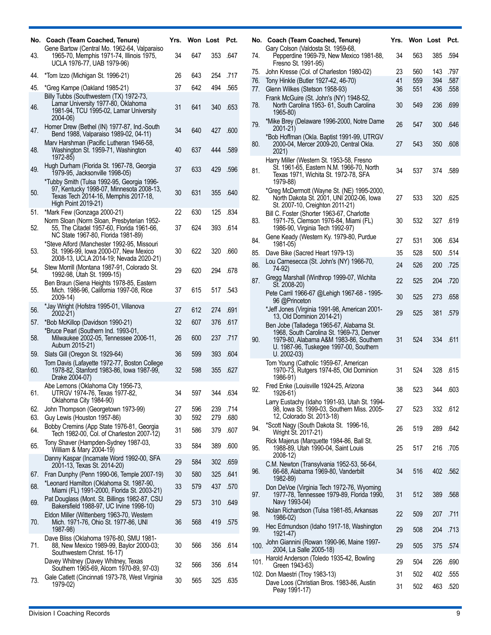| No.        | Coach (Team Coached, Tenure)<br>Gene Bartow (Central Mo. 1962-64, Valparaiso                                                                          | Yrs.     | Won Lost   |            | Pct.         |
|------------|-------------------------------------------------------------------------------------------------------------------------------------------------------|----------|------------|------------|--------------|
| 43.        | 1965-70, Memphis 1971-74, Illinois 1975,<br>UCLA 1976-77, UAB 1979-96)                                                                                | 34       | 647        | 353        | .647         |
| 44.        | *Tom Izzo (Michigan St. 1996-21)                                                                                                                      | 26       | 643        | 254        | .717         |
| 45.        | *Greg Kampe (Oakland 1985-21)                                                                                                                         | 37       | 642        | 494        | .565         |
| 46.        | Billy Tubbs (Southwestern (TX) 1972-73,<br>Lamar University 1977-80, Oklahoma<br>1981-94, TCU 1995-02, Lamar University<br>2004-06)                   | 31       | 641        | 340        | .653         |
| 47.        | Homer Drew (Bethel (IN) 1977-87, Ind.-South<br>Bend 1988, Valparaiso 1989-02, 04-11)                                                                  | 34       | 640        | 427        | .600         |
| 48.        | Mary Harshman (Pacific Lutheran 1946-58,<br>Washington St. 1959-71, Washington<br>1972-85)                                                            | 40       | 637        | 444        | .589         |
| 49.        | Hugh Durham (Florida St. 1967-78, Georgia<br>1979-95, Jacksonville 1998-05)                                                                           | 37       | 633        | 429        | .596         |
| 50.        | *Tubby Smith (Tulsa 1992-95, Georgia 1996-<br>97, Kentucky 1998-07, Minnesota 2008-13,<br>Texas Tech 2014-16, Memphis 2017-18,<br>High Point 2019-21) | 30       | 631        | 355        | .640         |
| 51.        | *Mark Few (Gonzaga 2000-21)                                                                                                                           | 22       | 630        | 125        | .834         |
| 52.        | Norm Sloan (Norm Sloan, Presbyterian 1952-<br>55, The Citadel 1957-60, Florida 1961-66,<br>NC State 1967-80, Florida 1981-89)                         | 37       | 624        | 393        | .614         |
| 53.        | *Steve Alford (Manchester 1992-95, Missouri<br>St. 1996-99, Iowa 2000-07, New Mexico<br>2008-13, UCLA 2014-19; Nevada 2020-21)                        | 30       | 622        | 320        | .660         |
| 54.        | Stew Morrill (Montana 1987-91, Colorado St.<br>1992-98, Utah St. 1999-15)                                                                             | 29       | 620        | 294        | .678         |
| 55.        | Ben Braun (Siena Heights 1978-85, Eastern<br>Mich. 1986-96, California 1997-08, Rice<br>2009-14)                                                      | 37       | 615        | 517        | .543         |
| 56.        | *Jay Wright (Hofstra 1995-01, Villanova<br>2002-21)                                                                                                   | 27       | 612        | 274        | .691         |
| 57.        | *Bob McKillop (Davidson 1990-21)                                                                                                                      | 32       | 607        | 376        | .617         |
| 58.        | *Bruce Pearl (Southern Ind. 1993-01,<br>Milwaukee 2002-05, Tennessee 2006-11,<br>Auburn 2015-21)                                                      | 26       | 600        | 237        | .717         |
| 59.        | Slats Gill (Oregon St. 1929-64)                                                                                                                       | 36       | 599        | 393        | .604         |
| 60.        | Tom Davis (Lafayette 1972-77, Boston College<br>1978-82, Stanford 1983-86, Iowa 1987-99,<br>Drake 2004-07)                                            | 32       | 598        | 355        | .627         |
| 61.        | Abe Lemons (Oklahoma City 1956-73,<br>UTRGV 1974-76, Texas 1977-82,<br>Oklahoma City 1984-90)                                                         | 34       | 597        | 344        | .634         |
| 62.<br>63. | John Thompson (Georgetown 1973-99)                                                                                                                    | 27<br>30 | 596        | 239        | .714         |
| 64.        | Guy Lewis (Houston 1957-86)<br>Bobby Cremins (App State 1976-81, Georgia                                                                              | 31       | 592<br>586 | 279<br>379 | .680<br>.607 |
|            | Tech 1982-00, Col. of Charleston 2007-12)<br>Tony Shaver (Hampden-Sydney 1987-03,                                                                     |          |            |            |              |
| 65.        | William & Mary 2004-19)                                                                                                                               | 33       | 584        | 389        | .600         |
|            | Danny Kaspar (Incarnate Word 1992-00, SFA<br>2001-13, Texas St. 2014-20)                                                                              | 29       | 584        | 302        | .659         |
| 67.        | Fran Dunphy (Penn 1990-06, Temple 2007-19)                                                                                                            | 30       | 580        | 325        | .641         |
| 68.        | *Leonard Hamilton (Oklahoma St. 1987-90,<br>Miami (FL) 1991-2000, Florida St. 2003-21)                                                                | 33       | 579        | 437        | .570         |
| 69.        | Pat Douglass (Mont. St. Billings 1982-87, CSU<br>Bakersfield 1988-97, UC Irvine 1998-10)                                                              | 29       | 573        | 310        | .649         |
| 70.        | Eldon Miller (Wittenberg 1963-70, Western<br>Mich. 1971-76, Ohio St. 1977-86, UNI<br>1987-98)                                                         | 36       | 568        | 419        | .575         |
| 71.        | Dave Bliss (Oklahoma 1976-80, SMU 1981-<br>88, New Mexico 1989-99, Baylor 2000-03;<br>Southwestern Christ. 16-17)                                     | 30       | 566        | 356        | .614         |
|            | Davey Whitney (Davey Whitney, Texas<br>Southern 1965-69, Alcorn 1970-89, 97-03)                                                                       | 32       | 566        | 356        | .614         |
| 73.        | Gale Catlett (Cincinnati 1973-78, West Virginia<br>1979-02)                                                                                           | 30       | 565        | 325        | .635         |

| No.  | Coach (Team Coached, Tenure)<br>Gary Colson (Valdosta St. 1959-68,                                                                                                                      | Yrs. | Won Lost |     | Pct. |
|------|-----------------------------------------------------------------------------------------------------------------------------------------------------------------------------------------|------|----------|-----|------|
| 74.  | Pepperdine 1969-79, New Mexico 1981-88,<br>Fresno St. 1991-95)                                                                                                                          | 34   | 563      | 385 | .594 |
| 75.  | John Kresse (Col. of Charleston 1980-02)                                                                                                                                                | 23   | 560      | 143 | .797 |
| 76.  | Tony Hinkle (Butler 1927-42, 46-70)                                                                                                                                                     | 41   | 559      | 394 | .587 |
| 77.  | Glenn Wilkes (Stetson 1958-93)                                                                                                                                                          | 36   | 551      | 436 | .558 |
| 78.  | Frank McGuire (St. John's (NY) 1948-52,<br>North Carolina 1953- 61, South Carolina<br>1965-80)                                                                                          | 30   | 549      | 236 | .699 |
| 79.  | *Mike Brey (Delaware 1996-2000, Notre Dame<br>2001-21)                                                                                                                                  | 26   | 547      | 300 | .646 |
| 80.  | *Bob Hoffman (Okla. Baptist 1991-99, UTRGV<br>2000-04, Mercer 2009-20, Central Okla.<br>2021)                                                                                           | 27   | 543      | 350 | .608 |
| 81.  | Harry Miller (Western St. 1953-58, Fresno<br>St. 1961-65, Eastern N.M. 1966-70, North<br>Texas 1971, Wichita St. 1972-78, SFA<br>1979-88)                                               | 34   | 537      | 374 | .589 |
| 82.  | *Greg McDermott (Wayne St. (NE) 1995-2000,<br>North Dakota St. 2001, UNI 2002-06, Iowa<br>St. 2007-10, Creighton 2011-21)                                                               | 27   | 533      | 320 | .625 |
| 83.  | Bill C. Foster (Shorter 1963-67, Charlotte<br>1971-75, Clemson 1976-84, Miami (FL)<br>1986-90, Virginia Tech 1992-97)                                                                   | 30   | 532      | 327 | .619 |
| 84.  | Gene Keady (Western Ky. 1979-80, Purdue<br>1981-05)                                                                                                                                     | 27   | 531      | 306 | .634 |
| 85.  | Dave Bike (Sacred Heart 1979-13)                                                                                                                                                        | 35   | 528      | 500 | .514 |
| 86.  | Lou Carnesecca (St. John's (NY) 1966-70,<br>74-92)                                                                                                                                      | 24   | 526      | 200 | .725 |
| 87.  | Gregg Marshall (Winthrop 1999-07, Wichita<br>St. 2008-20)                                                                                                                               | 22   | 525      | 204 | .720 |
|      | Pete Carril 1966-67 @Lehigh 1967-68 - 1995-<br>96 @Princeton                                                                                                                            | 30   | 525      | 273 | .658 |
|      | *Jeff Jones (Virginia 1991-98, American 2001-<br>13, Old Dominion 2014-21)                                                                                                              | 29   | 525      | 381 | .579 |
| 90.  | Ben Jobe (Talladega 1965-67, Alabama St.<br>1968, South Carolina St. 1969-73, Denver<br>1979-80, Alabama A&M 1983-86, Southern<br>U. 1987-96, Tuskegee 1997-00, Southern<br>U. 2002-03) | 31   | 524      | 334 | .611 |
|      | Tom Young (Catholic 1959-67, American<br>1970-73, Rutgers 1974-85, Old Dominion<br>1986-91)                                                                                             | 31   | 524      | 328 | .615 |
| 92.  | Fred Enke (Louisville 1924-25, Arizona<br>1926-61)                                                                                                                                      | 38   | 523      | 344 | .603 |
|      | Larry Eustachy (Idaho 1991-93, Utah St. 1994-<br>98, Iowa St. 1999-03, Southern Miss. 2005-<br>12, Colorado St. 2013-18)                                                                | 27   | 523      | 332 | .612 |
| 94.  | *Scott Nagy (South Dakota St. 1996-16,<br>Wright St. 2017-21)                                                                                                                           | 26   | 519      | 289 | .642 |
| 95.  | Rick Majerus (Marquette 1984-86, Ball St.<br>1988-89, Utah 1990-04, Saint Louis<br>2008-12)                                                                                             | 25   | 517      | 216 | .705 |
| 96.  | C.M. Newton (Transylvania 1952-53, 56-64,<br>66-68, Alabama 1969-80, Vanderbilt<br>1982-89)                                                                                             | 34   | 516      | 402 | .562 |
| 97.  | Don DeVoe (Virginia Tech 1972-76, Wyoming<br>1977-78, Tennessee 1979-89, Florida 1990,<br>Navy 1993-04)                                                                                 | 31   | 512      | 389 | .568 |
| 98.  | Nolan Richardson (Tulsa 1981-85, Arkansas<br>1986-02)                                                                                                                                   | 22   | 509      | 207 | .711 |
| 99.  | Hec Edmundson (Idaho 1917-18, Washington<br>1921-47)                                                                                                                                    | 29   | 508      | 204 | .713 |
| 100. | John Giannini (Rowan 1990-96, Maine 1997-<br>2004, La Salle 2005-18)                                                                                                                    | 29   | 505      | 375 | .574 |
| 101. | Harold Anderson (Toledo 1935-42, Bowling<br>Green 1943-63)                                                                                                                              | 29   | 504      | 226 | .690 |
|      | 102. Don Maestri (Troy 1983-13)                                                                                                                                                         | 31   | 502      | 402 | .555 |
|      | Dave Loos (Christian Bros. 1983-86, Austin<br>Peay 1991-17)                                                                                                                             | 31   | 502      | 463 | .520 |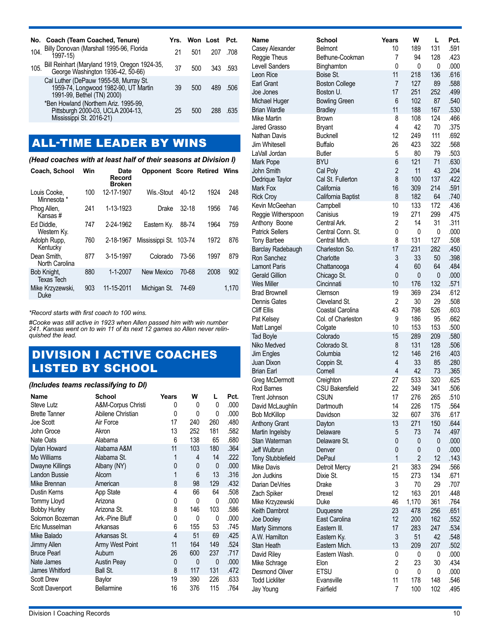|      | No. Coach (Team Coached, Tenure)                                                                             |    |     | Yrs. Won Lost Pct. |         |
|------|--------------------------------------------------------------------------------------------------------------|----|-----|--------------------|---------|
| 104. | Billy Donovan (Marshall 1995-96, Florida<br>1997-15)                                                         | 21 | 501 | 207                | .708    |
| 105. | Bill Reinhart (Maryland 1919, Oregon 1924-35,<br>George Washington 1936-42, 50-66)                           | 37 | 500 |                    | 343 593 |
|      | Cal Luther (DePauw 1955-58, Murray St.<br>1959-74, Longwood 1982-90, UT Martin<br>1991-99, Bethel (TN) 2000) | 39 | 500 | 489                | .506    |
|      | *Ben Howland (Northern Ariz. 1995-99,<br>Pittsburgh 2000-03, UCLA 2004-13,<br>Mississippi St. 2016-21)       | 25 | 500 | 288                | .635    |

# ALL-TIME LEADER BY WINS

#### *(Head coaches with at least half of their seasons at Division I)*

| Coach, School                    | Win | Date<br>Record<br><b>Broken</b> | <b>Opponent Score Retired</b> |         |      | Wins  |
|----------------------------------|-----|---------------------------------|-------------------------------|---------|------|-------|
| Louis Cooke,<br>Minnesota *      | 100 | 12-17-1907                      | Wis.-Stout                    | $40-12$ | 1924 | 248   |
| Phog Allen,<br>Kansas#           | 241 | 1-13-1923                       | Drake                         | $32-18$ | 1956 | 746   |
| Ed Diddle.<br>Western Ky.        | 747 | 2-24-1962                       | Eastern Ky.                   | 88-74   | 1964 | 759   |
| Adolph Rupp.<br>Kentucky         | 760 | 2-18-1967                       | Mississippi St.               | 103-74  | 1972 | 876   |
| Dean Smith.<br>North Carolina    | 877 | 3-15-1997                       | Colorado                      | 73-56   | 1997 | 879   |
| Bob Knight,<br><b>Texas Tech</b> | 880 | 1-1-2007                        | New Mexico                    | 70-68   | 2008 | 902   |
| Mike Krzyzewski,<br>Duke         | 903 | 11-15-2011                      | Michigan St.                  | 74-69   |      | 1,170 |

*\*Record starts with first coach to 100 wins.* 

*#Cooke was still active in 1923 when Allen passed him with win number 241. Kansas went on to win 11 of its next 12 games so Allen never relinquished the lead.*

### DIVISION I ACTIVE COACHES LISTED BY SCHOOL

#### *(Includes teams reclassifying to DI)*

| Name                 | School             | Years | w   | L   | Pct. |
|----------------------|--------------------|-------|-----|-----|------|
| Steve Lutz           | A&M-Corpus Christi | 0     | 0   | 0   | .000 |
| <b>Brette Tanner</b> | Abilene Christian  | 0     | 0   | 0   | .000 |
| Joe Scott            | Air Force          | 17    | 240 | 260 | .480 |
| John Groce           | Akron              | 13    | 252 | 181 | .582 |
| Nate Oats            | Alabama            | 6     | 138 | 65  | .680 |
| Dylan Howard         | Alabama A&M        | 11    | 103 | 180 | .364 |
| Mo Williams          | Alabama St.        | 1     | 4   | 14  | .222 |
| Dwayne Killings      | Albany (NY)        | 0     | 0   | 0   | .000 |
| Landon Bussie        | Alcorn             | 1     | 6   | 13  | .316 |
| Mike Brennan         | American           | 8     | 98  | 129 | .432 |
| Dustin Kerns         | App State          | 4     | 66  | 64  | .508 |
| <b>Tommy Lloyd</b>   | Arizona            | 0     | 0   | 0   | .000 |
| <b>Bobby Hurley</b>  | Arizona St.        | 8     | 146 | 103 | .586 |
| Solomon Bozeman      | Ark.-Pine Bluff    | 0     | 0   | 0   | .000 |
| Eric Musselman       | Arkansas           | 6     | 155 | 53  | .745 |
| Mike Balado          | Arkansas St.       | 4     | 51  | 69  | .425 |
| Jimmy Allen          | Army West Point    | 11    | 164 | 149 | .524 |
| <b>Bruce Pearl</b>   | Auburn             | 26    | 600 | 237 | .717 |
| Nate James           | <b>Austin Peay</b> | 0     | 0   | 0   | .000 |
| James Whitford       | Ball St.           | 8     | 117 | 131 | .472 |
| <b>Scott Drew</b>    | Baylor             | 19    | 390 | 226 | .633 |
| Scott Davenport      | Bellarmine         | 16    | 376 | 115 | .764 |

| Name                                      | School                            | Years                | W         | L         | Pct.         |
|-------------------------------------------|-----------------------------------|----------------------|-----------|-----------|--------------|
| Casey Alexander                           | Belmont                           | 10                   | 189       | 131       | .591         |
| Reggie Theus                              | Bethune-Cookman                   | 7                    | 94        | 128       | .423         |
| <b>Levell Sanders</b>                     | Binghamton                        | 0                    | 0         | 0         | .000         |
| Leon Rice                                 | Boise St.                         | 11                   | 218       | 136       | .616         |
| Earl Grant                                | <b>Boston College</b>             | $\overline{7}$       | 127       | 89        | .588         |
| Joe Jones                                 | Boston U.                         | 17                   | 251       | 252       | .499         |
| Michael Huger                             | <b>Bowling Green</b>              | 6                    | 102       | 87        | .540         |
| <b>Brian Wardle</b>                       | <b>Bradley</b>                    | 11                   | 188       | 167       | .530         |
| Mike Martin                               | <b>Brown</b>                      | 8                    | 108       | 124       | .466         |
| Jared Grasso                              | <b>Bryant</b>                     | 4                    | 42        | 70        | .375         |
| Nathan Davis                              | <b>Bucknell</b>                   | 12                   | 249       | 111       | .692         |
| Jim Whitesell                             | <b>Buffalo</b>                    | 26                   | 423       | 322       | .568         |
| LaVall Jordan                             | <b>Butler</b>                     | 5                    | 80        | 79        | .503         |
| Mark Pope                                 | <b>BYU</b>                        | 6                    | 121       | 71        | .630         |
| John Smith                                | Cal Poly                          | $\overline{2}$       | 11        | 43        | .204         |
| Dedrique Taylor                           | Cal St. Fullerton                 | 8                    | 100       | 137       | .422         |
| Mark Fox                                  | California                        | 16                   | 309       | 214       | .591         |
| <b>Rick Croy</b>                          | California Baptist                | 8                    | 182       | 64        | .740         |
| Kevin McGeehan                            | Campbell                          | 10                   | 133       | 172       | .436         |
| Reggie Witherspoon                        | Canisius                          | 19                   | 271       | 299       | .475         |
| Anthony Boone                             | Central Ark.                      | 2                    | 14        | 31        | .311         |
| <b>Patrick Sellers</b>                    | Central Conn. St.                 | 0                    | 0         | 0         | .000         |
| <b>Tony Barbee</b>                        | Central Mich.                     | 8                    | 131       | 127       | .508         |
| Barclay Radebaugh                         | Charleston So.                    | 17                   | 231       | 282       | .450         |
| Ron Sanchez                               | Charlotte                         | 3                    | 33        | 50        | .398         |
| <b>Lamont Paris</b>                       | Chattanooga                       | $\overline{4}$       | 60        | 64        | .484         |
| <b>Gerald Gillion</b>                     | Chicago St.                       | 0                    | 0         | 0         | .000         |
| Wes Miller                                | Cincinnati                        | 10                   | 176       | 132       | .571         |
| <b>Brad Brownell</b>                      | Clemson                           | 19<br>$\overline{2}$ | 369       | 234<br>29 | .612<br>.508 |
| <b>Dennis Gates</b><br><b>Cliff Ellis</b> | Cleveland St.<br>Coastal Carolina | 43                   | 30<br>798 | 526       | .603         |
| Pat Kelsey                                | Col. of Charleston                | 9                    | 186       | 95        | .662         |
|                                           |                                   | 10                   | 153       | 153       | .500         |
| Matt Langel<br><b>Tad Boyle</b>           | Colgate<br>Colorado               | 15                   | 289       | 209       | .580         |
| Niko Medved                               | Colorado St.                      | 8                    | 131       | 128       | .506         |
| Jim Engles                                | Columbia                          | 12                   | 146       | 216       | .403         |
| Juan Dixon                                | Coppin St.                        | 4                    | 33        | 85        | .280         |
| <b>Brian Earl</b>                         | Cornell                           | $\overline{4}$       | 42        | 73        | .365         |
| Greg McDermott                            | Creighton                         | 27                   | 533       | 320       | .625         |
| Rod Barnes                                | <b>CSU Bakersfield</b>            | 22                   | 349       | 341       | .506         |
| <b>Trent Johnson</b>                      | <b>CSUN</b>                       | 17                   | 276       | 265       | .510         |
| David McLaughlin                          | Dartmouth                         | 14                   | 226       | 175       | .564         |
| <b>Bob McKillop</b>                       | Davidson                          | 32                   | 607       | 376       | .617         |
| <b>Anthony Grant</b>                      | Dayton                            | 13                   | 271       | 150       | .644         |
| Martin Ingelsby                           | Delaware                          | 5                    | 73        | 74        | .497         |
| Stan Waterman                             | Delaware St.                      | 0                    | 0         | 0         | .000         |
| Jeff Wulbrun                              | Denver                            | 0                    | 0         | 0         | .000         |
| <b>Tony Stubblefield</b>                  | DePaul                            | 1                    | 2         | 12        | .143         |
| Mike Davis                                | Detroit Mercy                     | 21                   | 383       | 294       | .566         |
| Jon Judkins                               | Dixie St.                         | 15                   | 273       | 134       | .671         |
| Darian DeVries                            | Drake                             | 3                    | 70        | 29        | .707         |
| Zach Spiker                               | Drexel                            | 12                   | 163       | 201       | .448         |
| Mike Krzyzewski                           | Duke                              | 46                   | 1,170     | 361       | .764         |
| Keith Dambrot                             | Duquesne                          | 23                   | 478       | 256       | .651         |
| Joe Dooley                                | East Carolina                     | 12                   | 200       | 162       | .552         |
| <b>Marty Simmons</b>                      | Eastern III.                      | 17                   | 283       | 247       | .534         |
| A.W. Hamilton                             | Eastern Ky.                       | 3                    | 51        | 42        | .548         |
| Stan Heath                                | Eastern Mich.                     | 13                   | 209       | 207       | .502         |
| David Riley                               | Eastern Wash.                     | 0                    | 0         | 0         | .000         |
| Mike Schrage                              | Elon                              | $\overline{c}$       | 23        | 30        | .434         |
| <b>Desmond Oliver</b>                     | <b>ETSU</b>                       | 0                    | 0         | 0         | .000         |
| <b>Todd Lickliter</b>                     | Evansville                        | 11                   | 178       | 148       | .546         |
| Jay Young                                 | Fairfield                         | 7                    | 100       | 102       | .495         |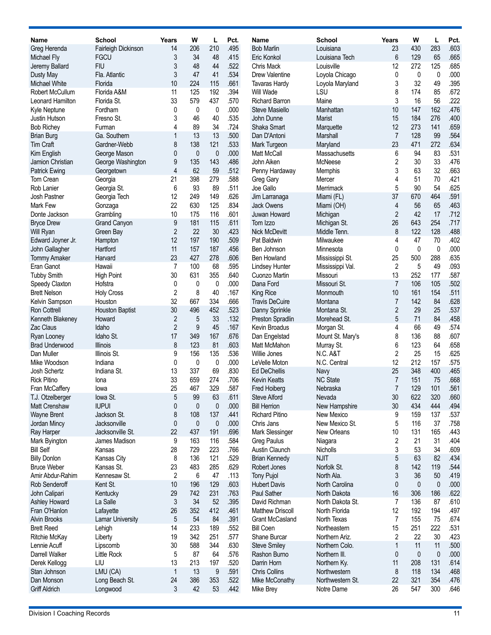| <b>Name</b>                 | School                   | Years          | W                   | L                | Pct.         | Name                                         | <b>School</b>               | Years          | W          | L           | Pct.         |
|-----------------------------|--------------------------|----------------|---------------------|------------------|--------------|----------------------------------------------|-----------------------------|----------------|------------|-------------|--------------|
| Greg Herenda                | Fairleigh Dickinson      | 14             | 206                 | 210              | .495         | <b>Bob Marlin</b>                            | Louisiana                   | 23             | 430        | 283         | .603         |
| Michael Fly                 | <b>FGCU</b>              | 3              | 34                  | 48               | .415         | Eric Konkol                                  | Louisiana Tech              | 6              | 129        | 65          | .665         |
| Jeremy Ballard              | <b>FIU</b>               | 3              | 48                  | 44               | .522         | Chris Mack                                   | Louisville                  | 12             | 272        | 125         | .685         |
| Dusty May                   | Fla. Atlantic            | 3              | 47                  | 41               | .534         | Drew Valentine                               | Loyola Chicago              | 0              | 0          | 0           | .000         |
| Michael White               | Florida                  | 10             | 224                 | 115              | .661         | <b>Tavaras Hardy</b>                         | Loyola Maryland             | 3              | 32         | 49          | .395         |
| Robert McCullum             | Florida A&M              | 11             | 125                 | 192              | .394         | Will Wade                                    | LSU                         | 8              | 174        | 85          | .672         |
| Leonard Hamilton            | Florida St.              | 33             | 579                 | 437              | .570         | <b>Richard Barron</b>                        | Maine                       | 3              | 16         | 56          | .222         |
| Kyle Neptune                | Fordham                  | 0              | 0                   | 0                | .000         | Steve Masiello                               | Manhattan                   | 10             | 147        | 162         | .476         |
| Justin Hutson               | Fresno St.               | 3              | 46                  | 40               | .535         | John Dunne                                   | Marist                      | 15             | 184        | 276         | .400         |
| <b>Bob Richey</b>           | Furman                   | 4              | 89                  | 34               | .724         | Shaka Smart                                  | Marquette                   | 12             | 273        | 141         | .659         |
| <b>Brian Burg</b>           | Ga. Southern             | 1              | 13                  | 13               | .500         | Dan D'Antoni                                 | <b>Marshall</b>             | $\overline{7}$ | 128        | 99          | .564         |
| Tim Craft                   | Gardner-Webb             | 8              | 138                 | 121              | .533         | Mark Turgeon                                 | Maryland                    | 23             | 471        | 272         | .634         |
| Kim English                 | George Mason             | 0              | $\mathbf{0}$        | $\mathbf{0}$     | .000         | Matt McCall                                  | Massachusetts               | 6              | 94         | 83          | .531         |
| Jamion Christian            | George Washington        | 9              | 135                 | 143              | .486         | John Aiken                                   | McNeese                     | 2              | 30         | 33          | .476         |
| <b>Patrick Ewing</b>        | Georgetown               | 4              | 62                  | 59               | .512         | Penny Hardaway                               | Memphis                     | 3              | 63         | 32          | .663         |
| Tom Crean                   | Georgia                  | 21<br>6        | 398<br>93           | 279<br>89        | .588<br>.511 | Greg Gary                                    | Mercer                      | 4<br>5         | 51<br>90   | 70<br>54    | .421<br>.625 |
| Rob Lanier<br>Josh Pastner  | Georgia St.              | 12             | 249                 | 149              | .626         | Joe Gallo                                    | Merrimack                   | 37             | 670        | 464         | .591         |
| <b>Mark Few</b>             | Georgia Tech<br>Gonzaga  | 22             | 630                 | 125              | .834         | Jim Larranaga<br><b>Jack Owens</b>           | Miami (FL)<br>Miami (OH)    | 4              | 56         | 65          | .463         |
| Donte Jackson               | Grambling                | 10             | 175                 | 116              | .601         | Juwan Howard                                 | Michigan                    | 2              | 42         | 17          | .712         |
| <b>Bryce Drew</b>           | <b>Grand Canyon</b>      | 9              | 181                 | 115              | .611         | Tom Izzo                                     | Michigan St.                | 26             | 643        | 254         | .717         |
| Will Ryan                   | Green Bay                | $\overline{2}$ | 22                  | 30               | .423         | Nick McDevitt                                | Middle Tenn.                | 8              | 122        | 128         | .488         |
| Edward Joyner Jr.           | Hampton                  | 12             | 197                 | 190              | .509         | Pat Baldwin                                  | Milwaukee                   | 4              | 47         | 70          | .402         |
| John Gallagher              | Hartford                 | 11             | 157                 | 187              | .456         | Ben Johnson                                  | Minnesota                   | 0              | 0          | $\mathbf 0$ | .000         |
| <b>Tommy Amaker</b>         | Harvard                  | 23             | 427                 | 278              | .606         | <b>Ben Howland</b>                           | Mississippi St.             | 25             | 500        | 288         | .635         |
| Eran Ganot                  | Hawaii                   | 7              | 100                 | 68               | .595         | Lindsey Hunter                               | Mississippi Val.            | $\overline{2}$ | 5          | 49          | .093         |
| <b>Tubby Smith</b>          | <b>High Point</b>        | 30             | 631                 | 355              | .640         | Cuonzo Martin                                | Missouri                    | 13             | 252        | 177         | .587         |
| Speedy Claxton              | Hofstra                  | 0              | 0                   | 0                | .000         | Dana Ford                                    | Missouri St.                | $\overline{7}$ | 106        | 105         | .502         |
| <b>Brett Nelson</b>         | <b>Holy Cross</b>        | 2              | 8                   | 40               | .167         | King Rice                                    | Monmouth                    | 10             | 161        | 154         | .511         |
| Kelvin Sampson              | Houston                  | 32             | 667                 | 334              | .666         | <b>Travis DeCuire</b>                        | Montana                     | $\overline{7}$ | 142        | 84          | .628         |
| <b>Ron Cottrell</b>         | <b>Houston Baptist</b>   | 30             | 496                 | 452              | .523         | Danny Sprinkle                               | Montana St.                 | 2              | 29         | 25          | .537         |
| Kenneth Blakeney            | Howard                   | 2              | 5                   | 33               | .132         | Preston Spradlin                             | Morehead St.                | 5              | 71         | 84          | .458         |
| Zac Claus                   | Idaho                    | $\overline{2}$ | $\boldsymbol{9}$    | 45               | .167         | Kevin Broadus                                | Morgan St.                  | 4              | 66         | 49          | .574         |
| Ryan Looney                 | Idaho St.                | 17             | 349                 | 167              | .676         | Dan Engelstad                                | Mount St. Mary's            | 8              | 136        | 88          | .607         |
| <b>Brad Underwood</b>       | Illinois                 | 8              | 123                 | 81               | .603         | Matt McMahon                                 | Murray St.                  | 6              | 123        | 64          | .658         |
| Dan Muller                  | Illinois St.             | 9              | 156                 | 135              | .536         | Willie Jones                                 | N.C. A&T                    | 2              | 25         | 15          | .625         |
| Mike Woodson                | Indiana                  | 0              | 0                   | 0                | .000         | LeVelle Moton                                | N.C. Central                | 12             | 212        | 157         | .575         |
| Josh Schertz                | Indiana St.              | 13             | 337                 | 69               | .830         | <b>Ed DeChellis</b>                          | Navy                        | 25             | 348        | 400         | .465         |
| <b>Rick Pitino</b>          | lona                     | 33             | 659                 | 274              | .706         | <b>Kevin Keatts</b>                          | <b>NC State</b>             | 7              | 151        | 75          | .668         |
| Fran McCaffery              | lowa                     | 25             | 467                 | 329              | 587          | Fred Hoiberg                                 | Nebraska                    | 7              | 129        | 101         | 561          |
| T.J. Otzelberger            | lowa St.<br><b>IUPUI</b> | 5              | 99                  | 63               | .611<br>.000 | <b>Steve Alford</b>                          | Nevada                      | 30             | 622<br>434 | 320<br>444  | .660         |
| Matt Crenshaw               | Jackson St.              | 0<br>8         | $\mathbf{0}$<br>108 | $\pmb{0}$<br>137 | .441         | <b>Bill Herrion</b><br><b>Richard Pitino</b> | New Hampshire<br>New Mexico | 30<br>9        | 159        | 137         | .494<br>.537 |
| Wayne Brent<br>Jordan Mincy | Jacksonville             | 0              | $\mathbf{0}$        | $\mathbf{0}$     | .000         | Chris Jans                                   | New Mexico St.              | 5              | 116        | 37          | .758         |
| Ray Harper                  | Jacksonville St.         | 22             | 437                 | 191              | .696         | Mark Slessinger                              | New Orleans                 | 10             | 131        | 165         | .443         |
| Mark Byington               | James Madison            | 9              | 163                 | 116              | .584         | <b>Greg Paulus</b>                           | Niagara                     | 2              | 21         | 31          | .404         |
| <b>Bill Self</b>            | Kansas                   | 28             | 729                 | 223              | .766         | <b>Austin Claunch</b>                        | Nicholls                    | 3              | 53         | 34          | .609         |
| <b>Billy Donlon</b>         | Kansas City              | 8              | 136                 | 121              | .529         | <b>Brian Kennedy</b>                         | <b>NJIT</b>                 | 5              | 63         | 82          | .434         |
| <b>Bruce Weber</b>          | Kansas St.               | 23             | 483                 | 285              | .629         | Robert Jones                                 | Norfolk St.                 | 8              | 142        | 119         | .544         |
| Amir Abdur-Rahim            | Kennesaw St.             | 2              | 6                   | 47               | .113         | <b>Tony Pujol</b>                            | North Ala.                  | 3              | 36         | 50          | .419         |
| <b>Rob Senderoff</b>        | Kent St.                 | 10             | 196                 | 129              | .603         | <b>Hubert Davis</b>                          | North Carolina              | 0              | 0          | $\mathbf 0$ | .000         |
| John Calipari               | Kentucky                 | 29             | 742                 | 231              | .763         | Paul Sather                                  | North Dakota                | 16             | 306        | 186         | .622         |
| Ashley Howard               | La Salle                 | 3              | 34                  | 52               | .395         | David Richman                                | North Dakota St.            | 7              | 136        | 87          | .610         |
| Fran O'Hanlon               | Lafayette                | 26             | 352                 | 412              | .461         | <b>Matthew Driscoll</b>                      | North Florida               | 12             | 192        | 194         | .497         |
| <b>Alvin Brooks</b>         | <b>Lamar University</b>  | 5              | 54                  | 84               | .391         | <b>Grant McCasland</b>                       | North Texas                 | $\overline{7}$ | 155        | 75          | .674         |
| <b>Brett Reed</b>           | Lehigh                   | 14             | 233                 | 189              | .552         | <b>Bill Coen</b>                             | Northeastern                | 15             | 251        | 222         | .531         |
| Ritchie McKay               | Liberty                  | 19             | 342                 | 251              | .577         | Shane Burcar                                 | Northern Ariz.              | 2              | 22         | 30          | .423         |
| Lennie Acuff                | Lipscomb                 | 30             | 588                 | 344              | .630         | <b>Steve Smiley</b>                          | Northern Colo.              | 1              | 11         | 11          | .500         |
| Darrell Walker              | Little Rock              | 5              | 87                  | 64               | .576         | Rashon Burno                                 | Northern III.               | 0              | 0          | $\mathbf 0$ | .000         |
| Derek Kellogg               | LIU                      | 13             | 213                 | 197              | .520         | Darrin Horn                                  | Northern Ky.                | 11             | 208        | 131         | .614         |
| Stan Johnson                | LMU (CA)                 | $\mathbf{1}$   | 13                  | 9                | .591         | <b>Chris Collins</b>                         | Northwestern                | 8              | 118        | 134         | .468         |
| Dan Monson                  | Long Beach St.           | 24             | 386                 | 353              | .522         | Mike McConathy                               | Northwestern St.            | 22             | 321        | 354         | .476         |
| <b>Griff Aldrich</b>        | Longwood                 | 3              | 42                  | 53               | .442         | Mike Brey                                    | Notre Dame                  | 26             | 547        | 300         | .646         |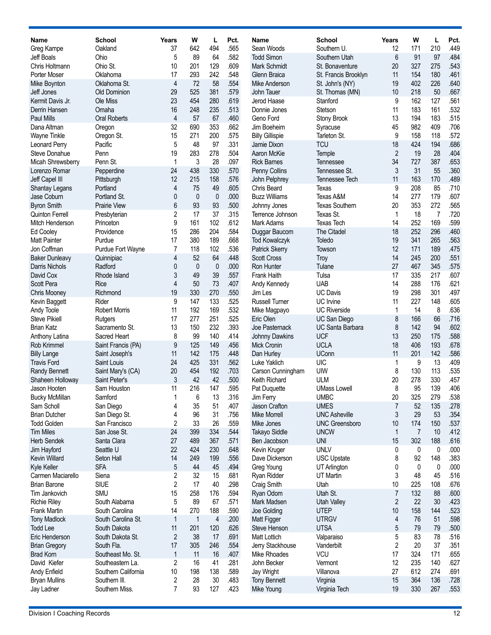| Name                                     | <b>School</b>                  | Years        | W            | L              | Pct.         | Name                                    | <b>School</b>                   | Years          | W              | L         | Pct.         |
|------------------------------------------|--------------------------------|--------------|--------------|----------------|--------------|-----------------------------------------|---------------------------------|----------------|----------------|-----------|--------------|
| Greg Kampe                               | Oakland                        | 37           | 642          | 494            | .565         | Sean Woods                              | Southern U.                     | 12             | 171            | 210       | .449         |
| Jeff Boals                               | Ohio                           | 5            | 89           | 64             | .582         | <b>Todd Simon</b>                       | Southern Utah                   | 6              | 91             | 97        | .484         |
| Chris Holtmann                           | Ohio St.                       | 10           | 201          | 129            | .609         | Mark Schmidt                            | St. Bonaventure                 | 20             | 327            | 275       | .543         |
| Porter Moser                             | Oklahoma                       | 17           | 293          | 242            | .548         | Glenn Braica                            | St. Francis Brooklyn            | 11             | 154            | 180       | .461         |
| Mike Boynton                             | Oklahoma St.                   | 4            | 72           | 58             | .554         | Mike Anderson                           | St. John's (NY)                 | 19             | 402            | 226       | .640         |
| Jeff Jones                               | Old Dominion                   | 29           | 525          | 381            | .579         | John Tauer                              | St. Thomas (MN)                 | 10             | 218            | 50        | .667         |
| Kermit Davis Jr.                         | Ole Miss                       | 23           | 454          | 280            | .619         | Jerod Haase                             | Stanford                        | 9              | 162            | 127       | .561         |
| Derrin Hansen                            | Omaha                          | 16           | 248          | 235            | .513         | Donnie Jones                            | Stetson                         | 11             | 183            | 161       | .532         |
| <b>Paul Mills</b>                        | <b>Oral Roberts</b>            | 4            | 57           | 67             | .460         | Geno Ford                               | Stony Brook                     | 13             | 194            | 183       | .515         |
| Dana Altman                              | Oregon                         | 32           | 690          | 353            | .662         | Jim Boeheim                             | Syracuse                        | 45             | 982            | 409       | .706         |
| Wayne Tinkle                             | Oregon St.                     | 15           | 271          | 200            | .575         | <b>Billy Gillispie</b>                  | Tarleton St.                    | 9              | 158            | 118       | .572         |
| Leonard Perry                            | Pacific                        | 5            | 48           | 97             | .331         | Jamie Dixon                             | <b>TCU</b>                      | 18             | 424            | 194       | .686         |
| Steve Donahue                            | Penn                           | 19           | 283          | 278            | .504         | Aaron McKie                             | Temple                          | $\overline{2}$ | 19             | 28        | .404         |
| Micah Shrewsberry                        | Penn St.                       | 1            | 3<br>438     | 28<br>330      | .097<br>.570 | <b>Rick Barnes</b>                      | Tennessee                       | 34<br>3        | 727<br>31      | 387       | .653<br>.360 |
| Lorenzo Romar<br>Jeff Capel III          | Pepperdine<br>Pittsburgh       | 24<br>12     | 215          | 158            | .576         | Penny Collins<br>John Pelphrey          | Tennessee St.<br>Tennessee Tech | 11             | 163            | 55<br>170 | .489         |
| <b>Shantay Legans</b>                    | Portland                       | 4            | 75           | 49             | .605         | Chris Beard                             | Texas                           | 9              | 208            | 85        | .710         |
| Jase Coburn                              | Portland St.                   | 0            | $\mathbf{0}$ | $\mathbf{0}$   | .000         | <b>Buzz Williams</b>                    | Texas A&M                       | 14             | 277            | 179       | .607         |
| <b>Byron Smith</b>                       | Prairie View                   | 6            | 93           | 93             | .500         | Johnny Jones                            | <b>Texas Southern</b>           | 20             | 353            | 272       | .565         |
| <b>Quinton Ferrell</b>                   | Presbyterian                   | 2            | 17           | 37             | .315         | Terrence Johnson                        | Texas St.                       | 1              | 18             | 7         | .720         |
| Mitch Henderson                          | Princeton                      | 9            | 161          | 102            | .612         | <b>Mark Adams</b>                       | <b>Texas Tech</b>               | 14             | 252            | 169       | .599         |
| <b>Ed Cooley</b>                         | Providence                     | 15           | 286          | 204            | .584         | Duggar Baucom                           | The Citadel                     | 18             | 252            | 296       | .460         |
| <b>Matt Painter</b>                      | Purdue                         | 17           | 380          | 189            | .668         | <b>Tod Kowalczyk</b>                    | Toledo                          | 19             | 341            | 265       | .563         |
| Jon Coffman                              | Purdue Fort Wayne              | 7            | 118          | 102            | .536         | Patrick Skerry                          | Towson                          | 12             | 171            | 189       | .475         |
| <b>Baker Dunleavy</b>                    | Quinnipiac                     | 4            | 52           | 64             | .448         | <b>Scott Cross</b>                      | Troy                            | 14             | 245            | 200       | .551         |
| Darris Nichols                           | Radford                        | 0            | $\mathbf 0$  | $\mathbf 0$    | .000         | Ron Hunter                              | Tulane                          | 27             | 467            | 345       | .575         |
| David Cox                                | Rhode Island                   | 3            | 49           | 39             | .557         | Frank Haith                             | Tulsa                           | 17             | 335            | 217       | .607         |
| Scott Pera                               | Rice                           | 4            | 50           | 73             | .407         | Andy Kennedy                            | <b>UAB</b>                      | 14             | 288            | 176       | .621         |
| <b>Chris Mooney</b>                      | Richmond                       | 19           | 330          | 270            | .550         | Jim Les                                 | <b>UC Davis</b>                 | 19             | 298            | 301       | .497         |
| Kevin Baggett                            | Rider                          | 9            | 147          | 133            | .525         | <b>Russell Turner</b>                   | UC Irvine                       | 11             | 227            | 148       | .605         |
| Andy Toole                               | <b>Robert Morris</b>           | 11           | 192          | 169            | .532         | Mike Magpayo                            | <b>UC Riverside</b>             | 1              | 14             | 8         | .636         |
| <b>Steve Pikiell</b>                     | Rutgers                        | 17           | 277          | 251            | .525         | Eric Olen                               | UC San Diego                    | 8              | 166            | 66        | .716         |
| <b>Brian Katz</b>                        | Sacramento St.                 | 13           | 150          | 232            | .393         | Joe Pasternack                          | <b>UC Santa Barbara</b>         | 8              | 142            | 94        | .602         |
| Anthony Latina                           | Sacred Heart                   | 8            | 99           | 140            | .414         | Johnny Dawkins                          | <b>UCF</b>                      | 13             | 250            | 175       | .588         |
| Rob Krimmel                              | Saint Francis (PA)             | 9            | 125          | 149            | .456         | <b>Mick Cronin</b>                      | <b>UCLA</b>                     | 18             | 406            | 193       | .678<br>.586 |
| <b>Billy Lange</b><br><b>Travis Ford</b> | Saint Joseph's<br>Saint Louis  | 11<br>24     | 142<br>425   | 175<br>331     | .448<br>.562 | Dan Hurley                              | <b>UConn</b><br>UIC             | 11             | 201            | 142<br>13 | .409         |
| <b>Randy Bennett</b>                     | Saint Mary's (CA)              | 20           | 454          | 192            | .703         | Luke Yaklich<br>Carson Cunningham       | UIW                             | 1<br>8         | 9<br>130       | 113       | .535         |
| Shaheen Holloway                         | Saint Peter's                  | 3            | 42           | 42             | .500         | Keith Richard                           | <b>ULM</b>                      | 20             | 278            | 330       | .457         |
| Jason Hooten                             | Sam Houston                    | 11           | 216          | 147            | .595         | Pat Duquette                            | <b>UMass Lowell</b>             | 8              | 95             | 139       | .406         |
| <b>Bucky McMillan</b>                    | Samford                        | 1            | 6            | 13             | .316         | Jim Ferry                               | <b>UMBC</b>                     | 20             | 325            | 279       | .538         |
| Sam Scholl                               | San Diego                      | 4            | 35           | 51             | .407         | Jason Crafton                           | <b>UMES</b>                     | 7              | 52             | 135       | .278         |
| <b>Brian Dutcher</b>                     | San Diego St.                  | 4            | 96           | 31             | .756         | Mike Morrell                            | <b>UNC Asheville</b>            | 3              | 29             | 53        | .354         |
| <b>Todd Golden</b>                       | San Francisco                  | 2            | 33           | 26             | .559         | Mike Jones                              | <b>UNC Greensboro</b>           | 10             | 174            | 150       | .537         |
| <b>Tim Miles</b>                         | San Jose St.                   | 24           | 399          | 334            | .544         | Takayo Siddle                           | <b>UNCW</b>                     | $\mathbf{1}$   | $\overline{7}$ | 10        | .412         |
| <b>Herb Sendek</b>                       | Santa Clara                    | 27           | 489          | 367            | .571         | Ben Jacobson                            | <b>UNI</b>                      | 15             | 302            | 188       | .616         |
| Jim Hayford                              | Seattle U                      | 22           | 424          | 230            | .648         | Kevin Kruger                            | <b>UNLV</b>                     | 0              | 0              | 0         | .000         |
| <b>Kevin Willard</b>                     | Seton Hall                     | 14           | 249          | 199            | .556         | Dave Dickerson                          | <b>USC Upstate</b>              | 8              | 92             | 148       | .383         |
| Kyle Keller                              | <b>SFA</b>                     | 5            | 44           | 45             | .494         | Greg Young                              | UT Arlington                    | 0              | 0              | 0         | .000         |
| Carmen Maciarello                        | Siena                          | 2            | 32           | 15             | .681         | Ryan Ridder                             | UT Martin                       | 3              | 48             | 45        | .516         |
| <b>Brian Barone</b>                      | <b>SIUE</b>                    | 2            | 17           | 40             | .298         | Craig Smith                             | Utah                            | 10             | 225            | 108       | .676         |
| Tim Jankovich                            | <b>SMU</b>                     | 15           | 258          | 176            | .594         | Ryan Odom                               | Utah St.                        | 7              | 132            | 88        | .600         |
| <b>Richie Riley</b>                      | South Alabama                  | 5            | 89           | 67             | .571         | Mark Madsen                             | <b>Utah Valley</b>              | $\overline{2}$ | 22             | 30        | .423         |
| <b>Frank Martin</b>                      | South Carolina                 | 14           | 270          | 188            | .590         | Joe Golding                             | <b>UTEP</b>                     | 10             | 158            | 144       | .523         |
| <b>Tony Madlock</b>                      | South Carolina St.             | $\mathbf{1}$ | $\mathbf{1}$ | $\overline{4}$ | .200         | Matt Figger                             | <b>UTRGV</b><br><b>UTSA</b>     | 4              | 76             | 51        | .598         |
| <b>Todd Lee</b>                          | South Dakota                   | 11           | 201          | 120            | .626         | Steve Henson                            |                                 | 5              | 79             | 79        | .500         |
| Eric Henderson                           | South Dakota St.<br>South Fla. | 2<br>17      | 38<br>305    | 17<br>246      | .691<br>.554 | <b>Matt Lottich</b><br>Jerry Stackhouse | Valparaiso<br>Vanderbilt        | 5<br>2         | 83<br>20       | 78<br>37  | .516<br>.351 |
| <b>Brian Gregory</b><br><b>Brad Korn</b> | Southeast Mo. St.              | $\mathbf{1}$ | 11           | 16             | .407         | Mike Rhoades                            | <b>VCU</b>                      | 17             | 324            | 171       | .655         |
| David Kiefer                             | Southeastern La.               | 2            | 16           | 41             | .281         | John Becker                             | Vermont                         | 12             | 235            | 140       | .627         |
| Andy Enfield                             | Southern California            | 10           | 198          | 138            | .589         | Jay Wright                              | Villanova                       | 27             | 612            | 274       | .691         |
| <b>Bryan Mullins</b>                     | Southern III.                  | 2            | 28           | 30             | .483         | <b>Tony Bennett</b>                     | Virginia                        | 15             | 364            | 136       | .728         |
| Jay Ladner                               | Southern Miss.                 | 7            | 93           | 127            | .423         | Mike Young                              | Virginia Tech                   | 19             | 330            | 267       | .553         |
|                                          |                                |              |              |                |              |                                         |                                 |                |                |           |              |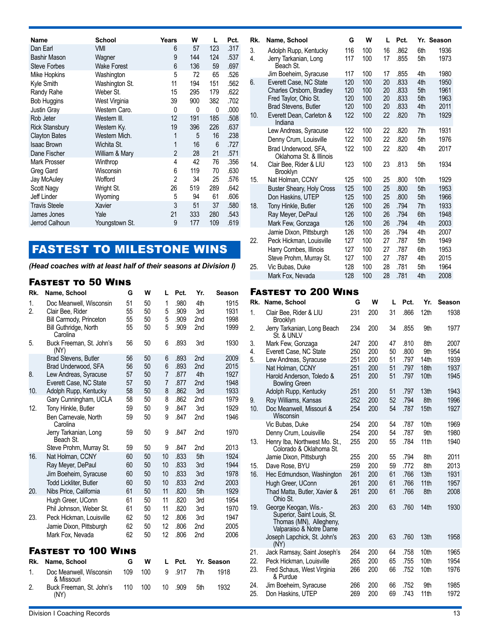| Name                  | <b>School</b>      | Years          | W   | L   | Pct. |
|-----------------------|--------------------|----------------|-----|-----|------|
| Dan Earl              | VMI                | 6              | 57  | 123 | .317 |
| <b>Bashir Mason</b>   | Wagner             | 9              | 144 | 124 | .537 |
| <b>Steve Forbes</b>   | <b>Wake Forest</b> | 6              | 136 | 59  | .697 |
| Mike Hopkins          | Washington         | 5              | 72  | 65  | .526 |
| Kyle Smith            | Washington St.     | 11             | 194 | 151 | .562 |
| Randy Rahe            | Weber St.          | 15             | 295 | 179 | .622 |
| <b>Bob Huggins</b>    | West Virginia      | 39             | 900 | 382 | .702 |
| <b>Justin Grav</b>    | Western Caro.      | 0              | 0   | 0   | .000 |
| Rob Jeter             | Western III.       | 12             | 191 | 185 | .508 |
| <b>Rick Stansbury</b> | Western Ky.        | 19             | 396 | 226 | .637 |
| <b>Clayton Bates</b>  | Western Mich.      | 1              | 5   | 16  | .238 |
| <b>Isaac Brown</b>    | Wichita St.        | 1              | 16  | 6   | .727 |
| Dane Fischer          | William & Mary     | $\overline{2}$ | 28  | 21  | .571 |
| <b>Mark Prosser</b>   | Winthrop           | 4              | 42  | 76  | .356 |
| Greg Gard             | Wisconsin          | 6              | 119 | 70  | .630 |
| Jay McAuley           | Wofford            | $\overline{2}$ | 34  | 25  | .576 |
| Scott Nagy            | Wright St.         | 26             | 519 | 289 | .642 |
| Jeff Linder           | Wyoming            | 5              | 94  | 61  | .606 |
| <b>Travis Steele</b>  | Xavier             | 3              | 51  | 37  | .580 |
| James Jones           | Yale               | 21             | 333 | 280 | .543 |
| Jerrod Calhoun        | Youngstown St.     | 9              | 177 | 109 | .619 |

# FASTEST TO MILESTONE WINS

*(Head coaches with at least half of their seasons at Division I)*

### Fastest to 50 Wins

| Rk.          | Name, School                                    | G        | W        | L              | Pct.         | Yr.                    | Season       |
|--------------|-------------------------------------------------|----------|----------|----------------|--------------|------------------------|--------------|
| 1.           | Doc Meanwell, Wisconsin                         | 51       | 50       | 1              | .980         | 4th                    | 1915         |
| 2.           | Clair Bee, Rider                                | 55       | 50       | 5              | .909         | 3rd                    | 1931         |
|              | Bill Carmody, Princeton                         | 55       | 50       | 5              | .909         | 2nd                    | 1998         |
|              | Bill Guthridge, North<br>Carolina               | 55       | 50       | 5              | .909         | 2 <sub>nd</sub>        | 1999         |
| 5.           | Buck Freeman, St. John's<br>(NY)                | 56       | 50       | 6              | .893         | 3rd                    | 1930         |
|              | Brad Stevens, Butler                            | 56       | 50       | 6              | .893         | 2nd                    | 2009         |
|              | Brad Underwood, SFA                             | 56<br>57 | 50       | 6<br>7         | .893<br>.877 | 2 <sub>nd</sub><br>4th | 2015<br>1927 |
| 8.           | Lew Andreas, Syracuse<br>Everett Case, NC State | 57       | 50<br>50 | $\overline{7}$ | .877         | 2 <sub>nd</sub>        | 1948         |
| 10.          | Adolph Rupp, Kentucky                           | 58       | 50       | 8              | .862         | 3rd                    | 1933         |
|              | Gary Cunningham, UCLA                           | 58       | 50       | 8              | .862         | 2 <sub>nd</sub>        | 1979         |
| 12.          | Tony Hinkle, Butler                             | 59       | 50       | 9              | .847         | 3rd                    | 1929         |
|              | Ben Carnevale, North<br>Carolina                | 59       | 50       | 9              | .847         | 2 <sub>nd</sub>        | 1946         |
|              | Jerry Tarkanian, Long<br>Beach St.              | 59       | 50       | 9              | .847         | 2 <sub>nd</sub>        | 1970         |
|              | Steve Prohm, Murray St.                         | 59       | 50       | 9              | .847         | 2nd                    | 2013         |
| 16.          | Nat Holman, CCNY                                | 60       | 50       | 10             | .833         | 5th                    | 1924         |
|              | Ray Meyer, DePaul                               | 60       | 50       | 10             | .833         | 3rd                    | 1944         |
|              | Jim Boeheim, Syracuse                           | 60       | 50       | 10             | .833         | 3rd                    | 1978         |
|              | Todd Lickliter, Butler                          | 60       | 50       | 10             | .833         | 2nd                    | 2003         |
| 20.          | Nibs Price, California                          | 61       | 50       | 11             | .820         | 5th                    | 1929         |
|              | Hugh Greer, UConn                               | 61       | 50       | 11             | .820         | 3rd                    | 1954         |
|              | Phil Johnson, Weber St.                         | 61       | 50       | 11             | .820         | 3rd                    | 1970         |
| 23.          | Peck Hickman, Louisville                        | 62       | 50       | 12             | .806         | 3rd                    | 1947         |
|              | Jamie Dixon, Pittsburgh                         | 62       | 50       | 12             | .806         | 2nd                    | 2005         |
|              | Mark Fox, Nevada                                | 62       | 50       | 12             | .806         | 2nd                    | 2006         |
|              | <b>FASTEST TO 100 WINS</b>                      |          |          |                |              |                        |              |
| Rk.          | Name, School                                    | G        | w        | L              | Pct.         |                        | Yr. Season   |
| $\mathbf{1}$ | Doc Meanwell, Wisconsin<br>& Missouri           | 109      | 100      | 9              | .917         | 7th                    | 1918         |
| 2.           | Buck Freeman, St. John's<br>(NY)                | 110      | 100      | 10             | .909         | 5th                    | 1932         |

| Rk.      | Name, School                                                                         | G                        | W                        | L                    | Pct.                         |                          | Yr. Season                   |
|----------|--------------------------------------------------------------------------------------|--------------------------|--------------------------|----------------------|------------------------------|--------------------------|------------------------------|
| 3.<br>4. | Adolph Rupp, Kentucky<br>Jerry Tarkanian, Long<br>Beach St.                          | 116<br>117               | 100<br>100               | 16<br>17             | .862<br>.855                 | 6th<br>5th               | 1936<br>1973                 |
| 6.       | Jim Boeheim, Syracuse<br>Everett Case, NC State<br>Charles Orsborn, Bradley          | 117<br>120<br>120<br>120 | 100<br>100<br>100<br>100 | 17<br>20<br>20<br>20 | .855<br>.833<br>.833<br>.833 | 4th<br>4th<br>5th<br>5th | 1980<br>1950<br>1961<br>1963 |
| 10.      | Fred Taylor, Ohio St.<br>Brad Stevens, Butler<br>Everett Dean, Carleton &<br>Indiana | 120<br>122               | 100<br>100               | 20<br>22             | .833<br>.820                 | 4th<br>7th               | 2011<br>1929                 |
|          | Lew Andreas, Syracuse<br>Denny Crum, Louisville<br>Brad Underwood, SFA,              | 122<br>122<br>122        | 100<br>100<br>100        | 22<br>22<br>22       | .820<br>.820<br>.820         | 7th<br>5th<br>4th        | 1931<br>1976<br>2017         |
| 14.      | Oklahoma St. & Illinois<br>Clair Bee, Rider & LIU<br><b>Brooklyn</b>                 | 123                      | 100                      | 23                   | .813                         | 5th                      | 1934                         |
| 15.      | Nat Holman, CCNY<br>Buster Sheary, Holy Cross                                        | 125<br>125               | 100<br>100               | 25<br>25             | .800<br>.800                 | 10th<br>5th              | 1929<br>1953                 |
| 18.      | Don Haskins, UTEP<br>Tony Hinkle, Butler<br>Ray Meyer, DePaul<br>Mark Few, Gonzaga   | 125<br>126<br>126<br>126 | 100<br>100<br>100<br>100 | 25<br>26<br>26<br>26 | .800<br>.794<br>.794<br>.794 | 5th<br>7th<br>6th<br>4th | 1966<br>1933<br>1948<br>2003 |
| 22.      | Jamie Dixon, Pittsburgh<br>Peck Hickman, Louisville<br>Harry Combes, Illinois        | 126<br>127<br>127<br>127 | 100<br>100<br>100<br>100 | 26<br>27<br>27<br>27 | .794<br>.787<br>.787<br>.787 | 4th<br>5th<br>6th<br>4th | 2007<br>1949<br>1953<br>2015 |
| 25.      | Steve Prohm, Murray St.<br>Vic Bubas, Duke<br>Mark Fox, Nevada                       | 128<br>128               | 100<br>100               | 28<br>28             | .781<br>.781                 | 5th<br>4th               | 1964<br>2008                 |
|          | <b>FASTEST TO 200 WINS</b>                                                           |                          |                          |                      |                              |                          |                              |
| Rk.      | Name, School                                                                         | G                        | w                        |                      | Pct.<br>L                    | Yr.                      | <b>Season</b>                |
| 1.       | Clair Bee, Rider & LIU<br><b>Brooklyn</b>                                            | 231                      | 200                      | 31                   | .866                         | 12 <sub>th</sub>         | 1938                         |
| 2.       | Jerry Tarkanian, Long Beach                                                          | 234                      | 200                      | 34                   | .855                         | 9th                      | 1977                         |

| 1.  | Clair Bee, Rider & LIU<br><b>Brooklyn</b>                                                                | 231 | 200 | 31 | .866 | 12th             | 1938 |
|-----|----------------------------------------------------------------------------------------------------------|-----|-----|----|------|------------------|------|
| 2.  | Jerry Tarkanian, Long Beach<br>St. & UNLV                                                                | 234 | 200 | 34 | .855 | 9th              | 1977 |
| 3.  | Mark Few, Gonzaga                                                                                        | 247 | 200 | 47 | .810 | 8th              | 2007 |
| 4.  | Everett Case, NC State                                                                                   | 250 | 200 | 50 | .800 | 9th              | 1954 |
| 5.  | Lew Andreas, Syracuse                                                                                    | 251 | 200 | 51 | .797 | 14th             | 1939 |
|     | Nat Holman, CCNY                                                                                         | 251 | 200 | 51 | .797 | 18th             | 1937 |
|     | Harold Anderson, Toledo &<br><b>Bowling Green</b>                                                        | 251 | 200 | 51 | .797 | 10th             | 1945 |
|     | Adolph Rupp, Kentucky                                                                                    | 251 | 200 | 51 | .797 | 13th             | 1943 |
| 9.  | Roy Williams, Kansas                                                                                     | 252 | 200 | 52 | .794 | 8th              | 1996 |
| 10. | Doc Meanwell, Missouri &<br>Wisconsin                                                                    | 254 | 200 | 54 | .787 | 15th             | 1927 |
|     | Vic Bubas, Duke                                                                                          | 254 | 200 | 54 | .787 | 10th             | 1969 |
|     | Denny Crum, Louisville                                                                                   | 254 | 200 | 54 | .787 | 9th              | 1980 |
| 13. | Henry Iba, Northwest Mo. St.,<br>Colorado & Oklahoma St.                                                 | 255 | 200 | 55 | .784 | 11th             | 1940 |
|     | Jamie Dixon, Pittsburgh                                                                                  | 255 | 200 | 55 | .794 | 8th              | 2011 |
| 15. | Dave Rose, BYU                                                                                           | 259 | 200 | 59 | .772 | 8th              | 2013 |
| 16. | Hec Edmundson, Washington                                                                                | 261 | 200 | 61 | .766 | 13th             | 1931 |
|     | Hugh Greer, UConn                                                                                        | 261 | 200 | 61 | .766 | 11 <sub>th</sub> | 1957 |
|     | Thad Matta, Butler, Xavier &<br>Ohio St.                                                                 | 261 | 200 | 61 | .766 | 8th              | 2008 |
| 19. | George Keogan, Wis.-<br>Superior, Saint Louis, St.<br>Thomas (MN), Allegheny,<br>Valparaiso & Notre Dame | 263 | 200 | 63 | .760 | 14th             | 1930 |
|     | Joseph Lapchick, St. John's<br>(NY)                                                                      | 263 | 200 | 63 | .760 | 13th             | 1958 |
| 21. | Jack Ramsay, Saint Joseph's                                                                              | 264 | 200 | 64 | .758 | 10th             | 1965 |
| 22. | Peck Hickman, Louisville                                                                                 | 265 | 200 | 65 | .755 | 10th             | 1954 |
| 23. | Fred Schaus, West Virginia<br>& Purdue                                                                   | 266 | 200 | 66 | .752 | 10th             | 1976 |
| 24. | Jim Boeheim, Syracuse                                                                                    | 266 | 200 | 66 | .752 | 9th              | 1985 |
| 25. | Don Haskins, UTEP                                                                                        | 269 | 200 | 69 | .743 | 11 <sub>th</sub> | 1972 |
|     |                                                                                                          |     |     |    |      |                  |      |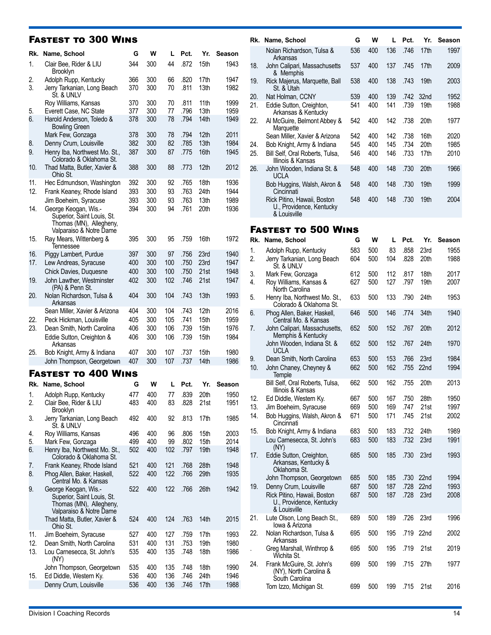### Fastest to 300 Wins

| Rk.      | Name, School                                                                                             | G          | W          | L          | Pct.         | Yr.                      | <b>Season</b> |
|----------|----------------------------------------------------------------------------------------------------------|------------|------------|------------|--------------|--------------------------|---------------|
| 1.       | Clair Bee, Rider & LIU<br>Brooklyn                                                                       | 344        | 300        | 44         | .872         | 15th                     | 1943          |
| 2.<br>3. | Adolph Rupp, Kentucky<br>Jerry Tarkanian, Long Beach<br>St. & UNLV                                       | 366<br>370 | 300<br>300 | 66<br>70   | .820<br>.811 | 17th<br>13th             | 1947<br>1982  |
| 5.       | Roy Williams, Kansas<br>Everett Case, NC State                                                           | 370<br>377 | 300<br>300 | 70<br>77   | .811<br>.796 | 11 <sub>th</sub><br>13th | 1999<br>1959  |
| 6.       | Harold Anderson, Toledo &<br><b>Bowling Green</b>                                                        | 378        | 300        | 78         | .794         | 14th                     | 1949          |
| 8.       | Mark Few, Gonzaga<br>Denny Crum, Louisville                                                              | 378<br>382 | 300<br>300 | 78<br>82   | .794<br>.785 | 12 <sub>th</sub><br>13th | 2011<br>1984  |
| 9.       | Henry Iba, Northwest Mo. St.,<br>Colorado & Oklahoma St.                                                 | 387        | 300        | 87         | .775         | 16th                     | 1945          |
| 10.      | Thad Matta, Butler, Xavier &<br>Ohio St.                                                                 | 388        | 300        | 88         | .773         | 12th                     | 2012          |
| 11.      | Hec Edmundson, Washington                                                                                | 392        | 300        | 92         | .765         | 18th                     | 1936          |
| 12.      | Frank Keaney, Rhode Island                                                                               | 393        | 300        | 93         | .763         | 24th                     | 1944          |
|          | Jim Boeheim, Syracuse                                                                                    | 393        | 300        | 93         | .763         | 13th                     | 1989          |
| 14.      | George Keogan, Wis.-<br>Superior, Saint Louis, St.<br>Thomas (MN), Allegheny,                            | 394        | 300        | 94         | .761         | 20th                     | 1936          |
| 15.      | Valparaiso & Notre Dame<br>Ray Mears, Wittenberg &<br>Tennessee                                          | 395        | 300        | 95         | .759         | 16th                     | 1972          |
| 16.      | Piggy Lambert, Purdue                                                                                    | 397        | 300        | 97         | .756         | 23rd                     | 1940          |
| 17.      | Lew Andreas, Syracuse                                                                                    | 400        | 300        | 100        | .750         | 23rd                     | 1947          |
|          | Chick Davies, Duquesne                                                                                   | 400        | 300        | 100        | .750         | 21st                     | 1948          |
| 19.      | John Lawther, Westminster<br>(PA) & Penn St.                                                             | 402        | 300        | 102        | .746         | 21st                     | 1947          |
| 20.      | Nolan Richardson, Tulsa &<br>Arkansas                                                                    | 404        | 300        | 104        | .743         | 13th                     | 1993          |
|          | Sean Miller, Xavier & Arizona                                                                            | 404        | 300        | 104        | .743         | 12th                     | 2016          |
| 22.      | Peck Hickman, Louisville                                                                                 | 405        | 300        | 105        | .741         | 15th                     | 1959          |
| 23.      | Dean Smith, North Carolina<br>Eddie Sutton, Creighton &<br>Arkansas                                      | 406<br>406 | 300<br>300 | 106<br>106 | .739<br>.739 | 15th<br>15th             | 1976<br>1984  |
| 25.      | Bob Knight, Army & Indiana                                                                               | 407        | 300        | 107        | .737         | 15th                     | 1980          |
|          | John Thompson, Georgetown                                                                                | 407        | 300        | 107        | .737         | 14th                     | 1986          |
|          | <b>FASTEST TO 400 WINS</b>                                                                               |            |            |            |              |                          |               |
| Rk.      | Name, School                                                                                             | G          | W          | L          | Pct.         | Yr.                      | Season        |
| 1.<br>2. | Adolph Rupp, Kentucky<br>Clair Bee, Rider & LIU                                                          | 477<br>483 | 400<br>400 | 77<br>83   | .839<br>.828 | 20th<br>21st             | 1950<br>1951  |
| 3.       | Brooklyn<br>Jerry Tarkanian, Long Beach<br>St. & UNLV                                                    | 492        | 400        | 92         | .813         | 17th                     | 1985          |
| 4.       | Roy Williams, Kansas                                                                                     | 496        | 400        | 96         | .806         | 15th                     | 2003          |
| 5.       | Mark Few, Gonzaga                                                                                        | 499        | 400        | 99         | .802         | 15th                     | 2014          |
| 6.       | Henry Iba, Northwest Mo. St.,<br>Colorado & Oklahoma St.                                                 | 502        | 400        | 102        | .797         | 19th                     | 1948          |
| 7.<br>8. | Frank Keaney, Rhode Island<br>Phog Allen, Baker, Haskell,<br>Central Mo. & Kansas                        | 521<br>522 | 400<br>400 | 121<br>122 | .768<br>.766 | 28th<br>29th             | 1948<br>1935  |
| 9.       | George Keogan, Wis.-<br>Superior, Saint Louis, St.<br>Thomas (MN), Allegheny,<br>Valparaiso & Notre Dame | 522        | 400        | 122        | .766         | 26th                     | 1942          |
|          | Thad Matta, Butler, Xavier &<br>Ohio St.                                                                 | 524        | 400        | 124        | .763         | 14th                     | 2015          |
| 11.      | Jim Boeheim, Syracuse                                                                                    | 527        | 400        | 127        | .759         | 17th                     | 1993          |
| 12.      | Dean Smith, North Carolina                                                                               | 531        | 400        | 131        | .753         | 19th                     | 1980          |
| 13.      | Lou Carnesecca, St. John's<br>(NY)                                                                       | 535        | 400        | 135        | .748         | 18th                     | 1986          |
|          | John Thompson, Georgetown                                                                                | 535        | 400        | 135        | .748         | 18th                     | 1990          |
| 15.      | Ed Diddle, Western Ky.<br>Denny Crum, Louisville                                                         | 536<br>536 | 400<br>400 | 136<br>136 | .746<br>.746 | 24th<br>17th             | 1946<br>1988  |

| Rk. | Name, School                                                            | G   | w   | L   | Pct. | Yr.  | <b>Season</b> |
|-----|-------------------------------------------------------------------------|-----|-----|-----|------|------|---------------|
|     |                                                                         |     |     |     |      |      |               |
|     | Nolan Richardson, Tulsa &<br>Arkansas                                   | 536 | 400 | 136 | .746 | 17th | 1997          |
| 18. | John Calipari, Massachusetts<br>& Memphis                               | 537 | 400 | 137 | .745 | 17th | 2009          |
| 19. | Rick Majerus, Marquette, Ball<br>St. & Utah                             | 538 | 400 | 138 | .743 | 19th | 2003          |
| 20. | Nat Holman, CCNY                                                        | 539 | 400 | 139 | .742 | 32nd | 1952          |
| 21. | Eddie Sutton, Creighton,<br>Arkansas & Kentucky                         | 541 | 400 | 141 | .739 | 19th | 1988          |
| 22. | Al McGuire, Belmont Abbey &<br>Marquette                                | 542 | 400 | 142 | .738 | 20th | 1977          |
|     | Sean Miller, Xavier & Arizona                                           | 542 | 400 | 142 | .738 | 16th | 2020          |
| 24. | Bob Knight, Army & Indiana                                              | 545 | 400 | 145 | .734 | 20th | 1985          |
| 25. | Bill Self, Oral Roberts, Tulsa,<br>Illinois & Kansas                    | 546 | 400 | 146 | .733 | 17th | 2010          |
| 26. | John Wooden, Indiana St. &<br><b>UCLA</b>                               | 548 | 400 | 148 | .730 | 20th | 1966          |
|     | Bob Huggins, Walsh, Akron &<br>Cincinnati                               | 548 | 400 | 148 | .730 | 19th | 1999          |
|     | Rick Pitino, Hawaii, Boston<br>U., Providence, Kentucky<br>& Louisville | 548 | 400 | 148 | .730 | 19th | 2004          |
|     |                                                                         |     |     |     |      |      |               |
|     | <b>FASTEST TO 500 WINS</b>                                              |     |     |     |      |      |               |
|     | Rk. Name, School                                                        | G   | W   |     | Pct. | Yr.  | Season        |

| Rk.               | Name, School                                                                                      | G                 | W                 | L                 | Pct.                 | Yr.                      | Season               |
|-------------------|---------------------------------------------------------------------------------------------------|-------------------|-------------------|-------------------|----------------------|--------------------------|----------------------|
| 1.<br>2.          | Adolph Rupp, Kentucky<br>Jerry Tarkanian, Long Beach<br>St. & UNLV                                | 583<br>604        | 500<br>500        | 83<br>104         | .858<br>.828         | 23rd<br>20th             | 1955<br>1988         |
| 3.<br>4.          | Mark Few, Gonzaga<br>Roy Williams, Kansas &                                                       | 612<br>627        | 500<br>500        | 112<br>127        | .817<br>.797         | 18th<br>19th             | 2017<br>2007         |
| 5.                | North Carolina<br>Henry Iba, Northwest Mo. St.,<br>Colorado & Oklahoma St.                        | 633               | 500               | 133               | .790                 | 24th                     | 1953                 |
| 6.                | Phog Allen, Baker, Haskell,<br>Central Mo. & Kansas                                               | 646               | 500               | 146               | .774                 | 34th                     | 1940                 |
| 7.                | John Calipari, Massachusetts,<br>Memphis & Kentucky                                               | 652               | 500               | 152               | .767                 | 20th                     | 2012                 |
|                   | John Wooden, Indiana St. &<br><b>UCLA</b>                                                         | 652               | 500               | 152               | .767                 | 24th                     | 1970                 |
| 9.<br>10.         | Dean Smith, North Carolina<br>John Chaney, Cheyney &<br>Temple                                    | 653<br>662        | 500<br>500        | 153<br>162        | .766<br>.755         | 23rd<br>22nd             | 1984<br>1994         |
|                   | Bill Self, Oral Roberts, Tulsa,<br>Illinois & Kansas                                              | 662               | 500               | 162               | .755                 | 20th                     | 2013                 |
| 12.<br>13.<br>14. | Ed Diddle, Western Ky.<br>Jim Boeheim, Syracuse<br>Bob Huggins, Walsh, Akron &                    | 667<br>669<br>671 | 500<br>500<br>500 | 167<br>169<br>171 | .750<br>.747<br>.745 | 28th<br>21st<br>21st     | 1950<br>1997<br>2002 |
| 15.               | Cincinnati<br>Bob Knight, Army & Indiana                                                          | 683               | 500               | 183               | .732                 | 24th                     | 1989                 |
|                   | Lou Carnesecca, St. John's<br>(NY)                                                                | 683               | 500               | 183               | .732                 | 23rd                     | 1991                 |
| 17.               | Eddie Sutton, Creighton,<br>Arkansas, Kentucky &<br>Oklahoma St.                                  | 685               | 500               | 185               | .730                 | 23rd                     | 1993                 |
|                   | John Thompson, Georgetown                                                                         | 685               | 500               | 185               | .730                 | 22nd                     | 1994                 |
| 19.               | Denny Crum, Louisville<br>Rick Pitino, Hawaii, Boston<br>U., Providence, Kentucky<br>& Louisville | 687<br>687        | 500<br>500        | 187<br>187        | .728<br>.728         | 22 <sub>nd</sub><br>23rd | 1993<br>2008         |
| 21.               | Lute Olson, Long Beach St.,<br>lowa & Arizona                                                     | 689               | 500               | 189               | .726                 | 23rd                     | 1996                 |
| 22.               | Nolan Richardson, Tulsa &<br>Arkansas                                                             | 695               | 500               | 195               | .719                 | 22nd                     | 2002                 |
|                   | Greg Marshall, Winthrop &<br>Wichita St.                                                          | 695               | 500               | 195               | .719                 | 21st                     | 2019                 |
| 24.               | Frank McGuire, St. John's<br>(NY), North Carolina &<br>South Carolina                             | 699               | 500               | 199               | .715                 | 27th                     | 1977                 |
|                   | Tom Izzo, Michigan St.                                                                            | 699               | 500               | 199               | .715                 | 21st                     | 2016                 |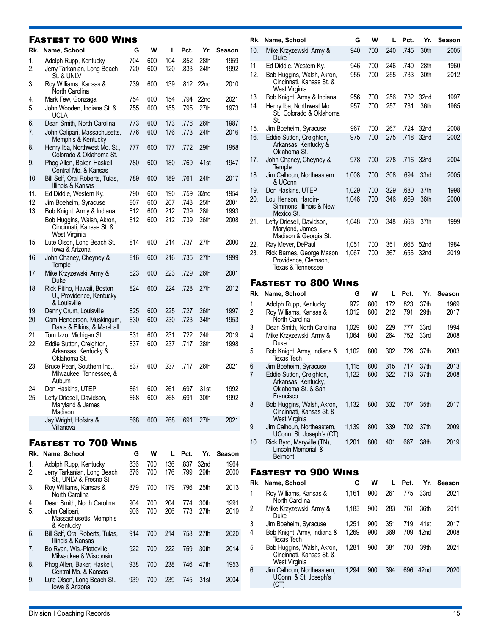#### Fastest to 600 Wins

| Rk.               | Name, School                                                                                                                                             | G                        | W                        | L                        | Pct.                         | Yr.                          | Season                       |
|-------------------|----------------------------------------------------------------------------------------------------------------------------------------------------------|--------------------------|--------------------------|--------------------------|------------------------------|------------------------------|------------------------------|
| 1.<br>2.          | Adolph Rupp, Kentucky<br>Jerry Tarkanian, Long Beach                                                                                                     | 704<br>720               | 600<br>600               | 104<br>120               | .852<br>.833                 | 28th<br>24th                 | 1959<br>1992                 |
| 3.                | St. & UNLV<br>Roy Williams, Kansas &<br>North Carolina                                                                                                   | 739                      | 600                      | 139                      | .812                         | 22nd                         | 2010                         |
| 4.<br>5.          | Mark Few, Gonzaga<br>John Wooden, Indiana St. &<br><b>UCLA</b>                                                                                           | 754<br>755               | 600<br>600               | 154<br>155               | .794<br>.795                 | 22nd<br>27th                 | 2021<br>1973                 |
| 6.<br>7.          | Dean Smith, North Carolina<br>John Calipari, Massachusetts,                                                                                              | 773<br>776               | 600<br>600               | 173<br>176               | .776<br>.773                 | 26th<br>24th                 | 1987<br>2016                 |
| 8.                | Memphis & Kentucky<br>Henry Iba, Northwest Mo. St.,<br>Colorado & Oklahoma St.                                                                           | 777                      | 600                      | 177                      | .772                         | 29th                         | 1958                         |
| 9.                | Phog Allen, Baker, Haskell,<br>Central Mo. & Kansas                                                                                                      | 780                      | 600                      | 180                      | .769                         | 41st                         | 1947                         |
| 10.               | Bill Self, Oral Roberts, Tulas,<br>Illinois & Kansas                                                                                                     | 789                      | 600                      | 189                      | .761                         | 24th                         | 2017                         |
| 11.<br>12.<br>13. | Ed Diddle, Western Ky.<br>Jim Boeheim, Syracuse<br>Bob Knight, Army & Indiana<br>Bob Huggins, Walsh, Akron,<br>Cincinnati, Kansas St. &<br>West Virginia | 790<br>807<br>812<br>812 | 600<br>600<br>600<br>600 | 190<br>207<br>212<br>212 | .759<br>.743<br>.739<br>.739 | 32nd<br>25th<br>28th<br>26th | 1954<br>2001<br>1993<br>2008 |
| 15.               | Lute Olson, Long Beach St.,<br>lowa & Arizona                                                                                                            | 814                      | 600                      | 214                      | .737                         | 27th                         | 2000                         |
| 16.               | John Chaney, Cheyney &<br>Temple                                                                                                                         | 816                      | 600                      | 216                      | .735                         | 27th                         | 1999                         |
| 17.               | Mike Krzyzewski, Army &<br>Duke                                                                                                                          | 823                      | 600                      | 223                      | .729                         | 26th                         | 2001                         |
| 18.               | Rick Pitino, Hawaii, Boston<br>U., Providence, Kentucky<br>& Louisville                                                                                  | 824                      | 600                      | 224                      | .728                         | 27th                         | 2012                         |
| 19.<br>20.        | Denny Crum, Louisville<br>Cam Henderson, Muskingum,<br>Davis & Elkins, & Marshall                                                                        | 825<br>830               | 600<br>600               | 225<br>230               | .727<br>.723                 | 26th<br>34th                 | 1997<br>1953                 |
| 21.<br>22.        | Tom Izzo, Michigan St.<br>Eddie Sutton, Creighton,<br>Arkansas, Kentucky &<br>Oklahoma St.                                                               | 831<br>837               | 600<br>600               | 231<br>237               | .722<br>.717                 | 24th<br>28th                 | 2019<br>1998                 |
| 23.               | Bruce Pearl, Southern Ind.,<br>Milwaukee, Tennessee, &<br>Auburn                                                                                         | 837                      | 600                      | 237                      | .717                         | 26th                         | 2021                         |
| 24.<br>25.        | Don Haskins, UTEP<br>Lefty Driesell, Davidson,<br>Maryland & James<br>Madison                                                                            | 861<br>868               | 600<br>600               | 261<br>268               | .697<br>.691                 | 31st<br>30th                 | 1992<br>1992                 |
|                   | Jay Wright, Hofstra &<br>Villanova                                                                                                                       | 868                      | 600                      | 268                      | .691                         | 27th                         | 2021                         |

### Fastest to 700 Wins

|    | Rk. Name, School                                       | G   | w   |     | Pct. | Yr.              | <b>Season</b> |
|----|--------------------------------------------------------|-----|-----|-----|------|------------------|---------------|
| 1. | Adolph Rupp, Kentucky                                  | 836 | 700 | 136 | .837 | 32 <sub>nd</sub> | 1964          |
| 2. | Jerry Tarkanian, Long Beach<br>St., UNLV & Fresno St.  | 876 | 700 | 176 | .799 | 29th             | 2000          |
| 3. | Roy Williams, Kansas &<br>North Carolina               | 879 | 700 | 179 | .796 | 25th             | 2013          |
| 4. | Dean Smith, North Carolina                             | 904 | 700 | 204 | .774 | 30th             | 1991          |
| 5. | John Calipari,<br>Massachusetts, Memphis<br>& Kentucky | 906 | 700 | 206 | .773 | 27th             | 2019          |
| 6. | Bill Self, Oral Roberts, Tulas,<br>Illinois & Kansas   | 914 | 700 | 214 | .758 | 27th             | 2020          |
| 7. | Bo Ryan, Wis.-Platteville,<br>Milwaukee & Wisconsin    | 922 | 700 | 222 | .759 | 30th             | 2014          |
| 8. | Phog Allen, Baker, Haskell,<br>Central Mo. & Kansas    | 938 | 700 | 238 | .746 | 47th             | 1953          |
| 9. | Lute Olson, Long Beach St.,<br>lowa & Arizona          | 939 | 700 | 239 | .745 | 31st             | 2004          |

| Rk.        | Name, School                                                                                      | G          | w          | L          | Pct.         | Yr.              | <b>Season</b> |
|------------|---------------------------------------------------------------------------------------------------|------------|------------|------------|--------------|------------------|---------------|
| 10.        | Mike Krzyzewski, Army &<br>Duke                                                                   | 940        | 700        | 240        | .745         | 30th             | 2005          |
| 11.<br>12. | Ed Diddle, Western Ky.<br>Bob Huggins, Walsh, Akron,<br>Cincinnati, Kansas St. &<br>West Virginia | 946<br>955 | 700<br>700 | 246<br>255 | .740<br>.733 | 28th<br>30th     | 1960<br>2012  |
| 13.        | Bob Knight, Army & Indiana                                                                        | 956        | 700        | 256        | .732         | 32nd             | 1997          |
| 14.        | Henry Iba, Northwest Mo.<br>St., Colorado & Oklahoma<br>St.                                       | 957        | 700        | 257        | .731         | 36th             | 1965          |
| 15.        | Jim Boeheim, Syracuse                                                                             | 967        | 700        | 267        | .724         | 32 <sub>nd</sub> | 2008          |
| 16.        | Eddie Sutton, Creighton,<br>Arkansas, Kentucky &<br>Oklahoma St.                                  | 975        | 700        | 275        | .718         | 32nd             | 2002          |
| 17.        | John Chaney, Cheyney &<br>Temple                                                                  | 978        | 700        | 278        | .716         | 32nd             | 2004          |
| 18.        | Jim Calhoun, Northeastern<br>& UConn                                                              | 1,008      | 700        | 308        | .694         | 33rd             | 2005          |
| 19.        | Don Haskins, UTEP                                                                                 | 1,029      | 700        | 329        | .680         | 37 <sub>th</sub> | 1998          |
| 20.        | Lou Henson, Hardin-<br>Simmons, Illinois & New<br>Mexico St.                                      | 1,046      | 700        | 346        | .669         | 36th             | 2000          |
| 21.        | Lefty Driesell, Davidson,<br>Maryland, James<br>Madison & Georgia St.                             | 1,048      | 700        | 348        | .668         | 37th             | 1999          |
| 22.        | Ray Meyer, DePaul                                                                                 | 1,051      | 700        | 351        | .666         | 52 <sub>nd</sub> | 1984          |
| 23.        | Rick Barnes, George Mason,<br>Providence, Clemson,<br>Texas & Tennessee                           | 1,067      | 700        | 367        | .656         | 32nd             | 2019          |
|            | <b>FASTEST TO 800 WINS</b>                                                                        |            |            |            |              |                  |               |
|            | Rk. Name, School                                                                                  | G          | W          |            | Pct.         | Yr.              | Season        |
|            |                                                                                                   |            |            |            |              |                  |               |

| KK. | Name, School                                                                       | u     | vv  | L   | PCT. | Yr.  | season |
|-----|------------------------------------------------------------------------------------|-------|-----|-----|------|------|--------|
|     | Adolph Rupp, Kentucky                                                              | 972   | 800 | 172 | .823 | 37th | 1969   |
| 2.  | Roy Williams, Kansas &<br>North Carolina                                           | 1,012 | 800 | 212 | .791 | 29th | 2017   |
| 3.  | Dean Smith, North Carolina                                                         | 1,029 | 800 | 229 | .777 | 33rd | 1994   |
| 4.  | Mike Krzyzewski, Army &<br>Duke                                                    | 1,064 | 800 | 264 | .752 | 33rd | 2008   |
| 5.  | Bob Knight, Army, Indiana &<br>Texas Tech                                          | 1,102 | 800 | 302 | .726 | 37th | 2003   |
| 6.  | Jim Boeheim, Syracuse                                                              | 1,115 | 800 | 315 | .717 | 37th | 2013   |
| 7.  | Eddie Sutton, Creighton,<br>Arkansas, Kentucky,<br>Oklahoma St. & San<br>Francisco | 1,122 | 800 | 322 | .713 | 37th | 2008   |
| 8.  | Bob Huggins, Walsh, Akron,<br>Cincinnati, Kansas St. &<br>West Virginia            | 1.132 | 800 | 332 | .707 | 35th | 2017   |
| 9.  | Jim Calhoun, Northeastern,<br>UConn, St. Joseph's (CT)                             | 1,139 | 800 | 339 | .702 | 37th | 2009   |
| 10. | Rick Byrd, Maryville (TN),<br>Lincoln Memorial, &<br><b>Belmont</b>                | 1,201 | 800 | 401 | .667 | 38th | 2019   |

### Fastest to 900 Wins

| Rk. Name, School                                                        | G     | w   | L.  | Pct. | Yr.              | Season |
|-------------------------------------------------------------------------|-------|-----|-----|------|------------------|--------|
| Roy Williams, Kansas &<br>North Carolina                                | 1.161 | 900 | 261 | .775 | 33rd             | 2021   |
| Mike Krzyzewski, Army &<br>Duke                                         | 1.183 | 900 | 283 | .761 | 36th             | 2011   |
| Jim Boeheim, Syracuse                                                   | 1,251 | 900 | 351 | .719 | 41st             | 2017   |
| Bob Knight, Army, Indiana &<br>Texas Tech                               | 1.269 | 900 | 369 | .709 | 42nd             | 2008   |
| Bob Huggins, Walsh, Akron,<br>Cincinnati, Kansas St. &<br>West Virginia | 1.281 | 900 | 381 | .703 | 39th             | 2021   |
| Jim Calhoun, Northeastern,<br>UConn, & St. Joseph's<br>(CT)             | 1.294 | 900 | 394 | .696 | 42 <sub>nd</sub> | 2020   |
|                                                                         |       |     |     |      |                  |        |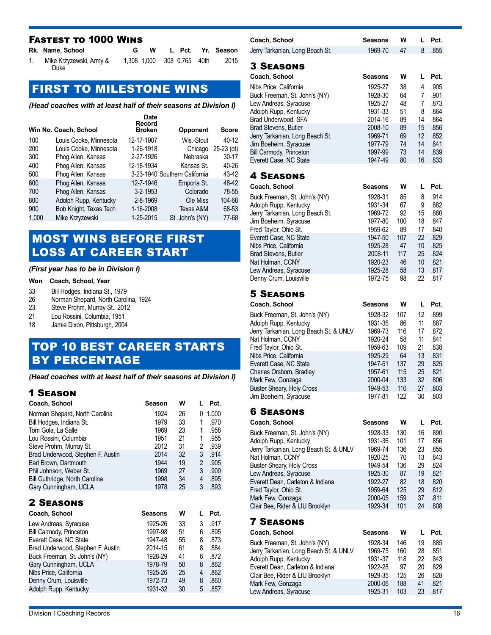### Fastest to 1000 Wins

| Rk. Name, School                | W                          |  | L Pct. Yr. Season |
|---------------------------------|----------------------------|--|-------------------|
| Mike Krzyzewski, Army &<br>Duke | 1.308 1.000 308 0.765 40th |  | 2015              |

# FIRST TO MILESTONE WINS

*(Head coaches with at least half of their seasons at Division I)*

|       | Win No. Coach, School  | Date<br>Record<br><b>Broken</b> | Opponent                      | Score        |
|-------|------------------------|---------------------------------|-------------------------------|--------------|
| 100   | Louis Cooke, Minnesota | 12-17-1907                      | Wis.-Stout                    | 40-12        |
| 200   | Louis Cooke, Minnesota | 1-26-1918                       | Chicago                       | $25-23$ (ot) |
| 300   | Phog Allen, Kansas     | 2-27-1926                       | Nebraska                      | 30-17        |
| 400   | Phog Allen, Kansas     | 12-18-1934                      | Kansas St.                    | 40-26        |
| 500   | Phog Allen, Kansas     |                                 | 3-23-1940 Southern California | 43-42        |
| 600   | Phog Allen, Kansas     | 12-7-1946                       | Emporia St.                   | 48-42        |
| 700   | Phog Allen, Kansas     | $3 - 2 - 1953$                  | Colorado                      | 78-55        |
| 800   | Adolph Rupp, Kentucky  | $2 - 8 - 1969$                  | Ole Miss                      | 104-68       |
| 900   | Bob Knight, Texas Tech | 1-16-2008                       | Texas A&M                     | 68-53        |
| 1,000 | Mike Krzyzewski        | 1-25-2015                       | St. John's (NY)               | 77-68        |
|       |                        |                                 |                               |              |

### MOST WINS BEFORE FIRST LOSS AT CAREER START

#### *(First year has to be in Division I)*

#### **Won Coach, School, Year**

- 33 Bill Hodges, Indiana St., 1979<br>26 Norman Shepard, North Carol
- 26 Norman Shepard, North Carolina, 1924<br>23 Steve Prohm. Murray St., 2012
- 23 Steve Prohm, Murray St., 2012<br>21 Lou Rossini. Columbia. 1951
- Lou Rossini, Columbia, 1951
- 18 Jamie Dixon, Pittsburgh, 2004

# TOP 10 BEST CAREER STARTS BY PERCENTAGE

*(Head coaches with at least half of their seasons at Division I)*

| 1.000<br>1924<br>26<br>Norman Shepard, North Carolina<br>0<br>33<br>Bill Hodges, Indiana St.<br>1979<br>.970<br>1<br>Tom Gola, La Salle<br>1969<br>23<br>1<br>.958<br>21<br>Lou Rossini, Columbia<br>1951<br>1<br>.955<br>Steve Prohm, Murray St.<br>2012<br>31<br>2<br>.939<br>3<br>2014<br>32<br>.914<br>Brad Underwood, Stephen F. Austin<br>$\overline{a}$<br>19<br>1944<br>Earl Brown, Dartmouth<br>.905<br>3<br>1969<br>27<br>.900<br>Phil Johnson, Weber St.<br>34<br>1998<br>.895<br>Bill Guthridge, North Carolina<br>4<br>3<br>.893<br>1978<br>25<br>Gary Cunningham, UCLA<br><b>2 SEASONS</b><br>Pct.<br>Coach, School<br>w<br>L<br>Seasons<br>33<br>3<br>.917<br>1925-26<br>Lew Andreas, Syracuse<br>1997-98<br>51<br>.895<br>Bill Carmody, Princeton<br>6<br>1947-48<br>Everett Case, NC State<br>55<br>8<br>.873<br>2014-15<br>61<br>8<br>.884<br>Brad Underwood, Stephen F. Austin<br>1928-29<br>41<br>.872<br>Buck Freeman, St. John's (NY)<br>6<br>Gary Cunningham, UCLA<br>.862<br>1978-79<br>50<br>8<br>.862<br>Nibs Price, California<br>1925-26<br>25<br>4<br>1972-73<br>49<br>.860<br>Denny Crum, Louisville<br>8 | Coach, School | Season | W | L | Pct. |
|-----------------------------------------------------------------------------------------------------------------------------------------------------------------------------------------------------------------------------------------------------------------------------------------------------------------------------------------------------------------------------------------------------------------------------------------------------------------------------------------------------------------------------------------------------------------------------------------------------------------------------------------------------------------------------------------------------------------------------------------------------------------------------------------------------------------------------------------------------------------------------------------------------------------------------------------------------------------------------------------------------------------------------------------------------------------------------------------------------------------------------------------|---------------|--------|---|---|------|
|                                                                                                                                                                                                                                                                                                                                                                                                                                                                                                                                                                                                                                                                                                                                                                                                                                                                                                                                                                                                                                                                                                                                         |               |        |   |   |      |
|                                                                                                                                                                                                                                                                                                                                                                                                                                                                                                                                                                                                                                                                                                                                                                                                                                                                                                                                                                                                                                                                                                                                         |               |        |   |   |      |
|                                                                                                                                                                                                                                                                                                                                                                                                                                                                                                                                                                                                                                                                                                                                                                                                                                                                                                                                                                                                                                                                                                                                         |               |        |   |   |      |
|                                                                                                                                                                                                                                                                                                                                                                                                                                                                                                                                                                                                                                                                                                                                                                                                                                                                                                                                                                                                                                                                                                                                         |               |        |   |   |      |
|                                                                                                                                                                                                                                                                                                                                                                                                                                                                                                                                                                                                                                                                                                                                                                                                                                                                                                                                                                                                                                                                                                                                         |               |        |   |   |      |
|                                                                                                                                                                                                                                                                                                                                                                                                                                                                                                                                                                                                                                                                                                                                                                                                                                                                                                                                                                                                                                                                                                                                         |               |        |   |   |      |
|                                                                                                                                                                                                                                                                                                                                                                                                                                                                                                                                                                                                                                                                                                                                                                                                                                                                                                                                                                                                                                                                                                                                         |               |        |   |   |      |
|                                                                                                                                                                                                                                                                                                                                                                                                                                                                                                                                                                                                                                                                                                                                                                                                                                                                                                                                                                                                                                                                                                                                         |               |        |   |   |      |
|                                                                                                                                                                                                                                                                                                                                                                                                                                                                                                                                                                                                                                                                                                                                                                                                                                                                                                                                                                                                                                                                                                                                         |               |        |   |   |      |
|                                                                                                                                                                                                                                                                                                                                                                                                                                                                                                                                                                                                                                                                                                                                                                                                                                                                                                                                                                                                                                                                                                                                         |               |        |   |   |      |
|                                                                                                                                                                                                                                                                                                                                                                                                                                                                                                                                                                                                                                                                                                                                                                                                                                                                                                                                                                                                                                                                                                                                         |               |        |   |   |      |
|                                                                                                                                                                                                                                                                                                                                                                                                                                                                                                                                                                                                                                                                                                                                                                                                                                                                                                                                                                                                                                                                                                                                         |               |        |   |   |      |
|                                                                                                                                                                                                                                                                                                                                                                                                                                                                                                                                                                                                                                                                                                                                                                                                                                                                                                                                                                                                                                                                                                                                         |               |        |   |   |      |
|                                                                                                                                                                                                                                                                                                                                                                                                                                                                                                                                                                                                                                                                                                                                                                                                                                                                                                                                                                                                                                                                                                                                         |               |        |   |   |      |
|                                                                                                                                                                                                                                                                                                                                                                                                                                                                                                                                                                                                                                                                                                                                                                                                                                                                                                                                                                                                                                                                                                                                         |               |        |   |   |      |
|                                                                                                                                                                                                                                                                                                                                                                                                                                                                                                                                                                                                                                                                                                                                                                                                                                                                                                                                                                                                                                                                                                                                         |               |        |   |   |      |
|                                                                                                                                                                                                                                                                                                                                                                                                                                                                                                                                                                                                                                                                                                                                                                                                                                                                                                                                                                                                                                                                                                                                         |               |        |   |   |      |
|                                                                                                                                                                                                                                                                                                                                                                                                                                                                                                                                                                                                                                                                                                                                                                                                                                                                                                                                                                                                                                                                                                                                         |               |        |   |   |      |
|                                                                                                                                                                                                                                                                                                                                                                                                                                                                                                                                                                                                                                                                                                                                                                                                                                                                                                                                                                                                                                                                                                                                         |               |        |   |   |      |
|                                                                                                                                                                                                                                                                                                                                                                                                                                                                                                                                                                                                                                                                                                                                                                                                                                                                                                                                                                                                                                                                                                                                         |               |        |   |   |      |
| 1931-32<br>5<br>.857<br>Adolph Rupp, Kentucky<br>30                                                                                                                                                                                                                                                                                                                                                                                                                                                                                                                                                                                                                                                                                                                                                                                                                                                                                                                                                                                                                                                                                     |               |        |   |   |      |

| Coach, School                                                  | Seasons            | w          | L        | Pct.         |
|----------------------------------------------------------------|--------------------|------------|----------|--------------|
| Jerry Tarkanian, Long Beach St.                                | 1969-70            | 47         | 8        | .855         |
|                                                                |                    |            |          |              |
| <b>3 SEASONS</b>                                               |                    |            |          |              |
| Coach, School                                                  | <b>Seasons</b>     | W          | L        | Pct.         |
| Nibs Price, California                                         | 1925-27            | 38         | 4        | .905         |
| Buck Freeman, St. John's (NY)                                  | 1928-30            | 64         | 7        | .901         |
| Lew Andreas, Syracuse                                          | 1925-27            | 48         | 7        | .873         |
| Adolph Rupp, Kentucky                                          | 1931-33            | 51         | 8        | .864         |
| Brad Underwood, SFA                                            | 2014-16<br>2008-10 | 89<br>89   | 14<br>15 | .864<br>.856 |
| <b>Brad Stevens, Butler</b><br>Jerry Tarkanian, Long Beach St. | 1969-71            | 69         | 12       | .852         |
| Jim Boeheim, Syracuse                                          | 1977-79            | 74         | 14       | .841         |
| <b>Bill Carmody, Princeton</b>                                 | 1997-99            | 73         | 14       | .839         |
| Everett Case, NC State                                         | 1947-49            | 80         | 16       | .833         |
|                                                                |                    |            |          |              |
| <b>4 SEASONS</b>                                               |                    |            |          |              |
| Coach, School                                                  | <b>Seasons</b>     | W          | L        | Pct.         |
| Buck Freeman, St. John's (NY)                                  | 1928-31            | 85         | 8        | .914         |
| Adolph Rupp, Kentucky                                          | 1931-34            | 67         | 9        | .882         |
| Jerry Tarkanian, Long Beach St.                                | 1969-72<br>1977-80 | 92<br>100  | 15<br>18 | .860<br>.847 |
| Jim Boeheim, Syracuse<br>Fred Taylor, Ohio St.                 | 1959-62            | 89         | 17       | .840         |
| Everett Case, NC State                                         | 1947-50            | 107        | 22       | .829         |
| Nibs Price, California                                         | 1925-28            | 47         | 10       | .825         |
| Brad Stevens, Butler                                           | 2008-11            | 117        | 25       | .824         |
| Nat Holman, CCNY                                               | 1920-23            | 46         | 10       | .821         |
| Lew Andreas, Syracuse                                          | 1925-28            | 58         | 13       | .817         |
| Denny Crum, Louisville                                         | 1972-75            | 98         | 22       | .817         |
| <b>5 SEASONS</b>                                               |                    |            |          |              |
| Coach, School                                                  | Seasons            | W          | L        | Pct.         |
| Buck Freeman, St. John's (NY)                                  | 1928-32            | 107        | 12       | .899         |
| Adolph Rupp, Kentucky                                          | 1931-35            | 86         | 11       | .887         |
| Jerry Tarkanian, Long Beach St. & UNLV                         | 1969-73            | 116        | 17       | .872         |
| Nat Holman, CCNY                                               | 1920-24            | 58         | 11       | .841         |
| Fred Taylor, Ohio St.                                          | 1959-63            | 109        | 21       | .838         |
| Nibs Price, California                                         | 1925-29            | 64         | 13       | .831         |
| Everett Case, NC State                                         | 1947-51            | 137        | 29       | .825         |
| Charles Orsborn, Bradley                                       | 1957-61<br>2000-04 | 115<br>133 | 25<br>32 | .821<br>.806 |
| Mark Few, Gonzaga<br><b>Buster Sheary, Holy Cross</b>          | 1949-53            | 110        | 27       | .803         |
| Jim Boeheim, Syracuse                                          | 1977-81            | 122        | 30       | .803         |
|                                                                |                    |            |          |              |
| <b>6 SEASONS</b>                                               |                    |            |          |              |
| Coach, School                                                  | Seasons            | w          | L        | Pct.         |
| Buck Freeman, St. John's (NY)                                  | 1928-33            | 130        | 16       | .890         |
| Adolph Rupp, Kentucky                                          | 1931-36            | 101        | 17       | .856         |
| Jerry Tarkanian, Long Beach St. & UNLV                         | 1969-74            | 136        | 23       | .855         |
| Nat Holman, CCNY<br>Buster Sheary, Holy Cross                  | 1920-25<br>1949-54 | 70<br>136  | 13<br>29 | .843<br>.824 |
| Lew Andreas, Syracuse                                          | 1925-30            | 87         | 19       | .821         |
| Everett Dean, Carleton & Indiana                               | 1922-27            | 82         | 18       | .820         |
| Fred Taylor, Ohio St.                                          | 1959-64            | 125        | 29       | .812         |
| Mark Few, Gonzaga                                              | 2000-05            | 159        | 37       | .811         |
| Clair Bee, Rider & LIU Brooklyn                                | 1929-34            | 101        | 24       | .808         |
| <b>7 SEASONS</b>                                               |                    |            |          |              |
| Coach, School                                                  | Seasons            | W          | L        | Pct.         |
| Buck Freeman, St. John's (NY)                                  | 1928-34            | 146        | 19       | .885         |
| Jerry Tarkanian, Long Beach St. & UNLV                         | 1969-75            | 160        | 28       | .851         |
| Adolph Rupp, Kentucky                                          | 1931-37            | 118        | 22       | .843         |
| Everett Dean, Carleton & Indiana                               | 1922-28            | 97         | 20       | .829         |
| Clair Bee, Rider & LIU Brooklyn                                | 1929-35            | 125        | 26       | .828         |
| Mark Few, Gonzaga                                              | 2000-06            | 188        | 41       | .821         |
| Lew Andreas, Syracuse                                          | 1925-31            | 103        | 23       | .817         |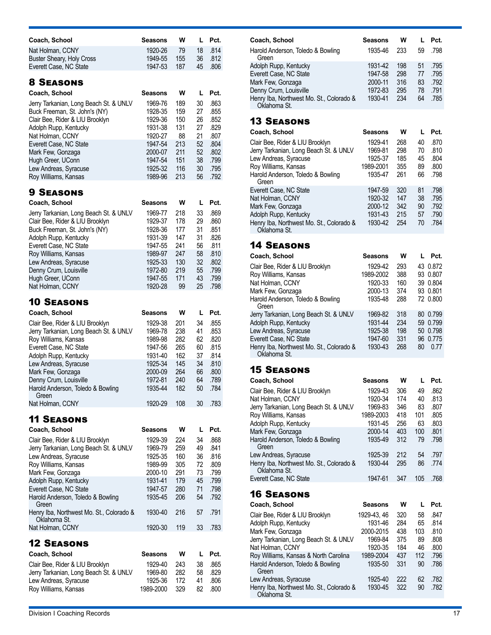| Coach, School                                                    | Seasons            | W          | L        | Pct.         |
|------------------------------------------------------------------|--------------------|------------|----------|--------------|
| Nat Holman, CCNY                                                 | 1920-26            | 79         | 18       | .814         |
| Buster Sheary, Holy Cross                                        | 1949-55            | 155        | 36       | .812         |
| Everett Case, NC State                                           | 1947-53            | 187        | 45       | .806         |
| <b>8 SEASONS</b>                                                 |                    |            |          |              |
|                                                                  |                    |            |          |              |
| Coach, School                                                    | Seasons            | W          | L        | Pct.         |
| Jerry Tarkanian, Long Beach St. & UNLV                           | 1969-76<br>1928-35 | 189<br>159 | 30<br>27 | .863<br>.855 |
| Buck Freeman, St. John's (NY)<br>Clair Bee, Rider & LIU Brooklyn | 1929-36            | 150        | 26       | .852         |
| Adolph Rupp, Kentucky                                            | 1931-38            | 131        | 27       | .829         |
| Nat Holman, CCNY                                                 | 1920-27            | 88         | 21       | .807         |
| Everett Case, NC State                                           | 1947-54            | 213        | 52       | .804         |
| Mark Few, Gonzaga                                                | 2000-07            | 211        | 52       | .802         |
| Hugh Greer, UConn                                                | 1947-54            | 151        | 38       | .799         |
| Lew Andreas, Syracuse                                            | 1925-32            | 116        | 30       | .795         |
| Roy Williams, Kansas                                             | 1989-96            | 213        | 56       | .792         |
| <b>9 SEASONS</b>                                                 |                    |            |          |              |
| Coach, School                                                    | Seasons            | W          | L        | Pct.         |
| Jerry Tarkanian, Long Beach St. & UNLV                           | 1969-77            | 218        | 33       | .869         |
| Clair Bee, Rider & LIU Brooklyn                                  | 1929-37            | 178        | 29       | .860         |
| Buck Freeman, St. John's (NY)                                    | 1928-36            | 177        | 31       | .851         |
| Adolph Rupp, Kentucky                                            | 1931-39            | 147        | 31       | .826         |
| Everett Case, NC State                                           | 1947-55            | 241        | 56       | .811         |
| Roy Williams, Kansas                                             | 1989-97            | 247        | 58       | .810         |
| Lew Andreas, Syracuse                                            | 1925-33<br>1972-80 | 130<br>219 | 32<br>55 | .802<br>.799 |
| Denny Crum, Louisville<br>Hugh Greer, UConn                      | 1947-55            | 171        | 43       | .799         |
| Nat Holman, CCNY                                                 | 1920-28            | 99         | 25       | .798         |
|                                                                  |                    |            |          |              |
| <b>10 SEASONS</b>                                                |                    |            |          |              |
| Coach, School                                                    | Seasons            | W          | L        | Pct.         |
| Clair Bee, Rider & LIU Brooklyn                                  | 1929-38            | 201        | 34       | .855         |
| Jerry Tarkanian, Long Beach St. & UNLV                           | 1969-78            | 238        | 41       | .853         |
| Roy Williams, Kansas                                             | 1989-98<br>1947-56 | 282<br>265 | 62<br>60 | .820<br>.815 |
| Everett Case, NC State<br>Adolph Rupp, Kentucky                  | 1931-40            | 162        | 37       | .814         |
| Lew Andreas, Syracuse                                            | 1925-34            | 145        | 34       | .810         |
| Mark Few, Gonzaga                                                | 2000-09            | 264        | 66       | .800         |
| Denny Crum, Louisville                                           | 1972-81            | 240        | 64       | .789         |
| Harold Anderson, Toledo & Bowling                                | 1935-44            | 182        | 50       | .784         |
| Green<br>Nat Holman, CCNY                                        | 1920-29            | 108        | 30       | .783         |
|                                                                  |                    |            |          |              |
| <b>11 SEASONS</b>                                                |                    |            |          |              |
| Coach, School                                                    | Seasons            | w          | L        | Pct.         |
| Clair Bee, Rider & LIU Brooklyn                                  | 1929-39            | 224        | 34       | .868         |
| Jerry Tarkanian, Long Beach St. & UNLV                           | 1969-79            | 259        | 49       | .841         |
| Lew Andreas, Syracuse                                            | 1925-35            | 160        | 36       | .816         |
| Roy Williams, Kansas                                             | 1989-99<br>2000-10 | 305<br>291 | 72<br>73 | .809<br>.799 |
| Mark Few, Gonzaga<br>Adolph Rupp, Kentucky                       | 1931-41            | 179        | 45       | .799         |
| Everett Case, NC State                                           | 1947-57            | 280        | 71       | .798         |
| Harold Anderson, Toledo & Bowling                                | 1935-45            | 206        | 54       | .792         |
| Green                                                            |                    |            |          |              |
| Henry Iba, Northwest Mo. St., Colorado &                         | 1930-40            | 216        | 57       | .791         |
| Oklahoma St.<br>Nat Holman, CCNY                                 | 1920-30            | 119        | 33       | .783         |
|                                                                  |                    |            |          |              |
| <b>12 Seasons</b>                                                |                    |            |          |              |
| Coach, School                                                    | Seasons            | W          | L        | Pct.         |
| Clair Bee, Rider & LIU Brooklyn                                  | 1929-40            | 243        | 38       | .865         |
| Jerry Tarkanian, Long Beach St. & UNLV                           | 1969-80            | 282        | 58       | .829         |
| Lew Andreas, Syracuse                                            | 1925-36            | 172        | 41       | .806         |
| Roy Williams, Kansas                                             | 1989-2000          | 329        | 82       | .800         |

| Coach, School                                                                                                                                              | <b>Seasons</b>                                      | w                               |                            | Pct.                                 |
|------------------------------------------------------------------------------------------------------------------------------------------------------------|-----------------------------------------------------|---------------------------------|----------------------------|--------------------------------------|
| Harold Anderson, Toledo & Bowling<br>Green                                                                                                                 | 1935-46                                             | 233                             | 59                         | .798                                 |
| Adolph Rupp, Kentucky<br>Everett Case, NC State<br>Mark Few, Gonzaga<br>Denny Crum, Louisville<br>Henry Iba, Northwest Mo. St., Colorado &<br>Oklahoma St. | 1931-42<br>1947-58<br>2000-11<br>1972-83<br>1930-41 | 198<br>298<br>316<br>295<br>234 | 51<br>77<br>83<br>78<br>64 | .795<br>.795<br>.792<br>.791<br>.785 |

| Coach, School                                            | Seasons   | w   |    | Pct. |
|----------------------------------------------------------|-----------|-----|----|------|
| Clair Bee, Rider & LIU Brooklyn                          | 1929-41   | 268 | 40 | .870 |
| Jerry Tarkanian, Long Beach St. & UNLV                   | 1969-81   | 298 | 70 | .810 |
| Lew Andreas, Syracuse                                    | 1925-37   | 185 | 45 | .804 |
| Roy Williams, Kansas                                     | 1989-2001 | 355 | 89 | .800 |
| Harold Anderson, Toledo & Bowling<br>Green               | 1935-47   | 261 | 66 | .798 |
| Everett Case, NC State                                   | 1947-59   | 320 | 81 | .798 |
| Nat Holman, CCNY                                         | 1920-32   | 147 | 38 | .795 |
| Mark Few, Gonzaga                                        | 2000-12   | 342 | 90 | .792 |
| Adolph Rupp, Kentucky                                    | 1931-43   | 215 | 57 | .790 |
| Henry Iba, Northwest Mo. St., Colorado &<br>Oklahoma St. | 1930-42   | 254 | 70 | .784 |

### 14 Seasons

| Coach. School                                            | <b>Seasons</b> | w   |    | Pct.     |
|----------------------------------------------------------|----------------|-----|----|----------|
| Clair Bee, Rider & LIU Brooklyn                          | 1929-42        | 293 |    | 43 0.872 |
| Roy Williams, Kansas                                     | 1989-2002      | 388 |    | 93 0.807 |
| Nat Holman, CCNY                                         | 1920-33        | 160 |    | 39 0.804 |
| Mark Few, Gonzaga                                        | 2000-13        | 374 |    | 93 0.801 |
| Harold Anderson, Toledo & Bowling<br>Green               | 1935-48        | 288 |    | 72 0.800 |
| Jerry Tarkanian, Long Beach St. & UNLV                   | 1969-82        | 318 |    | 80 0.799 |
| Adolph Rupp, Kentucky                                    | 1931-44        | 234 |    | 59 0.799 |
| Lew Andreas, Syracuse                                    | 1925-38        | 198 |    | 50 0.798 |
| Everett Case, NC State                                   | 1947-60        | 331 |    | 96 0.775 |
| Henry Iba, Northwest Mo. St., Colorado &<br>Oklahoma St. | 1930-43        | 268 | 80 | 0.77     |
|                                                          |                |     |    |          |

| Coach, School                                            | Seasons              | w          | L         | Pct.         |
|----------------------------------------------------------|----------------------|------------|-----------|--------------|
| Clair Bee, Rider & LIU Brooklyn<br>Nat Holman, CCNY      | 1929-43<br>1920-34   | 306<br>174 | 49<br>40  | .862<br>.813 |
| Jerry Tarkanian, Long Beach St. & UNLV                   | 1969-83              | 346        | 83        | .807         |
| Roy Williams, Kansas<br>Adolph Rupp, Kentucky            | 1989-2003<br>1931-45 | 418<br>256 | 101<br>63 | .805<br>.803 |
| Mark Few, Gonzaga                                        | 2000-14              | 403        | 100       | .801         |
| Harold Anderson, Toledo & Bowling<br>Green               | 1935-49              | 312        | 79        | .798         |
| Lew Andreas, Syracuse                                    | 1925-39              | 212        | 54        | .797         |
| Henry Iba, Northwest Mo. St., Colorado &<br>Oklahoma St. | 1930-44              | 295        | 86        | .774         |
| Everett Case, NC State                                   | 1947-61              | 347        | 105       | .768         |
|                                                          |                      |            |           |              |
| <b>16 Seasons</b>                                        |                      |            |           |              |
| Coach, School                                            | Seasons              | w          | L         | Pct.         |
| Clair Bee, Rider & LIU Brooklyn                          | 1929-43, 46          | 320        | 58        | .847         |
| Adolph Rupp, Kentucky                                    | 1931-46              | 284        | 65        | .814         |
| Mark Few, Gonzaga                                        | 2000-2015            | 438        | 103       | .810         |
| Jerry Tarkanian, Long Beach St. & UNLV                   | 1969-84              | 375        | 89        | .808         |
| Nat Holman, CCNY                                         | 1920-35              | 184        | 46        | .800         |
| Roy Williams, Kansas & North Carolina                    | 1989-2004            | 437        | 112       | .796         |
| Harold Anderson, Toledo & Bowling<br>Green               | 1935-50              | 331        | 90        | .786         |
| Lew Andreas, Syracuse                                    | 1925-40              | 222        | 62        | .782         |
| Henry Iba, Northwest Mo. St., Colorado &<br>Oklahoma St. | 1930-45              | 322        | 90        | .782         |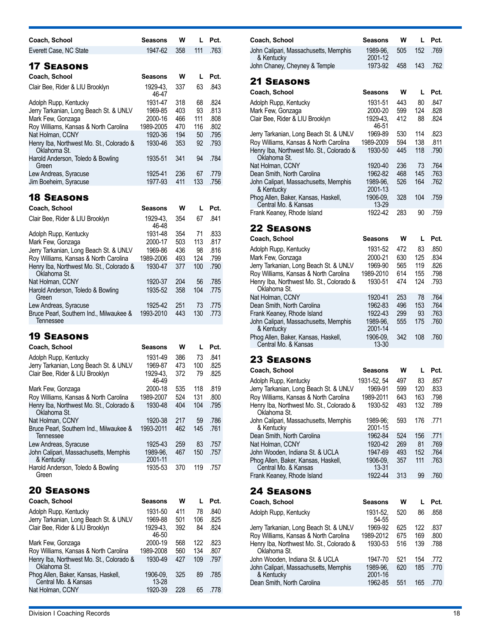| Coach, School                                                                     | Seasons              | W          | L          | Pct.         |
|-----------------------------------------------------------------------------------|----------------------|------------|------------|--------------|
| Everett Case, NC State                                                            | 1947-62              | 358        | 111        | .763         |
|                                                                                   |                      |            |            |              |
| <b>17 SEASONS</b>                                                                 |                      |            |            |              |
| Coach, School                                                                     | Seasons              | W          | L          | Pct.         |
| Clair Bee, Rider & LIU Brooklyn                                                   | 1929-43,<br>46-47    | 337        | 63         | .843         |
| Adolph Rupp, Kentucky                                                             | 1931-47              | 318        | 68         | .824         |
| Jerry Tarkanian, Long Beach St. & UNLV                                            | 1969-85              | 403        | 93         | .813         |
| Mark Few, Gonzaga                                                                 | 2000-16              | 466        | 111        | .808         |
| Roy Williams, Kansas & North Carolina                                             | 1989-2005            | 470        | 116        | .802         |
| Nat Holman, CCNY<br>Henry Iba, Northwest Mo. St., Colorado &                      | 1920-36<br>1930-46   | 194<br>353 | 50<br>92   | .795<br>.793 |
| Oklahoma St.                                                                      |                      |            |            |              |
| Harold Anderson, Toledo & Bowling                                                 | 1935-51              | 341        | 94         | .784         |
| Green                                                                             |                      | 236        |            |              |
| Lew Andreas, Syracuse<br>Jim Boeheim, Syracuse                                    | 1925-41<br>1977-93   | 411        | 67<br>133  | .779<br>.756 |
|                                                                                   |                      |            |            |              |
| <b>18 SEASONS</b>                                                                 |                      |            |            |              |
| Coach, School                                                                     | <b>Seasons</b>       | w          | L          | Pct.         |
| Clair Bee, Rider & LIU Brooklyn                                                   | 1929-43.<br>46-48    | 354        | 67         | .841         |
| Adolph Rupp, Kentucky                                                             | 1931-48              | 354        | 71         | .833         |
| Mark Few, Gonzaga                                                                 | 2000-17              | 503        | 113        | .817         |
| Jerry Tarkanian, Long Beach St. & UNLV                                            | 1969-86              | 436        | 98         | .816         |
| Roy Williams, Kansas & North Carolina<br>Henry Iba, Northwest Mo. St., Colorado & | 1989-2006<br>1930-47 | 493<br>377 | 124<br>100 | .799<br>.790 |
| Oklahoma St.                                                                      |                      |            |            |              |
| Nat Holman, CCNY                                                                  | 1920-37              | 204        | 56         | .785         |
| Harold Anderson, Toledo & Bowling                                                 | 1935-52              | 358        | 104        | .775         |
| Green<br>Lew Andreas, Syracuse                                                    | 1925-42              | 251        | 73         | .775         |
| Bruce Pearl, Southern Ind., Milwaukee &                                           | 1993-2010            | 443        | 130        | .773         |
| Tennessee                                                                         |                      |            |            |              |
| <b>19 SEASONS</b>                                                                 |                      |            |            |              |
| Coach, School                                                                     | <b>Seasons</b>       | w          | L          | Pct.         |
| Adolph Rupp, Kentucky                                                             | 1931-49              | 386        | 73         | .841         |
| Jerry Tarkanian, Long Beach St. & UNLV                                            | 1969-87              | 473        | 100        | .825         |
| Clair Bee, Rider & LIU Brooklyn                                                   | 1929-43.<br>46-49    | 372        | 79         | .825         |
| Mark Few, Gonzaga                                                                 | 2000-18              | 535        | 118        | .819         |
| Roy Williams, Kansas & North Carolina                                             | 1989-2007            | 524        | 131        | .800         |
| Henry Iba, Northwest Mo. St., Colorado &                                          | 1930-48              | 404        | 104        | .795         |
| Oklahoma St.                                                                      | 1920-38              | 217        | 59         | .786         |
| Nat Holman, CCNY<br>Bruce Pearl, Southern Ind., Milwaukee &                       | 1993-2011            | 462        | 145        | .761         |
| Tennessee                                                                         |                      |            |            |              |
| Lew Andreas, Syracuse                                                             | 1925-43              | 259        | 83         | .757         |
| John Calipari, Massachusetts, Memphis                                             | 1989-96,             | 467        | 150        | .757         |
| & Kentucky<br>Harold Anderson, Toledo & Bowling                                   | 2001-11<br>1935-53   | 370        | 119        | .757         |
| Green                                                                             |                      |            |            |              |
|                                                                                   |                      |            |            |              |
| <b>20 SEASONS</b>                                                                 |                      |            |            |              |
| Coach, School                                                                     | Seasons              | w          | L          | Pct.         |
| Adolph Rupp, Kentucky                                                             | 1931-50              | 411        | 78         | .840         |
| Jerry Tarkanian, Long Beach St. & UNLV<br>Clair Ree Rider & I II I Brooklyn       | 1969-88<br>1929-43   | 501<br>392 | 106<br>84  | .825<br>824  |

| Jerry Tarkanian, Long Beach St. & UNLV                      | 1969-88           | 501 | 106 | .825 |
|-------------------------------------------------------------|-------------------|-----|-----|------|
| Clair Bee, Rider & LIU Brooklyn                             | 1929-43.<br>46-50 | 392 | 84  | .824 |
| Mark Few, Gonzaga                                           | 2000-19           | 568 | 122 | .823 |
| Roy Williams, Kansas & North Carolina                       | 1989-2008         | 560 | 134 | .807 |
| Henry Iba, Northwest Mo. St., Colorado &<br>Oklahoma St.    | 1930-49           | 427 | 109 | .797 |
| Phog Allen, Baker, Kansas, Haskell,<br>Central Mo. & Kansas | 1906-09.<br>13-28 | 325 | 89  | .785 |
| Nat Holman, CCNY                                            | 1920-39           | 228 | 65  | .778 |
|                                                             |                   |     |     |      |

| טט טבעו              | <u>.</u>   |            | ں ، ،        | <u>oonn Odilpan, massachasctts, mcmpnis</u>        | טט טטע                                                                                                                                                            | ັບບບ                                                                                                | .                 | .                 |
|----------------------|------------|------------|--------------|----------------------------------------------------|-------------------------------------------------------------------------------------------------------------------------------------------------------------------|-----------------------------------------------------------------------------------------------------|-------------------|-------------------|
|                      |            |            |              | Dean Smith, North Carolina                         | 1962-84                                                                                                                                                           | 524                                                                                                 | 156               | .771              |
| 1925-43              | 259        | 83         | .757         | Nat Holman, CCNY                                   | 1920-42                                                                                                                                                           | 269                                                                                                 | 81                | .769              |
| 1989-96.<br>2001-11  | 467        | 150        | .757         | John Wooden. Indiana St. & UCLA                    | 1947-69                                                                                                                                                           | 493<br>357                                                                                          | 152<br>111        | .764<br>.763      |
| 1935-53              | 370        | 119        | .757         | Central Mo. & Kansas<br>Frank Keaney, Rhode Island | 13-31<br>1922-44                                                                                                                                                  | 313                                                                                                 | 99                | .760              |
|                      |            |            |              | <b>24 SEASONS</b>                                  |                                                                                                                                                                   |                                                                                                     |                   |                   |
| <b>Seasons</b>       | W          |            | Pct.         | Coach, School                                      | Seasons                                                                                                                                                           | W                                                                                                   | L.                | Pct.              |
| 1931-50<br>1969-88   | 411<br>501 | 78<br>106  | .840<br>.825 | Adolph Rupp, Kentucky                              | 1931-52,<br>54-55                                                                                                                                                 | 520                                                                                                 | 86                | .858              |
| 1929-43,<br>46-50    | 392        | 84         | .824         | Jerry Tarkanian, Long Beach St. & UNLV             | 1969-92                                                                                                                                                           | 625                                                                                                 | 122               | .837<br>.800      |
| 2000-19<br>1989-2008 | 568<br>560 | 122<br>134 | .823<br>.807 | Oklahoma St.                                       | 1930-53                                                                                                                                                           | 516                                                                                                 | 139               | .788              |
| 1930-49              | 427        | 109        | .797         | John Wooden, Indiana St. & UCLA                    | 1947-70                                                                                                                                                           | 521                                                                                                 | 154               | .772<br>.770      |
| 1906-09,<br>13-28    | 325        | 89         | .785         | & Kentucky                                         | 2001-16                                                                                                                                                           |                                                                                                     |                   | .770              |
| 1920-39              | 228        | 65         | .778         |                                                    |                                                                                                                                                                   |                                                                                                     |                   |                   |
|                      |            |            |              |                                                    |                                                                                                                                                                   |                                                                                                     |                   |                   |
|                      | 1993-2011  | 462        | 145          | .761<br>L.                                         | & Kentucky<br>Phog Allen, Baker, Kansas, Haskell,<br>Roy Williams, Kansas & North Carolina<br>John Calipari, Massachusetts, Memphis<br>Dean Smith, North Carolina | 2001-15<br>1906-09,<br>1989-2012<br>Henry Iba, Northwest Mo. St., Colorado &<br>1989-96.<br>1962-85 | 675<br>620<br>551 | 169<br>185<br>165 |

| Coach, School                                                                                                                                                                                      | Seasons                                                                   | w                               | L                              | Pct.                                 |
|----------------------------------------------------------------------------------------------------------------------------------------------------------------------------------------------------|---------------------------------------------------------------------------|---------------------------------|--------------------------------|--------------------------------------|
| John Calipari, Massachusetts, Memphis<br>& Kentucky                                                                                                                                                | 1989-96.<br>2001-12                                                       | 505                             | 152                            | .769                                 |
| John Chaney, Cheyney & Temple                                                                                                                                                                      | 1973-92                                                                   | 458                             | 143                            | .762                                 |
| <b>21 SEASONS</b>                                                                                                                                                                                  |                                                                           |                                 |                                |                                      |
| Coach, School                                                                                                                                                                                      | <b>Seasons</b>                                                            | w                               | L                              | Pct.                                 |
| Adolph Rupp, Kentucky<br>Mark Few, Gonzaga                                                                                                                                                         | 1931-51<br>2000-20                                                        | 443<br>599                      | 80<br>124                      | .847<br>.828                         |
| Clair Bee, Rider & LIU Brooklyn                                                                                                                                                                    | 1929-43.<br>46-51                                                         | 412                             | 88                             | .824                                 |
| Jerry Tarkanian, Long Beach St. & UNLV<br>Roy Williams, Kansas & North Carolina                                                                                                                    | 1969-89<br>1989-2009                                                      | 530<br>594                      | 114<br>138                     | .823<br>.811                         |
| Henry Iba, Northwest Mo. St., Colorado &<br>Oklahoma St.                                                                                                                                           | 1930-50                                                                   | 445                             | 118                            | .790                                 |
| Nat Holman, CCNY                                                                                                                                                                                   | 1920-40                                                                   | 236                             | 73                             | .764                                 |
| Dean Smith, North Carolina                                                                                                                                                                         | 1962-82                                                                   | 468                             | 145                            | .763                                 |
| John Calipari, Massachusetts, Memphis<br>& Kentucky                                                                                                                                                | 1989-96.<br>2001-13                                                       | 526                             | 164                            | .762                                 |
| Phog Allen, Baker, Kansas, Haskell,<br>Central Mo. & Kansas                                                                                                                                        | 1906-09,<br>13-29                                                         | 328                             | 104                            | .759                                 |
| Frank Keaney, Rhode Island                                                                                                                                                                         | 1922-42                                                                   | 283                             | 90                             | .759                                 |
| <b>22 SEASONS</b>                                                                                                                                                                                  |                                                                           |                                 |                                |                                      |
| Coach, School                                                                                                                                                                                      | <b>Seasons</b>                                                            | w                               | L                              | Pct.                                 |
| Adolph Rupp, Kentucky<br>Mark Few, Gonzaga<br>Jerry Tarkanian, Long Beach St. & UNLV<br>Roy Williams, Kansas & North Carolina<br>Henry Iba, Northwest Mo. St., Colorado &<br>Oklahoma St.          | 1931-52<br>2000-21<br>1969-90<br>1989-2010<br>1930-51                     | 472<br>630<br>565<br>614<br>474 | 83<br>125<br>119<br>155<br>124 | .850<br>.834<br>.826<br>.798<br>.793 |
| Nat Holman, CCNY<br>Dean Smith, North Carolina<br>Frank Keaney, Rhode Island<br>John Calipari, Massachusetts, Memphis<br>& Kentucky<br>Phog Allen, Baker, Kansas, Haskell,<br>Central Mo. & Kansas | 1920-41<br>1962-83<br>1922-43<br>1989-96,<br>2001-14<br>1906-09,<br>13-30 | 253<br>496<br>299<br>555<br>342 | 78<br>153<br>93<br>175<br>108  | .764<br>.764<br>.763<br>.760<br>.760 |
|                                                                                                                                                                                                    |                                                                           |                                 |                                |                                      |

| Coach, School                                               | <b>Seasons</b>      | w   | L   | Pct. |
|-------------------------------------------------------------|---------------------|-----|-----|------|
| Adolph Rupp, Kentucky                                       | 1931-52, 54         | 497 | 83  | .857 |
| Jerry Tarkanian, Long Beach St. & UNLV                      | 1969-91             | 599 | 120 | .833 |
| Roy Williams, Kansas & North Carolina                       | 1989-2011           | 643 | 163 | .798 |
| Henry Iba, Northwest Mo. St., Colorado &<br>Oklahoma St.    | 1930-52             | 493 | 132 | .789 |
| John Calipari, Massachusetts, Memphis<br>& Kentucky         | 1989-96;<br>2001-15 | 593 | 176 | .771 |
| Dean Smith, North Carolina                                  | 1962-84             | 524 | 156 | .771 |
| Nat Holman, CCNY                                            | 1920-42             | 269 | 81  | .769 |
| John Wooden, Indiana St. & UCLA                             | 1947-69             | 493 | 152 | .764 |
| Phog Allen, Baker, Kansas, Haskell,<br>Central Mo. & Kansas | 1906-09.<br>13-31   | 357 | 111 | .763 |
| Frank Keaney, Rhode Island                                  | 1922-44             | 313 | 99  | .760 |
| <b>24 Seasons</b>                                           |                     |     |     |      |
| Coach, School                                               | Seasons             | w   | L   | Pct. |
| Adolph Rupp, Kentucky                                       | 1931-52,<br>54-55   | 520 | 86  | .858 |
| Jerry Tarkanian, Long Beach St. & UNLV                      | 1969-92             | 625 | 122 | .837 |
| Roy Williams, Kansas & North Carolina                       | 1989-2012           | 675 | 169 | .800 |
| Henry Iba, Northwest Mo. St., Colorado &<br>Oklahoma St.    | 1930-53             | 516 | 139 | .788 |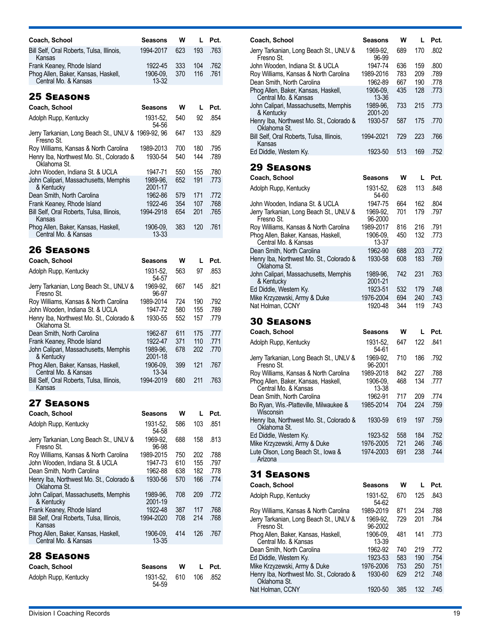| Coach, School                                               | <b>Seasons</b>      | w   | $\mathbf{I}$ | Pct. |
|-------------------------------------------------------------|---------------------|-----|--------------|------|
| Bill Self, Oral Roberts, Tulsa, Illinois,<br>Kansas         | 1994-2017           | 623 | 193          | .763 |
| Frank Keaney, Rhode Island                                  | 1922-45             | 333 | 104          | .762 |
| Phog Allen, Baker, Kansas, Haskell,<br>Central Mo. & Kansas | 1906-09.<br>$13-32$ | 370 | 116          | .761 |

| Coach, School                                                     | Seasons               | w   | L   | Pct. |
|-------------------------------------------------------------------|-----------------------|-----|-----|------|
| Adolph Rupp, Kentucky                                             | 1931-52.<br>54-56     | 540 | 92  | .854 |
| Jerry Tarkanian, Long Beach St., UNLV & 1969-92, 96<br>Fresno St. |                       | 647 | 133 | .829 |
| Roy Williams, Kansas & North Carolina                             | 1989-2013             | 700 | 180 | .795 |
| Henry Iba, Northwest Mo. St., Colorado &<br>Oklahoma St.          | 1930-54               | 540 | 144 | .789 |
| John Wooden, Indiana St. & UCLA                                   | 1947-71               | 550 | 155 | .780 |
| John Calipari, Massachusetts, Memphis<br>& Kentucky               | 1989-96.<br>2001-17   | 652 | 191 | .773 |
| Dean Smith, North Carolina                                        | 1962-86               | 579 | 171 | .772 |
| Frank Keaney, Rhode Island                                        | 1922-46               | 354 | 107 | .768 |
| Bill Self. Oral Roberts. Tulsa. Illinois.<br>Kansas               | 1994-2918             | 654 | 201 | .765 |
| Phog Allen, Baker, Kansas, Haskell,<br>Central Mo. & Kansas       | 1906-09.<br>$13 - 33$ | 383 | 120 | .761 |
|                                                                   |                       |     |     |      |

### 26 Seasons

| Coach, School                                               | Seasons             | w   | L   | Pct. |
|-------------------------------------------------------------|---------------------|-----|-----|------|
| Adolph Rupp, Kentucky                                       | 1931-52.<br>54-57   | 563 | 97  | .853 |
| Jerry Tarkanian, Long Beach St., UNLV &<br>Fresno St.       | 1969-92.<br>96-97   | 667 | 145 | .821 |
| Roy Williams, Kansas & North Carolina                       | 1989-2014           | 724 | 190 | .792 |
| John Wooden, Indiana St. & UCLA                             | 1947-72             | 580 | 155 | .789 |
| Henry Iba, Northwest Mo. St., Colorado &<br>Oklahoma St.    | 1930-55             | 552 | 157 | .779 |
| Dean Smith, North Carolina                                  | 1962-87             | 611 | 175 | .777 |
| Frank Keaney, Rhode Island                                  | 1922-47             | 371 | 110 | .771 |
| John Calipari, Massachusetts, Memphis<br>& Kentucky         | 1989-96,<br>2001-18 | 678 | 202 | .770 |
| Phog Allen, Baker, Kansas, Haskell,<br>Central Mo. & Kansas | 1906-09.<br>13-34   | 399 | 121 | .767 |
| Bill Self, Oral Roberts, Tulsa, Illinois,<br>Kansas         | 1994-2019           | 680 | 211 | .763 |

### 27 Seasons

| Coach, School                                               | Seasons             | w   | L   | Pct. |
|-------------------------------------------------------------|---------------------|-----|-----|------|
| Adolph Rupp, Kentucky                                       | 1931-52.<br>54-58   | 586 | 103 | .851 |
| Jerry Tarkanian, Long Beach St., UNLV &<br>Fresno St.       | 1969-92.<br>96-98   | 688 | 158 | .813 |
| Roy Williams, Kansas & North Carolina                       | 1989-2015           | 750 | 202 | .788 |
| John Wooden, Indiana St. & UCLA                             | 1947-73             | 610 | 155 | .797 |
| Dean Smith, North Carolina                                  | 1962-88             | 638 | 182 | .778 |
| Henry Iba, Northwest Mo. St., Colorado &<br>Oklahoma St.    | 1930-56             | 570 | 166 | .774 |
| John Calipari, Massachusetts, Memphis<br>& Kentucky         | 1989-96.<br>2001-19 | 708 | 209 | .772 |
| Frank Keaney, Rhode Island                                  | 1922-48             | 387 | 117 | .768 |
| Bill Self, Oral Roberts, Tulsa, Illinois,<br>Kansas         | 1994-2020           | 708 | 214 | .768 |
| Phog Allen, Baker, Kansas, Haskell,<br>Central Mo. & Kansas | 1906-09.<br>13-35   | 414 | 126 | .767 |
| <b>28 SEASONS</b>                                           |                     |     |     |      |
| Coach, School                                               | Seasons             | w   | L   | Pct. |
| Adolph Rupp, Kentucky                                       | 1931-52.<br>54-59   | 610 | 106 | .852 |

| Coach, School                                                                | Seasons              | w   | L   | Pct. |
|------------------------------------------------------------------------------|----------------------|-----|-----|------|
| Jerry Tarkanian, Long Beach St., UNLV &<br>Fresno St.                        | 1969-92.<br>96-99    | 689 | 170 | .802 |
| John Wooden, Indiana St. & UCLA                                              | 1947-74              | 636 | 159 | .800 |
| Roy Williams, Kansas & North Carolina                                        | 1989-2016            | 783 | 209 | .789 |
| Dean Smith, North Carolina                                                   | 1962-89              | 667 | 190 | .778 |
| Phog Allen, Baker, Kansas, Haskell,<br>Central Mo. & Kansas                  | 1906-09.<br>13-36    | 435 | 128 | .773 |
| John Calipari, Massachusetts, Memphis<br>& Kentucky                          | 1989-96,<br>2001-20  | 733 | 215 | .773 |
| Henry Iba, Northwest Mo. St., Colorado &<br>Oklahoma St.                     | 1930-57              | 587 | 175 | .770 |
| Bill Self, Oral Roberts, Tulsa, Illinois,<br>Kansas                          | 1994-2021            | 729 | 223 | .766 |
| Ed Diddle, Western Ky.                                                       | 1923-50              | 513 | 169 | .752 |
| <b>29 SEASONS</b>                                                            |                      |     |     |      |
| Coach, School                                                                | Seasons              | w   | L   | Pct. |
| Adolph Rupp, Kentucky                                                        | 1931-52,<br>54-60    | 628 | 113 | .848 |
| John Wooden, Indiana St. & UCLA                                              | 1947-75              | 664 | 162 | .804 |
| Jerry Tarkanian, Long Beach St., UNLV &<br>Fresno St.                        | 1969-92.<br>96-2000  | 701 | 179 | .797 |
| Roy Williams, Kansas & North Carolina                                        | 1989-2017            | 816 | 216 | .791 |
| Phog Allen, Baker, Kansas, Haskell,<br>Central Mo. & Kansas                  | 1906-09,<br>13-37    | 450 | 132 | .773 |
| Dean Smith, North Carolina                                                   | 1962-90              | 688 | 203 | .772 |
| Henry Iba, Northwest Mo. St., Colorado &<br>Oklahoma St.                     | 1930-58              | 608 | 183 | .769 |
| John Calipari, Massachusetts, Memphis<br>& Kentucky                          | 1989-96.<br>2001-21  | 742 | 231 | .763 |
| Ed Diddle, Western Ky.                                                       | 1923-51              | 532 | 179 | .748 |
| Mike Krzyzewski, Army & Duke                                                 | 1976-2004            | 694 | 240 | .743 |
| Nat Holman, CCNY                                                             | 1920-48              | 344 | 119 | .743 |
| <b>30 SEASONS</b>                                                            |                      |     |     |      |
| Coach, School                                                                | Seasons              | w   | L   | Pct. |
| Adolph Rupp, Kentucky                                                        | 1931-52,             | 647 | 122 | .841 |
| Jerry Tarkanian, Long Beach St., UNLV &                                      | 54-61<br>1969-92.    | 710 | 186 | .792 |
| Fresno St.                                                                   | 96-2001<br>1989-2018 | 842 | 227 | .788 |
| Roy Williams, Kansas & North Carolina<br>Phog Allen, Baker, Kansas, Haskell, | 1906-09.             | 468 | 134 | .777 |
| Central Mo. & Kansas                                                         | 13-38                |     |     |      |
| Dean Smith, North Carolina                                                   | 1962-91              | 717 | 209 | .774 |
| Bo Ryan, Wis.-Platteville, Milwaukee &<br>Wisconsin                          | 1985-2014            | 704 | 224 | .759 |
| Henry Iba, Northwest Mo. St., Colorado &<br>Oklahoma St.                     | 1930-59              | 619 | 197 | .759 |
| Ed Diddle, Western Ky.                                                       | 1923-52              | 558 | 184 | .752 |
| Mike Krzyzewski, Army & Duke                                                 | 1976-2005            | 721 | 246 | .746 |
| Lute Olson, Long Beach St., Iowa &<br>Arizona                                | 1974-2003            | 691 | 238 | .744 |
| <b>31 SEASONS</b>                                                            |                      |     |     |      |
| Coach, School                                                                | Seasons              | W   | L   | Pct. |
| Adolph Rupp, Kentucky                                                        | 1931-52.<br>54-62    | 670 | 125 | .843 |
| Roy Williams, Kansas & North Carolina                                        | 1989-2019            | 871 | 234 | .788 |
| Jerry Tarkanian, Long Beach St., UNLV &<br>Fresno St.                        | 1969-92.<br>96-2002  | 729 | 201 | .784 |
| Phog Allen, Baker, Kansas, Haskell,<br>Central Mo. & Kansas                  | 1906-09,<br>13-39    | 481 | 141 | .773 |
| Dean Smith, North Carolina                                                   | 1962-92              | 740 | 219 | .772 |
| Ed Diddle, Western Ky.                                                       | 1923-53              | 583 | 190 | .754 |

Mike Krzyzewski, Army & Duke 1976-2006 753 250 .751

Nat Holman, CCNY 1920-50 385 132 .745

1930-60 629 212 .748

Henry Iba, Northwest Mo. St., Colorado &

Oklahoma St.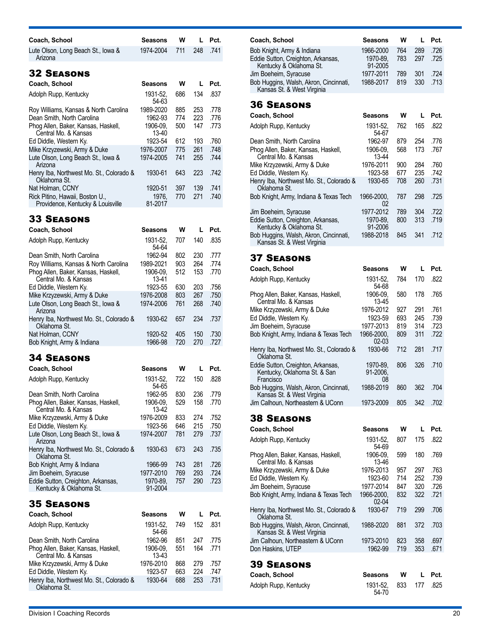| Coach, School                                                        | Seasons           | w   | L   | Pct. |
|----------------------------------------------------------------------|-------------------|-----|-----|------|
| Lute Olson, Long Beach St., Iowa &<br>Arizona                        | 1974-2004         | 711 | 248 | .741 |
| <b>32 SEASONS</b>                                                    |                   |     |     |      |
| Coach, School                                                        | Seasons           | w   | L   | Pct. |
| Adolph Rupp, Kentucky                                                | 1931-52.<br>54-63 | 686 | 134 | .837 |
| Roy Williams, Kansas & North Carolina                                | 1989-2020         | 885 | 253 | .778 |
| Dean Smith, North Carolina                                           | 1962-93           | 774 | 223 | .776 |
| Phog Allen, Baker, Kansas, Haskell,<br>Central Mo. & Kansas          | 1906-09.<br>13-40 | 500 | 147 | .773 |
| Ed Diddle, Western Ky.                                               | 1923-54           | 612 | 193 | .760 |
| Mike Krzyzewski, Army & Duke                                         | 1976-2007         | 775 | 261 | .748 |
| Lute Olson, Long Beach St., Iowa &<br>Arizona                        | 1974-2005         | 741 | 255 | .744 |
| Henry Iba, Northwest Mo. St., Colorado &<br>Oklahoma St.             | 1930-61           | 643 | 223 | .742 |
| Nat Holman, CCNY                                                     | 1920-51           | 397 | 139 | .741 |
| Rick Pitino, Hawaii, Boston U.,<br>Providence, Kentucky & Louisville | 1976.<br>81-2017  | 770 | 271 | .740 |
|                                                                      |                   |     |     |      |

| Coach, School                                               | Seasons           | w   |     | Pct. |
|-------------------------------------------------------------|-------------------|-----|-----|------|
| Adolph Rupp, Kentucky                                       | 1931-52,<br>54-64 | 707 | 140 | .835 |
| Dean Smith, North Carolina                                  | 1962-94           | 802 | 230 | .777 |
| Roy Williams, Kansas & North Carolina                       | 1989-2021         | 903 | 264 | .774 |
| Phog Allen, Baker, Kansas, Haskell,<br>Central Mo. & Kansas | 1906-09.<br>13-41 | 512 | 153 | .770 |
| Ed Diddle, Western Ky.                                      | 1923-55           | 630 | 203 | .756 |
| Mike Krzyzewski, Army & Duke                                | 1976-2008         | 803 | 267 | .750 |
| Lute Olson, Long Beach St., lowa &<br>Arizona               | 1974-2006         | 761 | 268 | .740 |
| Henry Iba, Northwest Mo. St., Colorado &<br>Oklahoma St.    | 1930-62           | 657 | 234 | .737 |
| Nat Holman, CCNY                                            | 1920-52           | 405 | 150 | .730 |
| Bob Knight, Army & Indiana                                  | 1966-98           | 720 | 270 | .727 |
|                                                             |                   |     |     |      |

### 34 Seasons

| Coach, School                                                 | <b>Seasons</b>      | w   | L   | Pct. |
|---------------------------------------------------------------|---------------------|-----|-----|------|
| Adolph Rupp, Kentucky                                         | 1931-52.<br>54-65   | 722 | 150 | .828 |
| Dean Smith, North Carolina                                    | 1962-95             | 830 | 236 | .779 |
| Phog Allen, Baker, Kansas, Haskell,<br>Central Mo. & Kansas   | 1906-09.<br>13-42   | 529 | 158 | .770 |
| Mike Krzyzewski, Army & Duke                                  | 1976-2009           | 833 | 274 | .752 |
| Ed Diddle, Western Ky.                                        | 1923-56             | 646 | 215 | .750 |
| Lute Olson, Long Beach St., Iowa &<br>Arizona                 | 1974-2007           | 781 | 279 | .737 |
| Henry Iba, Northwest Mo. St., Colorado &<br>Oklahoma St.      | 1930-63             | 673 | 243 | .735 |
| Bob Knight, Army & Indiana                                    | 1966-99             | 743 | 281 | .726 |
| Jim Boeheim, Syracuse                                         | 1977-2010           | 769 | 293 | .724 |
| Eddie Sutton, Creighton, Arkansas,<br>Kentucky & Oklahoma St. | 1970-89.<br>91-2004 | 757 | 290 | .723 |
|                                                               |                     |     |     |      |

### 35 Seasons

| Coach, School                                               | <b>Seasons</b>      | w   |     | Pct. |
|-------------------------------------------------------------|---------------------|-----|-----|------|
| Adolph Rupp, Kentucky                                       | 1931-52.<br>54-66   | 749 | 152 | .831 |
| Dean Smith, North Carolina                                  | 1962-96             | 851 | 247 | .775 |
| Phog Allen, Baker, Kansas, Haskell,<br>Central Mo. & Kansas | 1906-09.<br>$13-43$ | 551 | 164 | .771 |
| Mike Krzyzewski, Army & Duke                                | 1976-2010           | 868 | 279 | .757 |
| Ed Diddle, Western Ky.                                      | 1923-57             | 663 | 224 | .747 |
| Henry Iba, Northwest Mo. St., Colorado &<br>Oklahoma St.    | 1930-64             | 688 | 253 | .731 |

| Coach, School                                                                                                        | Seasons                                       | W                 |                   | Pct.                 |
|----------------------------------------------------------------------------------------------------------------------|-----------------------------------------------|-------------------|-------------------|----------------------|
| Bob Knight, Army & Indiana<br>Eddie Sutton, Creighton, Arkansas,<br>Kentucky & Oklahoma St.<br>Jim Boeheim, Syracuse | 1966-2000<br>1970-89.<br>91-2005<br>1977-2011 | 764<br>783<br>789 | 289<br>297<br>301 | .726<br>.725<br>.724 |
| Bob Huggins, Walsh, Akron, Cincinnati,<br>Kansas St. & West Virginia                                                 | 1988-2017                                     | 819               | 330               | .713                 |
| <b>36 SEASONS</b>                                                                                                    |                                               |                   |                   |                      |

| Coach, School                                                        | Seasons             | w   |     | Pct. |
|----------------------------------------------------------------------|---------------------|-----|-----|------|
| Adolph Rupp, Kentucky                                                | 1931-52.<br>54-67   | 762 | 165 | .822 |
| Dean Smith, North Carolina                                           | 1962-97             | 879 | 254 | .776 |
| Phog Allen, Baker, Kansas, Haskell,<br>Central Mo. & Kansas          | 1906-09.<br>13-44   | 568 | 173 | .767 |
| Mike Krzyzewski, Army & Duke                                         | 1976-2011           | 900 | 284 | .760 |
| Ed Diddle, Western Ky.                                               | 1923-58             | 677 | 235 | .742 |
| Henry Iba, Northwest Mo. St., Colorado &<br>Oklahoma St.             | 1930-65             | 708 | 260 | .731 |
| Bob Knight, Army, Indiana & Texas Tech                               | 1966-2000.<br>02    | 787 | 298 | .725 |
| Jim Boeheim, Syracuse                                                | 1977-2012           | 789 | 304 | .722 |
| Eddie Sutton, Creighton, Arkansas,<br>Kentucky & Oklahoma St.        | 1970-89.<br>91-2006 | 800 | 313 | .719 |
| Bob Huggins, Walsh, Akron, Cincinnati,<br>Kansas St. & West Virginia | 1988-2018           | 845 | 341 | .712 |

### 37 Seasons

| Coach, School                                                                   | Seasons                    | W   | L   | Pct. |
|---------------------------------------------------------------------------------|----------------------------|-----|-----|------|
| Adolph Rupp, Kentucky                                                           | 1931-52.<br>54-68          | 784 | 170 | .822 |
| Phog Allen, Baker, Kansas, Haskell,<br>Central Mo. & Kansas                     | 1906-09.<br>13-45          | 580 | 178 | .765 |
| Mike Krzyzewski, Army & Duke                                                    | 1976-2012                  | 927 | 291 | .761 |
| Ed Diddle, Western Ky.                                                          | 1923-59                    | 693 | 245 | .739 |
| Jim Boeheim, Syracuse                                                           | 1977-2013                  | 819 | 314 | .723 |
| Bob Knight, Army, Indiana & Texas Tech                                          | 1966-2000.<br>$02 - 03$    | 809 | 311 | .722 |
| Henry Iba, Northwest Mo. St., Colorado &<br>Oklahoma St.                        | 1930-66                    | 712 | 281 | .717 |
| Eddie Sutton, Creighton, Arkansas,<br>Kentucky, Oklahoma St. & San<br>Francisco | 1970-89.<br>91-2006,<br>08 | 806 | 326 | .710 |
| Bob Huggins, Walsh, Akron, Cincinnati,<br>Kansas St. & West Virginia            | 1988-2019                  | 860 | 362 | .704 |
| Jim Calhoun, Northeastern & UConn                                               | 1973-2009                  | 805 | 342 | .702 |

| Coach, School                                                        | Seasons                 | w   |     | Pct. |
|----------------------------------------------------------------------|-------------------------|-----|-----|------|
| Adolph Rupp, Kentucky                                                | 1931-52.<br>54-69       | 807 | 175 | .822 |
| Phog Allen, Baker, Kansas, Haskell,<br>Central Mo. & Kansas          | 1906-09.<br>13-46       | 599 | 180 | .769 |
| Mike Krzyzewski, Army & Duke                                         | 1976-2013               | 957 | 297 | .763 |
| Ed Diddle, Western Ky.                                               | 1923-60                 | 714 | 252 | .739 |
| Jim Boeheim, Syracuse                                                | 1977-2014               | 847 | 320 | .726 |
| Bob Knight, Army, Indiana & Texas Tech                               | 1966-2000.<br>$02 - 04$ | 832 | 322 | .721 |
| Henry Iba, Northwest Mo. St., Colorado &<br>Oklahoma St.             | 1930-67                 | 719 | 299 | .706 |
| Bob Huggins, Walsh, Akron, Cincinnati,<br>Kansas St. & West Virginia | 1988-2020               | 881 | 372 | .703 |
| Jim Calhoun, Northeastern & UConn                                    | 1973-2010               | 823 | 358 | .697 |
| Don Haskins, UTEP                                                    | 1962-99                 | 719 | 353 | .671 |
| 39.<br><b>EASONS</b>                                                 |                         |     |     |      |

| Coach. School         | Seasons                        | w | L Pct. |
|-----------------------|--------------------------------|---|--------|
| Adolph Rupp, Kentucky | 1931-52. 833 177 .825<br>54-70 |   |        |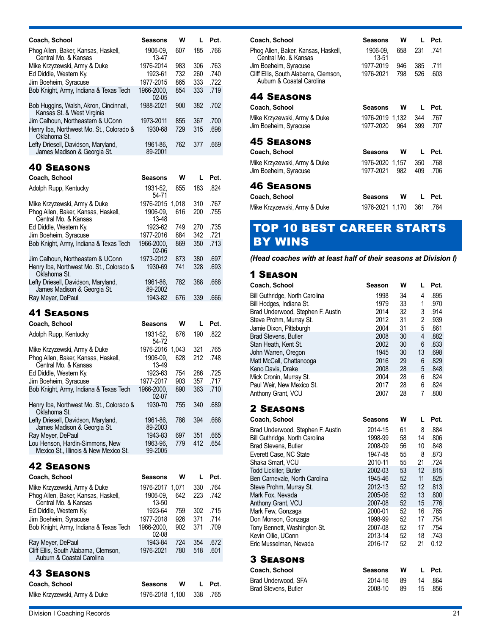| Coach, School                                                        | Seasons                    | w     | L          | Pct.                 |
|----------------------------------------------------------------------|----------------------------|-------|------------|----------------------|
| Phog Allen, Baker, Kansas, Haskell,                                  | 1906-09,                   | 607   | 185        | .766                 |
| Central Mo. & Kansas                                                 | 13-47                      |       |            |                      |
| Mike Krzyzewski, Army & Duke                                         | 1976-2014                  | 983   | 306        | .763                 |
| Ed Diddle, Western Ky.                                               | 1923-61                    | 732   | 260        | .740                 |
| Jim Boeheim, Syracuse                                                | 1977-2015                  | 865   | 333        | .722                 |
| Bob Knight, Army, Indiana & Texas Tech                               | 1966-2000.                 | 854   | 333        | .719                 |
| Bob Huggins, Walsh, Akron, Cincinnati,<br>Kansas St. & West Virginia | 02-05<br>1988-2021         | 900   | 382        | .702                 |
| Jim Calhoun, Northeastern & UConn                                    | 1973-2011                  | 855   | 367        | .700                 |
| Henry Iba, Northwest Mo. St., Colorado &<br>Oklahoma St.             | 1930-68                    | 729   | 315        | .698                 |
| Lefty Driesell, Davidson, Maryland,<br>James Madison & Georgia St.   | 1961-86,<br>89-2001        | 762   | 377        | .669                 |
| <b>40 SEASONS</b>                                                    |                            |       |            |                      |
| Coach, School                                                        | <b>Seasons</b>             | w     | L          | Pct.                 |
|                                                                      | 1931-52,                   | 855   | 183        | .824                 |
| Adolph Rupp, Kentucky                                                | 54-71                      |       |            |                      |
| Mike Krzyzewski, Army & Duke                                         | 1976-2015                  | 1,018 | 310        | .767                 |
| Phog Allen, Baker, Kansas, Haskell,<br>Central Mo. & Kansas          | 1906-09,<br>13-48          | 616   | 200        | .755                 |
| Ed Diddle, Western Ky.                                               | 1923-62                    | 749   | 270        | .735                 |
| Jim Boeheim, Syracuse                                                | 1977-2016                  | 884   | 342        | .721                 |
| Bob Knight, Army, Indiana & Texas Tech                               | 1966-2000,                 | 869   | 350        | .713                 |
|                                                                      | $02 - 06$                  |       |            |                      |
| Jim Calhoun, Northeastern & UConn                                    | 1973-2012                  | 873   | 380        | .697                 |
| Henry Iba, Northwest Mo. St., Colorado &<br>Oklahoma St.             | 1930-69                    | 741   | 328        | .693                 |
| Lefty Driesell, Davidson, Maryland,<br>James Madison & Georgia St.   | 1961-86.<br>89-2002        | 782   | 388        | .668                 |
| Ray Meyer, DePaul                                                    | 1943-82                    | 676   | 339        | .666                 |
|                                                                      |                            |       |            |                      |
| <b>41 Seasons</b>                                                    |                            |       |            |                      |
|                                                                      |                            |       |            |                      |
|                                                                      |                            |       |            |                      |
| Coach, School                                                        | Seasons                    | w     | L          | Pct.                 |
| Adolph Rupp, Kentucky                                                | 1931-52,                   | 876   | 190        | .822                 |
|                                                                      | 54-72                      |       |            |                      |
| Mike Krzyzewski, Army & Duke                                         | 1976-2016                  | 1,043 | 321        | .765                 |
| Phog Allen, Baker, Kansas, Haskell,                                  | 1906-09,                   | 628   | 212        | .748                 |
| Central Mo. & Kansas                                                 | 13-49<br>1923-63           | 754   |            | .725                 |
| Ed Diddle, Western Ky.                                               | 1977-2017                  | 903   | 286<br>357 |                      |
| Jim Boeheim, Syracuse                                                |                            |       |            | .717                 |
| Bob Knight, Army, Indiana & Texas Tech                               | 1966-2000,<br>02-07        | 890   | 363        |                      |
| Henry Iba, Northwest Mo. St., Colorado &                             | 1930-70                    | 755   | 340        | .689                 |
| Oklahoma St.                                                         |                            |       |            |                      |
| Lefty Driesell, Davidson, Maryland,                                  | 1961-86,<br>89-2003        | 786   | 394        | .666                 |
| James Madison & Georgia St.                                          | 1943-83                    | 697   | 351        | .710<br>.665         |
| Ray Meyer, DePaul<br>Lou Henson, Hardin-Simmons, New                 | 1963-96,                   | 779   | 412        | .654                 |
| Mexico St., Illinois & New Mexico St.                                | 99-2005                    |       |            |                      |
| <b>42 SEASONS</b>                                                    |                            |       |            |                      |
|                                                                      |                            |       |            |                      |
| Coach, School                                                        | Seasons                    | w     | L          | Pct.                 |
| Mike Krzyzewski, Army & Duke                                         | 1976-2017                  | 1,071 | 330        | .764                 |
| Phog Allen, Baker, Kansas, Haskell,                                  | 1906-09,                   | 642   | 223        | .742                 |
| Central Mo. & Kansas                                                 | 13-50                      |       |            |                      |
| Ed Diddle, Western Ky.                                               | 1923-64                    | 759   | 302        |                      |
| Jim Boeheim, Syracuse                                                | 1977-2018                  | 926   | 371        |                      |
| Bob Knight, Army, Indiana & Texas Tech                               | 1966-2000,                 | 902   | 371        | .715<br>.714<br>.709 |
|                                                                      | 02-08                      |       |            |                      |
| Ray Meyer, DePaul                                                    | 1943-84                    | 724   | 354        |                      |
| Cliff Ellis, South Alabama, Clemson,<br>Auburn & Coastal Carolina    | 1976-2021                  | 780   | 518        | .672<br>.601         |
|                                                                      |                            |       |            |                      |
| <b>43 Seasons</b>                                                    |                            |       |            |                      |
| Coach, School<br>Mike Krzyzewski, Army & Duke                        | Seasons<br>1976-2018 1,100 | W     | L<br>338   | Pct.<br>.765         |

| Coach, School                                                     | <b>Seasons</b>    | W   | L   | Pct. |
|-------------------------------------------------------------------|-------------------|-----|-----|------|
| Phog Allen, Baker, Kansas, Haskell,<br>Central Mo. & Kansas       | 1906-09.<br>13-51 | 658 | 231 | .741 |
| Jim Boeheim, Syracuse                                             | 1977-2019         | 946 | 385 | .711 |
| Cliff Ellis, South Alabama, Clemson,<br>Auburn & Coastal Carolina | 1976-2021         | 798 | 526 | .603 |
| <b>44 SEASONS</b>                                                 |                   |     |     |      |
| Coach, School                                                     | Seasons           | w   | L   | Pct. |
| Mike Krzyzewski, Army & Duke                                      | 1976-2019 1.132   |     | 344 | .767 |
| Jim Boeheim, Syracuse                                             | 1977-2020         | 964 | 399 | .707 |
| <b>45 SEASONS</b>                                                 |                   |     |     |      |
| Coach, School                                                     | Seasons           | w   | L   | Pct. |
| Mike Krzyzewski, Army & Duke                                      | 1976-2020 1,157   |     | 350 | .768 |
| Jim Boeheim, Syracuse                                             | 1977-2021         | 982 | 409 | .706 |
| <b>46 SEASONS</b>                                                 |                   |     |     |      |
| Coach, School                                                     | Seasons           | w   | L   | Pct. |
| Mike Krzyzewski, Army & Duke                                      | 1976-2021 1,170   |     | 361 | .764 |

# TOP 10 BEST CAREER STARTS BY WINS

#### *(Head coaches with at least half of their seasons at Division I)*

### 1 Season

| Coach, School                                                 | Season             | W        | L              | Pct.         |
|---------------------------------------------------------------|--------------------|----------|----------------|--------------|
| Bill Guthridge, North Carolina                                | 1998<br>1979       | 34<br>33 | 4<br>1         | .895<br>.970 |
| Bill Hodges, Indiana St.<br>Brad Underwood, Stephen F. Austin | 2014               | 32       | 3              | .914         |
| Steve Prohm, Murray St.                                       | 2012               | 31       | $\overline{2}$ | .939         |
| Jamie Dixon, Pittsburgh                                       | 2004               | 31       | 5              | .861         |
| Brad Stevens, Butler                                          | 2008               | 30       | 4              | .882         |
| Stan Heath, Kent St.                                          | 2002               | 30       | 6              | .833         |
| John Warren, Oregon                                           | 1945               | 30       | 13             | .698         |
| Matt McCall, Chattanooga                                      | 2016<br>2008       | 29<br>28 | 6<br>5         | .829<br>.848 |
| Keno Davis, Drake<br>Mick Cronin, Murray St.                  | 2004               | 28       | 6              | .824         |
| Paul Weir, New Mexico St.                                     | 2017               | 28       | 6              | .824         |
| Anthony Grant, VCU                                            | 2007               | 28       | 7              | .800         |
| <b>2 SEASONS</b>                                              |                    |          |                |              |
| Coach, School                                                 | Seasons            | W        | L              | Pct.         |
| Brad Underwood, Stephen F. Austin                             | 2014-15            | 61       | 8              | .884         |
| Bill Guthridge, North Carolina                                | 1998-99            | 58       | 14             | .806         |
| Brad Stevens, Butler                                          | 2008-09            | 56       | 10             | .848         |
| Everett Case, NC State                                        | 1947-48            | 55       | 8              | .873         |
| Shaka Smart, VCU<br><b>Todd Lickliter, Butler</b>             | 2010-11<br>2002-03 | 55<br>53 | 21<br>12       | .724<br>.815 |
| Ben Carnevale, North Carolina                                 | 1945-46            | 52       | 11             | .825         |
| Steve Prohm, Murray St.                                       | 2012-13            | 52       | 12             | .813         |
| Mark Fox, Nevada                                              | 2005-06            | 52       | 13             | .800         |
| Anthony Grant, VCU                                            | 2007-08            | 52       | 15             | .776         |
| Mark Few, Gonzaga                                             | 2000-01            | 52       | 16             | .765         |
| Don Monson, Gonzaga                                           | 1998-99            | 52       | 17             | .754         |
| Tony Bennett, Washington St.                                  | 2007-08            | 52       | 17             | .754         |
| Kevin Ollie, UConn<br>Eric Musselman, Nevada                  | 2013-14<br>2016-17 | 52<br>52 | 18<br>21       | .743<br>0.12 |
| <b>3 SEASONS</b>                                              |                    |          |                |              |
| Coach, School                                                 | Seasons            | W        | L              | Pct.         |
| Brad Underwood, SFA                                           | 2014-16            | 89       | 14             | .864         |

Brad Stevens, Butler 2008-10 89 15 .856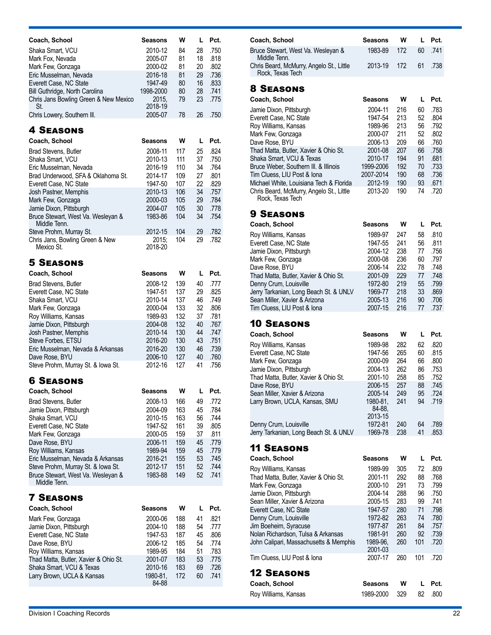| Coach, School                                                     | Seasons            | w          | L        | Pct.         |
|-------------------------------------------------------------------|--------------------|------------|----------|--------------|
| Shaka Smart, VCU                                                  | 2010-12            | 84         | 28       | .750         |
| Mark Fox, Nevada                                                  | 2005-07            | 81         | 18       | .818         |
| Mark Few, Gonzaga                                                 | 2000-02            | 81         | 20       | .802         |
| Eric Musselman, Nevada                                            | 2016-18            | 81         | 29       | .736         |
| Everett Case, NC State                                            | 1947-49            | 80         | 16       | .833         |
| Bill Guthridge, North Carolina                                    | 1998-2000          | 80         | 28       | .741         |
| Chris Jans Bowling Green & New Mexico                             | 2015.<br>2018-19   | 79         | 23       | .775         |
| St.<br>Chris Lowery, Southern III.                                | 2005-07            | 78         | 26       | .750         |
|                                                                   |                    |            |          |              |
| <b>4 SEASONS</b>                                                  |                    |            |          |              |
| Coach, School                                                     | Seasons            | w          | L        | Pct.         |
|                                                                   |                    |            |          | .824         |
| <b>Brad Stevens, Butler</b><br>Shaka Smart, VCU                   | 2008-11<br>2010-13 | 117<br>111 | 25<br>37 | .750         |
| Eric Musselman, Nevada                                            | 2016-19            | 110        | 34       | .764         |
| Brad Underwood, SFA & Oklahoma St.                                | 2014-17            | 109        | 27       | .801         |
| Everett Case, NC State                                            | 1947-50            | 107        | 22       | .829         |
| Josh Pastner, Memphis                                             | 2010-13            | 106        | 34       | .757         |
| Mark Few, Gonzaga                                                 | 2000-03            | 105        | 29       | .784         |
| Jamie Dixon, Pittsburgh                                           | 2004-07            | 105        | 30       | .778         |
| Bruce Stewart, West Va. Wesleyan &                                | 1983-86            | 104        | 34       | .754         |
| Middle Tenn.                                                      |                    |            |          |              |
| Steve Prohm, Murray St.                                           | 2012-15            | 104        | 29       | .782         |
| Chris Jans, Bowling Green & New<br>Mexico St.                     | 2015:<br>2018-20   | 104        | 29       | .782         |
|                                                                   |                    |            |          |              |
| <b>5 SEASONS</b>                                                  |                    |            |          |              |
| Coach, School                                                     | Seasons            | W          | L        | Pct.         |
|                                                                   |                    | 139        | 40       |              |
| <b>Brad Stevens, Butler</b><br>Everett Case, NC State             | 2008-12<br>1947-51 | 137        | 29       | .777<br>.825 |
| Shaka Smart, VCU                                                  | 2010-14            | 137        | 46       | .749         |
| Mark Few, Gonzaga                                                 | 2000-04            | 133        | 32       | .806         |
| Roy Williams, Kansas                                              | 1989-93            | 132        | 37       | .781         |
| Jamie Dixon, Pittsburgh                                           | 2004-08            | 132        | 40       | .767         |
| Josh Pastner, Memphis                                             | 2010-14            | 130        | 44       | .747         |
| Steve Forbes, ETSU                                                | 2016-20            | 130        | 43       | .751         |
| Eric Musselman, Nevada & Arkansas                                 | 2016-20            | 130        | 46       | .739         |
| Dave Rose, BYU                                                    | 2006-10            | 127        | 40       | .760         |
| Steve Prohm, Murray St. & Iowa St.                                | 2012-16            | 127        | 41       | .756         |
| <b>6 SEASONS</b>                                                  |                    |            |          |              |
|                                                                   |                    |            |          |              |
| Coach, School                                                     | Seasons            | w          | L        | Pct.         |
| <b>Brad Stevens, Butler</b>                                       | 2008-13            | 166        | 49       | .772         |
| Jamie Dixon, Pittsburgh                                           | 2004-09            | 163        | 45       | .784         |
| Shaka Smart, VCU                                                  | 2010-15            | 163        | 56       | .744         |
| Everett Case, NC State                                            | 1947-52<br>2000-05 | 161<br>159 | 39<br>37 | .805<br>.811 |
| Mark Few, Gonzaga<br>Dave Rose, BYU                               | 2006-11            | 159        | 45       | .779         |
| Roy Williams, Kansas                                              | 1989-94            | 159        | 45       | .779         |
| Eric Musselman, Nevada & Arkansas                                 | 2016-21            | 155        | 53       | .745         |
| Steve Prohm, Murray St. & Iowa St.                                | 2012-17            | 151        | 52       | .744         |
| Bruce Stewart, West Va. Wesleyan &                                | 1983-88            | 149        | 52       | .741         |
| Middle Tenn.                                                      |                    |            |          |              |
|                                                                   |                    |            |          |              |
| <b>7 SEASONS</b>                                                  |                    |            |          |              |
| Coach, School                                                     | Seasons            | W          | L        | Pct.         |
| Mark Few, Gonzaga                                                 | 2000-06            | 188        | 41       | .821         |
| Jamie Dixon, Pittsburgh                                           | 2004-10            | 188        | 54       | .777         |
| Everett Case, NC State                                            | 1947-53            | 187        | 45       | .806         |
| Dave Rose, BYU                                                    | 2006-12            | 185        | 54       | .774         |
| Roy Williams, Kansas                                              | 1989-95            | 184<br>183 | 51<br>53 | .783<br>.775 |
| Thad Matta, Butler, Xavier & Ohio St.<br>Shaka Smart, VCU & Texas | 2001-07<br>2010-16 | 183        | 69       | .726         |
| Larry Brown, UCLA & Kansas                                        | 1980-81,           | 172        | 60       | .741         |
|                                                                   | 84-88              |            |          |              |
|                                                                   |                    |            |          |              |

| <b>W</b> | L Pct.                        |
|----------|-------------------------------|
|          | 60 741                        |
|          | .738                          |
|          | 1983-89 172<br>2013-19 172 61 |

| Coach, School                                                | <b>Seasons</b> | w   |    | Pct. |
|--------------------------------------------------------------|----------------|-----|----|------|
| Jamie Dixon, Pittsburgh                                      | 2004-11        | 216 | 60 | .783 |
| Everett Case, NC State                                       | 1947-54        | 213 | 52 | .804 |
| Roy Williams, Kansas                                         | 1989-96        | 213 | 56 | .792 |
| Mark Few, Gonzaga                                            | 2000-07        | 211 | 52 | .802 |
| Dave Rose, BYU                                               | 2006-13        | 209 | 66 | .760 |
| Thad Matta, Butler, Xavier & Ohio St.                        | 2001-08        | 207 | 66 | .758 |
| Shaka Smart. VCU & Texas                                     | 2010-17        | 194 | 91 | .681 |
| Bruce Weber, Southern III, & Illinois                        | 1999-2006      | 192 | 70 | .733 |
| Tim Cluess, LIU Post & Iona                                  | 2007-2014      | 190 | 68 | .736 |
| Michael White, Louisiana Tech & Florida                      | 2012-19        | 190 | 93 | .671 |
| Chris Beard, McMurry, Angelo St., Little<br>Rock, Texas Tech | 2013-20        | 190 | 74 | .720 |

### 9 Seasons

| Coach, School                          | <b>Seasons</b> | w   |    | Pct. |
|----------------------------------------|----------------|-----|----|------|
| Roy Williams, Kansas                   | 1989-97        | 247 | 58 | .810 |
| Everett Case, NC State                 | 1947-55        | 241 | 56 | .811 |
| Jamie Dixon, Pittsburgh                | 2004-12        | 238 | 77 | .756 |
| Mark Few, Gonzaga                      | 2000-08        | 236 | 60 | .797 |
| Dave Rose, BYU                         | 2006-14        | 232 | 78 | .748 |
| Thad Matta, Butler, Xavier & Ohio St.  | 2001-09        | 229 | 77 | .748 |
| Denny Crum, Louisville                 | 1972-80        | 219 | 55 | .799 |
| Jerry Tarkanian, Long Beach St. & UNLV | 1969-77        | 218 | 33 | .869 |
| Sean Miller, Xavier & Arizona          | 2005-13        | 216 | 90 | .706 |
| Tim Cluess, LIU Post & Iona            | 2007-15        | 216 | 77 | .737 |

### 10 Seasons

| Coach, School                          | <b>Seasons</b>                | W   |    | Pct. |
|----------------------------------------|-------------------------------|-----|----|------|
| Roy Williams, Kansas                   | 1989-98                       | 282 | 62 | .820 |
| Everett Case, NC State                 | 1947-56                       | 265 | 60 | .815 |
| Mark Few, Gonzaga                      | 2000-09                       | 264 | 66 | .800 |
| Jamie Dixon, Pittsburgh                | 2004-13                       | 262 | 86 | .753 |
| Thad Matta, Butler, Xavier & Ohio St.  | 2001-10                       | 258 | 85 | .752 |
| Dave Rose, BYU                         | 2006-15                       | 257 | 88 | .745 |
| Sean Miller, Xavier & Arizona          | 2005-14                       | 249 | 95 | .724 |
| Larry Brown, UCLA, Kansas, SMU         | 1980-81.<br>84-88.<br>2013-15 | 241 | 94 | .719 |
| Denny Crum, Louisville                 | 1972-81                       | 240 | 64 | .789 |
| Jerry Tarkanian, Long Beach St. & UNLV | 1969-78                       | 238 | 41 | .853 |
|                                        |                               |     |    |      |

| Coach, School                          | Seasons             | w   | L   | Pct. |
|----------------------------------------|---------------------|-----|-----|------|
| Roy Williams, Kansas                   | 1989-99             | 305 | 72  | .809 |
| Thad Matta, Butler, Xavier & Ohio St.  | 2001-11             | 292 | 88  | .768 |
| Mark Few, Gonzaga                      | 2000-10             | 291 | 73  | .799 |
| Jamie Dixon, Pittsburgh                | 2004-14             | 288 | 96  | .750 |
| Sean Miller, Xavier & Arizona          | 2005-15             | 283 | 99  | .741 |
| Everett Case, NC State                 | 1947-57             | 280 | 71  | .798 |
| Denny Crum, Louisville                 | 1972-82             | 263 | 74  | .780 |
| Jim Boeheim, Syracuse                  | 1977-87             | 261 | 84  | .757 |
| Nolan Richardson, Tulsa & Arkansas     | 1981-91             | 260 | 92  | .739 |
| John Calipari, Massachusetts & Memphis | 1989-96.<br>2001-03 | 260 | 101 | .720 |
| Tim Cluess, LIU Post & Iona            | 2007-17             | 260 | 101 | .720 |
| <b>12 SEASONS</b>                      |                     |     |     |      |
| Coach, School                          | Seasons             | w   | L   | Pct. |
| Roy Williams, Kansas                   | 1989-2000           | 329 | 82  | .800 |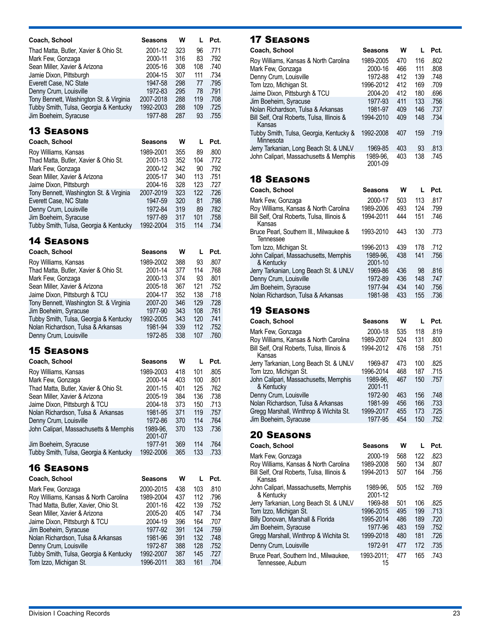| Coach, School                           | Seasons   | w   |     | Pct. |
|-----------------------------------------|-----------|-----|-----|------|
| Thad Matta, Butler, Xavier & Ohio St.   | 2001-12   | 323 | 96  | .771 |
| Mark Few, Gonzaga                       | 2000-11   | 316 | 83  | .792 |
| Sean Miller, Xavier & Arizona           | 2005-16   | 308 | 108 | .740 |
| Jamie Dixon, Pittsburgh                 | 2004-15   | 307 | 111 | .734 |
| Everett Case, NC State                  | 1947-58   | 298 | 77  | .795 |
| Denny Crum, Louisville                  | 1972-83   | 295 | 78  | .791 |
| Tony Bennett, Washington St. & Virginia | 2007-2018 | 288 | 119 | .708 |
| Tubby Smith, Tulsa, Georgia & Kentucky  | 1992-2003 | 288 | 109 | .725 |
| Jim Boeheim, Syracuse                   | 1977-88   | 287 | 93  | .755 |

| Coach, School                           | <b>Seasons</b> | w   |     | Pct. |
|-----------------------------------------|----------------|-----|-----|------|
| Roy Williams, Kansas                    | 1989-2001      | 355 | 89  | .800 |
| Thad Matta, Butler, Xavier & Ohio St.   | 2001-13        | 352 | 104 | .772 |
| Mark Few, Gonzaga                       | 2000-12        | 342 | 90  | .792 |
| Sean Miller, Xavier & Arizona           | 2005-17        | 340 | 113 | .751 |
| Jaime Dixon, Pittsburgh                 | 2004-16        | 328 | 123 | .727 |
| Tony Bennett, Washington St. & Virginia | 2007-2019      | 323 | 122 | .726 |
| Everett Case, NC State                  | 1947-59        | 320 | 81  | .798 |
| Denny Crum, Louisville                  | 1972-84        | 319 | 89  | .782 |
| Jim Boeheim, Syracuse                   | 1977-89        | 317 | 101 | .758 |
| Tubby Smith, Tulsa, Georgia & Kentucky  | 1992-2004      | 315 | 114 | .734 |

### 14 Seasons

| Coach, School                           | <b>Seasons</b> | w   |     | Pct. |
|-----------------------------------------|----------------|-----|-----|------|
| Roy Williams, Kansas                    | 1989-2002      | 388 | 93  | .807 |
| Thad Matta, Butler, Xavier & Ohio St.   | 2001-14        | 377 | 114 | .768 |
| Mark Few, Gonzaga                       | 2000-13        | 374 | 93  | .801 |
| Sean Miller, Xavier & Arizona           | 2005-18        | 367 | 121 | .752 |
| Jaime Dixon, Pittsburgh & TCU           | 2004-17        | 352 | 138 | .718 |
| Tony Bennett, Washington St. & Virginia | 2007-20        | 346 | 129 | .728 |
| Jim Boeheim, Syracuse                   | 1977-90        | 343 | 108 | .761 |
| Tubby Smith, Tulsa, Georgia & Kentucky  | 1992-2005      | 343 | 120 | .741 |
| Nolan Richardson, Tulsa & Arkansas      | 1981-94        | 339 | 112 | .752 |
| Denny Crum, Louisville                  | 1972-85        | 338 | 107 | .760 |

### 15 Seasons

| Coach, School                          | <b>Seasons</b>      | w   |     | Pct. |
|----------------------------------------|---------------------|-----|-----|------|
| Roy Williams, Kansas                   | 1989-2003           | 418 | 101 | .805 |
| Mark Few, Gonzaga                      | 2000-14             | 403 | 100 | .801 |
| Thad Matta, Butler, Xavier & Ohio St.  | 2001-15             | 401 | 125 | .762 |
| Sean Miller, Xavier & Arizona          | 2005-19             | 384 | 136 | .738 |
| Jaime Dixon, Pittsburgh & TCU          | 2004-18             | 373 | 150 | .713 |
| Nolan Richardson, Tulsa & Arkansas     | 1981-95             | 371 | 119 | .757 |
| Denny Crum, Louisville                 | 1972-86             | 370 | 114 | .764 |
| John Calipari, Massachusetts & Memphis | 1989-96.<br>2001-07 | 370 | 133 | .736 |
| Jim Boeheim, Syracuse                  | 1977-91             | 369 | 114 | .764 |
| Tubby Smith, Tulsa, Georgia & Kentucky | 1992-2006           | 365 | 133 | .733 |

### 16 Seasons

| Coach, School                          | <b>Seasons</b> | W   |     | Pct. |
|----------------------------------------|----------------|-----|-----|------|
| Mark Few, Gonzaga                      | 2000-2015      | 438 | 103 | .810 |
| Roy Williams, Kansas & North Carolina  | 1989-2004      | 437 | 112 | .796 |
| Thad Matta, Butler, Xavier, Ohio St.   | 2001-16        | 422 | 139 | .752 |
| Sean Miller, Xavier & Arizona          | 2005-20        | 405 | 147 | .734 |
| Jaime Dixon, Pittsburgh & TCU          | 2004-19        | 396 | 164 | .707 |
| Jim Boeheim, Syracuse                  | 1977-92        | 391 | 124 | .759 |
| Nolan Richardson, Tulsa & Arkansas     | 1981-96        | 391 | 132 | .748 |
| Denny Crum, Louisville                 | 1972-87        | 388 | 128 | .752 |
| Tubby Smith, Tulsa, Georgia & Kentucky | 1992-2007      | 387 | 145 | .727 |
| Tom Izzo, Michigan St.                 | 1996-2011      | 383 | 161 | .704 |

### 17 Seasons

| Coach, School                                        | Seasons             | W   | L   | Pct. |
|------------------------------------------------------|---------------------|-----|-----|------|
| Roy Williams, Kansas & North Carolina                | 1989-2005           | 470 | 116 | .802 |
| Mark Few, Gonzaga                                    | 2000-16             | 466 | 111 | .808 |
| Denny Crum, Louisville                               | 1972-88             | 412 | 139 | .748 |
| Tom Izzo, Michigan St.                               | 1996-2012           | 412 | 169 | .709 |
| Jaime Dixon, Pittsburgh & TCU                        | 2004-20             | 412 | 180 | .696 |
| Jim Boeheim, Syracuse                                | 1977-93             | 411 | 133 | .756 |
| Nolan Richardson, Tulsa & Arkansas                   | 1981-97             | 409 | 146 | .737 |
| Bill Self, Oral Roberts, Tulsa, Illinois &<br>Kansas | 1994-2010           | 409 | 148 | .734 |
| Tubby Smith, Tulsa, Georgia, Kentucky &<br>Minnesota | 1992-2008           | 407 | 159 | .719 |
| Jerry Tarkanian, Long Beach St. & UNLV               | 1969-85             | 403 | 93  | .813 |
| John Calipari, Massachusetts & Memphis               | 1989-96.<br>2001-09 | 403 | 138 | .745 |

### 18 Seasons

| Coach, School                                        | <b>Seasons</b>      | W   |     | Pct. |
|------------------------------------------------------|---------------------|-----|-----|------|
| Mark Few, Gonzaga                                    | 2000-17             | 503 | 113 | .817 |
| Roy Williams, Kansas & North Carolina                | 1989-2006           | 493 | 124 | .799 |
| Bill Self, Oral Roberts, Tulsa, Illinois &<br>Kansas | 1994-2011           | 444 | 151 | .746 |
| Bruce Pearl, Southern III., Milwaukee &<br>Tennessee | 1993-2010           | 443 | 130 | .773 |
| Tom Izzo, Michigan St.                               | 1996-2013           | 439 | 178 | .712 |
| John Calipari, Massachusetts, Memphis<br>& Kentucky  | 1989-96.<br>2001-10 | 438 | 141 | .756 |
| Jerry Tarkanian, Long Beach St. & UNLV               | 1969-86             | 436 | 98  | .816 |
| Denny Crum, Louisville                               | 1972-89             | 436 | 148 | .747 |
| Jim Boeheim, Syracuse                                | 1977-94             | 434 | 140 | .756 |
| Nolan Richardson, Tulsa & Arkansas                   | 1981-98             | 433 | 155 | .736 |

| Coach, School                                        | <b>Seasons</b>      | w   | L   | Pct. |
|------------------------------------------------------|---------------------|-----|-----|------|
| Mark Few, Gonzaga                                    | 2000-18             | 535 | 118 | .819 |
| Roy Williams, Kansas & North Carolina                | 1989-2007           | 524 | 131 | .800 |
| Bill Self, Oral Roberts, Tulsa, Illinois &<br>Kansas | 1994-2012           | 476 | 158 | .751 |
| Jerry Tarkanian, Long Beach St. & UNLV               | 1969-87             | 473 | 100 | .825 |
| Tom Izzo, Michigan St.                               | 1996-2014           | 468 | 187 | .715 |
| John Calipari, Massachusetts, Memphis<br>& Kentucky  | 1989-96.<br>2001-11 | 467 | 150 | .757 |
| Denny Crum, Louisville                               | 1972-90             | 463 | 156 | .748 |
| Nolan Richardson, Tulsa & Arkansas                   | 1981-99             | 456 | 166 | .733 |
| Gregg Marshall, Winthrop & Wichita St.               | 1999-2017           | 455 | 173 | .725 |
| Jim Boeheim, Syracuse                                | 1977-95             | 454 | 150 | .752 |
|                                                      |                     |     |     |      |
| <b>20 SEASONS</b>                                    |                     |     |     |      |
|                                                      |                     |     |     |      |
| Coach, School                                        | <b>Seasons</b>      | w   | L   | Pct. |
| Mark Few, Gonzaga                                    | 2000-19             | 568 | 122 | .823 |
| Roy Williams, Kansas & North Carolina                | 1989-2008           | 560 | 134 | .807 |
| Bill Self, Oral Roberts, Tulsa, Illinois &<br>Kansas | 1994-2013           | 507 | 164 | .756 |
| John Calipari, Massachusetts, Memphis<br>& Kentucky  | 1989-96.<br>2001-12 | 505 | 152 | .769 |
| Jerry Tarkanian, Long Beach St. & UNLV               | 1969-88             | 501 | 106 | .825 |
| Tom Izzo, Michigan St.                               | 1996-2015           | 495 | 199 | .713 |
| Billy Donovan, Marshall & Florida                    | 1995-2014           | 486 | 189 | .720 |
| Jim Boeheim, Syracuse                                | 1977-96             | 483 | 159 | .752 |
| Gregg Marshall, Winthrop & Wichita St.               | 1999-2018           | 480 | 181 | .726 |
| Denny Crum, Louisville                               | 1972-91             | 477 | 172 | .735 |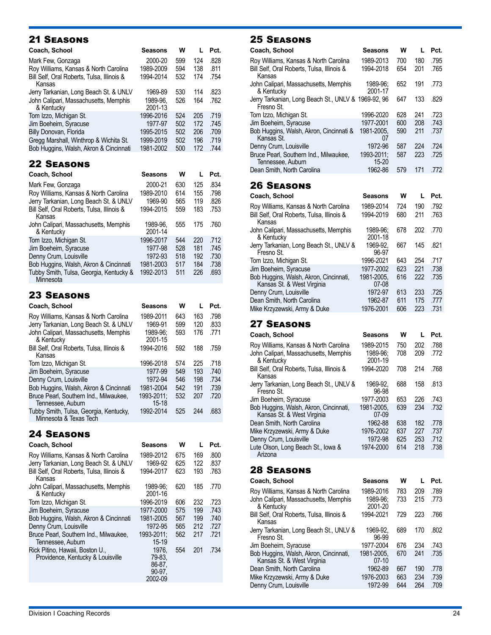| Coach, School                                        | Seasons             | w   | I.  | Pct. |
|------------------------------------------------------|---------------------|-----|-----|------|
| Mark Few, Gonzaga                                    | 2000-20             | 599 | 124 | .828 |
| Roy Williams, Kansas & North Carolina                | 1989-2009           | 594 | 138 | .811 |
| Bill Self, Oral Roberts, Tulsa, Illinois &<br>Kansas | 1994-2014           | 532 | 174 | .754 |
| Jerry Tarkanian, Long Beach St. & UNLV               | 1969-89             | 530 | 114 | .823 |
| John Calipari, Massachusetts, Memphis<br>& Kentucky  | 1989-96.<br>2001-13 | 526 | 164 | .762 |
| Tom Izzo, Michigan St.                               | 1996-2016           | 524 | 205 | .719 |
| Jim Boeheim, Syracuse                                | 1977-97             | 502 | 172 | .745 |
| Billy Donovan, Florida                               | 1995-2015           | 502 | 206 | .709 |
| Gregg Marshall, Winthrop & Wichita St.               | 1999-2019           | 502 | 196 | .719 |
| Bob Huggins, Walsh, Akron & Cincinnati               | 1981-2002           | 500 | 172 | .744 |
| <b>22 SEASONS</b>                                    |                     |     |     |      |
|                                                      |                     |     |     |      |
| Coach, School                                        | Seasons             | w   | L   | Pct. |
| Mark Few, Gonzaga                                    | 2000-21             | 630 | 125 | .834 |
| Roy Williams, Kansas & North Carolina                | 1989-2010           | 614 | 155 | .798 |
| Jerry Tarkanian, Long Beach St. & UNLV               | 1969-90             | 565 | 119 | .826 |
| Bill Self, Oral Roberts, Tulsa, Illinois &<br>Kansas | 1994-2015           | 559 | 183 | .753 |
| John Calipari, Massachusetts, Memphis<br>& Kentucky  | 1989-96.<br>2001-14 | 555 | 175 | .760 |
| Tom Izzo, Michigan St.                               | 1996-2017           | 544 | 220 | .712 |
| Jim Boeheim, Syracuse                                | 1977-98             | 528 | 181 | .745 |
| Denny Crum, Louisville                               | 1972-93             | 518 | 192 | .730 |
| Bob Huggins, Walsh, Akron & Cincinnati               | 1981-2003           | 517 | 184 | .738 |
| Tubby Smith, Tulsa, Georgia, Kentucky &<br>Minnesota | 1992-2013           | 511 | 226 | .693 |

### 23 Seasons

| Coach, School                                                    | Seasons             | w   |     | Pct. |
|------------------------------------------------------------------|---------------------|-----|-----|------|
| Roy Williams, Kansas & North Carolina                            | 1989-2011           | 643 | 163 | .798 |
| Jerry Tarkanian, Long Beach St. & UNLV                           | 1969-91             | 599 | 120 | .833 |
| John Calipari, Massachusetts, Memphis<br>& Kentucky              | 1989-96:<br>2001-15 | 593 | 176 | .771 |
| Bill Self, Oral Roberts, Tulsa, Illinois &<br>Kansas             | 1994-2016           | 592 | 188 | .759 |
| Tom Izzo, Michigan St.                                           | 1996-2018           | 574 | 225 | .718 |
| Jim Boeheim, Syracuse                                            | 1977-99             | 549 | 193 | .740 |
| Denny Crum, Louisville                                           | 1972-94             | 546 | 198 | .734 |
| Bob Huggins, Walsh, Akron & Cincinnati                           | 1981-2004           | 542 | 191 | .739 |
| Bruce Pearl, Southern Ind., Milwaukee,<br>Tennessee, Auburn      | 1993-2011:<br>15-18 | 532 | 207 | .720 |
| Tubby Smith, Tulsa, Georgia, Kentucky,<br>Minnesota & Texas Tech | 1992-2014           | 525 | 244 | .683 |

### 24 Seasons

| Coach, School                                               | Seasons                               | w   | L   | Pct. |
|-------------------------------------------------------------|---------------------------------------|-----|-----|------|
| Roy Williams, Kansas & North Carolina                       | 1989-2012                             | 675 | 169 | .800 |
| Jerry Tarkanian, Long Beach St. & UNLV                      | 1969-92                               | 625 | 122 | .837 |
| Bill Self. Oral Roberts. Tulsa. Illinois &<br>Kansas        | 1994-2017                             | 623 | 193 | .763 |
| John Calipari, Massachusetts, Memphis<br>& Kentucky         | 1989-96:<br>2001-16                   | 620 | 185 | .770 |
| Tom Izzo, Michigan St.                                      | 1996-2019                             | 606 | 232 | .723 |
| Jim Boeheim, Syracuse                                       | 1977-2000                             | 575 | 199 | .743 |
| Bob Huggins, Walsh, Akron & Cincinnati                      | 1981-2005                             | 567 | 199 | .740 |
| Denny Crum, Louisville                                      | 1972-95                               | 565 | 212 | .727 |
| Bruce Pearl, Southern Ind., Milwaukee,<br>Tennessee, Auburn | 1993-2011:<br>15-19                   | 562 | 217 | .721 |
| Rick Pitino, Hawaii, Boston U.,                             | 1976.                                 | 554 | 201 | .734 |
| Providence, Kentucky & Louisville                           | 79-83.<br>86-87.<br>90-97.<br>2002-09 |     |     |      |

### 25 Seasons

| LJ JENJUNJ                                                           |                      |            |            |              |
|----------------------------------------------------------------------|----------------------|------------|------------|--------------|
| Coach, School                                                        | <b>Seasons</b>       | W          | L          | Pct.         |
| Roy Williams, Kansas & North Carolina                                | 1989-2013            | 700        | 180        | .795         |
| Bill Self, Oral Roberts, Tulsa, Illinois &<br>Kansas                 | 1994-2018            | 654        | 201        | .765         |
| John Calipari, Massachusetts, Memphis<br>& Kentucky                  | 1989-96:<br>2001-17  | 652        | 191        | .773         |
| Jerry Tarkanian, Long Beach St., UNLV & 1969-92, 96<br>Fresno St.    |                      | 647        | 133        | .829         |
| Tom Izzo, Michigan St.                                               | 1996-2020            | 628        | 241        | .723         |
| Jim Boeheim, Syracuse                                                | 1977-2001            | 600        | 208        | .743         |
| Bob Huggins, Walsh, Akron, Cincinnati &<br>Kansas St.                | 1981-2005.<br>07     | 590        | 211        | .737         |
| Denny Crum, Louisville                                               | 1972-96              | 587        | 224        | .724         |
| Bruce Pearl, Southern Ind., Milwaukee,<br>Tennessee, Auburn          | 1993-2011:<br>15-20  | 587        | 223        | .725         |
| Dean Smith, North Carolina                                           | 1962-86              | 579        | 171        | .772         |
|                                                                      |                      |            |            |              |
| <b>26 SEASONS</b>                                                    |                      |            |            |              |
| Coach, School                                                        | <b>Seasons</b>       | w          | L          | Pct.         |
| Roy Williams, Kansas & North Carolina                                | 1989-2014            | 724        | 190        | .792         |
| Bill Self, Oral Roberts, Tulsa, Illinois &<br>Kansas                 | 1994-2019            | 680        | 211        | .763         |
| John Calipari, Massachusetts, Memphis<br>& Kentucky                  | 1989-96;<br>2001-18  | 678        | 202        | .770         |
| Jerry Tarkanian, Long Beach St., UNLV &<br>Fresno St.                | 1969-92.<br>96-97    | 667        | 145        | .821         |
| Tom Izzo, Michigan St.                                               | 1996-2021            | 643        | 254        | .717         |
| Jim Boeheim, Syracuse                                                | 1977-2002            | 623        | 221        | .738         |
| Bob Huggins, Walsh, Akron, Cincinnati,<br>Kansas St. & West Virginia | 1981-2005.<br>07-08  | 616        | 222        | .735         |
| Denny Crum, Louisville                                               | 1972-97              | 613        | 233        | .725         |
| Dean Smith, North Carolina<br>Mike Krzyzewski, Army & Duke           | 1962-87<br>1976-2001 | 611<br>606 | 175<br>223 | .777<br>.731 |

### 27 Seasons

| Coach, School                                                        | <b>Seasons</b>        | W   |     | Pct. |
|----------------------------------------------------------------------|-----------------------|-----|-----|------|
| Roy Williams, Kansas & North Carolina                                | 1989-2015             | 750 | 202 | .788 |
| John Calipari, Massachusetts, Memphis<br>& Kentucky                  | 1989-96:<br>2001-19   | 708 | 209 | .772 |
| Bill Self. Oral Roberts. Tulsa. Illinois &<br>Kansas                 | 1994-2020             | 708 | 214 | .768 |
| Jerry Tarkanian, Long Beach St., UNLV &<br>Fresno St.                | 1969-92.<br>96-98     | 688 | 158 | .813 |
| Jim Boeheim, Syracuse                                                | 1977-2003             | 653 | 226 | .743 |
| Bob Huggins, Walsh, Akron, Cincinnati,<br>Kansas St. & West Virginia | 1981-2005.<br>$07-09$ | 639 | 234 | .732 |
| Dean Smith, North Carolina                                           | 1962-88               | 638 | 182 | .778 |
| Mike Krzyzewski, Army & Duke                                         | 1976-2002             | 637 | 227 | .737 |
| Denny Crum, Louisville                                               | 1972-98               | 625 | 253 | .712 |
| Lute Olson, Long Beach St., Iowa &<br>Arizona                        | 1974-2000             | 614 | 218 | .738 |

| Coach, School                                                        | <b>Seasons</b>        | w   |     | Pct. |
|----------------------------------------------------------------------|-----------------------|-----|-----|------|
| Roy Williams, Kansas & North Carolina                                | 1989-2016             | 783 | 209 | .789 |
| John Calipari, Massachusetts, Memphis<br>& Kentucky                  | 1989-96:<br>2001-20   | 733 | 215 | .773 |
| Bill Self, Oral Roberts, Tulsa, Illinois &<br>Kansas                 | 1994-2021             | 729 | 223 | .766 |
| Jerry Tarkanian, Long Beach St., UNLV &<br>Fresno St.                | 1969-92.<br>96-99     | 689 | 170 | .802 |
| Jim Boeheim, Syracuse                                                | 1977-2004             | 676 | 234 | .743 |
| Bob Huggins, Walsh, Akron, Cincinnati,<br>Kansas St. & West Virginia | 1981-2005.<br>$07-10$ | 670 | 241 | .735 |
| Dean Smith, North Carolina                                           | 1962-89               | 667 | 190 | .778 |
| Mike Krzyzewski, Army & Duke                                         | 1976-2003             | 663 | 234 | .739 |
| Denny Crum, Louisville                                               | 1972-99               | 644 | 264 | .709 |
|                                                                      |                       |     |     |      |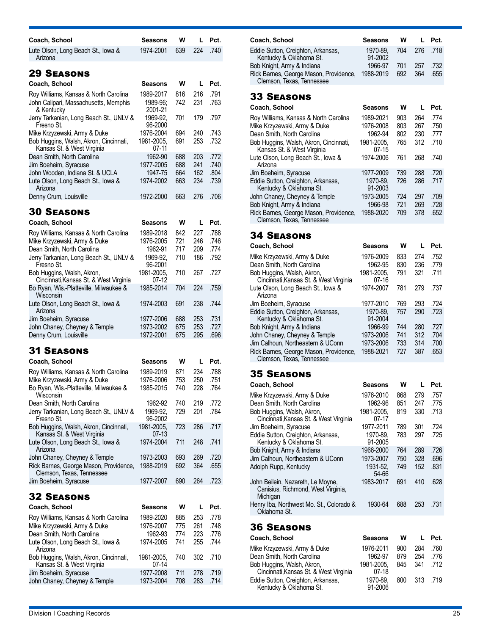| Coach, School                                                                                                                                                | Seasons                                                  | w                        | L                        | Pct.                         |
|--------------------------------------------------------------------------------------------------------------------------------------------------------------|----------------------------------------------------------|--------------------------|--------------------------|------------------------------|
| Lute Olson, Long Beach St., Iowa &<br>Arizona                                                                                                                | 1974-2001                                                | 639                      | 224                      | .740                         |
| <b>29 SEASONS</b>                                                                                                                                            |                                                          |                          |                          |                              |
| Coach, School                                                                                                                                                | Seasons                                                  | w                        | L                        | Pct.                         |
| Roy Williams, Kansas & North Carolina<br>John Calipari, Massachusetts, Memphis<br>& Kentucky                                                                 | 1989-2017<br>1989-96:<br>2001-21                         | 816<br>742               | 216<br>231               | .791<br>.763                 |
| Jerry Tarkanian, Long Beach St., UNLV &<br>Fresno St.                                                                                                        | 1969-92,<br>96-2000                                      | 701                      | 179                      | .797                         |
| Mike Krzyzewski, Army & Duke<br>Bob Huggins, Walsh, Akron, Cincinnati,<br>Kansas St. & West Virginia                                                         | 1976-2004<br>1981-2005,<br>07-11                         | 694<br>691               | 240<br>253               | .743<br>.732                 |
| Dean Smith, North Carolina<br>Jim Boeheim, Syracuse<br>John Wooden, Indiana St. & UCLA<br>Lute Olson, Long Beach St., Iowa &                                 | 1962-90<br>1977-2005<br>1947-75<br>1974-2002             | 688<br>688<br>664<br>663 | 203<br>241<br>162<br>234 | .772<br>.740<br>.804<br>.739 |
| Arizona<br>Denny Crum, Louisville                                                                                                                            | 1972-2000                                                | 663                      | 276                      | .706                         |
| <b>30 SEASONS</b>                                                                                                                                            |                                                          |                          |                          |                              |
| Coach, School                                                                                                                                                | Seasons                                                  | w                        | L                        | Pct.                         |
| Roy Williams, Kansas & North Carolina<br>Mike Krzyzewski, Army & Duke<br>Dean Smith, North Carolina<br>Jerry Tarkanian, Long Beach St., UNLV &<br>Fresno St. | 1989-2018<br>1976-2005<br>1962-91<br>1969-92,<br>96-2001 | 842<br>721<br>717<br>710 | 227<br>246<br>209<br>186 | .788<br>.746<br>.774<br>.792 |
| Bob Huggins, Walsh, Akron,<br>Cincinnati, Kansas St. & West Virginia                                                                                         | 1981-2005,<br>07-12                                      | 710                      | 267                      | .727                         |
| Bo Ryan, Wis.-Platteville, Milwaukee &<br>Wisconsin                                                                                                          | 1985-2014                                                | 704                      | 224                      | .759                         |
| Lute Olson, Long Beach St., lowa &<br>Arizona                                                                                                                | 1974-2003                                                | 691                      | 238                      | .744                         |
| Jim Boeheim, Syracuse<br>John Chaney, Cheyney & Temple<br>Denny Crum, Louisville                                                                             | 1977-2006<br>1973-2002<br>1972-2001                      | 688<br>675<br>675        | 253<br>253<br>295        | .731<br>.727<br>.696         |
| <b>31 Seasons</b>                                                                                                                                            |                                                          |                          |                          |                              |
| Coach, School                                                                                                                                                | <b>Seasons</b>                                           | w                        | L                        | Pct.                         |
| Roy Williams, Kansas & North Carolina<br>Mike Krzyzewski, Army & Duke<br>Bo Ryan, Wis.-Platteville, Milwaukee &<br>Wisconsin                                 | 1989-2019<br>1976-2006<br>1985-2015                      | 871<br>753<br>740        | 234<br>250<br>228        | .788<br>.751<br>.764         |
| Dean Smith, North Carolina<br>Jerry Tarkanian, Long Beach St., UNLV &<br>Fresno St.                                                                          | 1962-92<br>1969-92,<br>96-2002                           | 740<br>729               | 219<br>201               | .772<br>.784                 |
| Bob Huggins, Walsh, Akron, Cincinnati,<br>Kansas St. & West Virginia                                                                                         | 1981-2005.<br>$07-13$                                    | 723                      | 286                      | .717                         |
| Lute Olson, Long Beach St., Iowa &<br>Arizona                                                                                                                | 1974-2004                                                | 711                      | 248                      | .741                         |
| John Chaney, Cheyney & Temple<br>Rick Barnes, George Mason, Providence,<br>Clemson, Texas, Tennessee                                                         | 1973-2003<br>1988-2019                                   | 693<br>692               | 269<br>364               | .720<br>.655                 |
| Jim Boeheim, Syracuse                                                                                                                                        | 1977-2007                                                | 690                      | 264                      | .723                         |
| <b>32 SEASONS</b>                                                                                                                                            |                                                          |                          |                          |                              |
| Coach, School                                                                                                                                                | Seasons                                                  | W                        | L                        | Pct.                         |
| Roy Williams, Kansas & North Carolina                                                                                                                        | 1989-2020                                                | 885                      | 253                      | .778                         |
| Mike Krzyzewski, Army & Duke<br>Dean Smith, North Carolina                                                                                                   | 1976-2007<br>1962-93                                     | 775<br>774               | 261<br>223               | .748<br>.776                 |
| Lute Olson, Long Beach St., Iowa &<br>Arizona                                                                                                                | 1974-2005                                                | 741                      | 255                      | .744                         |
| Bob Huggins, Walsh, Akron, Cincinnati,<br>Kansas St. & West Virginia                                                                                         | 1981-2005,<br>07-14                                      | 740                      | 302                      | .710                         |
| Jim Boeheim, Syracuse<br>John Chaney, Cheyney & Temple                                                                                                       | 1977-2008<br>1973-2004                                   | 711<br>708               | 278<br>283               | .719<br>.714                 |
|                                                                                                                                                              |                                                          |                          |                          |                              |

| Coach, School                                                                 | Seasons                          | <b>W</b> | $\mathbf{L}$ | Pct. |
|-------------------------------------------------------------------------------|----------------------------------|----------|--------------|------|
| Eddie Sutton, Creighton, Arkansas,<br>Kentucky & Oklahoma St.                 | 1970-89. 704 276 .718<br>91-2002 |          |              |      |
| Bob Knight, Army & Indiana                                                    | 1966-97                          | 701      | 257          | .732 |
| Rick Barnes, George Mason, Providence, 1988-2019<br>Clemson, Texas, Tennessee |                                  | 692      | 364          | .655 |
|                                                                               |                                  |          |              |      |

| Coach, School                                                        | Seasons               | w   | L   | Pct. |
|----------------------------------------------------------------------|-----------------------|-----|-----|------|
| Roy Williams, Kansas & North Carolina                                | 1989-2021             | 903 | 264 | .774 |
| Mike Krzyzewski, Army & Duke                                         | 1976-2008             | 803 | 267 | .750 |
| Dean Smith, North Carolina                                           | 1962-94               | 802 | 230 | .777 |
| Bob Huggins, Walsh, Akron, Cincinnati,<br>Kansas St. & West Virginia | 1981-2005,<br>$07-15$ | 765 | 312 | .710 |
| Lute Olson, Long Beach St., lowa &<br>Arizona                        | 1974-2006             | 761 | 268 | .740 |
| Jim Boeheim, Syracuse                                                | 1977-2009             | 739 | 288 | .720 |
| Eddie Sutton, Creighton, Arkansas,<br>Kentucky & Oklahoma St.        | 1970-89.<br>91-2003   | 726 | 286 | .717 |
| John Chaney, Cheyney & Temple                                        | 1973-2005             | 724 | 297 | .709 |
| Bob Knight, Army & Indiana                                           | 1966-98               | 721 | 269 | .728 |
| Rick Barnes, George Mason, Providence,<br>Clemson, Texas, Tennessee  | 1988-2020             | 709 | 378 | .652 |

### 34 Seasons

| Coach, School                                                        | <b>Seasons</b>        | w   |     | Pct. |
|----------------------------------------------------------------------|-----------------------|-----|-----|------|
| Mike Krzyzewski, Army & Duke                                         | 1976-2009             | 833 | 274 | .752 |
| Dean Smith, North Carolina                                           | 1962-95               | 830 | 236 | .779 |
| Bob Huggins, Walsh, Akron,<br>Cincinnati, Kansas St. & West Virginia | 1981-2005.<br>$07-16$ | 791 | 321 | .711 |
| Lute Olson, Long Beach St., Iowa &<br>Arizona                        | 1974-2007             | 781 | 279 | .737 |
| Jim Boeheim, Syracuse                                                | 1977-2010             | 769 | 293 | .724 |
| Eddie Sutton, Creighton, Arkansas,<br>Kentucky & Oklahoma St.        | 1970-89.<br>91-2004   | 757 | 290 | .723 |
| Bob Knight, Army & Indiana                                           | 1966-99               | 744 | 280 | .727 |
| John Chaney, Cheyney & Temple                                        | 1973-2006             | 741 | 312 | .704 |
| Jim Calhoun, Northeastern & UConn                                    | 1973-2006             | 733 | 314 | .700 |
| Rick Barnes, George Mason, Providence,<br>Clemson, Texas, Tennessee  | 1988-2021             | 727 | 387 | .653 |
|                                                                      |                       |     |     |      |

### 35 Seasons

| Coach, School                                                                       | Seasons               | w   | L   | Pct. |
|-------------------------------------------------------------------------------------|-----------------------|-----|-----|------|
| Mike Krzyzewski, Army & Duke                                                        | 1976-2010             | 868 | 279 | .757 |
| Dean Smith, North Carolina                                                          | 1962-96               | 851 | 247 | .775 |
| Bob Huggins, Walsh, Akron,<br>Cincinnati, Kansas St. & West Virginia                | 1981-2005.<br>$07-17$ | 819 | 330 | .713 |
| Jim Boeheim, Syracuse                                                               | 1977-2011             | 789 | 301 | .724 |
| Eddie Sutton, Creighton, Arkansas,<br>Kentucky & Oklahoma St.                       | 1970-89.<br>91-2005   | 783 | 297 | .725 |
| Bob Knight, Army & Indiana                                                          | 1966-2000             | 764 | 289 | .726 |
| Jim Calhoun, Northeastern & UConn                                                   | 1973-2007             | 750 | 328 | .696 |
| Adolph Rupp, Kentucky                                                               | 1931-52.<br>54-66     | 749 | 152 | .831 |
| John Beilein, Nazareth, Le Moyne,<br>Canisius, Richmond, West Virginia,<br>Michigan | 1983-2017             | 691 | 410 | .628 |
| Henry Iba, Northwest Mo. St., Colorado &<br>Oklahoma St.                            | 1930-64               | 688 | 253 | .731 |

| Coach, School                                                        | <b>Seasons</b>        | w   |          | Pct. |
|----------------------------------------------------------------------|-----------------------|-----|----------|------|
| Mike Krzyzewski, Army & Duke                                         | 1976-2011             | 900 | 284      | .760 |
| Dean Smith, North Carolina                                           | 1962-97               | 879 | 254      | .776 |
| Bob Huggins, Walsh, Akron,<br>Cincinnati, Kansas St. & West Virginia | 1981-2005.<br>$07-18$ | 845 | 341      | .712 |
| Eddie Sutton, Creighton, Arkansas,<br>Kentucky & Oklahoma St.        | 1970-89.<br>91-2006   | 800 | 313 .719 |      |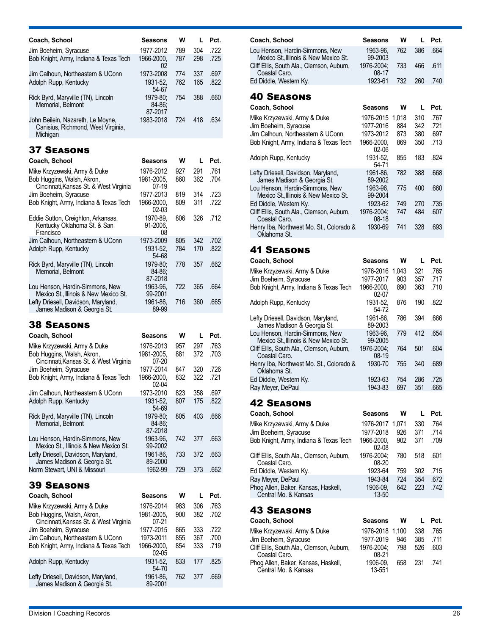| Coach, School                                                            | Seasons                       | w          | L          | Pct.                                                 |
|--------------------------------------------------------------------------|-------------------------------|------------|------------|------------------------------------------------------|
| Jim Boeheim, Syracuse                                                    | 1977-2012                     | 789        | 304        | .722                                                 |
| Bob Knight, Army, Indiana & Texas Tech                                   | 1966-2000,<br>02              | 787        | 298        | .725                                                 |
| Jim Calhoun, Northeastern & UConn<br>Adolph Rupp, Kentucky               | 1973-2008<br>1931-52.         | 774<br>762 | 337<br>165 | .697<br>.822                                         |
| Rick Byrd, Maryville (TN), Lincoln<br>Memorial, Belmont                  | 54-67<br>1979-80:<br>84-86:   | 754        | 388        | .660                                                 |
| John Beilein, Nazareth, Le Moyne,                                        | 87-2017<br>1983-2018          | 724        | 418        | .634                                                 |
| Canisius, Richmond, West Virginia,<br>Michigan                           |                               |            |            |                                                      |
| <b>37 SEASONS</b>                                                        |                               |            |            |                                                      |
| Coach, School                                                            | Seasons                       | w          | L          | Pct.                                                 |
| Mike Krzyzewski, Army & Duke                                             | 1976-2012                     | 927        | 291        | .761                                                 |
| Bob Huggins, Walsh, Akron,<br>Cincinnati, Kansas St. & West Virginia     | 1981-2005,<br>$07-19$         | 860        | 362        | .704                                                 |
| Jim Boeheim, Syracuse<br>Bob Knight, Army, Indiana & Texas Tech          | 1977-2013<br>1966-2000.       | 819<br>809 | 314<br>311 | .723<br>.722                                         |
| Eddie Sutton, Creighton, Arkansas,                                       | 02-03<br>1970-89,             | 806        | 326        | .712                                                 |
| Kentucky Oklahoma St. & San<br>Francisco                                 | 91-2006.<br>08                |            |            |                                                      |
| Jim Calhoun, Northeastern & UConn<br>Adolph Rupp, Kentucky               | 1973-2009<br>1931-52,         | 805<br>784 | 342<br>170 | .702<br>.822                                         |
|                                                                          | 54-68                         |            |            |                                                      |
| Rick Byrd, Maryville (TN), Lincoln<br>Memorial, Belmont                  | 1979-80;<br>84-86:<br>87-2018 | 778        | 357        | .662                                                 |
| Lou Henson, Hardin-Simmons, New<br>Mexico St., Illinois & New Mexico St. | 1963-96,<br>99-2001           | 722        | 365        | .664                                                 |
| Lefty Driesell, Davidson, Maryland,<br>James Madison & Georgia St.       | 1961-86,<br>89-99             | 716        | 360        | .665                                                 |
| <b>38 SEASONS</b>                                                        |                               |            |            |                                                      |
| Coach, School                                                            | Seasons                       | W          | L          | Pct.                                                 |
| Mike Krzyzewski, Army & Duke                                             | 1976-2013                     | 957        | 297        | .763                                                 |
| Bob Huggins, Walsh, Akron,<br>Cincinnati, Kansas St. & West Virginia     | 1981-2005,<br>07-20           | 881        | 372        | .703                                                 |
| Jim Boeheim, Syracuse                                                    | 1977-2014                     | 847        | 320        | .726                                                 |
| Bob Knight, Army, Indiana & Texas Tech                                   | 1966-2000.<br>02-04           | 832        | 322        | .721                                                 |
| Jim Calhoun, Northeastern & UConn                                        | 1973-2010                     | 823        | 358        | .697                                                 |
| Adolph Rupp, Kentucky                                                    | 1931-52,<br>54-69             | 807        | 175        | .822                                                 |
| Rick Byrd, Maryville (TN), Lincoln<br>Memorial, Belmont                  | 1979-80;<br>84-86:<br>87-2018 | 805        | 403        | .666                                                 |
| Lou Henson, Hardin-Simmons, New<br>Mexico St., Illinois & New Mexico St. | 1963-96.<br>99-2002           | 742        | 377        | .663                                                 |
| Lefty Driesell, Davidson, Maryland,<br>James Madison & Georgia St.       | 1961-86,<br>89-2000           | 733        | 372        | .663                                                 |
| Norm Stewart, UNI & Missouri                                             | 1962-99                       | 729        | 373        | .662                                                 |
| <b>39 SEASONS</b>                                                        |                               |            |            |                                                      |
| Coach, School                                                            |                               | w          | L          | Pct.                                                 |
|                                                                          | Seasons                       |            |            |                                                      |
| Mike Krzyzewski, Army & Duke<br>Bob Huggins, Walsh, Akron,               | 1976-2014<br>1981-2005,       | 983<br>900 | 306<br>382 |                                                      |
| Cincinnati, Kansas St. & West Virginia<br>Jim Boeheim, Syracuse          | $07 - 21$<br>1977-2015        | 865        | 333        |                                                      |
| Jim Calhoun, Northeastern & UConn                                        | 1973-2011                     | 855        | 367        |                                                      |
| Bob Knight, Army, Indiana & Texas Tech                                   | 1966-2000,<br>$02-05$         | 854        | 333        |                                                      |
| Adolph Rupp, Kentucky                                                    | 1931-52,<br>54-70<br>1961-86, | 833<br>762 | 177<br>377 | .763<br>.702<br>.722<br>.700<br>.719<br>.825<br>.669 |

**Coach, School Seasons** Mike Krzyzewski, Army & Duke 1976-2016 1,043 321 .765 Jim Boeheim, Syracuse 1977-2017 903 357 .717 Bob Knight, Army, Indiana & Texas Tech 02-07 Adolph Rupp, Kentucky 1931-52, 54-72 Lefty Driesell, Davidson, Maryland, James Madison & Georgia St. 1961-86, 89-2003 Lou Henson, Hardin-Simmons, New Mexico St.,Illinois & New Mexico St. 1963-96, 99-2005 Cliff Ellis, South Ala., Clemson, Auburn, Coastal Caro. 1976-2004; 08-19 Henry Iba, Northwest Mo. St., Colorado & Oklahoma St. 1930-70 755 340 .689 Ed Diddle, Western Ky. 1923-63 754 286 .725 Ray Meyer, DePaul 1943-83 697 351 .665 42 Seasons

**Coach, School Seasons**

**Coach, School Seasons**

Jim Calhoun, Northeastern & UConn 1973-2012 873 Bob Knight, Army, Indiana & Texas Tech 1966-2000,

Lou Henson, Hardin-Simmons, New Mexico St.,Illinois & New Mexico St.

Coastal Caro.

40 Seasons

Adolph Rupp, Kentucky

Coastal Caro.

Oklahoma St.

41 Seasons

Lefty Driesell, Davidson, Maryland, James Madison & Georgia St.

Lou Henson, Hardin-Simmons, New Mexico St.,Illinois & New Mexico St.

Cliff Ellis, South Ala., Clemson, Auburn,

Henry Iba, Northwest Mo. St., Colorado &

Cliff Ellis, South Ala., Clemson, Auburn,

**W**

**W**

1963-96, 99-2003

1976-2004; 08-17<br>1923-61

02-06<br>.1931-52

1961-86, 89-2002

1963-96, 99-2004<br>1923-62

1976-2004; 08-18

54-71

Ed Diddle, Western Ky. 1923-61 732 260 .740

Mike Krzyzewski, Army & Duke 1976-2015 1,018 310 .767 Jim Boeheim, Syracuse 1977-2016 884 342 .721

Ed Diddle, Western Ky. 1923-62 749 270 .735

**L Pct.**

**L Pct.**

762 386 .664

733 466 .611

869 350 .713

855 183 .824

782 388 .668

775 400 .660

1930-69 741 328 .693

**W**

.607

**L Pct.**

890 363 .710

876 190 .822

786 394 .666

779 412 .654

764 501 .604

| Coach, School                                               | <b>Seasons</b>      | w   | L   | Pct. |
|-------------------------------------------------------------|---------------------|-----|-----|------|
| Mike Krzyzewski, Army & Duke                                | 1976-2017 1.071     |     | 330 | .764 |
| Jim Boeheim, Syracuse                                       | 1977-2018           | 926 | 371 | .714 |
| Bob Knight, Army, Indiana & Texas Tech                      | 1966-2000.<br>02-08 | 902 | 371 | .709 |
| Cliff Ellis, South Ala., Clemson, Auburn,<br>Coastal Caro.  | 1976-2004:<br>08-20 | 780 | 518 | .601 |
| Ed Diddle, Western Ky.                                      | 1923-64             | 759 | 302 | .715 |
| Ray Meyer, DePaul                                           | 1943-84             | 724 | 354 | .672 |
| Phog Allen, Baker, Kansas, Haskell,<br>Central Mo. & Kansas | 1906-09.<br>13-50   | 642 | 223 | .742 |
| <b>43 Seasons</b>                                           |                     |     |     |      |
| Assala Aslasali                                             |                     |     |     |      |

|                     |     |                                 | Pct.             |
|---------------------|-----|---------------------------------|------------------|
|                     |     |                                 | .765             |
| 1977-2019           | 946 | 385                             | .711             |
| 1976-2004:<br>08-21 | 798 | 526                             | .603             |
| 1906-09.<br>13-551  | 658 |                                 |                  |
|                     |     | w<br>Seasons<br>1976-2018 1.100 | - 338<br>231 741 |

James Madison & Georgia St.

89-2001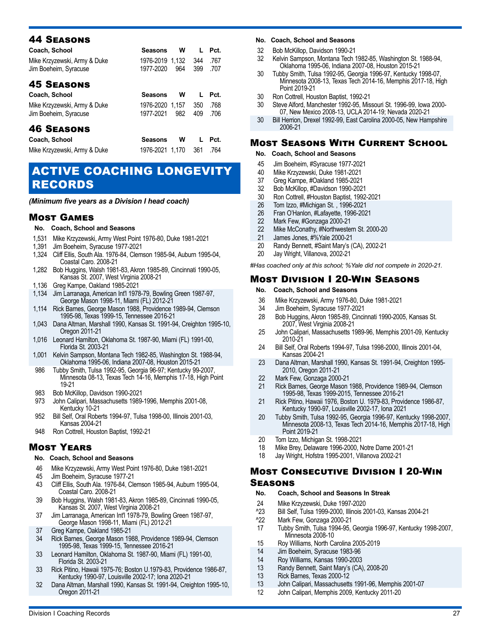| Coach, School<br>Mike Krzyzewski, Army & Duke<br>Jim Boeheim, Syracuse | <b>Seasons</b><br>1976-2019 1,132<br>1977-2020 | w<br>964 | L<br>344<br>399 | Pct.<br>.767<br>.707 |
|------------------------------------------------------------------------|------------------------------------------------|----------|-----------------|----------------------|
| <b>45 SEASONS</b>                                                      |                                                |          |                 |                      |
| Coach, School                                                          | <b>Seasons</b>                                 | W        | L               | Pct.                 |
| Mike Krzyzewski, Army & Duke<br>Jim Boeheim, Syracuse                  | 1976-2020 1.157<br>1977-2021                   | 982      | 350<br>409      | .768<br>.706         |
| <b>46 SEASONS</b>                                                      |                                                |          |                 |                      |
| Coach, School                                                          | <b>Seasons</b>                                 | w        | L               | Pct.                 |
| Mike Krzyzewski, Army & Duke                                           | 1976-2021 1.170                                |          | 361             | .764                 |

### ACTIVE COACHING LONGEVITY RECORDS

*(Minimum five years as a Division I head coach)*

#### Most Games

#### **No. Coach, School and Seasons**

- 1,531 Mike Krzyzewski, Army West Point 1976-80, Duke 1981-2021
- 1,391 Jim Boeheim, Syracuse 1977-2021
- 1,324 Cliff Ellis, South Ala. 1976-84, Clemson 1985-94, Auburn 1995-04, Coastal Caro. 2008-21
- 1,282 Bob Huggins, Walsh 1981-83, Akron 1985-89, Cincinnati 1990-05, Kansas St. 2007, West Virginia 2008-21
- 1,136 Greg Kampe, Oakland 1985-2021
- 1,134 Jim Larranaga, American Int'l 1978-79, Bowling Green 1987-97, George Mason 1998-11, Miami (FL) 2012-21
- 1,114 Rick Barnes, George Mason 1988, Providence 1989-94, Clemson 1995-98, Texas 1999-15, Tennessee 2016-21
- 1,043 Dana Altman, Marshall 1990, Kansas St. 1991-94, Creighton 1995-10, Oregon 2011-21
- 1,016 Leonard Hamilton, Oklahoma St. 1987-90, Miami (FL) 1991-00, Florida St. 2003-21
- 1,001 Kelvin Sampson, Montana Tech 1982-85, Washington St. 1988-94, Oklahoma 1995-06, Indiana 2007-08, Houston 2015-21
- 986 Tubby Smith, Tulsa 1992-95, Georgia 96-97; Kentucky 99-2007, Minnesota 08-13, Texas Tech 14-16, Memphis 17-18, High Point 19-21
- 983 Bob McKillop, Davidson 1990-2021<br>973 John Calipari. Massachusetts 1989
- John Calipari, Massachusetts 1989-1996, Memphis 2001-08, Kentucky 10-21
- 952 Bill Self, Oral Roberts 1994-97, Tulsa 1998-00, Illinois 2001-03, Kansas 2004-21
- 948 Ron Cottrell, Houston Baptist, 1992-21

### Most Years

#### **No. Coach, School and Seasons**

- 46 Mike Krzyzewski, Army West Point 1976-80, Duke 1981-2021
- 
- 45 Jim Boeheim, Syracuse 1977-21<br>43 Cliff Ellis. South Ala. 1976-84. Cle 43 Cliff Ellis, South Ala. 1976-84, Clemson 1985-94, Auburn 1995-04, Coastal Caro. 2008-21
- 39 Bob Huggins, Walsh 1981-83, Akron 1985-89, Cincinnati 1990-05, Kansas St. 2007, West Virginia 2008-21
- 37 Jim Larranaga, American Int'l 1978-79, Bowling Green 1987-97, George Mason 1998-11, Miami (FL) 2012-21
- 37 Greg Kampe, Oakland 1985-21
- 34 Rick Barnes, George Mason 1988, Providence 1989-94, Clemson 1995-98, Texas 1999-15, Tennessee 2016-21
- 33 Leonard Hamilton, Oklahoma St. 1987-90, Miami (FL) 1991-00, Florida St. 2003-21
- 33 Rick Pitino, Hawaii 1975-76; Boston U.1979-83, Providence 1986-87, Kentucky 1990-97, Louisville 2002-17; Iona 2020-21
- 32 Dana Altman, Marshall 1990, Kansas St. 1991-94, Creighton 1995-10, Oregon 2011-21

#### **No. Coach, School and Seasons**

- 32 Bob McKillop, Davidson 1990-21
- 32 Kelvin Sampson, Montana Tech 1982-85, Washington St. 1988-94, Oklahoma 1995-06, Indiana 2007-08, Houston 2015-21
- 30 Tubby Smith, Tulsa 1992-95, Georgia 1996-97, Kentucky 1998-07, Minnesota 2008-13, Texas Tech 2014-16, Memphis 2017-18, High Point 2019-21
- 30 Ron Cottrell, Houston Baptist, 1992-21<br>30 Steve Alford, Manchester 1992-95, Mis
- 30 Steve Alford, Manchester 1992-95, Missouri St. 1996-99, Iowa 2000- 07, New Mexico 2008-13, UCLA 2014-19; Nevada 2020-21
- 30 Bill Herrion, Drexel 1992-99, East Carolina 2000-05, New Hampshire 2006-21

### Most Seasons With Current School

- **No. Coach, School and Seasons**
- 45 Jim Boeheim, #Syracuse 1977-2021
- 40 Mike Krzyzewski, Duke 1981-2021<br>37 Greg Kampe, #Oakland 1985-2021
- 37 Greg Kampe, #Oakland 1985-2021<br>32 Bob McKillop. #Davidson 1990-202
- Bob McKillop, #Davidson 1990-2021
- 30 Ron Cottrell, #Houston Baptist, 1992-2021
- 26 Tom Izzo, #Michigan St. , 1996-2021
- 26 Fran O'Hanlon, #Lafayette, 1996-2021<br>22 Mark Few. #Gonzaga 2000-21
- 22 Mark Few, #Gonzaga 2000-21<br>22 Mike McConathy, #Northwester
- 22 Mike McConathy, #Northwestern St. 2000-20<br>21 James Jones. #%Yale 2000-21
- 21 James Jones, #%Yale 2000-21
- 20 Randy Bennett, #Saint Mary's (CA), 2002-21
- 20 Jay Wright, Villanova, 2002-21

*#Has coached only at this school; %Yale did not compete in 2020-21.*

### Most Division I 20-Win Seasons

- **No. Coach, School and Seasons**
- 36 Mike Krzyzewski, Army 1976-80, Duke 1981-2021
- 
- 34 Jim Boeheim, Syracuse 1977-2021 28 Bob Huggins, Akron 1985-89, Cincinnati 1990-2005, Kansas St. 2007, West Virginia 2008-21
- 25 John Calipari, Massachusetts 1989-96, Memphis 2001-09, Kentucky 2010-21
- 24 Bill Self, Oral Roberts 1994-97, Tulsa 1998-2000, Illinois 2001-04, Kansas 2004-21
- 23 Dana Altman, Marshall 1990, Kansas St. 1991-94, Creighton 1995- 2010, Oregon 2011-21
- 22 Mark Few, Gonzaga 2000-21
- 21 Rick Barnes, George Mason 1988, Providence 1989-94, Clemson 1995-98, Texas 1999-2015, Tennessee 2016-21
- 21 Rick Pitino, Hawaii 1976, Boston U. 1979-83, Providence 1986-87, Kentucky 1990-97, Louisville 2002-17, Iona 2021
- 20 Tubby Smith, Tulsa 1992-95, Georgia 1996-97, Kentucky 1998-2007, Minnesota 2008-13, Texas Tech 2014-16, Memphis 2017-18, High Point 2019-21
- 20 Tom Izzo, Michigan St. 1998-2021
- 18 Mike Brey, Delaware 1996-2000, Notre Dame 2001-21
- 18 Jay Wright, Hofstra 1995-2001, Villanova 2002-21

#### Most Consecutive Division I 20-Win **SEASONS**

#### **No. Coach, School and Seasons In Streak**

- 
- 24 Mike Krzyzewski, Duke 1997-2020 ^23 Bill Self, Tulsa 1999-2000, Illinois 2001-03, Kansas 2004-21
- <sup>2</sup>22 Mark Few, Gonzaga 2000-21<br>17 Tubby Smith. Tulsa 1994-95.
- 17 Tubby Smith, Tulsa 1994-95, Georgia 1996-97, Kentucky 1998-2007, Minnesota 2008-10
- 15 Roy Williams, North Carolina 2005-2019
- 14 Jim Boeheim, Syracuse 1983-96<br>14 Rov Williams. Kansas 1990-2003
- 14 Roy Williams, Kansas 1990-2003<br>13 Randy Bennett, Saint Mary's (CA)
- 13 Randy Bennett, Saint Mary's (CA), 2008-20<br>13 Rick Barnes, Texas 2000-12
- Rick Barnes, Texas 2000-12
- 13 John Calipari, Massachusetts 1991-96, Memphis 2001-07
- 12 John Calipari, Memphis 2009, Kentucky 2011-20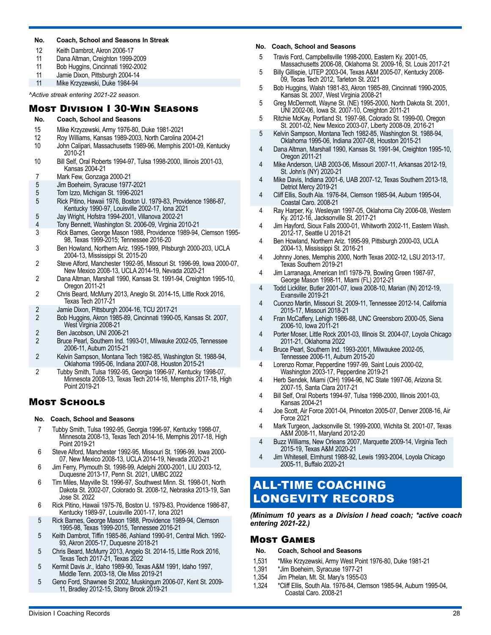#### **No. Coach, School and Seasons In Streak**

- 12 Keith Dambrot, Akron 2006-17
- 11 Dana Altman, Creighton 1999-2009
- 11 Bob Huggins, Cincinnati 1992-2002
- 11 Jamie Dixon, Pittsburgh 2004-14<br>11 Mike Krzyzewski, Duke 1984-94

Mike Krzyzewski, Duke 1984-94 *^Active streak entering 2021-22 season.* 

### Most Division I 30-Win Seasons

#### **No. Coach, School and Seasons**

- 15 Mike Krzyzewski, Army 1976-80, Duke 1981-2021
- 12 Roy Williams, Kansas 1989-2003, North Carolina 2004-21
- 10 John Calipari, Massachusetts 1989-96, Memphis 2001-09, Kentucky 2010-21
- 10 Bill Self, Oral Roberts 1994-97, Tulsa 1998-2000, Illinois 2001-03, Kansas 2004-21
- 7 Mark Few, Gonzaga 2000-21
- 5 Jim Boeheim, Syracuse 1977-2021
- 5 Tom Izzo, Michigan St. 1996-2021
- 5 Rick Pitino, Hawaii 1976, Boston U. 1979-83, Providence 1986-87, Kentucky 1990-97, Louisville 2002-17, Iona 2021
- 5 Jay Wright, Hofstra 1994-2001, Villanova 2002-21
- 4 Tony Bennett, Washington St. 2006-09, Virginia 2010-21
- 3 Rick Barnes, George Mason 1988, Providence 1989-94, Clemson 1995- 98, Texas 1999-2015; Tennessee 2016-20
- 3 Ben Howland, Northern Ariz. 1995-1999, Pitsburgh 2000-203, UCLA 2004-13, Mississippi St. 2015-20
- 2 Steve Alford, Manchester 1992-95, Missouri St. 1996-99, Iowa 2000-07, New Mexico 2008-13, UCLA 2014-19, Nevada 2020-21
- 2 Dana Altman, Marshall 1990, Kansas St. 1991-94, Creighton 1995-10, Oregon 2011-21
- 2 Chris Beard, McMurry 2013, Aneglo St. 2014-15, Little Rock 2016, Texas Tech 2017-21
- 2 Jamie Dixon, Pittsburgh 2004-16, TCU 2017-21
- 2 Bob Huggins, Akron 1985-89, Cincinnati 1990-05, Kansas St. 2007, West Virginia 2008-21
- 2 Ben Jacobson, UNI 2006-21
- 2 Bruce Pearl, Southern Ind. 1993-01, Milwauke 2002-05, Tennessee 2006-11, Auburn 2015-21
- 2 Kelvin Sampson, Montana Tech 1982-85, Washington St. 1988-94, Oklahoma 1995-06, Indiana 2007-08, Houston 2015-21
- 2 Tubby Smith, Tulsa 1992-95, Georgia 1996-97, Kentucky 1998-07, Minnesota 2008-13, Texas Tech 2014-16, Memphis 2017-18, High Point 2019-21

### Most Schools

#### **No. Coach, School and Seasons**

- 7 Tubby Smith, Tulsa 1992-95, Georgia 1996-97, Kentucky 1998-07, Minnesota 2008-13, Texas Tech 2014-16, Memphis 2017-18, High Point 2019-21
- 6 Steve Alford, Manchester 1992-95, Missouri St. 1996-99, Iowa 2000- 07, New Mexico 2008-13, UCLA 2014-19, Nevada 2020-21
- 6 Jim Ferry, Plymouth St. 1998-99, Adelphi 2000-2001, LIU 2003-12, Duquesne 2013-17, Penn St. 2021, UMBC 2022
- 6 Tim Miles, Mayville St. 1996-97, Southwest Minn. St. 1998-01, North Dakota St. 2002-07, Colorado St. 2008-12, Nebraska 2013-19, San Jose St. 2022
- 6 Rick Pitino, Hawaii 1975-76, Boston U. 1979-83, Providence 1986-87, Kentucky 1989-97, Louisville 2001-17, Iona 2021
- 5 Rick Barnes, George Mason 1988, Providence 1989-94, Clemson 1995-98, Texas 1999-2015, Tennessee 2016-21
- 5 Keith Dambrot, Tiffin 1985-86, Ashland 1990-91, Central Mich. 1992- 93, Akron 2005-17, Duquesne 2018-21
- 5 Chris Beard, McMurry 2013, Angelo St. 2014-15, Little Rock 2016, Texas Tech 2017-21, Texas 2022
- 5 Kermit Davis Jr., Idaho 1989-90, Texas A&M 1991, Idaho 1997, Middle Tenn. 2003-18, Ole Miss 2019-21
- 5 Geno Ford, Shawnee St 2002, Muskingum 2006-07, Kent St. 2009- 11, Bradley 2012-15, Stony Brook 2019-21

#### **No. Coach, School and Seasons**

- 5 Travis Ford, Campbellsville 1998-2000, Eastern Ky. 2001-05,
- Massachusetts 2006-08, Oklahoma St. 2009-16, St. Louis 2017-21 5 Billy Gillispie, UTEP 2003-04, Texas A&M 2005-07, Kentucky 2008- 09, Tecas Tech 2012, Tarleton St. 2021
- 5 Bob Huggins, Walsh 1981-83, Akron 1985-89, Cincinnati 1990-2005, Kansas St. 2007, West Virginia 2008-21
- 5 Greg McDermott, Wayne St. (NE) 1995-2000, North Dakota St. 2001, UNI 2002-06, Iowa St. 2007-10, Creighton 2011-21
- 5 Ritchie McKay, Portland St. 1997-98, Colorado St. 1999-00, Oregon St. 2001-02, New Mexico 2003-07, Liberty 2008-09, 2016-21
- 5 Kelvin Sampson, Montana Tech 1982-85, Washington St. 1988-94, Oklahoma 1995-06, Indiana 2007-08, Houston 2015-21
- 4 Dana Altman, Marshall 1990, Kansas St. 1991-94, Creighton 1995-10, Oregon 2011-21
- 4 Mike Anderson, UAB 2003-06, Missouri 2007-11, Arkansas 2012-19, St. John's (NY) 2020-21
- 4 Mike Davis, Indiana 2001-6, UAB 2007-12, Texas Southern 2013-18, Detriot Mercy 2019-21
- 4 Cliff Ellis, South Ala. 1976-84, Clemson 1985-94, Auburn 1995-04, Coastal Caro. 2008-21
- 4 Ray Harper, Ky. Wesleyan 1997-05, Oklahoma City 2006-08, Western Ky. 2012-16, Jacksonville St. 2017-21
- 4 Jim Hayford, Sioux Falls 2000-01, Whitworth 2002-11, Eastern Wash. 2012-17, Seattle U 2018-21
- 4 Ben Howland, Northern Ariz. 1995-99, Pittsburgh 2000-03, UCLA 2004-13, Mississippi St. 2016-21
- 4 Johnny Jones, Memphis 2000, North Texas 2002-12, LSU 2013-17, Texas Southern 2019-21
- 4 Jim Larranaga, American Int'l 1978-79, Bowling Green 1987-97, George Mason 1998-11, Miami (FL) 2012-21
- 4 Todd Lickliter, Butler 2001-07, Iowa 2008-10, Marian (IN) 2012-19, Evansville 2019-21
- 4 Cuonzo Martin, Missouri St. 2009-11, Tennessee 2012-14, California 2015-17, Missouri 2018-21
- 4 Fran McCaffery, Lehigh 1986-88, UNC Greensboro 2000-05, Siena 2006-10, Iowa 2011-21
- 4 Porter Moser, Little Rock 2001-03, Illinois St. 2004-07, Loyola Chicago 2011-21, Oklahoma 2022
- 4 Bruce Pearl, Southern Ind. 1993-2001, Milwaukee 2002-05, Tennessee 2006-11, Auburn 2015-20
- 4 Lorenzo Romar, Pepperdine 1997-99, Saint Louis 2000-02, Washington 2003-17, Pepperdine 2019-21
- 4 Herb Sendek, Miami (OH) 1994-96, NC State 1997-06, Arizona St. 2007-15, Santa Clara 2017-21
- 4 Bill Self, Oral Roberts 1994-97, Tulsa 1998-2000, Illinois 2001-03, Kansas 2004-21
- 4 Joe Scott, Air Force 2001-04, Princeton 2005-07, Denver 2008-16, Air Force 2021
- 4 Mark Turgeon, Jacksonville St. 1999-2000, Wichita St. 2001-07, Texas A&M 2008-11, Maryland 2012-20
- 4 Buzz Williams, New Orleans 2007, Marquette 2009-14, Virginia Tech 2015-19, Texas A&M 2020-21
- 4 Jim Whitesell, Elmhurst 1988-92, Lewis 1993-2004, Loyola Chicago 2005-11, Buffalo 2020-21

# ALL-TIME COACHING LONGEVITY RECORDS

*(Minimum 10 years as a Division I head coach; \*active coach entering 2021-22.)*

#### Most Games

- **No. Coach, School and Seasons**
- 1,531 \*Mike Krzyzewski, Army West Point 1976-80, Duke 1981-21<br>1,391 \*Jim Boeheim, Syracuse 1977-21
- 1,391 \*Jim Boeheim, Syracuse 1977-21
- 1,354 Jim Phelan, Mt. St. Mary's 1955-03
- 1,324 \*Cliff Ellis, South Ala. 1976-84, Clemson 1985-94, Auburn 1995-04, Coastal Caro. 2008-21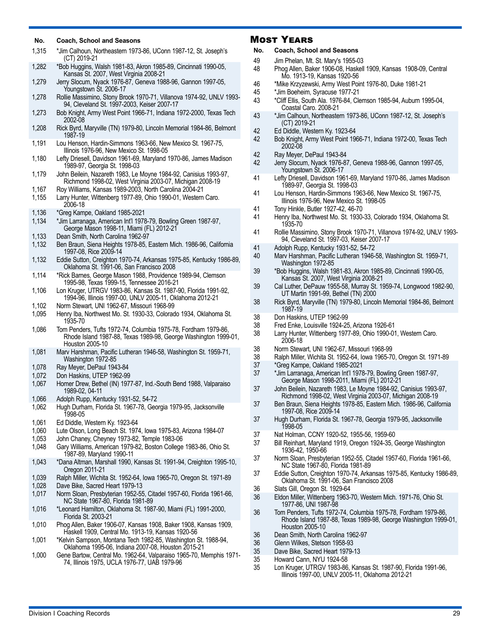#### **No. Coach, School and Seasons**

| No.            | <b>Coach, School and Seasons</b>                                                                                                                                          | M        |
|----------------|---------------------------------------------------------------------------------------------------------------------------------------------------------------------------|----------|
| 1,315          | *Jim Calhoun, Northeastern 1973-86, UConn 1987-12, St. Joseph's<br>(CT) 2019-21                                                                                           | No<br>49 |
| 1,282          | *Bob Huggins, Walsh 1981-83, Akron 1985-89, Cincinnati 1990-05,<br>Kansas St. 2007, West Virginia 2008-21                                                                 | 48       |
| 1,279          | Jerry Slocum, Nyack 1976-87, Geneva 1988-96, Gannon 1997-05,<br>Youngstown St. 2006-17                                                                                    | 46<br>45 |
| 1,278          | Rollie Massimino, Stony Brook 1970-71, Villanova 1974-92, UNLV 1993-<br>94, Cleveland St. 1997-2003, Keiser 2007-17                                                       | 43       |
| 1,273          | Bob Knight, Army West Point 1966-71, Indiana 1972-2000, Texas Tech<br>2002-08                                                                                             | 43       |
| 1,208          | Rick Byrd, Maryville (TN) 1979-80, Lincoln Memorial 1984-86, Belmont<br>1987-19                                                                                           | 42<br>42 |
| 1,191          | Lou Henson, Hardin-Simmons 1963-66, New Mexico St. 1967-75,<br>Illinois 1976-96, New Mexico St. 1998-05                                                                   | 42       |
| 1,180          | Lefty Driesell, Davidson 1961-69, Maryland 1970-86, James Madison<br>1989-97, Georgia St. 1998-03                                                                         | 42       |
| 1,179          | John Beilein, Nazareth 1983, Le Moyne 1984-92, Canisius 1993-97,<br>Richmond 1998-02, West Virginia 2003-07, Michigan 2008-19                                             | 41       |
| 1,167<br>1,155 | Roy Williams, Kansas 1989-2003, North Carolina 2004-21<br>Larry Hunter, Wittenberg 1977-89, Ohio 1990-01, Western Caro.                                                   | 41       |
| 1,136          | 2006-18<br>*Greg Kampe, Oakland 1985-2021                                                                                                                                 | 41<br>41 |
| 1,134          | *Jim Larranaga, American Int'l 1978-79, Bowling Green 1987-97,<br>George Mason 1998-11, Miami (FL) 2012-21                                                                | 41       |
| 1,133<br>1,132 | Dean Smith, North Carolina 1962-97<br>Ben Braun, Siena Heights 1978-85, Eastern Mich. 1986-96, California                                                                 | 41       |
| 1,132          | 1997-08, Rice 2009-14<br>Eddie Sutton, Creighton 1970-74, Arkansas 1975-85, Kentucky 1986-89,                                                                             | 40       |
| 1,114          | Oklahoma St. 1991-06, San Francisco 2008<br>*Rick Barnes, George Mason 1988, Providence 1989-94, Clemson                                                                  | 39       |
| 1,106          | 1995-98, Texas 1999-15, Tennessee 2016-21<br>Lon Kruger, UTRGV 1983-86, Kansas St. 1987-90, Florida 1991-92,<br>1994-96, Illinois 1997-00, UNLV 2005-11, Oklahoma 2012-21 | 39       |
| 1,102          | Norm Stewart, UNI 1962-67, Missouri 1968-99                                                                                                                               | 38       |
| 1,095          | Henry Iba, Northwest Mo. St. 1930-33, Colorado 1934, Oklahoma St.<br>1935-70                                                                                              | 38<br>38 |
| 1.086          | Tom Penders, Tufts 1972-74, Columbia 1975-78, Fordham 1979-86,<br>Rhode Island 1987-88, Texas 1989-98, George Washington 1999-01,<br>Houston 2005-10                      | 38       |
| 1,081          | Marv Harshman, Pacific Lutheran 1946-58, Washington St. 1959-71,<br>Washington 1972-85                                                                                    | 38<br>38 |
| 1,078<br>1,072 | Ray Meyer, DePaul 1943-84<br>Don Haskins, UTEP 1962-99                                                                                                                    | 37<br>37 |
| 1,067          | Homer Drew, Bethel (IN) 1977-87, Ind.-South Bend 1988, Valparaiso<br>1989-02, 04-11                                                                                       | 37       |
| 1,066          | Adolph Rupp, Kentucky 1931-52, 54-72                                                                                                                                      | 37       |
| 1,062          | Hugh Durham, Florida St. 1967-78, Georgia 1979-95, Jacksonville<br>1998-05                                                                                                | 37       |
| 1,061<br>1,060 | Ed Diddle, Western Ky. 1923-64<br>Lute Olson, Long Beach St. 1974, Iowa 1975-83, Arizona 1984-07                                                                          |          |
| 1,053<br>1,048 | John Chaney, Cheyney 1973-82, Temple 1983-06<br>Gary Williams, American 1979-82, Boston College 1983-86, Ohio St.                                                         | 37<br>37 |

- 1987-89, Maryland 1990-11 1,043 \*Dana Altman, Marshall 1990, Kansas St. 1991-94, Creighton 1995-10, Oregon 2011-21
- 1,039 Ralph Miller, Wichita St. 1952-64, Iowa 1965-70, Oregon St. 1971-89
- 1,028 Dave Bike, Sacred Heart 1979-13 1,017 Norm Sloan, Presbyterian 1952-55, Citadel 1957-60, Florida 1961-66, NC State 1967-80, Florida 1981-89
- 1,016 \*Leonard Hamilton, Oklahoma St. 1987-90, Miami (FL) 1991-2000, Florida St. 2003-21
- 1,010 Phog Allen, Baker 1906-07, Kansas 1908, Baker 1908, Kansas 1909, Haskell 1909, Central Mo. 1913-19, Kansas 1920-56
- 1,001 \*Kelvin Sampson, Montana Tech 1982-85, Washington St. 1988-94, Oklahoma 1995-06, Indiana 2007-08, Houston 2015-21
- 1,000 Gene Bartow, Central Mo. 1962-64, Valparaiso 1965-70, Memphis 1971- 74, Illinois 1975, UCLA 1976-77, UAB 1979-96

#### Most Years

- **No. Coach, School and Seasons**
- Jim Phelan, Mt. St. Mary's 1955-03
- 48 Phog Allen, Baker 1906-08, Haskell 1909, Kansas 1908-09, Central Mo. 1913-19, Kansas 1920-56
- 46 \*Mike Krzyzewski, Army West Point 1976-80, Duke 1981-21
- 45 \*Jim Boeheim, Syracuse 1977-21
- 43 \*Cliff Ellis, South Ala. 1976-84, Clemson 1985-94, Auburn 1995-04, Coastal Caro. 2008-21
- \*Jim Calhoun, Northeastern 1973-86, UConn 1987-12, St. Joseph's (CT) 2019-21
- 42 Ed Diddle, Western Ky. 1923-64
- 42 Bob Knight, Army West Point 1966-71, Indiana 1972-00, Texas Tech 2002-08
- 42 Ray Meyer, DePaul 1943-84
- 42 Jerry Slocum, Nyack 1976-87, Geneva 1988-96, Gannon 1997-05, Youngstown St. 2006-17
- Lefty Driesell, Davidson 1961-69, Maryland 1970-86, James Madison 1989-97, Georgia St. 1998-03
- Lou Henson, Hardin-Simmons 1963-66, New Mexico St. 1967-75, Illinois 1976-96, New Mexico St. 1998-05
- 41 Tony Hinkle, Butler 1927-42, 46-70
- 41 Henry Iba, Northwest Mo. St. 1930-33, Colorado 1934, Oklahoma St. 1935-70
- Rollie Massimino, Stony Brook 1970-71, Villanova 1974-92, UNLV 1993-94, Cleveland St. 1997-03, Keiser 2007-17
- Adolph Rupp, Kentucky 1931-52, 54-72
- Marv Harshman, Pacific Lutheran 1946-58, Washington St. 1959-71, Washington 1972-85
- 39 \*Bob Huggins, Walsh 1981-83, Akron 1985-89, Cincinnati 1990-05, Kansas St. 2007, West Virginia 2008-21
- 39 Cal Luther, DePauw 1955-58, Murray St. 1959-74, Longwood 1982-90, UT Martin 1991-99, Bethel (TN) 2000
- 38 Rick Byrd, Maryville (TN) 1979-80, Lincoln Memorial 1984-86, Belmont 1987-19
- Don Haskins, UTEP 1962-99
- 38 Fred Enke, Louisville 1924-25, Arizona 1926-61
- Larry Hunter, Wittenberg 1977-89, Ohio 1990-01, Western Caro. 2006-18
- 38 Norm Stewart, UNI 1962-67, Missouri 1968-99
- 38 Ralph Miller, Wichita St. 1952-64, Iowa 1965-70, Oregon St. 1971-89
- 37 \*Greg Kampe, Oakland 1985-2021
	- 37 \*Jim Larranaga, American Int'l 1978-79, Bowling Green 1987-97, George Mason 1998-2011, Miami (FL) 2012-21
- 37 John Beilein, Nazareth 1983, Le Moyne 1984-92, Canisius 1993-97, Richmond 1998-02, West Virginia 2003-07, Michigan 2008-19
- 37 Ben Braun, Siena Heights 1978-85, Eastern Mich. 1986-96, California 1997-08, Rice 2009-14
- Hugh Durham, Florida St. 1967-78, Georgia 1979-95, Jacksonville 1998-05
- 37 Nat Holman, CCNY 1920-52, 1955-56, 1959-60
- Bill Reinhart, Maryland 1919, Oregon 1924-35, George Washington 1936-42, 1950-66
- 37 Norm Sloan, Presbyterian 1952-55, Citadel 1957-60, Florida 1961-66, NC State 1967-80, Florida 1981-89
- 37 Eddie Sutton, Creighton 1970-74, Arkansas 1975-85, Kentucky 1986-89, Oklahoma St. 1991-06, San Francisco 2008
- 36 Slats Gill, Oregon St. 1929-64
- 36 Eldon Miller, Wittenberg 1963-70, Western Mich. 1971-76, Ohio St. 1977-86, UNI 1987-98
- 36 Tom Penders, Tufts 1972-74, Columbia 1975-78, Fordham 1979-86, Rhode Island 1987-88, Texas 1989-98, George Washington 1999-01, Houston 2005-10
- 36 Dean Smith, North Carolina 1962-97<br>36 Glenn Wilkes, Stetson 1958-93
- 36 Glenn Wilkes, Stetson 1958-93<br>35 Dave Bike, Sacred Heart 1979-
- 35 Dave Bike, Sacred Heart 1979-13<br>35 Howard Cann. NYU 1924-58
- 35 Howard Cann, NYU 1924-58
- 35 Lon Kruger, UTRGV 1983-86, Kansas St. 1987-90, Florida 1991-96, Illinois 1997-00, UNLV 2005-11, Oklahoma 2012-21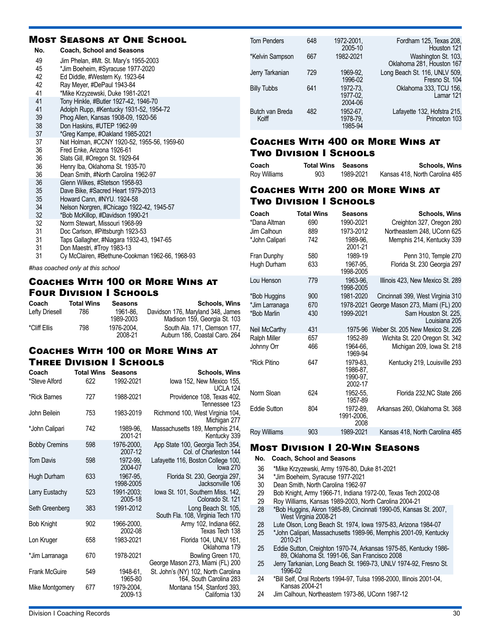### Most Seasons at One School

| No. | <b>Coach, School and Seasons</b>                |
|-----|-------------------------------------------------|
| 49  | Jim Phelan, #Mt. St. Mary's 1955-2003           |
| 45  | *Jim Boeheim, #Syracuse 1977-2020               |
| 42  | Ed Diddle, #Western Ky. 1923-64                 |
| 42  | Ray Meyer, #DePaul 1943-84                      |
| 41  | *Mike Krzyzewski, Duke 1981-2021                |
| 41  | Tony Hinkle, #Butler 1927-42, 1946-70           |
| 41  | Adolph Rupp, #Kentucky 1931-52, 1954-72         |
| 39  | Phog Allen, Kansas 1908-09, 1920-56             |
| 38  | Don Haskins, #UTEP 1962-99                      |
| 37  | *Greg Kampe, #Oakland 1985-2021                 |
| 37  | Nat Holman, #CCNY 1920-52, 1955-56, 1959-60     |
| 36  | Fred Enke, Arizona 1926-61                      |
| 36  | Slats Gill, #Oregon St. 1929-64                 |
| 36  | Henry Iba, Oklahoma St. 1935-70                 |
| 36  | Dean Smith, #North Carolina 1962-97             |
| 36  | Glenn Wilkes, #Stetson 1958-93                  |
| 35  | Dave Bike, #Sacred Heart 1979-2013              |
| 35  | Howard Cann, #NYU. 1924-58                      |
| 34  | Nelson Norgren, #Chicago 1922-42, 1945-57       |
| 32  | *Bob McKillop, #Davidson 1990-21                |
| 32  | Norm Stewart, Missouri 1968-99                  |
| 31  | Doc Carlson, #Pittsburgh 1923-53                |
| 31  | Taps Gallagher, #Niagara 1932-43, 1947-65       |
| 31  | Don Maestri, #Troy 1983-13                      |
| 31  | Cy McClairen, #Bethune-Cookman 1962-66, 1968-93 |

*#has coached only at this school*

### Coaches With 100 or More Wins at Four Division I Schools

| Coach          | <b>Total Wins</b> | <b>Seasons</b> | <b>Schools, Wins</b>              |
|----------------|-------------------|----------------|-----------------------------------|
| Lefty Driesell | 786               | 1961-86.       | Davidson 176, Maryland 348, James |
|                |                   | 1989-2003      | Madison 159, Georgia St. 103      |
| *Cliff Ellis   | 798               | 1976-2004.     | South Ala, 171, Clemson 177.      |
|                |                   | 2008-21        | Auburn 186, Coastal Caro. 264     |

### Coaches With 100 or More Wins at Three Division I Schools

| Coach                | <b>Total Wins</b> | <b>Seasons</b>        | <b>Schools, Wins</b>                                           |
|----------------------|-------------------|-----------------------|----------------------------------------------------------------|
| *Steve Alford        | 622               | 1992-2021             | lowa 152, New Mexico 155,<br><b>UCLA 124</b>                   |
| *Rick Barnes         | 727               | 1988-2021             | Providence 108, Texas 402,<br>Tennessee 123                    |
| John Beilein         | 753               | 1983-2019             | Richmond 100, West Virginia 104,<br>Michigan 277               |
| *John Calipari       | 742               | 1989-96.<br>2001-21   | Massachusetts 189, Memphis 214,<br>Kentucky 339                |
| <b>Bobby Cremins</b> | 598               | 1976-2000,<br>2007-12 | App State 100, Georgia Tech 354,<br>Col. of Charleston 144     |
| <b>Tom Davis</b>     | 598               | 1972-99.<br>2004-07   | Lafayette 116, Boston College 100,<br>lowa 270                 |
| Hugh Durham          | 633               | 1967-95,<br>1998-2005 | Florida St. 230, Georgia 297,<br>Jacksonville 106              |
| Larry Eustachy       | 523               | 1991-2003;<br>2005-18 | lowa St. 101, Southern Miss. 142,<br>Colorado St. 121          |
| Seth Greenberg       | 383               | 1991-2012             | Long Beach St. 105,<br>South Fla. 108, Virginia Tech 170       |
| <b>Bob Knight</b>    | 902               | 1966-2000,<br>2002-08 | Army 102, Indiana 662,<br>Texas Tech 138                       |
| Lon Kruger           | 658               | 1983-2021             | Florida 104, UNLV 161,<br>Oklahoma 179                         |
| *Jim Larranaga       | 670               | 1978-2021             | Bowling Green 170,<br>George Mason 273, Miami (FL) 200         |
| <b>Frank McGuire</b> | 549               | 1948-61.<br>1965-80   | St. John's (NY) 102, North Carolina<br>164, South Carolina 283 |
| Mike Montgomery      | 677               | 1979-2004.<br>2009-13 | Montana 154, Stanford 393,<br>California 130                   |

| <b>Tom Penders</b>       | 648 | 1972-2001,<br>2005-10           | Fordham 125, Texas 208,<br>Houston 121           |
|--------------------------|-----|---------------------------------|--------------------------------------------------|
| *Kelvin Sampson          | 667 | 1982-2021                       | Washington St. 103,<br>Oklahoma 281, Houston 167 |
| Jerry Tarkanian          | 729 | 1969-92.<br>1996-02             | Long Beach St. 116, UNLV 509,<br>Fresno St. 104  |
| <b>Billy Tubbs</b>       | 641 | 1972-73.<br>1977-02.<br>2004-06 | Oklahoma 333, TCU 156,<br>Lamar 121              |
| Butch van Breda<br>Kolff | 482 | 1952-67,<br>1978-79.<br>1985-94 | Lafayette 132, Hofstra 215,<br>Princeton 103     |

### Coaches With 400 or More Wins at Two Division I Schools

| Coach        | <b>Total Wins Seasons</b> |           | <b>Schools, Wins</b>           |
|--------------|---------------------------|-----------|--------------------------------|
| Roy Williams | 903                       | 1989-2021 | Kansas 418, North Carolina 485 |

### Coaches With 200 or More Wins at Two Division I Schools

| Coach               | <b>Total Wins</b> | <b>Seasons</b>                              | <b>Schools, Wins</b>                  |
|---------------------|-------------------|---------------------------------------------|---------------------------------------|
| *Dana Altman        | 690               | 1990-2021                                   | Creighton 327, Oregon 280             |
| Jim Calhoun         | 889               | 1973-2012                                   | Northeastern 248, UConn 625           |
| *John Calipari      | 742               | 1989-96.<br>2001-21                         | Memphis 214, Kentucky 339             |
| Fran Dunphy         | 580               | 1989-19                                     | Penn 310, Temple 270                  |
| Hugh Durham         | 633               | 1967-95.<br>1998-2005                       | Florida St. 230 Georgia 297           |
| Lou Henson          | 779               | 1963-96.<br>1998-2005                       | Illinois 423, New Mexico St. 289      |
| *Bob Huggins        | 900               | 1981-2020                                   | Cincinnati 399, West Virginia 310     |
| *Jim Larranaga      | 670               | 1978-2021                                   | George Mason 273, Miami (FL) 200      |
| *Bob Marlin         | 430               | 1999-2021                                   | Sam Houston St. 225,<br>Louisiana 205 |
| Neil McCarthy       | 431               | 1975-96                                     | Weber St. 205 New Mexico St. 226      |
| <b>Ralph Miller</b> | 657               | 1952-89                                     | Wichita St. 220 Oregon St. 342        |
| Johnny Orr          | 466               | 1964-66.<br>1969-94                         | Michigan 209, Iowa St. 218            |
| *Rick Pitino        | 647               | 1979-83.<br>1986-87.<br>1990-97.<br>2002-17 | Kentucky 219, Louisville 293          |
| Norm Sloan          | 624               | 1952-55.<br>1957-89                         | Florida 232, NC State 266             |
| <b>Eddie Sutton</b> | 804               | 1972-89.<br>1991-2006,<br>2008              | Arkansas 260, Oklahoma St. 368        |
| Roy Williams        | 903               | 1989-2021                                   | Kansas 418, North Carolina 485        |
|                     |                   |                                             |                                       |

#### Most Division I 20-Win Seasons

- **No. Coach, School and Seasons**
- 36 \*Mike Krzyzewski, Army 1976-80, Duke 81-2021
- \*Jim Boeheim, Syracuse 1977-2021
- 30 Dean Smith, North Carolina 1962-97<br>29 Bob Knight, Army 1966-71, Indiana 1
- 29 Bob Knight, Army 1966-71, Indiana 1972-00, Texas Tech 2002-08
- 29 Roy Williams, Kansas 1989-2003, North Carolina 2004-21
- 28 \*Bob Huggins, Akron 1985-89, Cincinnati 1990-05, Kansas St. 2007, West Virginia 2008-21
- 28 Lute Olson, Long Beach St. 1974, Iowa 1975-83, Arizona 1984-07
- 25 \*John Calipari, Massachusetts 1989-96, Memphis 2001-09, Kentucky 2010-21
- 25 Eddie Sutton, Creighton 1970-74, Arkansas 1975-85, Kentucky 1986- 89, Oklahoma St. 1991-06, San Francisco 2008
- 25 Jerry Tarkanian, Long Beach St. 1969-73, UNLV 1974-92, Fresno St. 1996-02
- 24 \*Bill Self, Oral Roberts 1994-97, Tulsa 1998-2000, Illinois 2001-04, Kansas 2004-21
- 24 Jim Calhoun, Northeastern 1973-86, UConn 1987-12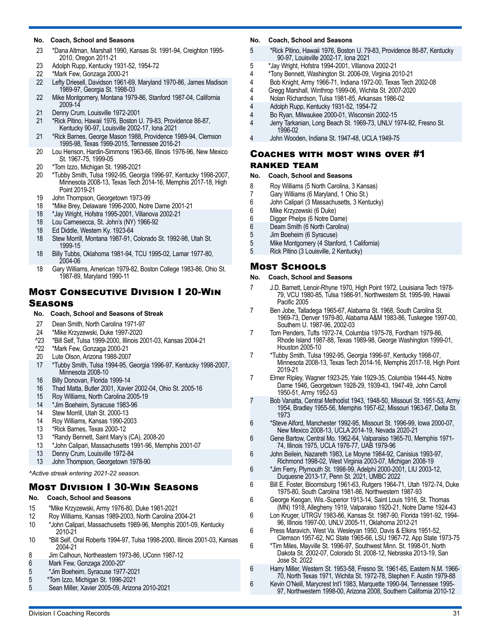#### **No. Coach, School and Seasons**

- 23 \*Dana Altman, Marshall 1990, Kansas St. 1991-94, Creighton 1995- 2010, Oregon 2011-21
- 23 Adolph Rupp, Kentucky 1931-52, 1954-72<br>22 \*Mark Few. Gonzaga 2000-21
- 22 \*Mark Few, Gonzaga 2000-21
- 22 Lefty Driesell, Davidson 1961-69, Maryland 1970-86, James Madison 1989-97, Georgia St. 1998-03
- 22 Mike Montgomery, Montana 1979-86, Stanford 1987-04, California 2009-14
- 21 Denny Crum, Louisville 1972-2001
- 21 \*Rick Pitino, Hawaii 1976, Boston U. 79-83, Providence 86-87, Kentucky 90-97, Louisville 2002-17, Iona 2021
- 21 \*Rick Barnes, George Mason 1988, Providence 1989-94, Clemson 1995-98, Texas 1999-2015, Tennessee 2016-21
- 20 Lou Henson, Hardin-Simmons 1963-66, Illinois 1976-96, New Mexico St. 1967-75, 1999-05
- 20 \*Tom Izzo, Michigan St. 1998-2021
- 20 \*Tubby Smith, Tulsa 1992-95, Georgia 1996-97, Kentucky 1998-2007, Minnesota 2008-13, Texas Tech 2014-16, Memphis 2017-18, High Point 2019-21
- 19 John Thompson, Georgetown 1973-99
- 18 \*Mike Brey, Delaware 1996-2000, Notre Dame 2001-21
- 18 \*Jay Wright, Hofstra 1995-2001, Villanova 2002-21
- 18 Lou Carnesecca, St. John's (NY) 1966-92
- 18 Ed Diddle, Western Ky. 1923-64
- 18 Stew Morrill, Montana 1987-91, Colorado St. 1992-98, Utah St. 1999-15
- 18 Billy Tubbs, Oklahoma 1981-94, TCU 1995-02, Lamar 1977-80, 2004-06
- 18 Gary Williams, American 1979-82, Boston College 1983-86, Ohio St. 1987-89, Maryland 1990-11

### Most Consecutive Division I 20-Win Seasons

#### **No. Coach, School and Seasons of Streak**

- 27 Dean Smith, North Carolina 1971-97
- 24 \*Mike Krzyzewski, Duke 1997-2020
- ^23 \*Bill Self, Tulsa 1999-2000, Illinois 2001-03, Kansas 2004-21
- ^22 \*Mark Few, Gonzaga 2000-21
- 20 Lute Olson, Arizona 1988-2007
- 17 \*Tubby Smith, Tulsa 1994-95, Georgia 1996-97, Kentucky 1998-2007, Minnesota 2008-10
- 16 Billy Donovan, Florida 1999-14
- 16 Thad Matta, Butler 2001, Xavier 2002-04, Ohio St. 2005-16
- 15 Roy Williams, North Carolina 2005-19<br>14 \*Jim Boeheim, Svracuse 1983-96
- \*Jim Boeheim, Syracuse 1983-96
- 14 Stew Morrill, Utah St. 2000-13
- 14 Roy Williams, Kansas 1990-2003
- 13 \* Rick Barnes, Texas 2000-12<br>13 \* Randy Bennett, Saint Mary's
- <sup>\*</sup>Randy Bennett, Saint Mary's (CA), 2008-20<br>13 <sup>\*</sup>John Calipari. Massachusetts 1991-96. Men
- 13 \*John Calipari, Massachusetts 1991-96, Memphis 2001-07
- 13 Denny Crum, Louisville 1972-84<br>13 John Thompson, Georgetown 19
- John Thompson, Georgetown 1978-90

*^Active streak entering 2021-22 season.* 

### Most Division I 30-Win Seasons

- **No. Coach, School and Seasons**
- 15 \*Mike Krzyzewski, Army 1976-80, Duke 1981-2021
- 12 Roy Williams, Kansas 1989-2003, North Carolina 2004-21
- 10 \*John Calipari, Massachusetts 1989-96, Memphis 2001-09, Kentucky 2010-21
- 10 \*Bill Self, Oral Roberts 1994-97, Tulsa 1998-2000, Illinois 2001-03, Kansas 2004-21
- 8 Jim Calhoun, Northeastern 1973-86, UConn 1987-12<br>6 Mark Few. Gonzaga 2000-20\*
- Mark Few, Gonzaga 2000-20\*
- 5 \*Jim Boeheim, Syracuse 1977-2021
- 5 \*Tom Izzo, Michigan St. 1996-2021
- 5 Sean Miller, Xavier 2005-09, Arizona 2010-2021

#### **No. Coach, School and Seasons**

- 5 \*Rick Pitino, Hawaii 1976, Boston U. 79-83, Providence 86-87, Kentucky 90-97, Louisville 2002-17, Iona 2021
- 5 \*Jay Wright, Hofstra 1994-2001, Villanova 2002-21
- 4 \*Tony Bennett, Washington St. 2006-09, Virginia 2010-21
- 4 Bob Knight, Army 1966-71, Indiana 1972-00, Texas Tech 2002-08
- 4 Gregg Marshall, Winthrop 1999-06, Wichita St. 2007-2020
- 4 Nolan Richardson, Tulsa 1981-85, Arkansas 1986-02
- 4 Adolph Rupp, Kentucky 1931-52, 1954-72
	- 4 Bo Ryan, Milwaukee 2000-01, Wisconsin 2002-15
- 4 Jerry Tarkanian, Long Beach St. 1969-73, UNLV 1974-92, Fresno St. 1996-02
- 4 John Wooden, Indiana St. 1947-48, UCLA 1949-75

#### Coaches with most wins over #1 ranked team

### **No. Coach, School and Seasons**

- 
- 8 Roy Williams (5 North Carolina, 3 Kansas) 7 Gary Williams (6 Maryland, 1 Ohio St.)
- 
- 6 John Calipari (3 Massachusetts, 3 Kentucky) 6 Mike Krzyzewski (6 Duke)
- 
- 6 Digger Phelps (6 Notre Dame) Deam Smith (6 North Carolina)
- 
- 5 Jim Boeheim (6 Syracuse)<br>5 Mike Montgomery (4 Stanfo
- 5 Mike Montgomery (4 Stanford, 1 California) 5 Rick Pitino (3 Louisville, 2 Kentucky)

### Most Schools

- **No. Coach, School and Seasons**
- 7 J.D. Barnett, Lenoir-Rhyne 1970, High Point 1972, Louisiana Tech 1978- 79, VCU 1980-85, Tulsa 1986-91, Northwestern St. 1995-99, Hawaii Pacific 2005
- 7 Ben Jobe, Talladega 1965-67, Alabama St. 1968, South Carolina St. 1969-73, Denver 1979-80, Alabama A&M 1983-86, Tuskegee 1997-00, Southern U. 1987-96, 2002-03
- 7 Tom Penders, Tufts 1972-74, Columbia 1975-78, Fordham 1979-86, Rhode Island 1987-88, Texas 1989-98, George Washington 1999-01, Houston 2005-10
- 7 \*Tubby Smith, Tulsa 1992-95, Georgia 1996-97, Kentucky 1998-07, Minnesota 2008-13, Texas Tech 2014-16, Memphis 2017-18, High Point 2019-21
- 7 Elmer Ripley, Wagner 1923-25, Yale 1929-35, Columbia 1944-45, Notre Dame 1946, Georgetown 1928-29, 1939-43, 1947-49, John Carroll 1950-51, Army 1952-53
- 7 Bob Vanatta, Central Methodist 1943, 1948-50, Missouri St. 1951-53, Army 1954, Bradley 1955-56, Memphis 1957-62, Missouri 1963-67, Delta St. 1973
- 6 \*Steve Alford, Manchester 1992-95, Missouri St. 1996-99, Iowa 2000-07, New Mexico 2008-13, UCLA 2014-19, Nevada 2020-21
- 6 Gene Bartow, Central Mo. 1962-64, Valparaiso 1965-70, Memphis 1971- 74, Illinois 1975, UCLA 1976-77, UAB 1979-96
- 6 John Beilein, Nazareth 1983, Le Moyne 1984-92, Canisius 1993-97, Richmond 1998-02, West Virginia 2003-07, Michigan 2008-19
- 6 \*Jim Ferry, Plymouth St. 1998-99, Adelphi 2000-2001, LIU 2003-12, Duquesne 2013-17, Penn St. 2021, UMBC 2022
- 6 Bill E. Foster, Bloomsburg 1961-63, Rutgers 1964-71, Utah 1972-74, Duke 1975-80, South Carolina 1981-86, Northwestern 1987-93
- 6 George Keogan, Wis.-Superior 1913-14, Saint Louis 1916, St. Thomas (MN) 1918, Allegheny 1919, Valparaiso 1920-21, Notre Dame 1924-43
- 6 Lon Kruger, UTRGV 1983-86, Kansas St. 1987-90, Florida 1991-92, 1994- 96, Illinois 1997-00, UNLV 2005-11, Oklahoma 2012-21
- 6 Press Maravich, West Va. Wesleyan 1950, Davis & Elkins 1951-52, Clemson 1957-62, NC State 1965-66, LSU 1967-72, App State 1973-75
- 6 \*Tim Miles, Mayville St. 1996-97, Southwest Minn. St. 1998-01, North Dakota St. 2002-07, Colorado St. 2008-12, Nebraska 2013-19, San Jose St. 2022
- 6 Harry Miller, Western St. 1953-58, Fresno St. 1961-65, Eastern N.M. 1966- 70, North Texas 1971, Wichita St. 1972-78, Stephen F. Austin 1979-88
- 6 Kevin O'Neill, Marycrest Int'l 1983, Marquette 1990-94, Tennessee 1995- 97, Northwestern 1998-00, Arizona 2008, Southern California 2010-12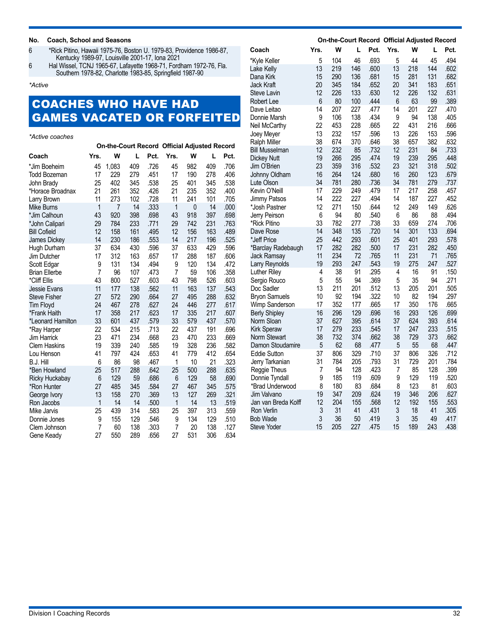#### **No. Coach, School and Seasons**

6 \*Rick Pitino, Hawaii 1975-76, Boston U. 1979-83, Providence 1986-87, Kentucky 1989-97, Louisville 2001-17, Iona 2021

6 Hal Wissel, TCNJ 1965-67, Lafayette 1968-71, Fordham 1972-76, Fla. Southern 1978-82, Charlotte 1983-85, Springfield 1987-90

*\*Active*

# COACHES WHO HAVE HAD GAMES VACATED OR FORFEITED

*\*Active coaches*

|                      |      |       |     |      | On-the-Court Record Official Adjusted Record |     |     |      |
|----------------------|------|-------|-----|------|----------------------------------------------|-----|-----|------|
| Coach                | Yrs. | W     | L   | Pct. | Yrs.                                         | W   | L   | Pct. |
| *Jim Boeheim         | 45   | 1,083 | 409 | .726 | 45                                           | 982 | 409 | .706 |
| Todd Bozeman         | 17   | 229   | 279 | .451 | 17                                           | 190 | 278 | .406 |
| John Brady           | 25   | 402   | 345 | .538 | 25                                           | 401 | 345 | .538 |
| *Horace Broadnax     | 21   | 261   | 352 | .426 | 21                                           | 235 | 352 | .400 |
| Larry Brown          | 11   | 273   | 102 | .728 | 11                                           | 241 | 101 | .705 |
| <b>Mike Burns</b>    | 1    | 7     | 14  | .333 | 1                                            | 0   | 14  | .000 |
| *Jim Calhoun         | 43   | 920   | 398 | .698 | 43                                           | 918 | 397 | .698 |
| *John Calipari       | 29   | 784   | 233 | .771 | 29                                           | 742 | 231 | .763 |
| <b>Bill Cofield</b>  | 12   | 158   | 161 | .495 | 12                                           | 156 | 163 | .489 |
| <b>James Dickey</b>  | 14   | 230   | 186 | .553 | 14                                           | 217 | 196 | .525 |
| Hugh Durham          | 37   | 634   | 430 | .596 | 37                                           | 633 | 429 | .596 |
| Jim Dutcher          | 17   | 312   | 163 | .657 | 17                                           | 288 | 187 | .606 |
| Scott Edgar          | 9    | 131   | 134 | .494 | 9                                            | 120 | 134 | .472 |
| <b>Brian Ellerbe</b> | 7    | 96    | 107 | .473 | 7                                            | 59  | 106 | .358 |
| *Cliff Ellis         | 43   | 800   | 527 | .603 | 43                                           | 798 | 526 | .603 |
| Jessie Evans         | 11   | 177   | 138 | .562 | 11                                           | 163 | 137 | .543 |
| <b>Steve Fisher</b>  | 27   | 572   | 290 | .664 | 27                                           | 495 | 288 | .632 |
| <b>Tim Floyd</b>     | 24   | 467   | 278 | .627 | 24                                           | 446 | 277 | .617 |
| *Frank Haith         | 17   | 358   | 217 | .623 | 17                                           | 335 | 217 | .607 |
| *Leonard Hamilton    | 33   | 601   | 437 | .579 | 33                                           | 579 | 437 | .570 |
| *Ray Harper          | 22   | 534   | 215 | .713 | 22                                           | 437 | 191 | .696 |
| Jim Harrick          | 23   | 471   | 234 | .668 | 23                                           | 470 | 233 | .669 |
| <b>Clem Haskins</b>  | 19   | 339   | 240 | .585 | 19                                           | 328 | 236 | .582 |
| Lou Henson           | 41   | 797   | 424 | .653 | 41                                           | 779 | 412 | .654 |
| B.J. Hill            | 6    | 86    | 98  | .467 | 1                                            | 10  | 21  | .323 |
| *Ben Howland         | 25   | 517   | 288 | .642 | 25                                           | 500 | 288 | .635 |
| Ricky Huckabay       | 6    | 129   | 59  | .686 | 6                                            | 129 | 58  | .690 |
| *Ron Hunter          | 27   | 485   | 345 | .584 | 27                                           | 467 | 345 | .575 |
| George Ivory         | 13   | 158   | 270 | .369 | 13                                           | 127 | 269 | .321 |
| Ron Jacobs           | 1    | 14    | 14  | .500 | 1                                            | 14  | 13  | .519 |
| Mike Jarvis          | 25   | 439   | 314 | .583 | 25                                           | 397 | 313 | .559 |
| Donnie Jones         | 9    | 155   | 129 | .546 | 9                                            | 134 | 129 | .510 |
| Clem Johnson         | 7    | 60    | 138 | .303 | 7                                            | 20  | 138 | .127 |
| Gene Keady           | 27   | 550   | 289 | .656 | 27                                           | 531 | 306 | .634 |

|                                    |          |            |            |              | On-the-Court Record Official Adjusted Record |            |            |              |
|------------------------------------|----------|------------|------------|--------------|----------------------------------------------|------------|------------|--------------|
| Coach                              | Yrs.     | W          | L          | Pct.         | Yrs.                                         | W          | L          | Pct.         |
| *Kyle Keller                       | 5        | 104        | 46         | .693         | 5                                            | 44         | 45         | .494         |
| Lake Kelly                         | 13       | 219        | 146        | .600         | 13                                           | 218        | 144        | .602         |
| Dana Kirk                          | 15       | 290        | 136        | .681         | 15                                           | 281        | 131        | .682         |
| Jack Kraft                         | 20       | 345        | 184        | .652         | 20                                           | 341        | 183        | .651         |
| Steve Lavin                        | 12       | 226        | 133        | .630         | 12                                           | 226        | 132        | .631         |
| Robert Lee                         | 6        | 80         | 100        | .444         | 6                                            | 63         | 99         | .389         |
| Dave Leitao                        | 14       | 207        | 227        | .477         | 14                                           | 201        | 227        | .470         |
| Donnie Marsh                       | 9        | 106        | 138        | .434         | 9                                            | 94         | 138        | .405         |
| Neil McCarthy                      | 22<br>13 | 453<br>232 | 228<br>157 | .665<br>.596 | 22<br>13                                     | 431<br>226 | 216<br>153 | .666<br>.596 |
| Joey Meyer                         | 38       | 674        | 370        | .646         | 38                                           | 657        | 382        | .632         |
| Ralph Miller<br>Bill Musselman     | 12       | 232        | 85         | .732         | 12                                           | 231        | 84         | .733         |
| Dickey Nutt                        | 19       | 266        | 295        | .474         | 19                                           | 239        | 295        | .448         |
| Jim O'Brien                        | 23       | 359        | 316        | .532         | 23                                           | 321        | 318        | .502         |
| Johnny Oldham                      | 16       | 264        | 124        | .680         | 16                                           | 260        | 123        | .679         |
| Lute Olson                         | 34       | 781        | 280        | .736         | 34                                           | 781        | 279        | .737         |
| Kevin O'Neill                      | 17       | 229        | 249        | .479         | 17                                           | 217        | 258        | .457         |
| Jimmy Patsos                       | 14       | 222        | 227        | .494         | 14                                           | 187        | 227        | .452         |
| *Josh Pastner                      | 12       | 271        | 150        | .644         | 12                                           | 249        | 149        | .626         |
| Jerry Peirson                      | 6        | 94         | 80         | .540         | 6                                            | 86         | 88         | .494         |
| *Rick Pitino                       | 33       | 782        | 277        | .738         | 33                                           | 659        | 274        | .706         |
| Dave Rose                          | 14       | 348        | 135        | .720         | 14                                           | 301        | 133        | .694         |
| *Jeff Price                        | 25       | 442        | 293        | .601         | 25                                           | 401        | 293        | .578         |
| *Barclay Radebaugh                 | 17       | 282        | 282        | .500         | 17                                           | 231        | 282        | .450         |
| <b>Jack Ramsay</b>                 | 11       | 234        | 72         | .765         | 11                                           | 231        | 71         | .765         |
| Larry Reynolds                     | 19       | 293        | 247        | .543         | 19                                           | 275        | 247        | .527         |
| Luther Riley                       | 4        | 38         | 91         | .295         | 4                                            | 16         | 91         | .150         |
| Sergio Rouco                       | 5<br>13  | 55<br>211  | 94<br>201  | .369<br>.512 | 5<br>13                                      | 35         | 94         | .271<br>.505 |
| Doc Sadler<br><b>Bryon Samuels</b> | 10       | 92         | 194        | .322         | 10                                           | 205<br>82  | 201<br>194 | .297         |
| Wimp Sanderson                     | 17       | 352        | 177        | .665         | 17                                           | 350        | 176        | .665         |
| <b>Berly Shipley</b>               | 16       | 296        | 129        | .696         | 16                                           | 293        | 126        | .699         |
| Norm Sloan                         | 37       | 627        | 395        | .614         | 37                                           | 624        | 393        | .614         |
| Kirk Speraw                        | 17       | 279        | 233        | .545         | 17                                           | 247        | 233        | .515         |
| Norm Stewart                       | 38       | 732        | 374        | .662         | 38                                           | 729        | 373        | .662         |
| Damon Stoudamire                   | 5        | 62         | 68         | .477         | 5                                            | 55         | 68         | .447         |
| <b>Eddie Sutton</b>                | 37       | 806        | 329        | .710         | 37                                           | 806        | 326        | .712         |
| Jerry Tarkanian                    | 31       | 784        | 205        | .793         | 31                                           | 729        | 201        | .784         |
| Reggie Theus                       | 7        | 94         | 128        | .423         | 7                                            | 85         | 128        | .399         |
| Donnie Tyndall                     | 9        | 185        | 119        | .609         | 9                                            | 129        | 119        | .520         |
| *Brad Underwood                    | 8        | 180        | 83         | .684         | 8                                            | 123        | 81         | .603         |
| Jim Valvano                        | 19       | 347        | 209        | .624         | 19                                           | 346        | 206        | .627         |
| Jan van Breda Kolff                | 12       | 204        | 155        | .568         | 12                                           | 192        | 155        | .553         |
| <b>Ron Verlin</b>                  | 3        | 31         | 41         | .431         | 3                                            | 18         | 41         | .305         |
| <b>Bob Wade</b>                    | 3        | 36         | 50         | .419         | 3                                            | 35         | 49         | .417         |
| Steve Yoder                        | 15       | 205        | 227        | .475         | 15                                           | 189        | 243        | .438         |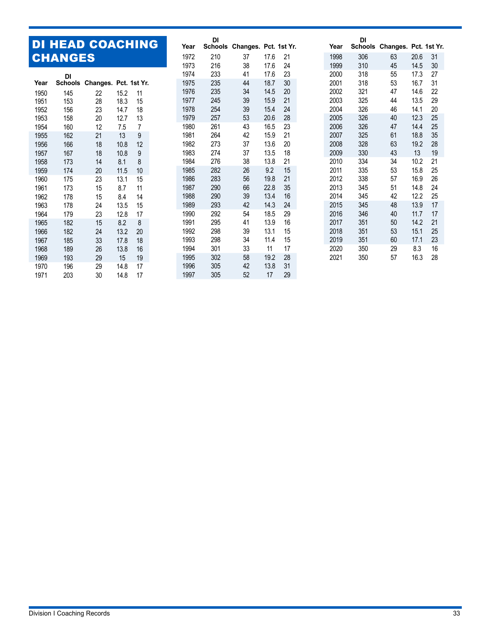### DI HEAD COACHING CHANGES

|      | DI  |                  |      |              |
|------|-----|------------------|------|--------------|
| Year |     | Schools Changes. |      | Pct. 1st Yr. |
| 1950 | 145 | 22               | 15.2 | 11           |
| 1951 | 153 | 28               | 18.3 | 15           |
| 1952 | 156 | 23               | 14.7 | 18           |
| 1953 | 158 | 20               | 12.7 | 13           |
| 1954 | 160 | 12               | 7.5  | 7            |
| 1955 | 162 | 21               | 13   | 9            |
| 1956 | 166 | 18               | 10.8 | 12           |
| 1957 | 167 | 18               | 10.8 | 9            |
| 1958 | 173 | 14               | 8.1  | 8            |
| 1959 | 174 | 20               | 11.5 | 10           |
| 1960 | 175 | 23               | 13.1 | 15           |
| 1961 | 173 | 15               | 8.7  | 11           |
| 1962 | 178 | 15               | 8.4  | 14           |
| 1963 | 178 | 24               | 13.5 | 15           |
| 1964 | 179 | 23               | 12.8 | 17           |
| 1965 | 182 | 15               | 8.2  | 8            |
| 1966 | 182 | 24               | 13.2 | 20           |
| 1967 | 185 | 33               | 17.8 | 18           |
| 1968 | 189 | 26               | 13.8 | 16           |
| 1969 | 193 | 29               | 15   | 19           |
| 1970 | 196 | 29               | 14.8 | 17           |
| 1971 | 203 | 30               | 14.8 | 17           |

| Year | DI             |                       |      |    | Year | DI             |                       |      |    |
|------|----------------|-----------------------|------|----|------|----------------|-----------------------|------|----|
|      | <b>Schools</b> | Changes. Pct. 1st Yr. |      |    |      | <b>Schools</b> | Changes. Pct. 1st Yr. |      |    |
| 1972 | 210            | 37                    | 17.6 | 21 | 1998 | 306            | 63                    | 20.6 | 31 |
| 1973 | 216            | 38                    | 17.6 | 24 | 1999 | 310            | 45                    | 14.5 | 30 |
| 1974 | 233            | 41                    | 17.6 | 23 | 2000 | 318            | 55                    | 17.3 | 27 |
| 1975 | 235            | 44                    | 18.7 | 30 | 2001 | 318            | 53                    | 16.7 | 31 |
| 1976 | 235            | 34                    | 14.5 | 20 | 2002 | 321            | 47                    | 14.6 | 22 |
| 1977 | 245            | 39                    | 15.9 | 21 | 2003 | 325            | 44                    | 13.5 | 29 |
| 1978 | 254            | 39                    | 15.4 | 24 | 2004 | 326            | 46                    | 14.1 | 20 |
| 1979 | 257            | 53                    | 20.6 | 28 | 2005 | 326            | 40                    | 12.3 | 25 |
| 1980 | 261            | 43                    | 16.5 | 23 | 2006 | 326            | 47                    | 14.4 | 25 |
| 1981 | 264            | 42                    | 15.9 | 21 | 2007 | 325            | 61                    | 18.8 | 35 |
| 1982 | 273            | 37                    | 13.6 | 20 | 2008 | 328            | 63                    | 19.2 | 28 |
| 1983 | 274            | 37                    | 13.5 | 18 | 2009 | 330            | 43                    | 13   | 19 |
| 1984 | 276            | 38                    | 13.8 | 21 | 2010 | 334            | 34                    | 10.2 | 21 |
| 1985 | 282            | 26                    | 9.2  | 15 | 2011 | 335            | 53                    | 15.8 | 25 |
| 1986 | 283            | 56                    | 19.8 | 21 | 2012 | 338            | 57                    | 16.9 | 26 |
| 1987 | 290            | 66                    | 22.8 | 35 | 2013 | 345            | 51                    | 14.8 | 24 |
| 1988 | 290            | 39                    | 13.4 | 16 | 2014 | 345            | 42                    | 12.2 | 25 |
| 1989 | 293            | 42                    | 14.3 | 24 | 2015 | 345            | 48                    | 13.9 | 17 |
| 1990 | 292            | 54                    | 18.5 | 29 | 2016 | 346            | 40                    | 11.7 | 17 |
| 1991 | 295            | 41                    | 13.9 | 16 | 2017 | 351            | 50                    | 14.2 | 21 |
| 1992 | 298            | 39                    | 13.1 | 15 | 2018 | 351            | 53                    | 15.1 | 25 |
| 1993 | 298            | 34                    | 11.4 | 15 | 2019 | 351            | 60                    | 17.1 | 23 |
| 1994 | 301            | 33                    | 11   | 17 | 2020 | 350            | 29                    | 8.3  | 16 |
| 1995 | 302            | 58                    | 19.2 | 28 | 2021 | 350            | 57                    | 16.3 | 28 |
| 1996 | 305            | 42                    | 13.8 | 31 |      |                |                       |      |    |
| 1997 | 305            | 52                    | 17   | 29 |      |                |                       |      |    |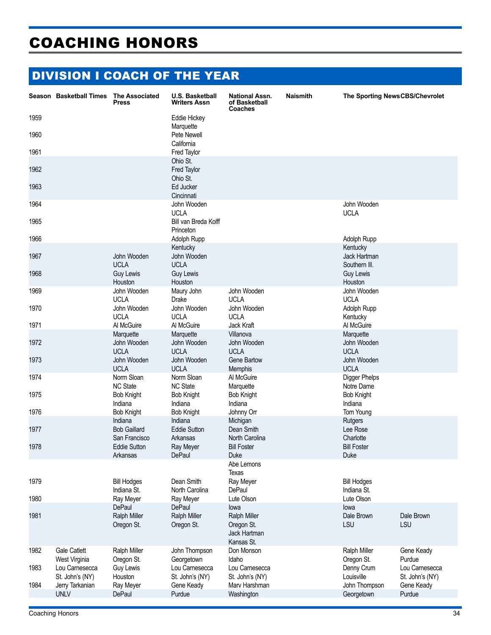# COACHING HONORS

# DIVISION I COACH OF THE YEAR

|      | Season Basketball Times              | <b>The Associated</b><br>Press                     | U.S. Basketball<br><b>Writers Assn</b>           | <b>National Assn.</b><br>of Basketball<br>Coaches                       | <b>Naismith</b> | The Sporting NewsCBS/Chevrolet            |                                   |
|------|--------------------------------------|----------------------------------------------------|--------------------------------------------------|-------------------------------------------------------------------------|-----------------|-------------------------------------------|-----------------------------------|
| 1959 |                                      |                                                    | Eddie Hickey<br>Marquette                        |                                                                         |                 |                                           |                                   |
| 1960 |                                      |                                                    | Pete Newell<br>California                        |                                                                         |                 |                                           |                                   |
| 1961 |                                      |                                                    | Fred Taylor                                      |                                                                         |                 |                                           |                                   |
| 1962 |                                      |                                                    | Ohio St.<br>Fred Taylor<br>Ohio St.              |                                                                         |                 |                                           |                                   |
| 1963 |                                      |                                                    | Ed Jucker<br>Cincinnati                          |                                                                         |                 |                                           |                                   |
| 1964 |                                      |                                                    | John Wooden                                      |                                                                         |                 | John Wooden                               |                                   |
| 1965 |                                      |                                                    | <b>UCLA</b><br>Bill van Breda Kolff<br>Princeton |                                                                         |                 | <b>UCLA</b>                               |                                   |
| 1966 |                                      |                                                    | Adolph Rupp                                      |                                                                         |                 | Adolph Rupp                               |                                   |
| 1967 |                                      | John Wooden<br><b>UCLA</b>                         | Kentucky<br>John Wooden<br><b>UCLA</b>           |                                                                         |                 | Kentucky<br>Jack Hartman<br>Southern III. |                                   |
| 1968 |                                      | Guy Lewis<br>Houston                               | Guy Lewis<br>Houston                             |                                                                         |                 | Guy Lewis<br>Houston                      |                                   |
| 1969 |                                      | John Wooden<br><b>UCLA</b>                         | Maury John<br><b>Drake</b>                       | John Wooden<br><b>UCLA</b>                                              |                 | John Wooden<br><b>UCLA</b>                |                                   |
| 1970 |                                      | John Wooden<br><b>UCLA</b>                         | John Wooden<br><b>UCLA</b>                       | John Wooden<br><b>UCLA</b>                                              |                 | Adolph Rupp<br>Kentucky                   |                                   |
| 1971 |                                      | Al McGuire                                         | Al McGuire                                       | Jack Kraft                                                              |                 | Al McGuire                                |                                   |
| 1972 |                                      | Marquette<br>John Wooden<br><b>UCLA</b>            | Marquette<br>John Wooden<br><b>UCLA</b>          | Villanova<br>John Wooden<br><b>UCLA</b>                                 |                 | Marquette<br>John Wooden<br><b>UCLA</b>   |                                   |
| 1973 |                                      | John Wooden<br><b>UCLA</b>                         | John Wooden<br><b>UCLA</b>                       | Gene Bartow<br><b>Memphis</b>                                           |                 | John Wooden<br><b>UCLA</b>                |                                   |
| 1974 |                                      | Norm Sloan<br><b>NC State</b>                      | Norm Sloan<br><b>NC State</b>                    | Al McGuire<br>Marquette                                                 |                 | Digger Phelps<br>Notre Dame               |                                   |
| 1975 |                                      | Bob Knight<br>Indiana                              | <b>Bob Knight</b><br>Indiana                     | <b>Bob Knight</b><br>Indiana                                            |                 | <b>Bob Knight</b><br>Indiana              |                                   |
| 1976 |                                      | <b>Bob Knight</b><br>Indiana                       | <b>Bob Knight</b><br>Indiana                     | Johnny Orr<br>Michigan                                                  |                 | Tom Young                                 |                                   |
| 1977 |                                      | Bob Gaillard<br>San Francisco                      | <b>Eddie Sutton</b><br>Arkansas                  | Dean Smith<br>North Carolina                                            |                 | Rutgers<br>Lee Rose<br>Charlotte          |                                   |
| 1978 |                                      | <b>Eddie Sutton</b><br>Arkansas                    | Ray Meyer<br>DePaul                              | <b>Bill Foster</b><br>Duke                                              |                 | <b>Bill Foster</b><br>Duke                |                                   |
|      |                                      |                                                    |                                                  | Abe Lemons<br>Texas                                                     |                 |                                           |                                   |
| 1979 |                                      | <b>Bill Hodges</b><br>Indiana St.                  | Dean Smith<br>North Carolina                     | Ray Meyer<br>DePaul                                                     |                 | <b>Bill Hodges</b><br>Indiana St.         |                                   |
| 1980 |                                      | Ray Meyer                                          | Ray Meyer                                        | Lute Olson                                                              |                 | Lute Olson                                |                                   |
| 1981 |                                      | <b>DePaul</b><br><b>Ralph Miller</b><br>Oregon St. | DePaul<br><b>Ralph Miller</b><br>Oregon St.      | lowa<br><b>Ralph Miller</b><br>Oregon St.<br>Jack Hartman<br>Kansas St. |                 | lowa<br>Dale Brown<br>LSU                 | Dale Brown<br>LSU                 |
| 1982 | <b>Gale Catlett</b><br>West Virginia | Ralph Miller<br>Oregon St.                         | John Thompson<br>Georgetown                      | Don Monson<br>Idaho                                                     |                 | <b>Ralph Miller</b><br>Oregon St.         | Gene Keady<br>Purdue              |
| 1983 | Lou Carnesecca<br>St. John's (NY)    | Guy Lewis<br>Houston                               | Lou Carnesecca<br>St. John's (NY)                | Lou Carnesecca<br>St. John's (NY)                                       |                 | Denny Crum<br>Louisville                  | Lou Carnesecca<br>St. John's (NY) |
| 1984 | Jerry Tarkanian<br><b>UNLV</b>       | Ray Meyer<br>DePaul                                | Gene Keady<br>Purdue                             | Marv Harshman<br>Washington                                             |                 | John Thompson<br>Georgetown               | Gene Keady<br>Purdue              |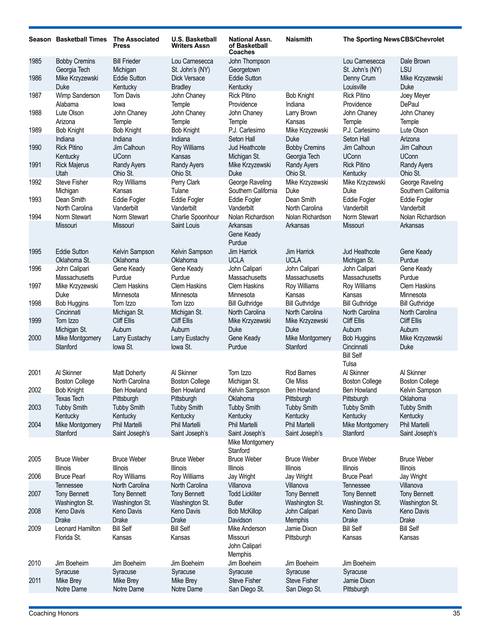|              | Season Basketball Times                                                | <b>The Associated</b><br><b>Press</b>                       | <b>U.S. Basketball</b><br><b>Writers Assn</b>                       | <b>National Assn.</b><br>of Basketball<br>Coaches              | <b>Naismith</b>                                     | The Sporting NewsCBS/Chevrolet                                |                                                        |
|--------------|------------------------------------------------------------------------|-------------------------------------------------------------|---------------------------------------------------------------------|----------------------------------------------------------------|-----------------------------------------------------|---------------------------------------------------------------|--------------------------------------------------------|
| 1985<br>1986 | <b>Bobby Cremins</b><br>Georgia Tech<br>Mike Krzyzewski<br><b>Duke</b> | <b>Bill Frieder</b><br>Michigan<br>Eddie Sutton<br>Kentucky | Lou Carnesecca<br>St. John's (NY)<br>Dick Versace<br><b>Bradley</b> | John Thompson<br>Georgetown<br><b>Eddie Sutton</b><br>Kentucky |                                                     | Lou Carnesecca<br>St. John's (NY)<br>Denny Crum<br>Louisville | Dale Brown<br>LSU<br>Mike Krzyzewski<br>Duke           |
| 1987         | Wimp Sanderson<br>Alabama                                              | Tom Davis<br>lowa                                           | John Chaney<br>Temple                                               | <b>Rick Pitino</b><br>Providence                               | <b>Bob Knight</b><br>Indiana                        | <b>Rick Pitino</b><br>Providence                              | Joey Meyer<br>DePaul                                   |
| 1988<br>1989 | Lute Olson<br>Arizona<br><b>Bob Knight</b>                             | John Chaney<br>Temple<br><b>Bob Knight</b>                  | John Chaney<br>Temple<br><b>Bob Knight</b>                          | John Chaney<br>Temple<br>P.J. Carlesimo                        | Larry Brown<br>Kansas<br>Mike Krzyzewski            | John Chaney<br>Temple<br>P.J. Carlesimo                       | John Chaney<br>Temple<br>Lute Olson                    |
| 1990         | Indiana<br><b>Rick Pitino</b><br>Kentucky                              | Indiana<br>Jim Calhoun<br><b>UConn</b>                      | Indiana<br>Roy Williams<br>Kansas                                   | Seton Hall<br>Jud Heathcote<br>Michigan St.                    | <b>Duke</b><br><b>Bobby Cremins</b><br>Georgia Tech | Seton Hall<br>Jim Calhoun<br><b>UConn</b>                     | Arizona<br>Jim Calhoun<br><b>UConn</b>                 |
| 1991         | <b>Rick Majerus</b><br>Utah                                            | <b>Randy Ayers</b><br>Ohio St.                              | <b>Randy Ayers</b><br>Ohio St.                                      | Mike Krzyzewski<br>Duke                                        | <b>Randy Ayers</b><br>Ohio St.                      | <b>Rick Pitino</b><br>Kentucky                                | <b>Randy Ayers</b><br>Ohio St.                         |
| 1992<br>1993 | Steve Fisher<br>Michigan<br>Dean Smith                                 | Roy Williams<br>Kansas<br>Eddie Fogler                      | Perry Clark<br>Tulane<br>Eddie Fogler                               | George Raveling<br>Southern California<br>Eddie Fogler         | Mike Krzyzewski<br>Duke<br>Dean Smith               | Mike Krzyzewski<br><b>Duke</b><br><b>Eddie Fogler</b>         | George Raveling<br>Southern California<br>Eddie Fogler |
| 1994         | North Carolina<br>Norm Stewart                                         | Vanderbilt<br>Norm Stewart                                  | Vanderbilt<br>Charlie Spoonhour                                     | Vanderbilt<br>Nolan Richardson                                 | North Carolina<br>Nolan Richardson                  | Vanderbilt<br>Norm Stewart                                    | Vanderbilt<br>Nolan Richardson                         |
|              | Missouri                                                               | Missouri                                                    | Saint Louis                                                         | Arkansas<br>Gene Keady<br>Purdue                               | Arkansas                                            | Missouri                                                      | Arkansas                                               |
| 1995         | <b>Eddie Sutton</b><br>Oklahoma St.                                    | Kelvin Sampson<br>Oklahoma                                  | Kelvin Sampson<br>Oklahoma                                          | Jim Harrick<br><b>UCLA</b>                                     | <b>Jim Harrick</b><br><b>UCLA</b>                   | <b>Jud Heathcote</b><br>Michigan St.                          | Gene Keady<br>Purdue                                   |
| 1996<br>1997 | John Calipari<br>Massachusetts<br>Mike Krzyzewski                      | Gene Keady<br>Purdue<br><b>Clem Haskins</b>                 | Gene Keady<br>Purdue<br><b>Clem Haskins</b>                         | John Calipari<br>Massachusetts<br><b>Clem Haskins</b>          | John Calipari<br>Massachusetts<br>Roy Williams      | John Calipari<br>Massachusetts<br>Roy Williams                | Gene Keady<br>Purdue<br><b>Clem Haskins</b>            |
| 1998         | Duke<br><b>Bob Huggins</b>                                             | Minnesota<br>Tom Izzo                                       | Minnesota<br>Tom Izzo                                               | Minnesota<br><b>Bill Guthridge</b>                             | Kansas<br><b>Bill Guthridge</b>                     | Kansas<br><b>Bill Guthridge</b>                               | Minnesota<br><b>Bill Guthridge</b>                     |
| 1999         | Cincinnati<br>Tom Izzo                                                 | Michigan St.<br>Cliff Ellis<br>Auburn                       | Michigan St.<br><b>Cliff Ellis</b><br>Auburn                        | North Carolina<br>Mike Krzyzewski<br><b>Duke</b>               | North Carolina<br>Mike Krzyzewski<br>Duke           | North Carolina<br>Cliff Ellis<br>Auburn                       | North Carolina<br>Cliff Ellis<br>Auburn                |
| 2000         | Michigan St.<br>Mike Montgomery<br>Stanford                            | Larry Eustachy<br>lowa St.                                  | Larry Eustachy<br>lowa St.                                          | Gene Keady<br>Purdue                                           | Mike Montgomery<br>Stanford                         | <b>Bob Huggins</b><br>Cincinnati                              | Mike Krzyzewski<br>Duke                                |
|              |                                                                        |                                                             |                                                                     |                                                                |                                                     | <b>Bill Self</b><br>Tulsa                                     |                                                        |
| 2001         | Al Skinner<br><b>Boston College</b>                                    | <b>Matt Doherty</b><br>North Carolina                       | Al Skinner<br><b>Boston College</b>                                 | Tom Izzo<br>Michigan St.                                       | Rod Barnes<br>Ole Miss                              | Al Skinner<br><b>Boston College</b>                           | Al Skinner<br><b>Boston College</b>                    |
| 2002<br>2003 | <b>Bob Knight</b><br><b>Texas Tech</b><br><b>Tubby Smith</b>           | <b>Ben Howland</b><br>Pittsburgh<br><b>Tubby Smith</b>      | Ben Howland<br>Pittsburgh<br><b>Tubby Smith</b>                     | Kelvin Sampson<br>Oklahoma<br><b>Tubby Smith</b>               | Ben Howland<br>Pittsburgh<br><b>Tubby Smith</b>     | Ben Howland<br>Pittsburgh<br><b>Tubby Smith</b>               | Kelvin Sampson<br>Oklahoma<br><b>Tubby Smith</b>       |
| 2004         | Kentucky<br>Mike Montgomery<br>Stanford                                | Kentucky<br>Phil Martelli<br>Saint Joseph's                 | Kentucky<br>Phil Martelli<br>Saint Joseph's                         | Kentucky<br>Phil Martelli<br>Saint Joseph's                    | Kentucky<br>Phil Martelli<br>Saint Joseph's         | Kentucky<br>Mike Montgomery<br>Stanford                       | Kentucky<br>Phil Martelli<br>Saint Joseph's            |
|              |                                                                        |                                                             |                                                                     | Mike Montgomery<br>Stanford                                    |                                                     |                                                               |                                                        |
| 2005<br>2006 | <b>Bruce Weber</b><br>Illinois<br><b>Bruce Pearl</b>                   | <b>Bruce Weber</b><br>Illinois<br>Roy Williams              | <b>Bruce Weber</b><br>Illinois<br>Roy Williams                      | <b>Bruce Weber</b><br>Illinois<br>Jay Wright                   | <b>Bruce Weber</b><br>Illinois<br>Jay Wright        | <b>Bruce Weber</b><br>Illinois<br><b>Bruce Pearl</b>          | <b>Bruce Weber</b><br>Illinois<br>Jay Wright           |
| 2007         | Tennessee<br><b>Tony Bennett</b>                                       | North Carolina<br><b>Tony Bennett</b>                       | North Carolina<br><b>Tony Bennett</b>                               | Villanova<br><b>Todd Lickliter</b>                             | Villanova<br>Tony Bennett                           | Tennessee<br><b>Tony Bennett</b>                              | Villanova<br>Tony Bennett                              |
| 2008         | Washington St.<br>Keno Davis<br>Drake                                  | Washington St.<br>Keno Davis<br><b>Drake</b>                | Washington St.<br>Keno Davis<br><b>Drake</b>                        | <b>Butler</b><br><b>Bob McKillop</b><br>Davidson               | Washington St.<br>John Calipari<br>Memphis          | Washington St.<br>Keno Davis<br><b>Drake</b>                  | Washington St.<br>Keno Davis<br>Drake                  |
| 2009         | Leonard Hamilton<br>Florida St.                                        | <b>Bill Self</b><br>Kansas                                  | <b>Bill Self</b><br>Kansas                                          | Mike Anderson<br>Missouri<br>John Calipari<br>Memphis          | Jamie Dixon<br>Pittsburgh                           | <b>Bill Self</b><br>Kansas                                    | <b>Bill Self</b><br>Kansas                             |
| 2010         | Jim Boeheim<br>Syracuse                                                | Jim Boeheim<br>Syracuse                                     | Jim Boeheim<br>Syracuse                                             | Jim Boeheim<br>Syracuse                                        | Jim Boeheim<br>Syracuse                             | Jim Boeheim<br>Syracuse                                       |                                                        |
| 2011         | Mike Brey<br>Notre Dame                                                | Mike Brey<br>Notre Dame                                     | Mike Brey<br>Notre Dame                                             | <b>Steve Fisher</b><br>San Diego St.                           | <b>Steve Fisher</b><br>San Diego St.                | Jamie Dixon<br>Pittsburgh                                     |                                                        |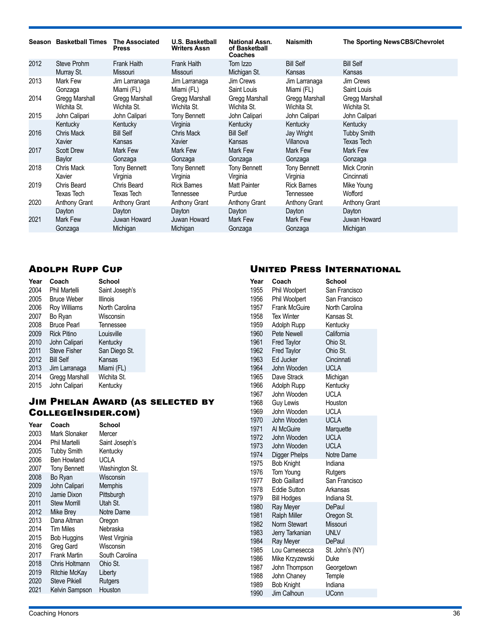|      | Season Basketball Times | <b>The Associated</b><br><b>Press</b> | <b>U.S. Basketball</b><br><b>Writers Assn</b> | <b>National Assn.</b><br>of Basketball<br>Coaches | <b>Naismith</b>      | The Sporting NewsCBS/Chevrolet |
|------|-------------------------|---------------------------------------|-----------------------------------------------|---------------------------------------------------|----------------------|--------------------------------|
| 2012 | Steve Prohm             | Frank Haith                           | Frank Haith                                   | Tom Izzo                                          | <b>Bill Self</b>     | <b>Bill Self</b>               |
|      | Murray St.              | Missouri                              | Missouri                                      | Michigan St.                                      | Kansas               | Kansas                         |
| 2013 | Mark Few                | Jim Larranaga                         | Jim Larranaga                                 | Jim Crews                                         | Jim Larranaga        | Jim Crews                      |
|      | Gonzaga                 | Miami (FL)                            | Miami (FL)                                    | Saint Louis                                       | Miami (FL)           | Saint Louis                    |
| 2014 | Gregg Marshall          | Gregg Marshall                        | Gregg Marshall                                | Gregg Marshall                                    | Gregg Marshall       | Gregg Marshall                 |
|      | Wichita St.             | Wichita St.                           | Wichita St.                                   | Wichita St.                                       | Wichita St.          | Wichita St.                    |
| 2015 | John Calipari           | John Calipari                         | <b>Tony Bennett</b>                           | John Calipari                                     | John Calipari        | John Calipari                  |
|      | Kentucky                | Kentucky                              | Virginia                                      | Kentucky                                          | Kentucky             | Kentucky                       |
| 2016 | <b>Chris Mack</b>       | <b>Bill Self</b>                      | Chris Mack                                    | <b>Bill Self</b>                                  | Jay Wright           | <b>Tubby Smith</b>             |
|      | Xavier                  | Kansas                                | Xavier                                        | Kansas                                            | Villanova            | Texas Tech                     |
| 2017 | <b>Scott Drew</b>       | Mark Few                              | Mark Few                                      | Mark Few                                          | Mark Few             | Mark Few                       |
|      | Baylor                  | Gonzaga                               | Gonzaga                                       | Gonzaga                                           | Gonzaga              | Gonzaga                        |
| 2018 | Chris Mack              | <b>Tony Bennett</b>                   | <b>Tony Bennett</b>                           | <b>Tony Bennett</b>                               | <b>Tony Bennett</b>  | Mick Cronin                    |
|      | Xavier                  | Virginia                              | Virginia                                      | Virginia                                          | Virginia             | Cincinnati                     |
| 2019 | Chris Beard             | Chris Beard                           | <b>Rick Barnes</b>                            | Matt Painter                                      | <b>Rick Barnes</b>   | Mike Young                     |
|      | Texas Tech              | Texas Tech                            | Tennessee                                     | Purdue                                            | Tennessee            | Wofford                        |
| 2020 | <b>Anthony Grant</b>    | <b>Anthony Grant</b>                  | <b>Anthony Grant</b>                          | <b>Anthony Grant</b>                              | <b>Anthony Grant</b> | <b>Anthony Grant</b>           |
|      | Dayton                  | Dayton                                | Dayton                                        | Dayton                                            | Dayton               | Dayton                         |
| 2021 | Mark Few                | Juwan Howard                          | Juwan Howard                                  | Mark Few                                          | Mark Few             | Juwan Howard                   |
|      | Gonzaga                 | Michigan                              | Michigan                                      | Gonzaga                                           | Gonzaga              | Michigan                       |

### Adolph Rupp Cup

| Year | Coach               | <b>School</b>  |
|------|---------------------|----------------|
| 2004 | Phil Martelli       | Saint Joseph's |
| 2005 | <b>Bruce Weber</b>  | Illinois       |
| 2006 | <b>Roy Williams</b> | North Carolina |
| 2007 | Bo Ryan             | Wisconsin      |
| 2008 | <b>Bruce Pearl</b>  | Tennessee      |
| 2009 | <b>Rick Pitino</b>  | Louisville     |
| 2010 | John Calipari       | Kentucky       |
| 2011 | <b>Steve Fisher</b> | San Diego St.  |
| 2012 | <b>Bill Self</b>    | Kansas         |
| 2013 | Jim Larranaga       | Miami (FL)     |
| 2014 | Gregg Marshall      | Wichita St.    |
| 2015 | John Calipari       | Kentucky       |

### Jim Phelan Award (as selected by CollegeInsider.com)

| Year | Coach                | School         |
|------|----------------------|----------------|
| 2003 | Mark Slonaker        | Mercer         |
| 2004 | Phil Martelli        | Saint Joseph's |
| 2005 | <b>Tubby Smith</b>   | Kentucky       |
| 2006 | Ben Howland          | UCLA           |
| 2007 | <b>Tony Bennett</b>  | Washington St. |
| 2008 | Bo Ryan              | Wisconsin      |
| 2009 | John Calipari        | Memphis        |
| 2010 | Jamie Dixon          | Pittsburgh     |
| 2011 | <b>Stew Morrill</b>  | Utah St.       |
| 2012 | Mike Brey            | Notre Dame     |
| 2013 | Dana Altman          | Oregon         |
| 2014 | <b>Tim Miles</b>     | Nebraska       |
| 2015 | Bob Huggins          | West Virginia  |
| 2016 | Greg Gard            | Wisconsin      |
| 2017 | <b>Frank Martin</b>  | South Carolina |
| 2018 | Chris Holtmann       | Ohio St.       |
| 2019 | Ritchie McKay        | Liberty        |
| 2020 | <b>Steve Pikiell</b> | Rutgers        |
| 2021 | Kelvin Sampson       | Houston        |
|      |                      |                |

### United Press International

| Year | Coach                | School          |
|------|----------------------|-----------------|
| 1955 | Phil Woolpert        | San Francisco   |
| 1956 | Phil Woolpert        | San Francisco   |
| 1957 | <b>Frank McGuire</b> | North Carolina  |
| 1958 | <b>Tex Winter</b>    | Kansas St.      |
|      |                      |                 |
| 1959 | Adolph Rupp          | Kentucky        |
| 1960 | <b>Pete Newell</b>   | California      |
| 1961 | <b>Fred Taylor</b>   | Ohio St.        |
| 1962 | <b>Fred Taylor</b>   | Ohio St.        |
| 1963 | Ed Jucker            | Cincinnati      |
| 1964 | John Wooden          | <b>UCLA</b>     |
| 1965 | Dave Strack          | Michigan        |
| 1966 | Adolph Rupp          | Kentucky        |
| 1967 | John Wooden          | <b>UCLA</b>     |
| 1968 | Guy Lewis            | Houston         |
| 1969 | John Wooden          | <b>UCLA</b>     |
| 1970 | John Wooden          | <b>UCLA</b>     |
| 1971 | Al McGuire           | Marquette       |
| 1972 | John Wooden          | <b>UCLA</b>     |
| 1973 | John Wooden          | <b>UCLA</b>     |
| 1974 | Digger Phelps        | Notre Dame      |
| 1975 | <b>Bob Knight</b>    | Indiana         |
| 1976 | Tom Young            | Rutgers         |
| 1977 | <b>Bob Gaillard</b>  | San Francisco   |
| 1978 | <b>Eddie Sutton</b>  | Arkansas        |
| 1979 | <b>Bill Hodges</b>   | Indiana St.     |
| 1980 | Ray Meyer            | <b>DePaul</b>   |
| 1981 | <b>Ralph Miller</b>  | Oregon St.      |
| 1982 | <b>Norm Stewart</b>  | Missouri        |
| 1983 | Jerry Tarkanian      | <b>UNLV</b>     |
| 1984 | Ray Meyer            | DePaul          |
| 1985 | Lou Carnesecca       | St. John's (NY) |
| 1986 | Mike Krzyzewski      | Duke            |
| 1987 | John Thompson        | Georgetown      |
| 1988 | John Chaney          | Temple          |
| 1989 | <b>Bob Knight</b>    | Indiana         |
| 1990 | Jim Calhoun          | <b>UConn</b>    |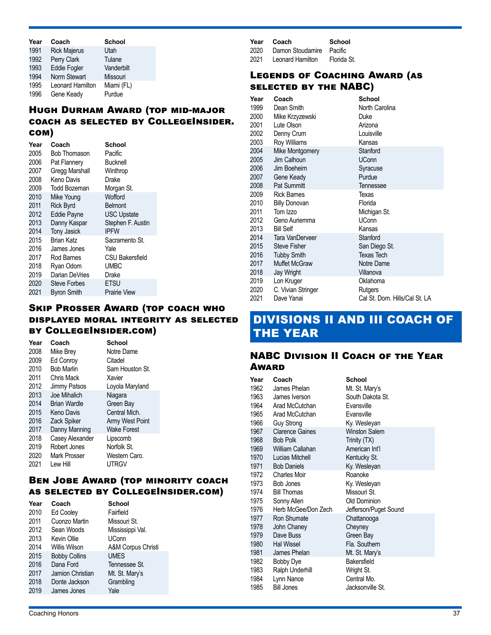| Year | Coach               | <b>School</b> |
|------|---------------------|---------------|
| 1991 | <b>Rick Majerus</b> | Utah          |
| 1992 | Perry Clark         | Tulane        |
| 1993 | <b>Eddie Fogler</b> | Vanderbilt    |
| 1994 | Norm Stewart        | Missouri      |
| 1995 | Leonard Hamilton    | Miami (FL)    |
| 1996 | Gene Keady          | Purdue        |

### Hugh Durham Award (top mid-major coach as selected by CollegeInsider. com)

| Year | Coach               | School                 |
|------|---------------------|------------------------|
| 2005 | <b>Bob Thomason</b> | Pacific                |
| 2006 | Pat Flannery        | <b>Bucknell</b>        |
| 2007 | Gregg Marshall      | Winthrop               |
| 2008 | Keno Davis          | Drake                  |
| 2009 | Todd Bozeman        | Morgan St.             |
| 2010 | Mike Young          | Wofford                |
| 2011 | <b>Rick Byrd</b>    | <b>Belmont</b>         |
| 2012 | Eddie Payne         | <b>USC Upstate</b>     |
| 2013 | Danny Kaspar        | Stephen F. Austin      |
| 2014 | Tony Jasick         | <b>IPFW</b>            |
| 2015 | Brian Katz          | Sacramento St.         |
| 2016 | James Jones         | Yale                   |
| 2017 | Rod Barnes          | <b>CSU Bakersfield</b> |
| 2018 | Ryan Odom           | <b>UMBC</b>            |
| 2019 | Darian DeVries      | Drake                  |
| 2020 | Steve Forbes        | <b>ETSU</b>            |
| 2021 | <b>Byron Smith</b>  | <b>Prairie View</b>    |
|      |                     |                        |

### Skip Prosser Award (top coach who displayed moral integrity as selected by CollegeInsider.com)

| Year | Coach               | <b>School</b>      |  |
|------|---------------------|--------------------|--|
| 2008 | Mike Brey           | Notre Dame         |  |
| 2009 | Ed Conroy           | Citadel            |  |
| 2010 | <b>Bob Marlin</b>   | Sam Houston St.    |  |
| 2011 | Chris Mack          | Xavier             |  |
| 2012 | Jimmy Patsos        | Loyola Maryland    |  |
| 2013 | Joe Mihalich        | Niagara            |  |
| 2014 | <b>Brian Wardle</b> | Green Bay          |  |
| 2015 | Keno Davis          | Central Mich.      |  |
| 2016 | <b>Zack Spiker</b>  | Army West Point    |  |
| 2017 | Danny Manning       | <b>Wake Forest</b> |  |
| 2018 | Casey Alexander     | Lipscomb           |  |
| 2019 | Robert Jones        | Norfolk St.        |  |
| 2020 | Mark Prosser        | Western Caro.      |  |
| 2021 | Lew Hill            | UTRGV              |  |

### Ben Jobe Award (top minority coach as selected by CollegeInsider.com)

| Year | Coach                | School             |
|------|----------------------|--------------------|
| 2010 | Ed Cooley            | Fairfield          |
| 2011 | Cuonzo Martin        | Missouri St.       |
| 2012 | Sean Woods           | Mississippi Val.   |
| 2013 | Kevin Ollie          | <b>UConn</b>       |
| 2014 | Willis Wilson        | A&M Corpus Christi |
| 2015 | <b>Bobby Collins</b> | <b>UMES</b>        |
| 2016 | Dana Ford            | Tennessee St.      |
| 2017 | Jamion Christian     | Mt. St. Mary's     |
| 2018 | Donte Jackson        | Grambling          |
| 2019 | James Jones          | Yale               |
|      |                      |                    |

| Year | Coach            | School      |
|------|------------------|-------------|
| 2020 | Damon Stoudamire | Pacific     |
| 2021 | Leonard Hamilton | Florida St. |

### Legends of Coaching Award (as selected by the NABC)

| Year | Coach                | School                        |
|------|----------------------|-------------------------------|
| 1999 | Dean Smith           | North Carolina                |
| 2000 | Mike Krzyzewski      | Duke                          |
| 2001 | Lute Olson           | Arizona                       |
| 2002 | Denny Crum           | Louisville                    |
| 2003 | Roy Williams         | Kansas                        |
| 2004 | Mike Montgomery      | Stanford                      |
| 2005 | Jim Calhoun          | <b>UConn</b>                  |
| 2006 | Jim Boeheim          | Syracuse                      |
| 2007 | Gene Keady           | Purdue                        |
| 2008 | <b>Pat Summitt</b>   | Tennessee                     |
| 2009 | <b>Rick Barnes</b>   | Texas                         |
| 2010 | <b>Billy Donovan</b> | Florida                       |
| 2011 | Tom Izzo             | Michigan St.                  |
| 2012 | Geno Auriemma        | <b>UConn</b>                  |
| 2013 | <b>Bill Self</b>     | Kansas                        |
| 2014 | Tara VanDerveer      | Stanford                      |
| 2015 | <b>Steve Fisher</b>  | San Diego St.                 |
| 2016 | <b>Tubby Smith</b>   | <b>Texas Tech</b>             |
| 2017 | <b>Muffet McGraw</b> | Notre Dame                    |
| 2018 | Jay Wright           | Villanova                     |
| 2019 | Lon Kruger           | Oklahoma                      |
| 2020 | C. Vivian Stringer   | Rutgers                       |
| 2021 | Dave Yanai           | Cal St. Dom. Hills/Cal St. LA |

# DIVISIONS II AND III COACH OF THE YEAR

### NABC Division II Coach of the Year **Award**

| Year | Coach                  | <b>School</b>         |
|------|------------------------|-----------------------|
| 1962 | James Phelan           | Mt. St. Mary's        |
| 1963 | James Iverson          | South Dakota St.      |
| 1964 | Arad McCutchan         | Evansville            |
| 1965 | Arad McCutchan         | Evansville            |
| 1966 | <b>Guy Strong</b>      | Ky. Wesleyan          |
| 1967 | <b>Clarence Gaines</b> | <b>Winston Salem</b>  |
| 1968 | <b>Bob Polk</b>        | Trinity (TX)          |
| 1969 | William Callahan       | American Int'l        |
| 1970 | Lucias Mitchell        | Kentucky St.          |
| 1971 | <b>Bob Daniels</b>     | Ky. Wesleyan          |
| 1972 | <b>Charles Moir</b>    | Roanoke               |
| 1973 | <b>Bob Jones</b>       | Ky. Wesleyan          |
| 1974 | <b>Bill Thomas</b>     | Missouri St.          |
| 1975 | Sonny Allen            | Old Dominion          |
| 1976 | Herb McGee/Don Zech    | Jefferson/Puget Sound |
| 1977 | Ron Shumate            | Chattanooga           |
| 1978 | John Chaney            | Cheyney               |
| 1979 | Dave Buss              | Green Bay             |
| 1980 | <b>Hal Wissel</b>      | Fla. Southern         |
| 1981 | James Phelan           | Mt. St. Mary's        |
| 1982 | <b>Bobby Dye</b>       | <b>Bakersfield</b>    |
| 1983 | Ralph Underhill        | Wright St.            |
| 1984 | Lynn Nance             | Central Mo.           |
| 1985 | <b>Bill Jones</b>      | Jacksonville St.      |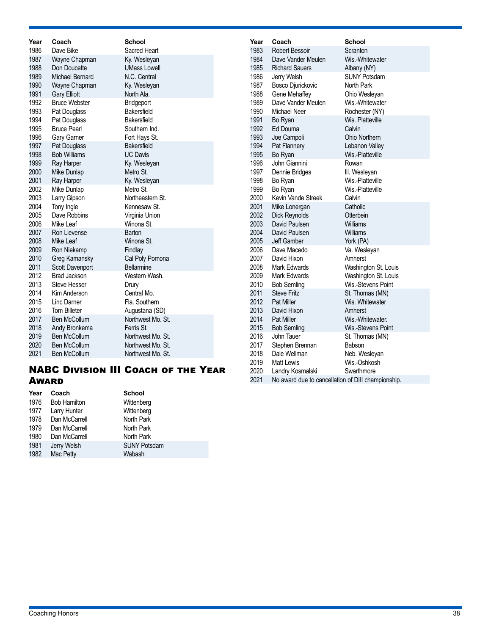| Year | Coach                                                                                | <b>School</b>       | Year | Coach                 | <b>School</b>        |  |  |  |  |  |
|------|--------------------------------------------------------------------------------------|---------------------|------|-----------------------|----------------------|--|--|--|--|--|
| 1986 | Dave Bike                                                                            | Sacred Heart        | 1983 | <b>Robert Bessoir</b> | Scranton             |  |  |  |  |  |
| 1987 | Wayne Chapman                                                                        | Ky. Wesleyan        | 1984 | Dave Vander Meulen    | Wis.-Whitewater      |  |  |  |  |  |
| 1988 | Don Doucette                                                                         | <b>UMass Lowell</b> | 1985 | <b>Richard Sauers</b> | Albany (NY)          |  |  |  |  |  |
| 1989 | Michael Bernard                                                                      | N.C. Central        | 1986 | Jerry Welsh           | <b>SUNY Potsdam</b>  |  |  |  |  |  |
| 1990 | Wayne Chapman                                                                        | Ky. Wesleyan        | 1987 | Bosco Djurickovic     | North Park           |  |  |  |  |  |
| 1991 | <b>Gary Elliott</b>                                                                  | North Ala.          | 1988 | Gene Mehaffey         | Ohio Wesleyan        |  |  |  |  |  |
| 1992 | <b>Bruce Webster</b>                                                                 | Bridgeport          | 1989 | Dave Vander Meulen    | Wis.-Whitewater      |  |  |  |  |  |
| 1993 | Pat Douglass                                                                         | Bakersfield         | 1990 | Michael Neer          | Rochester (NY)       |  |  |  |  |  |
| 1994 | Pat Douglass                                                                         | Bakersfield         | 1991 | Bo Ryan               | Wis. Platteville     |  |  |  |  |  |
| 1995 | <b>Bruce Pearl</b>                                                                   | Southern Ind.       | 1992 | Ed Douma              | Calvin               |  |  |  |  |  |
| 1996 | Gary Garner                                                                          | Fort Hays St.       | 1993 | Joe Campoli           | Ohio Northern        |  |  |  |  |  |
| 1997 | Pat Douglass                                                                         | Bakersfield         | 1994 | Pat Flannery          | Lebanon Valley       |  |  |  |  |  |
| 1998 | <b>Bob Williams</b>                                                                  | <b>UC Davis</b>     | 1995 | Bo Ryan               | Wis.-Platteville     |  |  |  |  |  |
| 1999 | Ray Harper                                                                           | Ky. Wesleyan        | 1996 | John Giannini         | Rowan                |  |  |  |  |  |
| 2000 | Mike Dunlap                                                                          | Metro St.           | 1997 | Dennie Bridges        | III. Wesleyan        |  |  |  |  |  |
| 2001 | Ray Harper                                                                           | Ky. Wesleyan        | 1998 | Bo Ryan               | Wis.-Platteville     |  |  |  |  |  |
| 2002 | Mike Dunlap                                                                          | Metro St.           | 1999 | Bo Ryan               | Wis.-Platteville     |  |  |  |  |  |
| 2003 | Larry Gipson                                                                         | Northeastern St.    | 2000 | Kevin Vande Streek    | Calvin               |  |  |  |  |  |
| 2004 | Tony Ingle                                                                           | Kennesaw St.        | 2001 | Mike Lonergan         | Catholic             |  |  |  |  |  |
| 2005 | Dave Robbins                                                                         | Virginia Union      | 2002 | Dick Reynolds         | Otterbein            |  |  |  |  |  |
| 2006 | Mike Leaf                                                                            | Winona St.          | 2003 | David Paulsen         | Williams             |  |  |  |  |  |
| 2007 | Ron Lievense                                                                         | Barton              | 2004 | David Paulsen         | Williams             |  |  |  |  |  |
| 2008 | Mike Leaf                                                                            | Winona St.          | 2005 | Jeff Gamber           | York (PA)            |  |  |  |  |  |
| 2009 | Ron Niekamp                                                                          | Findlay             | 2006 | Dave Macedo           | Va. Wesleyan         |  |  |  |  |  |
| 2010 | Greg Kamansky                                                                        | Cal Poly Pomona     | 2007 | David Hixon           | Amherst              |  |  |  |  |  |
| 2011 | Scott Davenport                                                                      | <b>Bellarmine</b>   | 2008 | Mark Edwards          | Washington St. Louis |  |  |  |  |  |
| 2012 | <b>Brad Jackson</b>                                                                  | Western Wash.       | 2009 | Mark Edwards          | Washington St. Louis |  |  |  |  |  |
| 2013 | <b>Steve Hesser</b>                                                                  | Drury               | 2010 | <b>Bob Semling</b>    | Wis.-Stevens Point   |  |  |  |  |  |
| 2014 | Kim Anderson                                                                         | Central Mo.         | 2011 | <b>Steve Fritz</b>    | St. Thomas (MN)      |  |  |  |  |  |
| 2015 | Linc Darner                                                                          | Fla. Southern       | 2012 | <b>Pat Miller</b>     | Wis. Whitewater      |  |  |  |  |  |
| 2016 | <b>Tom Billeter</b>                                                                  | Augustana (SD)      | 2013 | David Hixon           | Amherst              |  |  |  |  |  |
| 2017 | <b>Ben McCollum</b>                                                                  | Northwest Mo. St.   | 2014 | Pat Miller            | Wis.-Whitewater.     |  |  |  |  |  |
| 2018 | Andy Bronkema                                                                        | Ferris St.          | 2015 | <b>Bob Semling</b>    | Wis.-Stevens Point   |  |  |  |  |  |
| 2019 | Ben McCollum                                                                         | Northwest Mo. St.   | 2016 | John Tauer            | St. Thomas (MN)      |  |  |  |  |  |
| 2020 | <b>Ben McCollum</b>                                                                  | Northwest Mo. St.   | 2017 | Stephen Brennan       | Babson               |  |  |  |  |  |
| 2021 | <b>Ben McCollum</b>                                                                  | Northwest Mo. St.   | 2018 | Dale Wellman          | Neb. Wesleyan        |  |  |  |  |  |
|      | 2019<br>Wis.-Oshkosh<br><b>Matt Lewis</b>                                            |                     |      |                       |                      |  |  |  |  |  |
|      | <b>NABC DIVISION III COACH OF THE YEAR</b><br>2020<br>Swarthmore<br>Landry Kosmalski |                     |      |                       |                      |  |  |  |  |  |

### NABC Division III Coach of the Year **Award**

| Year | Coach               | <b>School</b>       |  |
|------|---------------------|---------------------|--|
| 1976 | <b>Bob Hamilton</b> | Wittenberg          |  |
| 1977 | Larry Hunter        | Wittenberg          |  |
| 1978 | Dan McCarrell       | North Park          |  |
| 1979 | Dan McCarrell       | North Park          |  |
| 1980 | Dan McCarrell       | North Park          |  |
| 1981 | Jerry Welsh         | <b>SUNY Potsdam</b> |  |
| 1982 | Mac Petty           | Wabash              |  |

No award due to cancellation of DIII championship.

2020 Landry Kosmalski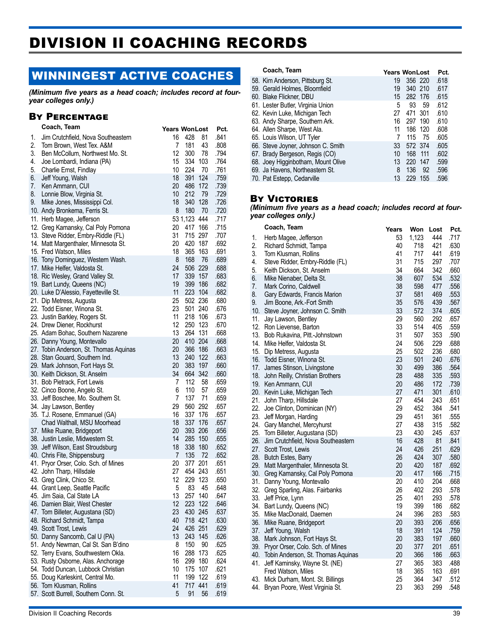# DIVISION II COACHING RECORDS

# WINNINGEST ACTIVE COACHES

*(Minimum five years as a head coach; includes record at fouryear colleges only.)*

### By Percentage

|    | Coach, Team                            | Years WonLost |              |      | Pct. |
|----|----------------------------------------|---------------|--------------|------|------|
| 1. | Jim Crutchfield, Nova Southeastern     | 16            | 428          | 81   | .841 |
| 2. | Tom Brown, West Tex. A&M               | 7             | 181          | 43   | .808 |
| 3. | Ben McCollum, Northwest Mo. St.        | 12            | 300          | 78   | .794 |
| 4. | Joe Lombardi, Indiana (PA)             | 15            | 334 103      |      | .764 |
| 5. | Charlie Ernst, Findlay                 | 10            | 224          | 70   | .761 |
| 6. | Jeff Young, Walsh                      | 18            | 391          | 124  | .759 |
| 7. | Ken Ammann, CUI                        | 20            | 486          | 172  | .739 |
| 8. | Lonnie Blow, Virginia St.              | 10            | 212          | -79  | .729 |
| 9. | Mike Jones, Mississippi Col.           | 18            | 340 128      |      | .726 |
|    | 10. Andy Bronkema, Ferris St.          | 8             | 180          | 70   | .720 |
|    | 11. Herb Magee, Jefferson              |               | 53 1,123 444 |      | .717 |
|    | 12. Greg Kamansky, Cal Poly Pomona     | 20            | 417          | 166  | .715 |
|    | 13. Steve Ridder, Embry-Riddle (FL)    | 31            | 715 297      |      | .707 |
|    | 14. Matt Margenthaler, Minnesota St.   | 20            | 420 187      |      | .692 |
|    | 15. Fred Watson, Miles                 | 18            | 365          | 163  | .691 |
|    | 16. Tony Dominguez, Western Wash.      | 8             | 168          | - 76 | .689 |
|    | 17. Mike Helfer, Valdosta St.          | 24            | 506 229      |      | .688 |
|    | 18. Ric Wesley, Grand Valley St.       | 17            | 339 157      |      | .683 |
|    | 19. Bart Lundy, Queens (NC)            | 19            | 399 186      |      | .682 |
|    | 20. Luke D'Alessio, Fayetteville St.   | 11            | 223 104      |      | .682 |
|    | 21. Dip Metress, Augusta               | 25            | 502 236      |      | .680 |
|    | 22. Todd Eisner, Winona St.            | 23            | 501 240      |      | .676 |
|    | 23. Justin Barkley, Rogers St.         | 11            | 218 106      |      | .673 |
|    | 24. Drew Diener, Rockhurst             | 12            | 250 123      |      | .670 |
|    | 25. Adam Bohac, Southern Nazarene      | 13            | 264 131      |      | .668 |
|    | 26. Danny Young, Montevallo            | 20            | 410 204      |      | .668 |
|    | 27. Tobin Anderson, St. Thomas Aquinas | 20            | 366 186      |      | .663 |
|    | 28. Stan Gouard, Southern Ind.         | 13            | 240 122      |      | .663 |
|    | 29. Mark Johnson, Fort Hays St.        | 20            | 383          | 197  | .660 |
|    | 30. Keith Dickson, St. Anselm          | 34            | 664 342      |      | .660 |
|    | 31. Bob Pietrack, Fort Lewis           | 7             | 112          | 58   | .659 |
|    | 32. Cinco Boone, Angelo St.            | 6             | 110          | 57   | .659 |
|    | 33. Jeff Boschee, Mo. Southern St.     | 7             | 137          | 71   | .659 |
|    | 34. Jay Lawson, Bentley                | 29            | 560 292      |      | .657 |
|    | 35. T.J. Rosene, Emmanuel (GA)         | 16            | 337 176      |      | .657 |
|    | Chad Walthall, MSU Moorhead            | 18            | 337 176      |      | .657 |
|    | 37. Mike Ruane, Bridgeport             | 20            | 393 206      |      | .656 |
|    | 38. Justin Leslie, Midwestern St.      | 14            | 285 150      |      | .655 |
|    | 39. Jeff Wilson, East Stroudsburg      | 18            | 338 180      |      | .652 |
|    | 40. Chris Fite, Shippensburg           | 7             | 135          | 72   | .652 |
|    | 41. Pryor Orser, Colo. Sch. of Mines   | 20            | 377 201      |      | .651 |
|    | 42. John Tharp, Hillsdale              | 27            | 454 243      |      | .651 |
|    | 43. Greg Clink, Chico St.              | 12            | 229          | 123  | .650 |
|    | 44. Grant Leep, Seattle Pacific        | 5             | 83           | 45   | .648 |
|    | 45. Jim Saia, Cal State LA             | 13            | 257          | 140  | .647 |
|    | 46. Damien Blair, West Chester         | 12            | 223          | 122  | .646 |
|    | 47. Tom Billeter, Augustana (SD)       | 23            | 430 245      |      | .637 |
|    | 48. Richard Schmidt, Tampa             | 40            | 718 421      |      | .630 |
|    | 49. Scott Trost, Lewis                 | 24            | 426 251      |      | .629 |
|    | 50. Danny Sancomb, Cal U (PA)          | 13            | 243 145      |      | .626 |
|    | 51. Andy Newman, Cal St. San B'dino    | 8             | 150          | 90   | .625 |
|    | 52. Terry Evans, Southwestern Okla.    | 16            | 288          | 173  | .625 |
|    | 53. Rusty Osborne, Alas. Anchorage     | 16            | 299          | 180  | .624 |
|    | 54. Todd Duncan, Lubbock Christian     | 10            | 175          | 107  | .621 |
|    | 55. Doug Karleskint, Central Mo.       | 11            | 199          | 122  | .619 |
|    | 56. Tom Klusman, Rollins               | 41            | 717 441      |      | .619 |
|    | 57. Scott Burrell, Southern Conn. St.  | 5             | 91           | 56   | .619 |

| Coach, Team                        | <b>Years WonLost</b> |         |      | Pct. |
|------------------------------------|----------------------|---------|------|------|
| 58. Kim Anderson, Pittsburg St.    | 19                   | 356 220 |      | .618 |
| 59. Gerald Holmes, Bloomfield      | 19                   | 340 210 |      | .617 |
| 60. Blake Flickner, DBU            | 15                   | 282 176 |      | .615 |
| 61. Lester Butler, Virginia Union  | 5                    | 93      | 59   | .612 |
| 62. Kevin Luke, Michigan Tech      | 27                   | 471 301 |      | .610 |
| 63. Andy Sharpe, Southern Ark.     | 16                   | 297 190 |      | .610 |
| 64. Allen Sharpe, West Ala.        | 11                   | 186 120 |      | .608 |
| 65. Louis Wilson, UT Tyler         |                      | 115     | - 75 | .605 |
| 66. Steve Joyner, Johnson C. Smith | 33                   | 572 374 |      | .605 |
| 67. Brady Bergeson, Regis (CO)     | 10                   | 168 111 |      | .602 |
| 68. Joey Higginbotham, Mount Olive | 13                   | 220 147 |      | .599 |
| 69. Ja Havens, Northeastern St.    | 8                    | 136     | - 92 | .596 |
| 70. Pat Estepp, Cedarville         | 13                   | 229 155 |      | .596 |
|                                    |                      |         |      |      |

### **BY VICTORIES**

*(Minimum five years as a head coach; includes record at fouryear colleges only.)*

|     | Coach, Team                        | Years | Won   | Lost | Pct. |
|-----|------------------------------------|-------|-------|------|------|
| 1.  | Herb Magee, Jefferson              | 53    | 1,123 | 444  | .717 |
| 2.  | Richard Schmidt, Tampa             | 40    | 718   | 421  | .630 |
| 3.  | Tom Klusman, Rollins               | 41    | 717   | 441  | .619 |
| 4.  | Steve Ridder, Embry-Riddle (FL)    | 31    | 715   | 297  | .707 |
| 5.  | Keith Dickson, St. Anselm          | 34    | 664   | 342  | .660 |
| 6.  | Mike Nienaber, Delta St.           | 38    | 607   | 534  | .532 |
| 7.  | Mark Corino, Caldwell              | 38    | 598   | 477  | .556 |
| 8.  | Gary Edwards, Francis Marion       | 37    | 581   | 469  | .553 |
| 9.  | Jim Boone, Ark.-Fort Smith         | 35    | 576   | 439  | .567 |
| 10. | Steve Joyner, Johnson C. Smith     | 33    | 572   | 374  | .605 |
| 11. | Jay Lawson, Bentley                | 29    | 560   | 292  | .657 |
| 12. | Ron Lievense, Barton               | 33    | 514   | 405  | .559 |
| 13. | Bob Rukavina, Pitt.-Johnstown      | 31    | 507   | 353  | .590 |
| 14. | Mike Helfer, Valdosta St.          | 24    | 506   | 229  | .688 |
| 15. | Dip Metress, Augusta               | 25    | 502   | 236  | .680 |
| 16. | Todd Eisner, Winona St.            | 23    | 501   | 240  | .676 |
| 17. | James Stinson, Livingstone         | 30    | 499   | 386  | .564 |
| 18. | John Reilly, Christian Brothers    | 28    | 488   | 335  | .593 |
| 19. | Ken Ammann, CUI                    | 20    | 486   | 172  | .739 |
| 20. | Kevin Luke, Michigan Tech          | 27    | 471   | 301  | .610 |
| 21. | John Tharp, Hillsdale              | 27    | 454   | 243  | .651 |
| 22. | Joe Clinton, Dominican (NY)        | 29    | 452   | 384  | .541 |
| 23. | Jeff Morgan, Harding               | 29    | 451   | 361  | .555 |
| 24. | Gary Manchel, Mercyhurst           | 27    | 438   | 315  | .582 |
| 25. | Tom Billeter, Augustana (SD)       | 23    | 430   | 245  | .637 |
| 26. | Jim Crutchfield, Nova Southeastern | 16    | 428   | 81   | .841 |
| 27. | Scott Trost, Lewis                 | 24    | 426   | 251  | .629 |
| 28. | Butch Estes, Barry                 | 26    | 424   | 307  | .580 |
| 29. | Matt Margenthaler, Minnesota St.   | 20    | 420   | 187  | .692 |
| 30. | Greg Kamansky, Cal Poly Pomona     | 20    | 417   | 166  | .715 |
| 31. | Danny Young, Montevallo            | 20    | 410   | 204  | .668 |
| 32. | Greg Sparling, Alas. Fairbanks     | 26    | 402   | 293  | .578 |
| 33. | Jeff Price, Lynn                   | 25    | 401   | 293  | .578 |
| 34. | Bart Lundy, Queens (NC)            | 19    | 399   | 186  | .682 |
| 35. | Mike MacDonald, Daemen             | 24    | 396   | 283  | .583 |
| 36. | Mike Ruane, Bridgeport             | 20    | 393   | 206  | .656 |
| 37. | Jeff Young, Walsh                  | 18    | 391   | 124  | .759 |
| 38. | Mark Johnson, Fort Hays St.        | 20    | 383   | 197  | .660 |
| 39. | Pryor Orser, Colo. Sch. of Mines   | 20    | 377   | 201  | .651 |
| 40. | Tobin Anderson, St. Thomas Aquinas | 20    | 366   | 186  | .663 |
| 41. | Jeff Kaminsky, Wayne St. (NE)      | 27    | 365   | 383  | .488 |
|     | Fred Watson, Miles                 | 18    | 365   | 163  | .691 |
| 43. | Mick Durham, Mont. St. Billings    | 25    | 364   | 347  | .512 |
| 44. | Bryan Poore, West Virginia St.     | 23    | 363   | 299  | .548 |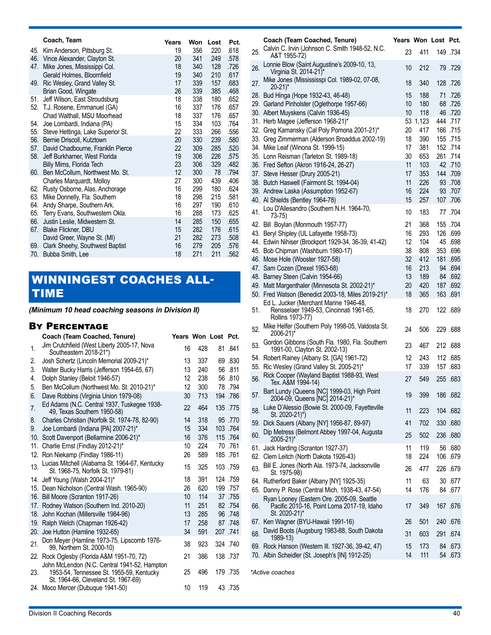|     | Coach, Team                                              | Years    | Won        | Lost       | Pct.         |
|-----|----------------------------------------------------------|----------|------------|------------|--------------|
| 45. | Kim Anderson, Pittsburg St.                              | 19       | 356        | 220        | .618         |
| 46. | Vince Alexander, Clayton St.                             | 20       | 341        | 249        | .578         |
| 47. | Mike Jones, Mississippi Col.                             | 18       | 340        | 128        | .726         |
|     | Gerald Holmes, Bloomfield                                | 19       | 340        | 210        | .617         |
| 49. | Ric Wesley, Grand Valley St.<br>Brian Good, Wingate      | 17<br>26 | 339<br>339 | 157<br>385 | .683<br>.468 |
| 51. | Jeff Wilson, East Stroudsburg                            | 18       | 338        | 180        | .652         |
|     | 52. T.J. Rosene, Emmanuel (GA)                           | 16       | 337        | 176        | .657         |
|     | Chad Walthall, MSU Moorhead                              | 18       | 337        | 176        | .657         |
| 54. | Joe Lombardi, Indiana (PA)                               | 15       | 334        | 103        | .764         |
| 55. | Steve Hettinga, Lake Superior St.                        | 22       | 333        | 266        | .556         |
| 56. | Bernie Driscoll, Kutztown                                | 20       | 330        | 239        | .580         |
| 57. | David Chadbourne, Franklin Pierce                        | 22       | 309        | 285        | .520         |
| 58. | Jeff Burkhamer, West Florida<br>Billy Mims, Florida Tech | 19<br>23 | 306<br>306 | 226<br>329 | .575<br>.482 |
| 60. | Ben McCollum, Northwest Mo. St.                          | 12       | 300        | 78         | .794         |
|     | Charles Marquardt, Molloy                                | 27       | 300        | 439        | .406         |
| 62. | Rusty Osborne, Alas. Anchorage                           | 16       | 299        | 180        | .624         |
| 63. | Mike Donnelly, Fla. Southern                             | 18       | 298        | 215        | .581         |
| 64. | Andy Sharpe, Southern Ark.                               | 16       | 297        | 190        | .610         |
| 65. | Terry Evans, Southwestern Okla.                          | 16       | 288        | 173        | .625         |
| 66. | Justin Leslie, Midwestern St.                            | 14       | 285<br>282 | 150        | .655         |
| 67. | Blake Flickner, DBU<br>David Greer, Wayne St. (MI)       | 15<br>21 | 282        | 176<br>273 | .615<br>.508 |
| 69. | Clark Sheehy, Southwest Baptist                          | 16       | 279        | 205        | .576         |
| 70. | Bubba Smith, Lee                                         | 18       | 271        | 211        | .562         |
|     |                                                          |          |            |            |              |

# WINNINGEST COACHES ALL-TIME

*(Minimum 10 head coaching seasons in Division II)*

### By Percentage

|                | Coach (Team Coached, Tenure)                                                                                                    | Years Won Lost Pct. |     |          |
|----------------|---------------------------------------------------------------------------------------------------------------------------------|---------------------|-----|----------|
| 1.             | Jim Crutchfield (West Liberty 2005-17, Nova<br>Southeastern 2018-21*)                                                           | 16                  | 428 | 81 .841  |
| 2.             | Josh Schertz (Lincoln Memorial 2009-21)*                                                                                        | 13                  | 337 | 69.830   |
| 3.             | Walter Bucky Harris (Jefferson 1954-65, 67)                                                                                     | 13                  | 240 | 56 .811  |
| 4.             | Dolph Stanley (Beloit 1946-57)                                                                                                  | 12                  | 238 | 56 .810  |
| 5.             | Ben McCollum (Northwest Mo. St. 2010-21)*                                                                                       | 12                  | 300 | 78.794   |
| 6.             | Dave Robbins (Virginia Union 1979-08)                                                                                           | 30                  | 713 | 194 .786 |
| 7 <sub>1</sub> | Ed Adams (N.C. Central 1937, Tuskegee 1938-<br>49. Texas Southern 1950-58)                                                      | 22                  | 464 | 135 .775 |
| 8.             | Charles Christian (Norfolk St. 1974-78, 82-90)                                                                                  | 14                  | 318 | 95 .770  |
| 9.             | Joe Lombardi (Indiana [PA] 2007-21)*                                                                                            | 15                  | 334 | 103 .764 |
| 10.            | Scott Davenport (Bellarmine 2006-21)*                                                                                           | 16                  | 376 | 115 .764 |
| 11.            | Charlie Ernst (Findlay 2012-21)*                                                                                                | 10                  | 224 | 70 .761  |
| 12.            | Ron Niekamp (Findlay 1986-11)                                                                                                   | 26                  | 589 | 185 .761 |
| 13.            | Lucias Mitchell (Alabama St. 1964-67, Kentucky<br>St. 1968-75, Norfolk St. 1979-81)                                             | 15                  | 325 | 103 .759 |
|                | 14. Jeff Young (Walsh 2004-21)*                                                                                                 | 18                  | 391 | 124 .759 |
|                | 15. Dean Nicholson (Central Wash. 1965-90)                                                                                      | 26                  | 620 | 199 .757 |
|                | 16. Bill Moore (Scranton 1917-26)                                                                                               | 10                  | 114 | 37.755   |
|                | 17. Rodney Watson (Southern Ind. 2010-20)                                                                                       | 11                  | 251 | 82 .754  |
|                | 18. John Kochan (Millersville 1984-96)                                                                                          | 13                  | 285 | 96.748   |
|                | 19. Ralph Welch (Chapman 1926-42)                                                                                               | 17                  | 258 | 87.748   |
| 20.            | Joe Hutton (Hamline 1932-65)                                                                                                    | 34                  | 591 | 207.741  |
| 21.            | Don Meyer (Hamline 1973-75, Lipscomb 1976-<br>99, Northern St. 2000-10)                                                         | 38                  | 923 | 324 .740 |
|                | 22. Rock Oglesby (Florida A&M 1951-70, 72)                                                                                      | 21                  | 386 | 138.737  |
| 23.            | John McLendon (N.C. Central 1941-52, Hampton<br>1953-54, Tennessee St. 1955-59, Kentucky<br>St. 1964-66, Cleveland St. 1967-69) | 25                  | 496 | 179 .735 |
|                | 24. Moco Mercer (Dubuque 1941-50)                                                                                               | 10                  | 119 | 43 .735  |
|                |                                                                                                                                 |                     |     |          |

| 25. | Coach (Team Coached, Tenure)<br>Calvin C. Irvin (Johnson C. Smith 1948-52, N.C.                           | Years Won Lost Pct.<br>23 | 411        | 149 .734            |
|-----|-----------------------------------------------------------------------------------------------------------|---------------------------|------------|---------------------|
| 26. | A&T 1955-72)<br>Lonnie Blow (Saint Augustine's 2009-10, 13,                                               | 10                        | 212        | 79 .729             |
| 27. | Virginia St. 2014-21)*<br>Mike Jones (Missississpi Col. 1989-02, 07-08,<br>$20-21$ <sup>*</sup>           | 18                        | 340        | 128 .726            |
|     | 28. Bud Hinga (Hope 1932-43, 46-48)                                                                       | 15                        | 188        | 71 .726             |
|     | 29. Garland Pinholster (Oglethorpe 1957-66)                                                               | 10                        | 180        | 68.726              |
|     | 30. Albert Muyskens (Calvin 1936-45)                                                                      | 10                        | 118        | 46 .720             |
|     | 31. Herb Magee (Jefferson 1968-21)*                                                                       | 53                        | 1,123      | 444 .717            |
|     | 32. Greg Kamansky (Cal Poly Pomona 2001-21)*                                                              | 20                        | 417        | 166 .715            |
|     | 33. Greg Zimmerman (Alderson Broaddus 2002-19)                                                            | 18                        | 390        | 155 .715            |
|     | 34. Mike Leaf (Winona St. 1999-15)                                                                        | 17                        | 381        | 152 .714            |
|     | 35. Lonn Reisman (Tarleton St. 1989-18)                                                                   | 30                        | 653        | 261 .714            |
|     | 36. Fred Sefton (Akron 1916-24, 26-27)                                                                    | 11<br>17                  | 103<br>353 | 42 .710<br>144 .709 |
|     | 37. Steve Hesser (Drury 2005-21)<br>38. Butch Haswell (Fairmont St. 1994-04)                              | 11                        | 226        | 93 .708             |
|     | 39. Andrew Laska (Assumption 1952-67)                                                                     | 16                        | 224        | 93 .707             |
|     | 40. Al Shields (Bentley 1964-78)                                                                          | 15                        | 257        | 107.706             |
|     | Lou D'Allesandro (Southern N.H. 1964-70,                                                                  |                           |            |                     |
| 41. | 73-75)                                                                                                    | 10                        | 183        | 77.704              |
|     | 42. Bill Boylan (Monmouth 1957-77)                                                                        | 21                        | 368        | 155 .704            |
|     | 43. Beryl Shipley (UL Lafayette 1958-73)                                                                  | 16                        | 293        | 126 .699            |
|     | 44. Edwin Nihiser (Brockport 1929-34, 36-39, 41-42)                                                       | 12                        | 104        | 45 .698             |
|     | 45. Bob Chipman (Washburn 1980-17)                                                                        | 38<br>32                  | 808<br>412 | 353.696<br>181 .695 |
|     | 46. Mose Hole (Wooster 1927-58)<br>47. Sam Cozen (Drexel 1953-68)                                         | 16                        | 213        | 94 .694             |
|     | 48. Barney Steen (Calvin 1954-66)                                                                         | 13                        | 189        | 84 .692             |
|     | 49. Matt Margenthaler (Minnesota St. 2002-21)*                                                            | 20                        | 420        | 187 .692            |
|     | 50. Fred Watson (Benedict 2003-18, Miles 2019-21)*                                                        | 18                        | 365        | 163 .691            |
| 51. | Ed L. Jucker (Merchant Marine 1946-48,<br>Rensselaer 1949-53, Cincinnati 1961-65,<br>Rollins 1973-77)     | 18                        | 270        | 122.689             |
| 52. | Mike Helfer (Southern Poly 1998-05, Valdosta St.<br>2006-21)*                                             | 24                        | 506        | 886. 229            |
| 53. | Gordon Gibbons (South Fla. 1980, Fla. Southern<br>1991-00, Clayton St. 2002-13)                           | 23                        | 467        | 212 .688            |
|     | 54. Robert Rainey (Albany St. [GA] 1961-72)                                                               | 12                        | 243        | 112 .685            |
| 55. | Ric Wesley (Grand Valley St. 2005-21)*                                                                    | 17                        | 339        | 157.683             |
| 56. | Rick Cooper (Wayland Baptist 1988-93, West<br>Tex. A&M 1994-14)                                           | 27                        | 549        | 255 .683            |
| 57. | Bart Lundy (Queens [NC] 1999-03, High Point<br>2004-09, Queens [NC] 2014-21)*                             | 19                        | 399        | .682 186            |
| 58. | Luke D'Alessio (Bowie St. 2000-09, Fayetteville<br>St. 2020-21)*)                                         | 11                        | 223        | 104 .682            |
|     | 59. Dick Sauers (Albany [NY] 1956-87, 89-97)                                                              | 41                        | 702        | 330 .680            |
| 60. | Dip Metress (Belmont Abbey 1997-04, Augusta<br>2005-21)*                                                  | 25                        | 502        | 236 .680            |
|     | 61. Jack Harding (Scranton 1927-37)                                                                       | 11                        | 119        | 56 .680             |
|     | 62. Clem Leitch (North Dakota 1926-43)                                                                    | 18                        | 224        | 106 .679            |
| 63. | Bill E. Jones (North Ala. 1973-74, Jacksonville<br>St. 1975-98)                                           | 26                        | 477        | 226 .679            |
|     | 64. Rutherford Baker (Albany [NY] 1925-35)<br>65. Danny P. Rose (Central Mich. 1938-43, 47-54)            | 11<br>14                  | 63<br>176  | 30 .677<br>84 .677  |
| 66. | Ryan Looney (Eastern Ore. 2005-09, Seattle<br>Pacific 2010-16, Point Loma 2017-19, Idaho<br>St. 2020-21)* | 17                        | 349        | 167.676             |
| 67. | Ken Wagner (BYU-Hawaii 1991-16)                                                                           | 26                        | 501        | .676 240            |
| 68. | David Boots (Augsburg 1983-88, South Dakota                                                               | 31                        | 603        | 674. 291            |
|     | 1989-13)                                                                                                  |                           |            |                     |
|     | 69. Rock Hanson (Western III. 1927-36, 39-42, 47)                                                         | 15                        | 173        | 84 .673             |
|     | 70. Albin Scheidler (St. Joseph's [IN] 1912-25)                                                           | 14                        | 111        | 54 673              |
|     |                                                                                                           |                           |            |                     |

*\*Active coaches*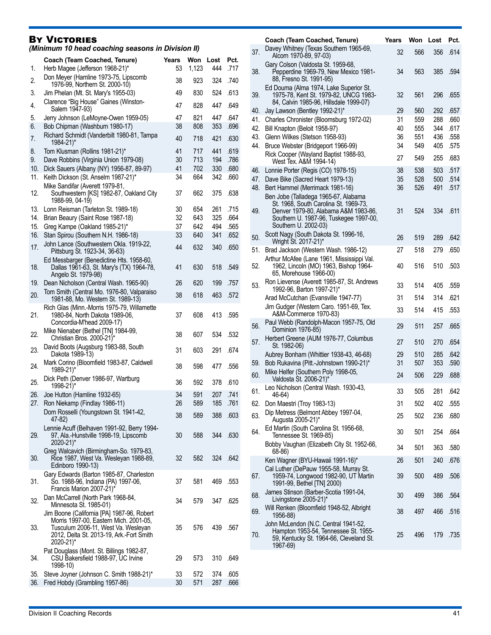### **BY VICTORIES**

*(Minimum 10 head coaching seasons in Division II)*

| 1.         | Coach (Team Coached, Tenure)<br>Herb Magee (Jefferson 1968-21)*                                                                                                                      | Years<br>53 | Won<br>1,123 | Lost<br>444 | Pct.<br>.717 |
|------------|--------------------------------------------------------------------------------------------------------------------------------------------------------------------------------------|-------------|--------------|-------------|--------------|
| 2.         | Don Meyer (Hamline 1973-75, Lipscomb                                                                                                                                                 | 38          | 923          | 324         | .740         |
| 3.         | 1976-99, Northern St. 2000-10)<br>Jim Phelan (Mt. St. Mary's 1955-03)                                                                                                                | 49          | 830          | 524         | .613         |
| 4.         | Clarence "Big House" Gaines (Winston-                                                                                                                                                | 47          | 828          | 447         | .649         |
| 5.         | Salem 1947-93)<br>Jerry Johnson (LeMoyne-Owen 1959-05)                                                                                                                               | 47          | 821          | 447         | .647         |
| 6.         | Bob Chipman (Washburn 1980-17)                                                                                                                                                       | 38          | 808          | 353         | .696         |
| 7.         | Richard Schmidt (Vanderbilt 1980-81, Tampa<br>1984-21)*                                                                                                                              | 40          | 718          | 421         | .630         |
| 8.         | Tom Klusman (Rollins 1981-21)*                                                                                                                                                       | 41          | 717          | 441         | .619         |
| 9.         | Dave Robbins (Virginia Union 1979-08)                                                                                                                                                | 30<br>41    | 713          | 194         | .786         |
| 10.<br>11. | Dick Sauers (Albany (NY) 1956-87, 89-97)<br>Keith Dickson (St. Anselm 1987-21)*                                                                                                      | 34          | 702<br>664   | 330<br>342  | .680<br>.660 |
| 12.        | Mike Sandifar (Averett 1979-81,<br>Southwestern [KS] 1982-87, Oakland City                                                                                                           | 37          | 662          | 375         | .638         |
| 13.        | 1988-99, 04-19)<br>Lonn Reisman (Tarleton St. 1989-18)                                                                                                                               | 30          | 654          | 261         | .715         |
| 14.        | Brian Beaury (Saint Rose 1987-18)                                                                                                                                                    | 32          | 643          | 325         | .664         |
| 15.        | Greg Kampe (Oakland 1985-21)*                                                                                                                                                        | 37          | 642          | 494         | .565         |
| 16.        | Stan Spirou (Southern N.H. 1986-18)                                                                                                                                                  | 33          | 640          | 341         | .652         |
| 17.        | John Lance (Southwestern Okla. 1919-22,<br>Pittsburg St. 1923-34, 36-63)                                                                                                             | 44          | 632          | 340         | .650         |
| 18.        | Ed Messbarger (Benedictine Hts. 1958-60,<br>Dallas 1961-63, St. Mary's (TX) 1964-78,<br>Angelo St. 1979-98)                                                                          | 41          | 630          | 518         | .549         |
| 19.        | Dean Nicholson (Central Wash. 1965-90)                                                                                                                                               | 26          | 620          | 199         | .757         |
| 20.        | Tom Smith (Central Mo. 1976-80, Valparaiso<br>1981-88, Mo. Western St. 1989-13)                                                                                                      | 38          | 618          | 463         | .572         |
| 21.        | Rich Glas (Minn.-Morris 1975-79, Willamette<br>1980-84, North Dakota 1989-06,<br>Concordia-M'head 2009-17)                                                                           | 37          | 608          | 413         | .595         |
| 22.        | Mike Nienaber (Bethel [TN] 1984-99,<br>Christian Bros. 2000-21)*                                                                                                                     | 38          | 607          | 534         | .532         |
| 23.        | David Boots (Augsburg 1983-88, South<br>Dakota 1989-13)                                                                                                                              | 31          | 603          | 291         | .674         |
| 24.        | Mark Corino (Bloomfield 1983-87, Caldwell<br>1989-21)*                                                                                                                               | 38          | 598          | 477         | .556         |
| 25.        | Dick Peth (Denver 1986-97, Wartburg<br>1998-21)*                                                                                                                                     | 36          | 592          | 378         | .610         |
| 26.<br>27. | Joe Hutton (Hamline 1932-65)<br>Ron Niekamp (Findlay 1986-11)                                                                                                                        | 34<br>26    | 591<br>589   | 207<br>185  | .741<br>.761 |
|            | Dom Rosselli (Youngstown St. 1941-42,                                                                                                                                                | 38          | 589          | 388         | .603         |
| 29.        | $47-82)$<br>Lennie Acuff (Belhaven 1991-92, Berry 1994-<br>97, Ala.-Hunstville 1998-19, Lipscomb<br>2020-21)*                                                                        | 30          | 588          | 344         | .630         |
| 30.        | Greg Walcavich (Birmingham-So. 1979-83,<br>Rice 1987, West Va. Wesleyan 1988-89,<br>Edinboro 1990-13)                                                                                | 32          | 582          | 324         | .642         |
| 31.        | Gary Edwards (Barton 1985-87, Charleston<br>So. 1988-96, Indiana (PA) 1997-06,<br>Francis Marion 2007-21)*                                                                           | 37          | 581          | 469         | .553         |
| 32.        | Dan McCarrell (North Park 1968-84,<br>Minnesota St. 1985-01)                                                                                                                         | 34          | 579          | 347         | .625         |
| 33.        | Jim Boone (California [PA] 1987-96, Robert<br>Morris 1997-00, Eastern Mich. 2001-05,<br>Tusculum 2006-11, West Va. Wesleyan<br>2012, Delta St. 2013-19, Ark.-Fort Smith<br>2020-21)* | 35          | 576          | 439         | .567         |
| 34.        | Pat Douglass (Mont. St. Billings 1982-87,<br>CSU Bakersfield 1988-97, UC Irvine<br>1998-10)                                                                                          | 29          | 573          | 310         | .649         |
| 35.<br>36. | Steve Joyner (Johnson C. Smith 1988-21)*<br>Fred Hobdy (Grambling 1957-86)                                                                                                           | 33<br>30    | 572<br>571   | 374<br>287  | .605<br>.666 |

|            | Coach (Team Coached, Tenure)<br>Davey Whitney (Texas Southern 1965-69,                                                    | Years    | Won        | Lost       | Pct.         |
|------------|---------------------------------------------------------------------------------------------------------------------------|----------|------------|------------|--------------|
| 37.        | Alcorn 1970-89, 97-03)                                                                                                    | 32       | 566        | 356        | .614         |
| 38.        | Gary Colson (Valdosta St. 1959-68,<br>Pepperdine 1969-79, New Mexico 1981-<br>88, Fresno St. 1991-95)                     | 34       | 563        | 385        | .594         |
| 39.        | Ed Douma (Alma 1974, Lake Superior St.<br>1975-78, Kent St. 1979-82, UNCG 1983-<br>84, Calvin 1985-96, Hillsdale 1999-07) | 32       | 561        | 296        | .655         |
| 40.        | Jay Lawson (Bentley 1992-21)*                                                                                             | 29       | 560        | 292        | .657         |
| 41.        | Charles Chronister (Bloomsburg 1972-02)                                                                                   | 31       | 559        | 288        | .660         |
| 42.        | Bill Knapton (Beloit 1958-97)                                                                                             | 40       | 555        | 344        | .617         |
| 43.<br>44. | Glenn Wilkes (Stetson 1958-93)<br>Bruce Webster (Bridgeport 1966-99)                                                      | 36<br>34 | 551<br>549 | 436<br>405 | .558<br>.575 |
|            | Rick Cooper (Wayland Baptist 1988-93,                                                                                     |          |            |            |              |
|            | West Tex. A&M 1994-14)                                                                                                    | 27       | 549        | 255        | .683         |
| 46.        | Lonnie Porter (Regis (CO) 1978-15)                                                                                        | 38       | 538        | 503        | .517         |
| 47.<br>48. | Dave Bike (Sacred Heart 1979-13)<br>Bert Hammel (Merrimack 1981-16)                                                       | 35<br>36 | 528<br>526 | 500<br>491 | .514<br>.517 |
|            | Ben Jobe (Talladega 1965-67, Alabama                                                                                      |          |            |            |              |
|            | St. 1968, South Carolina St. 1969-73,                                                                                     |          |            |            |              |
| 49.        | Denver 1979-80, Alabama A&M 1983-86,<br>Southern U. 1987-96, Tuskegee 1997-00,                                            | 31       | 524        | 334        | .611         |
|            | Southern U. 2002-03)                                                                                                      |          |            |            |              |
| 50.        | Scott Nagy (South Dakota St. 1996-16,<br>Wright St. 2017-21)*                                                             | 26       | 519        | 289        | .642         |
| 51.        | Brad Jackson (Western Wash. 1986-12)                                                                                      | 27       | 518        | 279        | .650         |
| 52.        | Arthur McAfee (Lane 1961, Mississippi Val.<br>1962, Lincoln (MO) 1963, Bishop 1964-                                       | 40       | 516        | 510        | .503         |
|            | 65, Morehouse 1966-00)                                                                                                    |          |            |            |              |
| 53.        | Ron Lievense (Averett 1985-87, St. Andrews<br>1992-96, Barton 1997-21)*                                                   | 33       | 514        | 405        | .559         |
|            | Arad McCutchan (Evansville 1947-77)                                                                                       | 31       | 514        | 314        | .621         |
|            | Jim Gudger (Western Caro. 1951-69, Tex.<br>A&M-Commerce 1970-83)                                                          | 33       | 514        | 415        | .553         |
| 56.        | Paul Webb (Randolph-Macon 1957-75, Old<br>Dominion 1976-85)                                                               | 29       | 511        | 257        | .665         |
| 57.        | Herbert Greene (AUM 1976-77, Columbus<br>St. 1982-06)                                                                     | 27       | 510        | 270        | .654         |
|            | Aubrey Bonham (Whittier 1938-43, 46-68)                                                                                   | 29       | 510        | 285        | .642         |
| 59.        | Bob Rukavina (Pitt.-Johnstown 1990-21)*                                                                                   | 31       | 507        | 353        | .590         |
| 60.        | Mike Helfer (Southern Poly 1998-05,<br>Valdosta St. 2006-21)*                                                             | 24       | 506        | 229        | .688         |
| 61.        | Leo Nicholson (Central Wash. 1930-43,<br>46-64)                                                                           | 33       | 505        | 281        | .642         |
| 62.        | Don Maestri (Troy 1983-13)                                                                                                | 31       | 502        | 402        | .555         |
| 63.        | Dip Metress (Belmont Abbey 1997-04,                                                                                       | 25       | 502        | 236        | .680         |
| 64.        | Augusta 2005-21)*<br>Ed Martin (South Carolina St. 1956-68,<br>Tennessee St. 1969-85)                                     | 30       | 501        | 254        | .664         |
|            | Bobby Vaughan (Elizabeth City St. 1952-66,                                                                                | 34       | 501        | 363        | .580         |
|            | 68-86)<br>Ken Wagner (BYU-Hawaii 1991-16)*                                                                                | 26       | 501        | 240        | .676         |
| 67.        | Cal Luther (DePauw 1955-58, Murray St.<br>1959-74, Longwood 1982-90, UT Martin                                            | 39       | 500        | 489        | .506         |
| 68.        | 1991-99, Bethel [TN] 2000)<br>James Stinson (Barber-Scotia 1991-04,                                                       | 30       | 499        | 386        | .564         |
|            | Livingstone 2005-21)*<br>Will Renken (Bloomfield 1948-52, Albright                                                        |          |            |            |              |
| 69.        | 1956-88)<br>John McLendon (N.C. Central 1941-52,                                                                          | 38       | 497        | 466        | .516         |
| 70.        | Hampton 1953-54, Tennessee St. 1955-<br>59, Kentucky St. 1964-66, Cleveland St.<br>1967-69)                               | 25       | 496        | 179        | .735         |
|            |                                                                                                                           |          |            |            |              |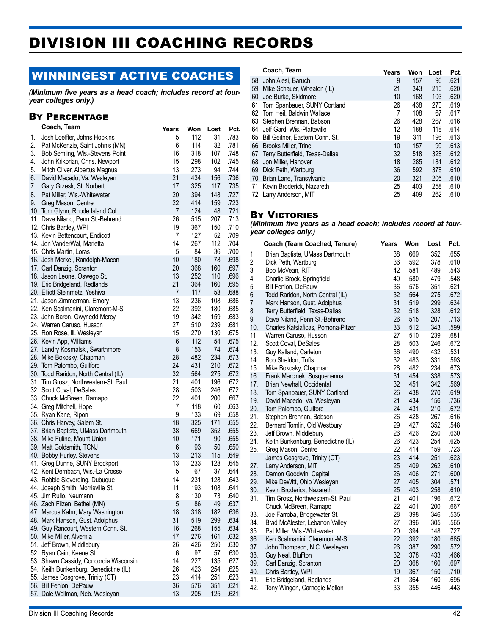# DIVISION III COACHING RECORDS

# WINNINGEST ACTIVE COACHES

*(Minimum five years as a head coach; includes record at fouryear colleges only.)*

### By Percentage

|    | Coach, Team                            | Years          | Won | Lost | Pct. | υ<br>6          |
|----|----------------------------------------|----------------|-----|------|------|-----------------|
| 1. | Josh Loeffler, Johns Hopkins           | 5              | 112 | 31   | .783 | 6               |
| 2. | Pat McKenzie, Saint John's (MN)        | 6              | 114 | 32   | .781 | 6               |
| 3. | Bob Semling, Wis.-Stevens Point        | 16             | 318 | 107  | .748 | 6               |
| 4. | John Krikorian, Chris. Newport         | 15             | 298 | 102  | .745 | 6               |
| 5. | Mitch Oliver, Albertus Magnus          | 13             | 273 | 94   | .744 | 6               |
| 6. | David Macedo, Va. Wesleyan             | 21             | 434 | 156  | .736 | 7               |
| 7. | Gary Grzesk, St. Norbert               | 17             | 325 | 117  | .735 | 7               |
| 8. | Pat Miller, Wis.-Whitewater            | 20             | 394 | 148  | .727 | 7               |
| 9. | Greg Mason, Centre                     | 22             | 414 | 159  | .723 |                 |
|    | 10. Tom Glynn, Rhode Island Col.       | $\overline{7}$ | 124 | 48   | .721 |                 |
|    | 11. Dave Niland, Penn St.-Behrend      | 26             | 515 | 207  | .713 | B               |
|    | 12. Chris Bartley, WPI                 | 19             | 367 | 150  | .710 | (l              |
|    | 13. Kevin Bettencourt, Endicott        | 7              | 127 | 52   | .709 | y               |
|    | 14. Jon VanderWal, Marietta            | 14             | 267 | 112  | .704 |                 |
|    | 15. Chris Martin, Loras                | 5              | 84  | 36   | .700 |                 |
|    | 16. Josh Merkel, Randolph-Macon        | 10             | 180 | 78   | .698 | 1.              |
|    | 17. Carl Danzig, Scranton              | 20             | 368 | 160  | .697 | 2.              |
|    | 18. Jason Leone, Oswego St.            | 13             | 252 | 110  | .696 | 3.              |
|    | 19. Eric Bridgeland, Redlands          | 21             | 364 | 160  | .695 | 4.              |
|    | 20. Elliott Steinmetz, Yeshiva         | 7              | 117 | 53   | .688 | 5.              |
|    | 21. Jason Zimmerman, Emory             | 13             | 236 | 108  | .686 | 6.              |
|    | 22. Ken Scalmanini, Claremont-M-S      | 22             | 392 | 180  | .685 | 7.              |
|    |                                        | 19             | 342 | 159  | .683 | 8.              |
|    | 23. John Baron, Gwynedd Mercy          | 27             | 510 | 239  |      | 9.              |
|    | 24. Warren Caruso, Husson              | 15             | 270 | 130  | .681 | 1 <sub>0</sub>  |
|    | 25. Ron Rose, Ill. Wesleyan            |                |     |      | .675 | 11              |
|    | 26. Kevin App, Williams                | 6              | 112 | 54   | .675 | 12              |
|    | 27. Landry Kosmalski, Swarthmore       | 8              | 153 | 74   | .674 | 13              |
|    | 28. Mike Bokosky, Chapman              | 28             | 482 | 234  | .673 | $\frac{1}{2}$   |
|    | 29. Tom Palombo, Guilford              | 24             | 431 | 210  | .672 | 15              |
|    | 30. Todd Raridon, North Central (IL)   | 32             | 564 | 275  | .672 | 16              |
|    | 31. Tim Grosz, Northwestern-St. Paul   | 21             | 401 | 196  | .672 | 17              |
|    | 32. Scott Coval, DeSales               | 28             | 503 | 246  | .672 | 18              |
|    | 33. Chuck McBreen, Ramapo              | 22             | 401 | 200  | .667 | 19              |
|    | 34. Greg Mitchell, Hope                | 7              | 118 | 60   | .663 | 2(              |
|    | 35. Ryan Kane, Ripon                   | 9              | 133 | 69   | .658 | 2 <sup>1</sup>  |
|    | 36. Chris Harvey, Salem St.            | 18             | 325 | 171  | .655 | $\overline{2}$  |
|    | 37. Brian Baptiste, UMass Dartmouth    | 38             | 669 | 352  | .655 | $\alpha$        |
|    | 38. Mike Fuline, Mount Union           | 10             | 171 | 90   | .655 | $\mathbf{z}$    |
|    | 39. Matt Goldsmith, TCNJ               | 6              | 93  | 50   | .650 | 25              |
|    | 40. Bobby Hurley, Stevens              | 13             | 213 | 115  | .649 |                 |
|    | 41. Greg Dunne, SUNY Brockport         | 13             | 233 | 128  | .645 | $\overline{27}$ |
|    | 42. Kent Dernbach, Wis.-La Crosse      | 5              | 67  | 37   | .644 | $2\xi$          |
|    | 43. Robbie Sieverding, Dubuque         | 14             | 231 | 128  | .643 | 29              |
|    | 44. Joseph Smith, Morrisville St.      | 11             | 193 | 108  | .641 | 3 <sub>0</sub>  |
|    | 45. Jim Rullo, Neumann                 | 8              | 130 | 73   | .640 | 3 <sup>1</sup>  |
|    | 46. Zach Filzen, Bethel (MN)           | $\overline{5}$ | 86  | 49   | .637 |                 |
|    | 47. Marcus Kahn, Mary Washington       | 18             | 318 | 182  | .636 | 33              |
|    | 48. Mark Hanson, Gust. Adolphus        | 31             | 519 | 299  | .634 | 3/              |
|    | 49. Guy Rancourt, Western Conn. St.    | 16             | 268 | 155  | .634 | 35              |
|    | 50. Mike Miller, Alvernia              | 17             | 276 | 161  | .632 | 36              |
|    | 51. Jeff Brown, Middlebury             | 26             | 426 | 250  | .630 | 37              |
|    | 52. Ryan Cain, Keene St.               | 6              | 97  | 57   | .630 | 38              |
|    | 53. Shawn Cassidy, Concordia Wisconsin | 14             | 227 | 135  | .627 | 39              |
|    | 54. Keith Bunkenburg, Benedictine (IL) | 26             | 423 | 254  | .625 | 4(              |
|    | 55. James Cosgrove, Trinity (CT)       | 23             | 414 | 251  | .623 | 41              |
|    | 56. Bill Fenlon, DePauw                | 36             | 576 | 351  | .621 | 42              |
|    | 57. Dale Wellman, Neb. Wesleyan        | 13             | 205 | 125  | .621 |                 |

#### **Coach, Team Years Won Lost Pct.**

|                                                                                                                                                                                                                                                                                                                                                                                                                                                                                        |       |     | PCτ  |
|----------------------------------------------------------------------------------------------------------------------------------------------------------------------------------------------------------------------------------------------------------------------------------------------------------------------------------------------------------------------------------------------------------------------------------------------------------------------------------------|-------|-----|------|
| 9                                                                                                                                                                                                                                                                                                                                                                                                                                                                                      | 157   | 96  | .621 |
| 21                                                                                                                                                                                                                                                                                                                                                                                                                                                                                     | 343   | 210 | .620 |
| 10                                                                                                                                                                                                                                                                                                                                                                                                                                                                                     | 168   | 103 | .620 |
| 26                                                                                                                                                                                                                                                                                                                                                                                                                                                                                     | 438   | 270 | .619 |
| 7                                                                                                                                                                                                                                                                                                                                                                                                                                                                                      | 108   | 67  | .617 |
| 26                                                                                                                                                                                                                                                                                                                                                                                                                                                                                     | 428   | 267 | .616 |
| 12                                                                                                                                                                                                                                                                                                                                                                                                                                                                                     | 188   | 118 | .614 |
| 19                                                                                                                                                                                                                                                                                                                                                                                                                                                                                     | 311   | 196 | .613 |
| 10                                                                                                                                                                                                                                                                                                                                                                                                                                                                                     | 157   | 99  | .613 |
| 32                                                                                                                                                                                                                                                                                                                                                                                                                                                                                     | 518   | 328 | .612 |
| 18                                                                                                                                                                                                                                                                                                                                                                                                                                                                                     | 285   | 181 | .612 |
| 36                                                                                                                                                                                                                                                                                                                                                                                                                                                                                     | 592   | 378 | .610 |
| 20                                                                                                                                                                                                                                                                                                                                                                                                                                                                                     | 321   | 205 | .610 |
| 25                                                                                                                                                                                                                                                                                                                                                                                                                                                                                     | 403   | 258 | .610 |
| 25                                                                                                                                                                                                                                                                                                                                                                                                                                                                                     | 409   | 262 | .610 |
| 58. John Alesi, Baruch<br>59. Mike Schauer, Wheaton (IL)<br>60. Joe Burke, Skidmore<br>61. Tom Spanbauer, SUNY Cortland<br>62. Tom Heil, Baldwin Wallace<br>63. Stephen Brennan, Babson<br>64. Jeff Gard, Wis.-Platteville<br>65. Bill Geitner, Eastern Conn. St.<br>66. Brooks Miller, Trine<br>67. Terry Butterfield, Texas-Dallas<br>68. Jon Miller, Hanover<br>69. Dick Peth, Wartburg<br>70. Brian Lane, Transylvania<br>71. Kevin Broderick, Nazareth<br>72. Larry Anderson, MIT | rears | won | LOST |

### By Victories

*(Minimum five years as a head coach; includes record at fouryear colleges only.)*

|                                 | Coach (Team Coached, Tenure)                                                                                                                                | Years                      | Won                             | Lost                            | Pct.                                 |
|---------------------------------|-------------------------------------------------------------------------------------------------------------------------------------------------------------|----------------------------|---------------------------------|---------------------------------|--------------------------------------|
| 1.                              | Brian Baptiste, UMass Dartmouth                                                                                                                             | 38                         | 669                             | 352                             | .655                                 |
| 2.                              | Dick Peth, Wartburg                                                                                                                                         | 36                         | 592                             | 378                             | .610                                 |
| 3.                              | Bob McVean, RIT                                                                                                                                             | 42                         | 581                             | 489                             | .543                                 |
| 4.                              | Charlie Brock, Springfield                                                                                                                                  | 40                         | 580                             | 479                             | .548                                 |
| 5.                              | Bill Fenlon, DePauw                                                                                                                                         | 36                         | 576                             | 351                             | .621                                 |
| 6.<br>7.<br>8.<br>9.<br>10.     | Todd Raridon, North Central (IL)<br>Mark Hanson, Gust. Adolphus<br>Terry Butterfield, Texas-Dallas<br>Dave Niland, Penn St.-Behrend                         | 32<br>31<br>32<br>26<br>33 | 564<br>519<br>518<br>515<br>512 | 275<br>299<br>328<br>207<br>343 | .672<br>.634<br>.612<br>.713<br>.599 |
| 11.<br>12.<br>13.<br>14.<br>15. | Charles Katsiaficas, Pomona-Pitzer<br>Warren Caruso, Husson<br>Scott Coval, DeSales<br>Guy Kalland, Carleton<br>Bob Sheldon, Tufts<br>Mike Bokosky, Chapman | 27<br>28<br>36<br>32<br>28 | 510<br>503<br>490<br>483<br>482 | 239<br>246<br>432<br>331<br>234 | .681<br>.672<br>.531<br>.593<br>.673 |
| 16.                             | Frank Marcinek, Susquehanna                                                                                                                                 | 31                         | 454                             | 338                             | .573                                 |
| 17.                             | Brian Newhall, Occidental                                                                                                                                   | 32                         | 451                             | 342                             | .569                                 |
| 18.                             | Tom Spanbauer, SUNY Cortland                                                                                                                                | 26                         | 438                             | 270                             | .619                                 |
| 19.                             | David Macedo, Va. Wesleyan                                                                                                                                  | 21                         | 434                             | 156                             | .736                                 |
| 20.                             | Tom Palombo, Guilford                                                                                                                                       | 24                         | 431                             | 210                             | .672                                 |
| 21.                             | Stephen Brennan, Babson                                                                                                                                     | 26                         | 428                             | 267                             | .616                                 |
| 22.                             | Bernard Tomlin, Old Westbury                                                                                                                                | 29                         | 427                             | 352                             | .548                                 |
| 23.                             | Jeff Brown, Middlebury                                                                                                                                      | 26                         | 426                             | 250                             | .630                                 |
| 24.                             | Keith Bunkenburg, Benedictine (IL)                                                                                                                          | 26                         | 423                             | 254                             | .625                                 |
| 25.                             | Greg Mason, Centre                                                                                                                                          | 22                         | 414                             | 159                             | .723                                 |
| 27.<br>28.<br>29.<br>30.        | James Cosgrove, Trinity (CT)<br>Larry Anderson, MIT<br>Damon Goodwin, Capital<br>Mike DeWitt, Ohio Wesleyan<br>Kevin Broderick, Nazareth                    | 23<br>25<br>26<br>27<br>25 | 414<br>409<br>406<br>405<br>403 | 251<br>262<br>271<br>304<br>258 | .623<br>.610<br>.600<br>.571<br>.610 |
| 31.<br>33.<br>34.<br>35.        | Tim Grosz, Northwestern-St. Paul<br>Chuck McBreen, Ramapo<br>Joe Farroba, Bridgewater St.<br>Brad McAlester, Lebanon Valley<br>Pat Miller, Wis.-Whitewater  | 21<br>22<br>28<br>27<br>20 | 401<br>401<br>398<br>396<br>394 | 196<br>200<br>346<br>305<br>148 | .672<br>.667<br>.535<br>.565<br>.727 |
| 36.                             | Ken Scalmanini, Claremont-M-S                                                                                                                               | 22                         | 392                             | 180                             | .685                                 |
| 37.                             | John Thompson, N.C. Wesleyan                                                                                                                                | 26                         | 387                             | 290                             | .572                                 |
| 38.                             | Guy Neal, Bluffton                                                                                                                                          | 32                         | 378                             | 433                             | .466                                 |
| 39.                             | Carl Danzig, Scranton                                                                                                                                       | 20                         | 368                             | 160                             | .697                                 |
| 40.                             | Chris Bartley, WPI                                                                                                                                          | 19                         | 367                             | 150                             | .710                                 |
| 41.                             | Eric Bridgeland, Redlands                                                                                                                                   | 21                         | 364                             | 160                             | .695                                 |
| 42.                             | Tony Wingen, Carnegie Mellon                                                                                                                                | 33                         | 355                             | 446                             | .443                                 |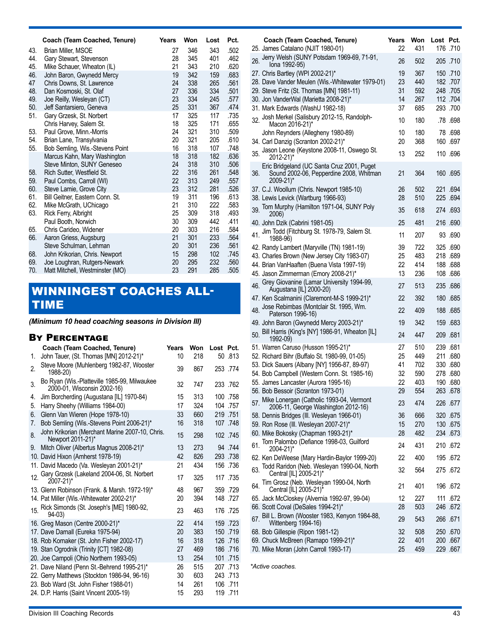|     | Coach (Team Coached, Tenure)                               | Years    | Won        | Lost       | Pct.         |
|-----|------------------------------------------------------------|----------|------------|------------|--------------|
| 43. | Brian Miller, MSOE                                         | 27       | 346        | 343        | .502         |
| 44. | Gary Stewart, Stevenson                                    | 28       | 345        | 401        | .462         |
| 45. | Mike Schauer, Wheaton (IL)                                 | 21       | 343        | 210        | .620         |
| 46. | John Baron, Gwynedd Mercy                                  | 19       | 342        | 159        | .683         |
| 47  | Chris Downs, St. Lawrence                                  | 24       | 338        | 265        | .561         |
| 48. | Dan Kosmoski, St. Olaf                                     | 27       | 336        | 334        | .501         |
| 49. | Joe Reilly, Wesleyan (CT)                                  | 23       | 334        | 245        | .577         |
| 50. | Jeff Santarsiero, Geneva                                   | 25       | 331        | 367        | .474         |
| 51. | Gary Grzesk, St. Norbert                                   | 17       | 325        | 117        | .735         |
|     | Chris Harvey, Salem St.                                    | 18       | 325        | 171        | .655         |
| 53. | Paul Grove, Minn.-Morris                                   | 24       | 321        | 310        | .509         |
| 54. | Brian Lane, Transylvania                                   | 20       | 321        | 205        | .610         |
| 55. | Bob Semling, Wis.-Stevens Point                            | 16<br>18 | 318<br>318 | 107<br>182 | .748<br>.636 |
|     | Marcus Kahn, Mary Washington<br>Steve Minton, SUNY Geneseo | 24       | 318        | 310        | .506         |
| 58. | Rich Sutter, Westfield St.                                 | 22       | 316        | 261        | .548         |
| 59. | Paul Combs, Carroll (WI)                                   | 22       | 313        | 249        | .557         |
| 60. | Steve Lamie, Grove City                                    | 23       | 312        | 281        | .526         |
| 61. | Bill Geitner, Eastern Conn. St.                            | 19       | 311        | 196        | .613         |
| 62. | Mike McGrath, UChicago                                     | 21       | 310        | 222        | .583         |
| 63. | Rick Ferry, Albright                                       | 25       | 309        | 318        | .493         |
|     | Paul Booth, Norwich                                        | 30       | 309        | 442        | .411         |
| 65. | Chris Carideo, Widener                                     | 20       | 303        | 216        | .584         |
| 66. | Aaron Griess, Augsburg                                     | 21       | 301        | 233        | .564         |
|     | Steve Schulman, Lehman                                     | 20       | 301        | 236        | .561         |
| 68. | John Krikorian, Chris. Newport                             | 15       | 298        | 102        | .745         |
| 69. | Joe Loughran, Rutgers-Newark                               | 20       | 295        | 232        | .560         |
| 70. | Matt Mitchell, Westminster (MO)                            | 23       | 291        | 285        | .505         |

# WINNINGEST COACHES ALL-TIME

*(Minimum 10 head coaching seasons in Division III)*

### By Percentage

|     | Coach (Team Coached, Tenure)                                                | Years | Won | Lost Pct.   |
|-----|-----------------------------------------------------------------------------|-------|-----|-------------|
| 1.  | John Tauer, (St. Thomas [MN] 2012-21)*                                      | 10    | 218 | 50 .813     |
| 2.  | Steve Moore (Muhlenberg 1982-87, Wooster<br>1988-20)                        | 39    | 867 | 253 .774    |
| 3.  | Bo Ryan (Wis.-Platteville 1985-99, Milwaukee<br>2000-01, Wisconsin 2002-16) | 32    | 747 | 233 .762    |
| 4.  | Jim Borcherding (Augustana [IL] 1970-84)                                    | 15    | 313 | 100 .758    |
| 5.  | Harry Sheehy (Williams 1984-00)                                             | 17    | 324 | 104 .757    |
| 6.  | Glenn Van Wieren (Hope 1978-10)                                             | 33    | 660 | 219 .751    |
| 7.  | Bob Semling (Wis.-Stevens Point 2006-21)*                                   | 16    | 318 | 107.748     |
| 8.  | John Krikorian (Merchant Marine 2007-10, Chris.<br>Newport 2011-21)*        | 15    | 298 | 102 .745    |
| 9.  | Mitch Oliver (Albertus Magnus 2008-21)*                                     | 13    | 273 | 94 .744     |
|     | 10. David Hixon (Amherst 1978-19)                                           | 42    | 826 | 293 .738    |
|     | 11. David Macedo (Va. Wesleyan 2001-21)*                                    | 21    | 434 | 156 .736    |
| 12. | Gary Grzesk (Lakeland 2004-06, St. Norbert<br>2007-21)*                     | 17    | 325 | 117.735     |
|     | 13. Glenn Robinson (Frank. & Marsh. 1972-19)*                               | 48    | 967 | 359 .729    |
|     | 14. Pat Miller (Wis.-Whitewater 2002-21)*                                   | 20    | 394 | 148.727     |
| 15. | Rick Simonds (St. Joseph's [ME] 1980-92,<br>$94 - 03$                       | 23    | 463 | 176 .725    |
|     | 16. Greg Mason (Centre 2000-21)*                                            | 22    | 414 | 159 .723    |
|     | 17. Dave Darnall (Eureka 1975-94)                                           | 20    | 383 | 150 .719    |
|     | 18. Rob Kornaker (St. John Fisher 2002-17)                                  | 16    | 318 | 126 .716    |
|     | 19. Stan Ogrodnik (Trinity [CT] 1982-08)                                    | 27    | 469 | 186.716     |
|     | 20. Joe Campoli (Ohio Northern 1993-05)                                     | 13    | 254 | 101<br>.715 |
|     | 21. Dave Niland (Penn St.-Behrend 1995-21)*                                 | 26    | 515 | 207.713     |
|     | 22. Gerry Matthews (Stockton 1986-94, 96-16)                                | 30    | 603 | 243 .713    |
|     | 23. Bob Ward (St. John Fisher 1988-01)                                      | 14    | 261 | 106 .711    |
|     | 24. D.P. Harris (Saint Vincent 2005-19)                                     | 15    | 293 | 119 .711    |

|     | Coach (Team Coached, Tenure)<br>25. James Catalano (NJIT 1980-01)                                  | Years<br>22 | Won<br>431 | Lost Pct. | 176.710              |
|-----|----------------------------------------------------------------------------------------------------|-------------|------------|-----------|----------------------|
| 26. | Jerry Welsh (SUNY Potsdam 1969-69, 71-91,                                                          | 26          | 502        |           | 205 .710             |
|     | lona 1992-95)<br>27. Chris Bartley (WPI 2002-21)*                                                  | 19          | 367        |           | 150 .710             |
|     | 28. Dave Vander Meulen (Wis.-Whitewater 1979-01)                                                   | 23          | 440        |           | 182.707              |
|     | 29. Steve Fritz (St. Thomas [MN] 1981-11)                                                          | 31          | 592        |           | 248 .705             |
|     | 30. Jon VanderWal (Marietta 2008-21)*                                                              | 14          | 267        |           | 112 .704             |
|     | 31. Mark Edwards (WashU 1982-18)<br>Josh Merkel (Salisbury 2012-15, Randolph-                      | 37          | 685        |           | 293 .700             |
| 32. | Macon 2016-21)*                                                                                    | 10          | 180        |           | .78.698              |
|     | John Reynders (Allegheny 1980-89)                                                                  | 10          | 180        |           | 78.698               |
|     | 34. Carl Danzig (Scranton 2002-21)*<br>Jason Leone (Keystone 2008-11, Oswego St.                   | 20          | 368        |           | 160 .697             |
| 35. | 2012-21)*                                                                                          | 13          | 252        |           | 110 .696             |
| 36. | Eric Bridgeland (UC Santa Cruz 2001, Puget<br>Sound 2002-06, Pepperdine 2008, Whitman<br>2009-21)* | 21          | 364        |           | 160 .695             |
|     | 37. C.J. Woollum (Chris. Newport 1985-10)                                                          | 26          | 502        |           | 221 .694             |
|     | 38. Lewis Levick (Wartburg 1966-93)<br>Tom Murphy (Hamilton 1971-04, SUNY Poly                     | 28          | 510        |           | 225 .694             |
| 39. | 2006)                                                                                              | 35          | 618        |           | 274 .693             |
|     | 40. John Dzik (Cabrini 1981-05)                                                                    | 25          | 481        |           | 216 .690             |
| 41. | Jim Todd (Fitchburg St. 1978-79, Salem St.<br>1988-96)                                             | 11          | 207        |           | 93 .690              |
|     | 42. Randy Lambert (Maryville (TN) 1981-19)                                                         | 39          | 722        |           | 325 .690             |
|     | 43. Charles Brown (New Jersey City 1983-07)                                                        | 25          | 483        |           | 218 .689             |
|     | 44. Brian VanHaaften (Buena Vista 1997-19)                                                         | 22          | 414        |           | 188.688              |
|     | 45. Jason Zimmerman (Emory 2008-21)*<br>46. Grey Giovanine (Lamar University 1994-99,              | 13          | 236        |           | 108.686              |
|     | Augustana [IL] 2000-20)                                                                            | 27          | 513        |           | 235 .686             |
|     | 47. Ken Scalmanini (Claremont-M-S 1999-21)*                                                        | 22          | 392        |           | 180 .685             |
|     | 48. Jose Rebimbas (Montclair St. 1995, Wm.<br>Paterson 1996-16)                                    | 22          | 409        |           | 188.685              |
|     | 49. John Baron (Gwynedd Mercy 2003-21)*                                                            | 19          | 342        |           | 159 .683             |
| 50. | Bill Harris (King's [NY] 1986-91, Wheaton [IL]<br>1992-09)                                         | 24          | 447        |           | 209 .681             |
|     | 51. Warren Caruso (Husson 1995-21)*                                                                | 27          | 510        |           | 239 .681             |
|     | 52. Richard Bihr (Buffalo St. 1980-99, 01-05)<br>53. Dick Sauers (Albany [NY] 1956-87, 89-97)      | 25<br>41    | 449<br>702 |           | 211 .680<br>330 .680 |
|     | 54. Bob Campbell (Western Conn. St. 1985-16)                                                       | 32          | 590        |           | 278 .680             |
|     | 55. James Lancaster (Aurora 1995-16)                                                               | 22          | 403        |           | 190 .680             |
|     | 56. Bob Bessoir (Scranton 1973-01)                                                                 | 29          | 554        |           | 263 .678             |
| 57. | Mike Lonergan (Catholic 1993-04, Vermont<br>2006-11, George Washington 2012-16)                    | 23          | 474        |           | 877. 226             |
|     | 58. Dennis Bridges (III. Wesleyan 1966-01)                                                         | 36          | 666        |           | 320 .675             |
|     | 59. Ron Rose (III. Wesleyan 2007-21)*<br>60. Mike Bokosky (Chapman 1993-21)*                       | 15<br>28    | 270<br>482 |           | 130 .675<br>234 .673 |
| 61. | Tom Palombo (Defiance 1998-03, Guilford                                                            | 24          | 431        |           | 210 672              |
|     | 2004-21)*<br>62. Ken DeWeese (Mary Hardin-Baylor 1999-20)                                          | 22          | 400        |           | 195 672              |
|     | Todd Raridon (Neb. Wesleyan 1990-04, North                                                         |             |            |           |                      |
| 63. | Central [IL] 2005-21)*<br>Tim Grosz (Neb. Wesleyan 1990-04, North                                  | 32          | 564        |           | 275.672              |
| 64. | Central [IL] 2005-21)*                                                                             | 21          | 401        |           | 196 .672             |
|     | 65. Jack McCloskey (Alvernia 1992-97, 99-04)                                                       | 12          | 227        |           | 111 .672             |
|     | 66. Scott Coval (DeSales 1994-21)*<br>Bill L. Brown (Wooster 1983, Kenyon 1984-88,                 | 28          | 503        | 246       | .672                 |
| 67. | Wittenberg 1994-16)                                                                                | 29          | 543        |           | 871. 266             |
|     | 68. Bob Gillespie (Ripon 1981-12)                                                                  | 32          | 508        |           | <b>250 .670</b>      |
|     | 69. Chuck McBreen (Ramapo 1999-21)*<br>70. Mike Moran (John Carroll 1993-17)                       | 22<br>25    | 401<br>459 | 229       | 200 .667<br>.667     |
|     |                                                                                                    |             |            |           |                      |

*\*Active coaches.*